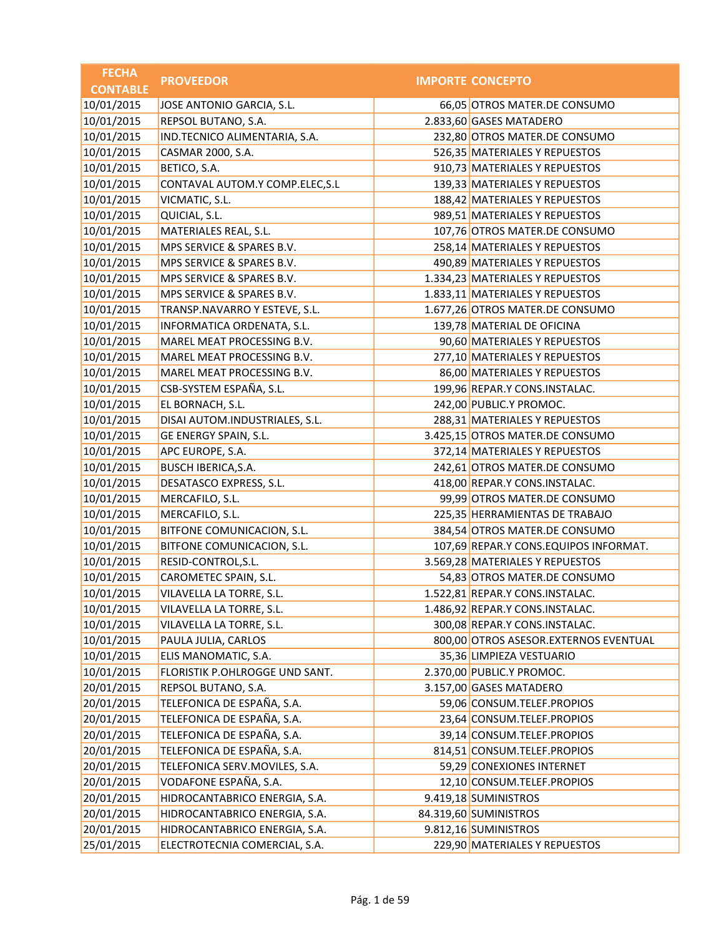| <b>IMPORTE CONCEPTO</b><br><b>CONTABLE</b><br>10/01/2015<br>JOSE ANTONIO GARCIA, S.L.<br>66,05 OTROS MATER.DE CONSUMO<br>10/01/2015<br>REPSOL BUTANO, S.A.<br>2.833,60 GASES MATADERO<br>10/01/2015<br>IND.TECNICO ALIMENTARIA, S.A.<br>232,80 OTROS MATER.DE CONSUMO<br>10/01/2015<br>CASMAR 2000, S.A.<br>526,35 MATERIALES Y REPUESTOS<br>10/01/2015<br>BETICO, S.A.<br>910,73 MATERIALES Y REPUESTOS<br>10/01/2015<br>139,33 MATERIALES Y REPUESTOS<br>CONTAVAL AUTOM.Y COMP.ELEC, S.L<br>10/01/2015<br>VICMATIC, S.L.<br>188,42 MATERIALES Y REPUESTOS<br>10/01/2015<br>QUICIAL, S.L.<br>989,51 MATERIALES Y REPUESTOS<br>MATERIALES REAL, S.L.<br>107,76 OTROS MATER.DE CONSUMO<br>258,14 MATERIALES Y REPUESTOS<br>MPS SERVICE & SPARES B.V.<br>10/01/2015<br>490,89 MATERIALES Y REPUESTOS<br>MPS SERVICE & SPARES B.V.<br>10/01/2015<br>1.334,23 MATERIALES Y REPUESTOS<br>MPS SERVICE & SPARES B.V.<br>10/01/2015<br>1.833,11 MATERIALES Y REPUESTOS<br>MPS SERVICE & SPARES B.V.<br>10/01/2015<br>TRANSP.NAVARRO Y ESTEVE, S.L.<br>1.677,26 OTROS MATER.DE CONSUMO<br>10/01/2015<br>INFORMATICA ORDENATA, S.L.<br>139,78 MATERIAL DE OFICINA<br>10/01/2015<br>MAREL MEAT PROCESSING B.V.<br>90,60 MATERIALES Y REPUESTOS<br>10/01/2015<br>277,10 MATERIALES Y REPUESTOS<br>MAREL MEAT PROCESSING B.V.<br>86,00 MATERIALES Y REPUESTOS<br>MAREL MEAT PROCESSING B.V.<br>10/01/2015<br>CSB-SYSTEM ESPAÑA, S.L.<br>199,96 REPAR.Y CONS.INSTALAC.<br>EL BORNACH, S.L.<br>242,00 PUBLIC.Y PROMOC.<br>10/01/2015<br>DISAI AUTOM.INDUSTRIALES, S.L.<br>288,31 MATERIALES Y REPUESTOS<br>10/01/2015<br>GE ENERGY SPAIN, S.L.<br>3.425,15 OTROS MATER.DE CONSUMO<br>10/01/2015<br>APC EUROPE, S.A.<br>372,14 MATERIALES Y REPUESTOS<br>10/01/2015<br>BUSCH IBERICA, S.A.<br>242,61 OTROS MATER.DE CONSUMO<br>10/01/2015<br>DESATASCO EXPRESS, S.L.<br>418,00 REPAR.Y CONS.INSTALAC.<br>10/01/2015<br>99,99 OTROS MATER.DE CONSUMO<br>MERCAFILO, S.L.<br>10/01/2015<br>MERCAFILO, S.L.<br>225,35 HERRAMIENTAS DE TRABAJO<br>10/01/2015<br>BITFONE COMUNICACION, S.L.<br>384,54 OTROS MATER.DE CONSUMO<br>BITFONE COMUNICACION, S.L.<br>107,69 REPAR.Y CONS.EQUIPOS INFORMAT.<br>10/01/2015<br>RESID-CONTROL, S.L.<br>3.569,28 MATERIALES Y REPUESTOS<br>54,83 OTROS MATER.DE CONSUMO<br>CAROMETEC SPAIN, S.L.<br>10/01/2015<br>1.522,81 REPAR.Y CONS.INSTALAC.<br>VILAVELLA LA TORRE, S.L.<br>1.486,92 REPAR.Y CONS.INSTALAC.<br>VILAVELLA LA TORRE, S.L.<br>300,08 REPAR.Y CONS.INSTALAC.<br>VILAVELLA LA TORRE, S.L.<br>800,00 OTROS ASESOR.EXTERNOS EVENTUAL<br>PAULA JULIA, CARLOS<br>ELIS MANOMATIC, S.A.<br>35,36 LIMPIEZA VESTUARIO<br>10/01/2015<br>FLORISTIK P.OHLROGGE UND SANT.<br>2.370,00 PUBLIC.Y PROMOC.<br>3.157,00 GASES MATADERO<br>REPSOL BUTANO, S.A.<br>TELEFONICA DE ESPAÑA, S.A.<br>20/01/2015<br>59,06 CONSUM.TELEF.PROPIOS<br>TELEFONICA DE ESPAÑA, S.A.<br>23,64 CONSUM.TELEF.PROPIOS<br>TELEFONICA DE ESPAÑA, S.A.<br>39,14 CONSUM.TELEF.PROPIOS<br>TELEFONICA DE ESPAÑA, S.A.<br>814,51 CONSUM.TELEF.PROPIOS<br>TELEFONICA SERV.MOVILES, S.A.<br>59,29 CONEXIONES INTERNET<br>VODAFONE ESPAÑA, S.A.<br>20/01/2015<br>12,10 CONSUM.TELEF.PROPIOS<br>HIDROCANTABRICO ENERGIA, S.A.<br>9.419,18 SUMINISTROS<br>HIDROCANTABRICO ENERGIA, S.A.<br>84.319,60 SUMINISTROS<br>9.812,16 SUMINISTROS<br>HIDROCANTABRICO ENERGIA, S.A. | <b>FECHA</b> | <b>PROVEEDOR</b>              |                               |
|----------------------------------------------------------------------------------------------------------------------------------------------------------------------------------------------------------------------------------------------------------------------------------------------------------------------------------------------------------------------------------------------------------------------------------------------------------------------------------------------------------------------------------------------------------------------------------------------------------------------------------------------------------------------------------------------------------------------------------------------------------------------------------------------------------------------------------------------------------------------------------------------------------------------------------------------------------------------------------------------------------------------------------------------------------------------------------------------------------------------------------------------------------------------------------------------------------------------------------------------------------------------------------------------------------------------------------------------------------------------------------------------------------------------------------------------------------------------------------------------------------------------------------------------------------------------------------------------------------------------------------------------------------------------------------------------------------------------------------------------------------------------------------------------------------------------------------------------------------------------------------------------------------------------------------------------------------------------------------------------------------------------------------------------------------------------------------------------------------------------------------------------------------------------------------------------------------------------------------------------------------------------------------------------------------------------------------------------------------------------------------------------------------------------------------------------------------------------------------------------------------------------------------------------------------------------------------------------------------------------------------------------------------------------------------------------------------------------------------------------------------------------------------------------------------------------------------------------------------------------------------------------------------------------------------------------------------------------------------------------------------------------------------------------------------------------------------------------------------------------------------------------------------------------------------------------------------------------------------------------------------------------------------------------------------------------------------------------------------|--------------|-------------------------------|-------------------------------|
|                                                                                                                                                                                                                                                                                                                                                                                                                                                                                                                                                                                                                                                                                                                                                                                                                                                                                                                                                                                                                                                                                                                                                                                                                                                                                                                                                                                                                                                                                                                                                                                                                                                                                                                                                                                                                                                                                                                                                                                                                                                                                                                                                                                                                                                                                                                                                                                                                                                                                                                                                                                                                                                                                                                                                                                                                                                                                                                                                                                                                                                                                                                                                                                                                                                                                                                                                          |              |                               |                               |
|                                                                                                                                                                                                                                                                                                                                                                                                                                                                                                                                                                                                                                                                                                                                                                                                                                                                                                                                                                                                                                                                                                                                                                                                                                                                                                                                                                                                                                                                                                                                                                                                                                                                                                                                                                                                                                                                                                                                                                                                                                                                                                                                                                                                                                                                                                                                                                                                                                                                                                                                                                                                                                                                                                                                                                                                                                                                                                                                                                                                                                                                                                                                                                                                                                                                                                                                                          |              |                               |                               |
|                                                                                                                                                                                                                                                                                                                                                                                                                                                                                                                                                                                                                                                                                                                                                                                                                                                                                                                                                                                                                                                                                                                                                                                                                                                                                                                                                                                                                                                                                                                                                                                                                                                                                                                                                                                                                                                                                                                                                                                                                                                                                                                                                                                                                                                                                                                                                                                                                                                                                                                                                                                                                                                                                                                                                                                                                                                                                                                                                                                                                                                                                                                                                                                                                                                                                                                                                          |              |                               |                               |
|                                                                                                                                                                                                                                                                                                                                                                                                                                                                                                                                                                                                                                                                                                                                                                                                                                                                                                                                                                                                                                                                                                                                                                                                                                                                                                                                                                                                                                                                                                                                                                                                                                                                                                                                                                                                                                                                                                                                                                                                                                                                                                                                                                                                                                                                                                                                                                                                                                                                                                                                                                                                                                                                                                                                                                                                                                                                                                                                                                                                                                                                                                                                                                                                                                                                                                                                                          |              |                               |                               |
|                                                                                                                                                                                                                                                                                                                                                                                                                                                                                                                                                                                                                                                                                                                                                                                                                                                                                                                                                                                                                                                                                                                                                                                                                                                                                                                                                                                                                                                                                                                                                                                                                                                                                                                                                                                                                                                                                                                                                                                                                                                                                                                                                                                                                                                                                                                                                                                                                                                                                                                                                                                                                                                                                                                                                                                                                                                                                                                                                                                                                                                                                                                                                                                                                                                                                                                                                          |              |                               |                               |
|                                                                                                                                                                                                                                                                                                                                                                                                                                                                                                                                                                                                                                                                                                                                                                                                                                                                                                                                                                                                                                                                                                                                                                                                                                                                                                                                                                                                                                                                                                                                                                                                                                                                                                                                                                                                                                                                                                                                                                                                                                                                                                                                                                                                                                                                                                                                                                                                                                                                                                                                                                                                                                                                                                                                                                                                                                                                                                                                                                                                                                                                                                                                                                                                                                                                                                                                                          |              |                               |                               |
|                                                                                                                                                                                                                                                                                                                                                                                                                                                                                                                                                                                                                                                                                                                                                                                                                                                                                                                                                                                                                                                                                                                                                                                                                                                                                                                                                                                                                                                                                                                                                                                                                                                                                                                                                                                                                                                                                                                                                                                                                                                                                                                                                                                                                                                                                                                                                                                                                                                                                                                                                                                                                                                                                                                                                                                                                                                                                                                                                                                                                                                                                                                                                                                                                                                                                                                                                          |              |                               |                               |
|                                                                                                                                                                                                                                                                                                                                                                                                                                                                                                                                                                                                                                                                                                                                                                                                                                                                                                                                                                                                                                                                                                                                                                                                                                                                                                                                                                                                                                                                                                                                                                                                                                                                                                                                                                                                                                                                                                                                                                                                                                                                                                                                                                                                                                                                                                                                                                                                                                                                                                                                                                                                                                                                                                                                                                                                                                                                                                                                                                                                                                                                                                                                                                                                                                                                                                                                                          |              |                               |                               |
|                                                                                                                                                                                                                                                                                                                                                                                                                                                                                                                                                                                                                                                                                                                                                                                                                                                                                                                                                                                                                                                                                                                                                                                                                                                                                                                                                                                                                                                                                                                                                                                                                                                                                                                                                                                                                                                                                                                                                                                                                                                                                                                                                                                                                                                                                                                                                                                                                                                                                                                                                                                                                                                                                                                                                                                                                                                                                                                                                                                                                                                                                                                                                                                                                                                                                                                                                          |              |                               |                               |
|                                                                                                                                                                                                                                                                                                                                                                                                                                                                                                                                                                                                                                                                                                                                                                                                                                                                                                                                                                                                                                                                                                                                                                                                                                                                                                                                                                                                                                                                                                                                                                                                                                                                                                                                                                                                                                                                                                                                                                                                                                                                                                                                                                                                                                                                                                                                                                                                                                                                                                                                                                                                                                                                                                                                                                                                                                                                                                                                                                                                                                                                                                                                                                                                                                                                                                                                                          | 10/01/2015   |                               |                               |
|                                                                                                                                                                                                                                                                                                                                                                                                                                                                                                                                                                                                                                                                                                                                                                                                                                                                                                                                                                                                                                                                                                                                                                                                                                                                                                                                                                                                                                                                                                                                                                                                                                                                                                                                                                                                                                                                                                                                                                                                                                                                                                                                                                                                                                                                                                                                                                                                                                                                                                                                                                                                                                                                                                                                                                                                                                                                                                                                                                                                                                                                                                                                                                                                                                                                                                                                                          | 10/01/2015   |                               |                               |
|                                                                                                                                                                                                                                                                                                                                                                                                                                                                                                                                                                                                                                                                                                                                                                                                                                                                                                                                                                                                                                                                                                                                                                                                                                                                                                                                                                                                                                                                                                                                                                                                                                                                                                                                                                                                                                                                                                                                                                                                                                                                                                                                                                                                                                                                                                                                                                                                                                                                                                                                                                                                                                                                                                                                                                                                                                                                                                                                                                                                                                                                                                                                                                                                                                                                                                                                                          |              |                               |                               |
|                                                                                                                                                                                                                                                                                                                                                                                                                                                                                                                                                                                                                                                                                                                                                                                                                                                                                                                                                                                                                                                                                                                                                                                                                                                                                                                                                                                                                                                                                                                                                                                                                                                                                                                                                                                                                                                                                                                                                                                                                                                                                                                                                                                                                                                                                                                                                                                                                                                                                                                                                                                                                                                                                                                                                                                                                                                                                                                                                                                                                                                                                                                                                                                                                                                                                                                                                          |              |                               |                               |
|                                                                                                                                                                                                                                                                                                                                                                                                                                                                                                                                                                                                                                                                                                                                                                                                                                                                                                                                                                                                                                                                                                                                                                                                                                                                                                                                                                                                                                                                                                                                                                                                                                                                                                                                                                                                                                                                                                                                                                                                                                                                                                                                                                                                                                                                                                                                                                                                                                                                                                                                                                                                                                                                                                                                                                                                                                                                                                                                                                                                                                                                                                                                                                                                                                                                                                                                                          |              |                               |                               |
|                                                                                                                                                                                                                                                                                                                                                                                                                                                                                                                                                                                                                                                                                                                                                                                                                                                                                                                                                                                                                                                                                                                                                                                                                                                                                                                                                                                                                                                                                                                                                                                                                                                                                                                                                                                                                                                                                                                                                                                                                                                                                                                                                                                                                                                                                                                                                                                                                                                                                                                                                                                                                                                                                                                                                                                                                                                                                                                                                                                                                                                                                                                                                                                                                                                                                                                                                          |              |                               |                               |
|                                                                                                                                                                                                                                                                                                                                                                                                                                                                                                                                                                                                                                                                                                                                                                                                                                                                                                                                                                                                                                                                                                                                                                                                                                                                                                                                                                                                                                                                                                                                                                                                                                                                                                                                                                                                                                                                                                                                                                                                                                                                                                                                                                                                                                                                                                                                                                                                                                                                                                                                                                                                                                                                                                                                                                                                                                                                                                                                                                                                                                                                                                                                                                                                                                                                                                                                                          |              |                               |                               |
|                                                                                                                                                                                                                                                                                                                                                                                                                                                                                                                                                                                                                                                                                                                                                                                                                                                                                                                                                                                                                                                                                                                                                                                                                                                                                                                                                                                                                                                                                                                                                                                                                                                                                                                                                                                                                                                                                                                                                                                                                                                                                                                                                                                                                                                                                                                                                                                                                                                                                                                                                                                                                                                                                                                                                                                                                                                                                                                                                                                                                                                                                                                                                                                                                                                                                                                                                          |              |                               |                               |
|                                                                                                                                                                                                                                                                                                                                                                                                                                                                                                                                                                                                                                                                                                                                                                                                                                                                                                                                                                                                                                                                                                                                                                                                                                                                                                                                                                                                                                                                                                                                                                                                                                                                                                                                                                                                                                                                                                                                                                                                                                                                                                                                                                                                                                                                                                                                                                                                                                                                                                                                                                                                                                                                                                                                                                                                                                                                                                                                                                                                                                                                                                                                                                                                                                                                                                                                                          |              |                               |                               |
|                                                                                                                                                                                                                                                                                                                                                                                                                                                                                                                                                                                                                                                                                                                                                                                                                                                                                                                                                                                                                                                                                                                                                                                                                                                                                                                                                                                                                                                                                                                                                                                                                                                                                                                                                                                                                                                                                                                                                                                                                                                                                                                                                                                                                                                                                                                                                                                                                                                                                                                                                                                                                                                                                                                                                                                                                                                                                                                                                                                                                                                                                                                                                                                                                                                                                                                                                          | 10/01/2015   |                               |                               |
|                                                                                                                                                                                                                                                                                                                                                                                                                                                                                                                                                                                                                                                                                                                                                                                                                                                                                                                                                                                                                                                                                                                                                                                                                                                                                                                                                                                                                                                                                                                                                                                                                                                                                                                                                                                                                                                                                                                                                                                                                                                                                                                                                                                                                                                                                                                                                                                                                                                                                                                                                                                                                                                                                                                                                                                                                                                                                                                                                                                                                                                                                                                                                                                                                                                                                                                                                          |              |                               |                               |
|                                                                                                                                                                                                                                                                                                                                                                                                                                                                                                                                                                                                                                                                                                                                                                                                                                                                                                                                                                                                                                                                                                                                                                                                                                                                                                                                                                                                                                                                                                                                                                                                                                                                                                                                                                                                                                                                                                                                                                                                                                                                                                                                                                                                                                                                                                                                                                                                                                                                                                                                                                                                                                                                                                                                                                                                                                                                                                                                                                                                                                                                                                                                                                                                                                                                                                                                                          | 10/01/2015   |                               |                               |
|                                                                                                                                                                                                                                                                                                                                                                                                                                                                                                                                                                                                                                                                                                                                                                                                                                                                                                                                                                                                                                                                                                                                                                                                                                                                                                                                                                                                                                                                                                                                                                                                                                                                                                                                                                                                                                                                                                                                                                                                                                                                                                                                                                                                                                                                                                                                                                                                                                                                                                                                                                                                                                                                                                                                                                                                                                                                                                                                                                                                                                                                                                                                                                                                                                                                                                                                                          |              |                               |                               |
|                                                                                                                                                                                                                                                                                                                                                                                                                                                                                                                                                                                                                                                                                                                                                                                                                                                                                                                                                                                                                                                                                                                                                                                                                                                                                                                                                                                                                                                                                                                                                                                                                                                                                                                                                                                                                                                                                                                                                                                                                                                                                                                                                                                                                                                                                                                                                                                                                                                                                                                                                                                                                                                                                                                                                                                                                                                                                                                                                                                                                                                                                                                                                                                                                                                                                                                                                          |              |                               |                               |
|                                                                                                                                                                                                                                                                                                                                                                                                                                                                                                                                                                                                                                                                                                                                                                                                                                                                                                                                                                                                                                                                                                                                                                                                                                                                                                                                                                                                                                                                                                                                                                                                                                                                                                                                                                                                                                                                                                                                                                                                                                                                                                                                                                                                                                                                                                                                                                                                                                                                                                                                                                                                                                                                                                                                                                                                                                                                                                                                                                                                                                                                                                                                                                                                                                                                                                                                                          |              |                               |                               |
|                                                                                                                                                                                                                                                                                                                                                                                                                                                                                                                                                                                                                                                                                                                                                                                                                                                                                                                                                                                                                                                                                                                                                                                                                                                                                                                                                                                                                                                                                                                                                                                                                                                                                                                                                                                                                                                                                                                                                                                                                                                                                                                                                                                                                                                                                                                                                                                                                                                                                                                                                                                                                                                                                                                                                                                                                                                                                                                                                                                                                                                                                                                                                                                                                                                                                                                                                          |              |                               |                               |
|                                                                                                                                                                                                                                                                                                                                                                                                                                                                                                                                                                                                                                                                                                                                                                                                                                                                                                                                                                                                                                                                                                                                                                                                                                                                                                                                                                                                                                                                                                                                                                                                                                                                                                                                                                                                                                                                                                                                                                                                                                                                                                                                                                                                                                                                                                                                                                                                                                                                                                                                                                                                                                                                                                                                                                                                                                                                                                                                                                                                                                                                                                                                                                                                                                                                                                                                                          |              |                               |                               |
|                                                                                                                                                                                                                                                                                                                                                                                                                                                                                                                                                                                                                                                                                                                                                                                                                                                                                                                                                                                                                                                                                                                                                                                                                                                                                                                                                                                                                                                                                                                                                                                                                                                                                                                                                                                                                                                                                                                                                                                                                                                                                                                                                                                                                                                                                                                                                                                                                                                                                                                                                                                                                                                                                                                                                                                                                                                                                                                                                                                                                                                                                                                                                                                                                                                                                                                                                          |              |                               |                               |
|                                                                                                                                                                                                                                                                                                                                                                                                                                                                                                                                                                                                                                                                                                                                                                                                                                                                                                                                                                                                                                                                                                                                                                                                                                                                                                                                                                                                                                                                                                                                                                                                                                                                                                                                                                                                                                                                                                                                                                                                                                                                                                                                                                                                                                                                                                                                                                                                                                                                                                                                                                                                                                                                                                                                                                                                                                                                                                                                                                                                                                                                                                                                                                                                                                                                                                                                                          |              |                               |                               |
|                                                                                                                                                                                                                                                                                                                                                                                                                                                                                                                                                                                                                                                                                                                                                                                                                                                                                                                                                                                                                                                                                                                                                                                                                                                                                                                                                                                                                                                                                                                                                                                                                                                                                                                                                                                                                                                                                                                                                                                                                                                                                                                                                                                                                                                                                                                                                                                                                                                                                                                                                                                                                                                                                                                                                                                                                                                                                                                                                                                                                                                                                                                                                                                                                                                                                                                                                          |              |                               |                               |
|                                                                                                                                                                                                                                                                                                                                                                                                                                                                                                                                                                                                                                                                                                                                                                                                                                                                                                                                                                                                                                                                                                                                                                                                                                                                                                                                                                                                                                                                                                                                                                                                                                                                                                                                                                                                                                                                                                                                                                                                                                                                                                                                                                                                                                                                                                                                                                                                                                                                                                                                                                                                                                                                                                                                                                                                                                                                                                                                                                                                                                                                                                                                                                                                                                                                                                                                                          | 10/01/2015   |                               |                               |
|                                                                                                                                                                                                                                                                                                                                                                                                                                                                                                                                                                                                                                                                                                                                                                                                                                                                                                                                                                                                                                                                                                                                                                                                                                                                                                                                                                                                                                                                                                                                                                                                                                                                                                                                                                                                                                                                                                                                                                                                                                                                                                                                                                                                                                                                                                                                                                                                                                                                                                                                                                                                                                                                                                                                                                                                                                                                                                                                                                                                                                                                                                                                                                                                                                                                                                                                                          |              |                               |                               |
|                                                                                                                                                                                                                                                                                                                                                                                                                                                                                                                                                                                                                                                                                                                                                                                                                                                                                                                                                                                                                                                                                                                                                                                                                                                                                                                                                                                                                                                                                                                                                                                                                                                                                                                                                                                                                                                                                                                                                                                                                                                                                                                                                                                                                                                                                                                                                                                                                                                                                                                                                                                                                                                                                                                                                                                                                                                                                                                                                                                                                                                                                                                                                                                                                                                                                                                                                          | 10/01/2015   |                               |                               |
|                                                                                                                                                                                                                                                                                                                                                                                                                                                                                                                                                                                                                                                                                                                                                                                                                                                                                                                                                                                                                                                                                                                                                                                                                                                                                                                                                                                                                                                                                                                                                                                                                                                                                                                                                                                                                                                                                                                                                                                                                                                                                                                                                                                                                                                                                                                                                                                                                                                                                                                                                                                                                                                                                                                                                                                                                                                                                                                                                                                                                                                                                                                                                                                                                                                                                                                                                          |              |                               |                               |
|                                                                                                                                                                                                                                                                                                                                                                                                                                                                                                                                                                                                                                                                                                                                                                                                                                                                                                                                                                                                                                                                                                                                                                                                                                                                                                                                                                                                                                                                                                                                                                                                                                                                                                                                                                                                                                                                                                                                                                                                                                                                                                                                                                                                                                                                                                                                                                                                                                                                                                                                                                                                                                                                                                                                                                                                                                                                                                                                                                                                                                                                                                                                                                                                                                                                                                                                                          | 10/01/2015   |                               |                               |
|                                                                                                                                                                                                                                                                                                                                                                                                                                                                                                                                                                                                                                                                                                                                                                                                                                                                                                                                                                                                                                                                                                                                                                                                                                                                                                                                                                                                                                                                                                                                                                                                                                                                                                                                                                                                                                                                                                                                                                                                                                                                                                                                                                                                                                                                                                                                                                                                                                                                                                                                                                                                                                                                                                                                                                                                                                                                                                                                                                                                                                                                                                                                                                                                                                                                                                                                                          | 10/01/2015   |                               |                               |
|                                                                                                                                                                                                                                                                                                                                                                                                                                                                                                                                                                                                                                                                                                                                                                                                                                                                                                                                                                                                                                                                                                                                                                                                                                                                                                                                                                                                                                                                                                                                                                                                                                                                                                                                                                                                                                                                                                                                                                                                                                                                                                                                                                                                                                                                                                                                                                                                                                                                                                                                                                                                                                                                                                                                                                                                                                                                                                                                                                                                                                                                                                                                                                                                                                                                                                                                                          | 10/01/2015   |                               |                               |
|                                                                                                                                                                                                                                                                                                                                                                                                                                                                                                                                                                                                                                                                                                                                                                                                                                                                                                                                                                                                                                                                                                                                                                                                                                                                                                                                                                                                                                                                                                                                                                                                                                                                                                                                                                                                                                                                                                                                                                                                                                                                                                                                                                                                                                                                                                                                                                                                                                                                                                                                                                                                                                                                                                                                                                                                                                                                                                                                                                                                                                                                                                                                                                                                                                                                                                                                                          | 10/01/2015   |                               |                               |
|                                                                                                                                                                                                                                                                                                                                                                                                                                                                                                                                                                                                                                                                                                                                                                                                                                                                                                                                                                                                                                                                                                                                                                                                                                                                                                                                                                                                                                                                                                                                                                                                                                                                                                                                                                                                                                                                                                                                                                                                                                                                                                                                                                                                                                                                                                                                                                                                                                                                                                                                                                                                                                                                                                                                                                                                                                                                                                                                                                                                                                                                                                                                                                                                                                                                                                                                                          |              |                               |                               |
|                                                                                                                                                                                                                                                                                                                                                                                                                                                                                                                                                                                                                                                                                                                                                                                                                                                                                                                                                                                                                                                                                                                                                                                                                                                                                                                                                                                                                                                                                                                                                                                                                                                                                                                                                                                                                                                                                                                                                                                                                                                                                                                                                                                                                                                                                                                                                                                                                                                                                                                                                                                                                                                                                                                                                                                                                                                                                                                                                                                                                                                                                                                                                                                                                                                                                                                                                          | 20/01/2015   |                               |                               |
|                                                                                                                                                                                                                                                                                                                                                                                                                                                                                                                                                                                                                                                                                                                                                                                                                                                                                                                                                                                                                                                                                                                                                                                                                                                                                                                                                                                                                                                                                                                                                                                                                                                                                                                                                                                                                                                                                                                                                                                                                                                                                                                                                                                                                                                                                                                                                                                                                                                                                                                                                                                                                                                                                                                                                                                                                                                                                                                                                                                                                                                                                                                                                                                                                                                                                                                                                          |              |                               |                               |
|                                                                                                                                                                                                                                                                                                                                                                                                                                                                                                                                                                                                                                                                                                                                                                                                                                                                                                                                                                                                                                                                                                                                                                                                                                                                                                                                                                                                                                                                                                                                                                                                                                                                                                                                                                                                                                                                                                                                                                                                                                                                                                                                                                                                                                                                                                                                                                                                                                                                                                                                                                                                                                                                                                                                                                                                                                                                                                                                                                                                                                                                                                                                                                                                                                                                                                                                                          | 20/01/2015   |                               |                               |
|                                                                                                                                                                                                                                                                                                                                                                                                                                                                                                                                                                                                                                                                                                                                                                                                                                                                                                                                                                                                                                                                                                                                                                                                                                                                                                                                                                                                                                                                                                                                                                                                                                                                                                                                                                                                                                                                                                                                                                                                                                                                                                                                                                                                                                                                                                                                                                                                                                                                                                                                                                                                                                                                                                                                                                                                                                                                                                                                                                                                                                                                                                                                                                                                                                                                                                                                                          | 20/01/2015   |                               |                               |
|                                                                                                                                                                                                                                                                                                                                                                                                                                                                                                                                                                                                                                                                                                                                                                                                                                                                                                                                                                                                                                                                                                                                                                                                                                                                                                                                                                                                                                                                                                                                                                                                                                                                                                                                                                                                                                                                                                                                                                                                                                                                                                                                                                                                                                                                                                                                                                                                                                                                                                                                                                                                                                                                                                                                                                                                                                                                                                                                                                                                                                                                                                                                                                                                                                                                                                                                                          | 20/01/2015   |                               |                               |
|                                                                                                                                                                                                                                                                                                                                                                                                                                                                                                                                                                                                                                                                                                                                                                                                                                                                                                                                                                                                                                                                                                                                                                                                                                                                                                                                                                                                                                                                                                                                                                                                                                                                                                                                                                                                                                                                                                                                                                                                                                                                                                                                                                                                                                                                                                                                                                                                                                                                                                                                                                                                                                                                                                                                                                                                                                                                                                                                                                                                                                                                                                                                                                                                                                                                                                                                                          | 20/01/2015   |                               |                               |
|                                                                                                                                                                                                                                                                                                                                                                                                                                                                                                                                                                                                                                                                                                                                                                                                                                                                                                                                                                                                                                                                                                                                                                                                                                                                                                                                                                                                                                                                                                                                                                                                                                                                                                                                                                                                                                                                                                                                                                                                                                                                                                                                                                                                                                                                                                                                                                                                                                                                                                                                                                                                                                                                                                                                                                                                                                                                                                                                                                                                                                                                                                                                                                                                                                                                                                                                                          |              |                               |                               |
|                                                                                                                                                                                                                                                                                                                                                                                                                                                                                                                                                                                                                                                                                                                                                                                                                                                                                                                                                                                                                                                                                                                                                                                                                                                                                                                                                                                                                                                                                                                                                                                                                                                                                                                                                                                                                                                                                                                                                                                                                                                                                                                                                                                                                                                                                                                                                                                                                                                                                                                                                                                                                                                                                                                                                                                                                                                                                                                                                                                                                                                                                                                                                                                                                                                                                                                                                          | 20/01/2015   |                               |                               |
|                                                                                                                                                                                                                                                                                                                                                                                                                                                                                                                                                                                                                                                                                                                                                                                                                                                                                                                                                                                                                                                                                                                                                                                                                                                                                                                                                                                                                                                                                                                                                                                                                                                                                                                                                                                                                                                                                                                                                                                                                                                                                                                                                                                                                                                                                                                                                                                                                                                                                                                                                                                                                                                                                                                                                                                                                                                                                                                                                                                                                                                                                                                                                                                                                                                                                                                                                          | 20/01/2015   |                               |                               |
|                                                                                                                                                                                                                                                                                                                                                                                                                                                                                                                                                                                                                                                                                                                                                                                                                                                                                                                                                                                                                                                                                                                                                                                                                                                                                                                                                                                                                                                                                                                                                                                                                                                                                                                                                                                                                                                                                                                                                                                                                                                                                                                                                                                                                                                                                                                                                                                                                                                                                                                                                                                                                                                                                                                                                                                                                                                                                                                                                                                                                                                                                                                                                                                                                                                                                                                                                          | 20/01/2015   |                               |                               |
|                                                                                                                                                                                                                                                                                                                                                                                                                                                                                                                                                                                                                                                                                                                                                                                                                                                                                                                                                                                                                                                                                                                                                                                                                                                                                                                                                                                                                                                                                                                                                                                                                                                                                                                                                                                                                                                                                                                                                                                                                                                                                                                                                                                                                                                                                                                                                                                                                                                                                                                                                                                                                                                                                                                                                                                                                                                                                                                                                                                                                                                                                                                                                                                                                                                                                                                                                          | 25/01/2015   | ELECTROTECNIA COMERCIAL, S.A. | 229,90 MATERIALES Y REPUESTOS |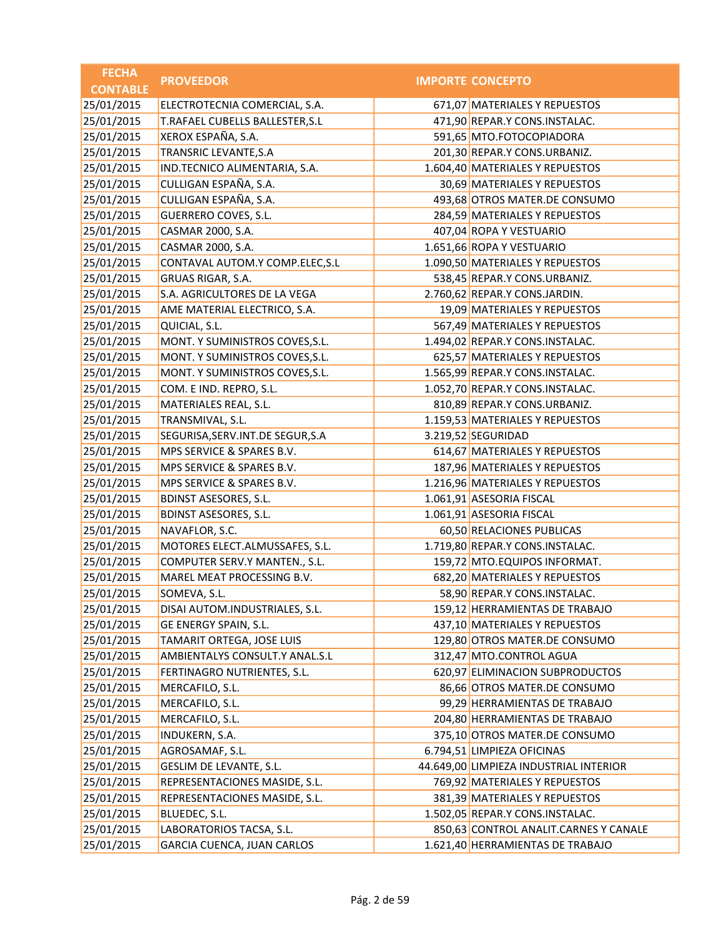| <b>FECHA</b>    | <b>PROVEEDOR</b>                   | <b>IMPORTE CONCEPTO</b>                |
|-----------------|------------------------------------|----------------------------------------|
| <b>CONTABLE</b> |                                    |                                        |
| 25/01/2015      | ELECTROTECNIA COMERCIAL, S.A.      | 671,07 MATERIALES Y REPUESTOS          |
| 25/01/2015      | T.RAFAEL CUBELLS BALLESTER, S.L    | 471,90 REPAR.Y CONS.INSTALAC.          |
| 25/01/2015      | XEROX ESPAÑA, S.A.                 | 591,65 MTO.FOTOCOPIADORA               |
| 25/01/2015      | TRANSRIC LEVANTE, S.A              | 201,30 REPAR.Y CONS.URBANIZ.           |
| 25/01/2015      | IND.TECNICO ALIMENTARIA, S.A.      | 1.604,40 MATERIALES Y REPUESTOS        |
| 25/01/2015      | CULLIGAN ESPAÑA, S.A.              | 30,69 MATERIALES Y REPUESTOS           |
| 25/01/2015      | CULLIGAN ESPAÑA, S.A.              | 493,68 OTROS MATER.DE CONSUMO          |
| 25/01/2015      | <b>GUERRERO COVES, S.L.</b>        | 284,59 MATERIALES Y REPUESTOS          |
| 25/01/2015      | CASMAR 2000, S.A.                  | 407,04 ROPA Y VESTUARIO                |
| 25/01/2015      | CASMAR 2000, S.A.                  | 1.651,66 ROPA Y VESTUARIO              |
| 25/01/2015      | CONTAVAL AUTOM.Y COMP.ELEC, S.L    | 1.090,50 MATERIALES Y REPUESTOS        |
| 25/01/2015      | GRUAS RIGAR, S.A.                  | 538,45 REPAR.Y CONS.URBANIZ.           |
| 25/01/2015      | S.A. AGRICULTORES DE LA VEGA       | 2.760,62 REPAR.Y CONS.JARDIN.          |
| 25/01/2015      | AME MATERIAL ELECTRICO, S.A.       | 19,09 MATERIALES Y REPUESTOS           |
| 25/01/2015      | QUICIAL, S.L.                      | 567,49 MATERIALES Y REPUESTOS          |
| 25/01/2015      | MONT. Y SUMINISTROS COVES, S.L.    | 1.494,02 REPAR.Y CONS.INSTALAC.        |
| 25/01/2015      | MONT. Y SUMINISTROS COVES, S.L.    | 625,57 MATERIALES Y REPUESTOS          |
| 25/01/2015      | MONT. Y SUMINISTROS COVES, S.L.    | 1.565,99 REPAR.Y CONS.INSTALAC.        |
| 25/01/2015      | COM. E IND. REPRO, S.L.            | 1.052,70 REPAR.Y CONS.INSTALAC.        |
| 25/01/2015      | MATERIALES REAL, S.L.              | 810,89 REPAR.Y CONS.URBANIZ.           |
| 25/01/2015      | TRANSMIVAL, S.L.                   | 1.159,53 MATERIALES Y REPUESTOS        |
| 25/01/2015      | SEGURISA, SERV. INT. DE SEGUR, S.A | 3.219,52 SEGURIDAD                     |
| 25/01/2015      | MPS SERVICE & SPARES B.V.          | 614,67 MATERIALES Y REPUESTOS          |
| 25/01/2015      | MPS SERVICE & SPARES B.V.          | 187,96 MATERIALES Y REPUESTOS          |
| 25/01/2015      | MPS SERVICE & SPARES B.V.          | 1.216,96 MATERIALES Y REPUESTOS        |
| 25/01/2015      | <b>BDINST ASESORES, S.L.</b>       | 1.061,91 ASESORIA FISCAL               |
| 25/01/2015      | <b>BDINST ASESORES, S.L.</b>       | 1.061,91 ASESORIA FISCAL               |
| 25/01/2015      | NAVAFLOR, S.C.                     | 60,50 RELACIONES PUBLICAS              |
| 25/01/2015      | MOTORES ELECT.ALMUSSAFES, S.L.     | 1.719,80 REPAR.Y CONS.INSTALAC.        |
| 25/01/2015      | COMPUTER SERV.Y MANTEN., S.L.      | 159,72 MTO.EQUIPOS INFORMAT.           |
| 25/01/2015      | MAREL MEAT PROCESSING B.V.         | 682,20 MATERIALES Y REPUESTOS          |
| 25/01/2015      | SOMEVA, S.L.                       | 58,90 REPAR.Y CONS.INSTALAC.           |
| 25/01/2015      | DISAI AUTOM.INDUSTRIALES, S.L.     | 159,12 HERRAMIENTAS DE TRABAJO         |
| 25/01/2015      | GE ENERGY SPAIN, S.L.              | 437,10 MATERIALES Y REPUESTOS          |
| 25/01/2015      | TAMARIT ORTEGA, JOSE LUIS          | 129,80 OTROS MATER.DE CONSUMO          |
| 25/01/2015      | AMBIENTALYS CONSULT.Y ANAL.S.L     | 312,47 MTO.CONTROL AGUA                |
| 25/01/2015      | FERTINAGRO NUTRIENTES, S.L.        | 620,97 ELIMINACION SUBPRODUCTOS        |
| 25/01/2015      | MERCAFILO, S.L.                    | 86,66 OTROS MATER.DE CONSUMO           |
| 25/01/2015      | MERCAFILO, S.L.                    | 99,29 HERRAMIENTAS DE TRABAJO          |
| 25/01/2015      | MERCAFILO, S.L.                    | 204,80 HERRAMIENTAS DE TRABAJO         |
| 25/01/2015      | INDUKERN, S.A.                     | 375,10 OTROS MATER.DE CONSUMO          |
| 25/01/2015      | AGROSAMAF, S.L.                    | 6.794,51 LIMPIEZA OFICINAS             |
| 25/01/2015      | GESLIM DE LEVANTE, S.L.            | 44.649,00 LIMPIEZA INDUSTRIAL INTERIOR |
| 25/01/2015      | REPRESENTACIONES MASIDE, S.L.      | 769,92 MATERIALES Y REPUESTOS          |
| 25/01/2015      | REPRESENTACIONES MASIDE, S.L.      | 381,39 MATERIALES Y REPUESTOS          |
| 25/01/2015      | BLUEDEC, S.L.                      | 1.502,05 REPAR.Y CONS.INSTALAC.        |
| 25/01/2015      | LABORATORIOS TACSA, S.L.           | 850,63 CONTROL ANALIT.CARNES Y CANALE  |
| 25/01/2015      | GARCIA CUENCA, JUAN CARLOS         | 1.621,40 HERRAMIENTAS DE TRABAJO       |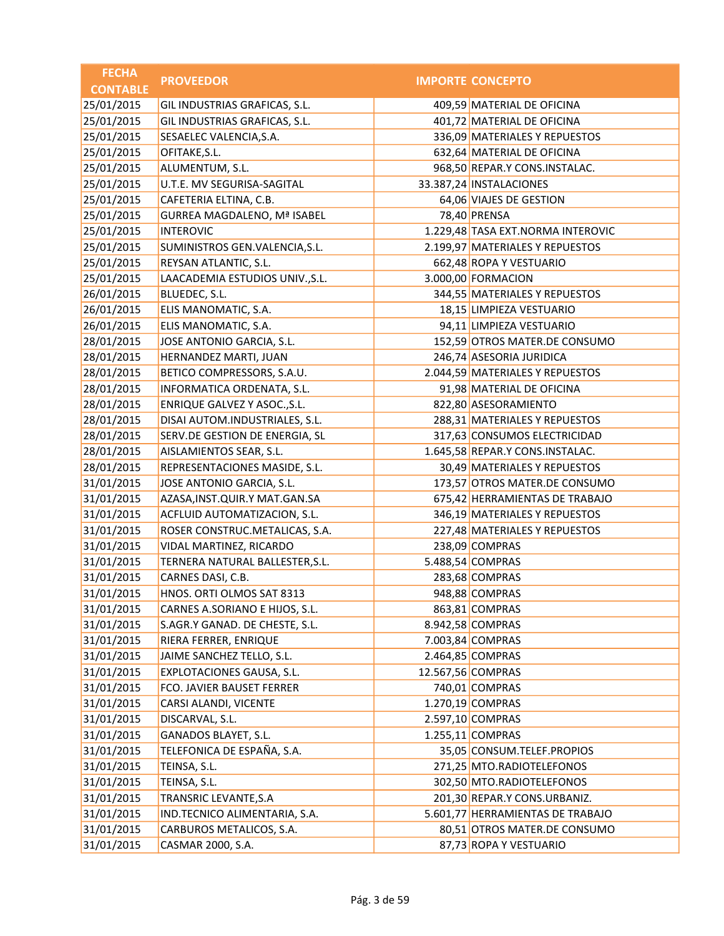| <b>FECHA</b>    | <b>PROVEEDOR</b>                   | <b>IMPORTE CONCEPTO</b>           |
|-----------------|------------------------------------|-----------------------------------|
| <b>CONTABLE</b> |                                    |                                   |
| 25/01/2015      | GIL INDUSTRIAS GRAFICAS, S.L.      | 409,59 MATERIAL DE OFICINA        |
| 25/01/2015      | GIL INDUSTRIAS GRAFICAS, S.L.      | 401,72 MATERIAL DE OFICINA        |
| 25/01/2015      | SESAELEC VALENCIA, S.A.            | 336,09 MATERIALES Y REPUESTOS     |
| 25/01/2015      | OFITAKE, S.L.                      | 632,64 MATERIAL DE OFICINA        |
| 25/01/2015      | ALUMENTUM, S.L.                    | 968,50 REPAR.Y CONS.INSTALAC.     |
| 25/01/2015      | U.T.E. MV SEGURISA-SAGITAL         | 33.387,24 INSTALACIONES           |
| 25/01/2015      | CAFETERIA ELTINA, C.B.             | 64,06 VIAJES DE GESTION           |
| 25/01/2015      | <b>GURREA MAGDALENO, Mª ISABEL</b> | 78,40 PRENSA                      |
| 25/01/2015      | <b>INTEROVIC</b>                   | 1.229,48 TASA EXT.NORMA INTEROVIC |
| 25/01/2015      | SUMINISTROS GEN.VALENCIA, S.L.     | 2.199,97 MATERIALES Y REPUESTOS   |
| 25/01/2015      | REYSAN ATLANTIC, S.L.              | 662,48 ROPA Y VESTUARIO           |
| 25/01/2015      | LAACADEMIA ESTUDIOS UNIV., S.L.    | 3.000,00 FORMACION                |
| 26/01/2015      | BLUEDEC, S.L.                      | 344,55 MATERIALES Y REPUESTOS     |
| 26/01/2015      | ELIS MANOMATIC, S.A.               | 18,15 LIMPIEZA VESTUARIO          |
| 26/01/2015      | ELIS MANOMATIC, S.A.               | 94,11 LIMPIEZA VESTUARIO          |
| 28/01/2015      | JOSE ANTONIO GARCIA, S.L.          | 152,59 OTROS MATER.DE CONSUMO     |
| 28/01/2015      | HERNANDEZ MARTI, JUAN              | 246,74 ASESORIA JURIDICA          |
| 28/01/2015      | BETICO COMPRESSORS, S.A.U.         | 2.044,59 MATERIALES Y REPUESTOS   |
| 28/01/2015      | INFORMATICA ORDENATA, S.L.         | 91,98 MATERIAL DE OFICINA         |
| 28/01/2015      | ENRIQUE GALVEZ Y ASOC., S.L.       | 822,80 ASESORAMIENTO              |
| 28/01/2015      | DISAI AUTOM.INDUSTRIALES, S.L.     | 288,31 MATERIALES Y REPUESTOS     |
| 28/01/2015      | SERV.DE GESTION DE ENERGIA, SL     | 317,63 CONSUMOS ELECTRICIDAD      |
| 28/01/2015      | AISLAMIENTOS SEAR, S.L.            | 1.645,58 REPAR.Y CONS.INSTALAC.   |
| 28/01/2015      | REPRESENTACIONES MASIDE, S.L.      | 30,49 MATERIALES Y REPUESTOS      |
| 31/01/2015      | JOSE ANTONIO GARCIA, S.L.          | 173,57 OTROS MATER.DE CONSUMO     |
| 31/01/2015      | AZASA, INST. QUIR. Y MAT. GAN. SA  | 675,42 HERRAMIENTAS DE TRABAJO    |
| 31/01/2015      | ACFLUID AUTOMATIZACION, S.L.       | 346,19 MATERIALES Y REPUESTOS     |
| 31/01/2015      | ROSER CONSTRUC.METALICAS, S.A.     | 227,48 MATERIALES Y REPUESTOS     |
| 31/01/2015      | VIDAL MARTINEZ, RICARDO            | 238,09 COMPRAS                    |
| 31/01/2015      | TERNERA NATURAL BALLESTER, S.L.    | 5.488,54 COMPRAS                  |
| 31/01/2015      | CARNES DASI, C.B.                  | 283,68 COMPRAS                    |
| 31/01/2015      | HNOS. ORTI OLMOS SAT 8313          | 948,88 COMPRAS                    |
| 31/01/2015      | CARNES A.SORIANO E HIJOS, S.L.     | 863,81 COMPRAS                    |
| 31/01/2015      | S.AGR.Y GANAD. DE CHESTE, S.L.     | 8.942,58 COMPRAS                  |
| 31/01/2015      | RIERA FERRER, ENRIQUE              | 7.003,84 COMPRAS                  |
| 31/01/2015      | JAIME SANCHEZ TELLO, S.L.          | 2.464,85 COMPRAS                  |
| 31/01/2015      | EXPLOTACIONES GAUSA, S.L.          | 12.567,56 COMPRAS                 |
| 31/01/2015      | FCO. JAVIER BAUSET FERRER          | 740,01 COMPRAS                    |
| 31/01/2015      | CARSI ALANDI, VICENTE              | 1.270,19 COMPRAS                  |
| 31/01/2015      | DISCARVAL, S.L.                    | 2.597,10 COMPRAS                  |
| 31/01/2015      | GANADOS BLAYET, S.L.               | 1.255,11 COMPRAS                  |
| 31/01/2015      | TELEFONICA DE ESPAÑA, S.A.         | 35,05 CONSUM.TELEF.PROPIOS        |
| 31/01/2015      | TEINSA, S.L.                       | 271,25 MTO.RADIOTELEFONOS         |
| 31/01/2015      | TEINSA, S.L.                       | 302,50 MTO.RADIOTELEFONOS         |
| 31/01/2015      | TRANSRIC LEVANTE, S.A              | 201,30 REPAR.Y CONS.URBANIZ.      |
| 31/01/2015      | IND.TECNICO ALIMENTARIA, S.A.      | 5.601,77 HERRAMIENTAS DE TRABAJO  |
| 31/01/2015      | CARBUROS METALICOS, S.A.           | 80,51 OTROS MATER.DE CONSUMO      |
| 31/01/2015      | CASMAR 2000, S.A.                  | 87,73 ROPA Y VESTUARIO            |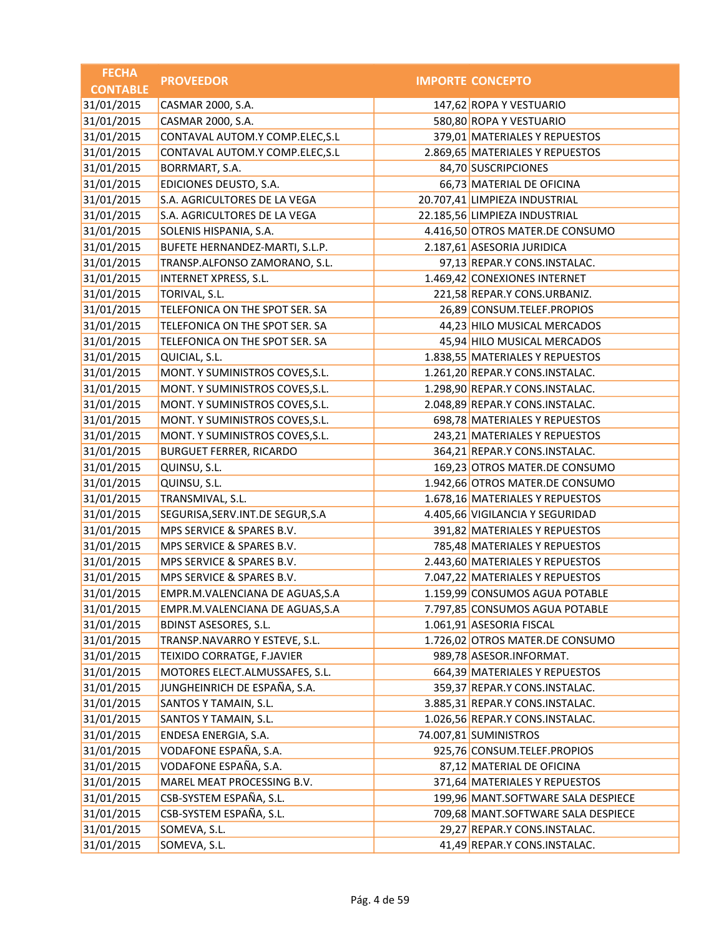| <b>FECHA</b>    | <b>PROVEEDOR</b>                   | <b>IMPORTE CONCEPTO</b>            |
|-----------------|------------------------------------|------------------------------------|
| <b>CONTABLE</b> |                                    |                                    |
| 31/01/2015      | CASMAR 2000, S.A.                  | 147,62 ROPA Y VESTUARIO            |
| 31/01/2015      | CASMAR 2000, S.A.                  | 580,80 ROPA Y VESTUARIO            |
| 31/01/2015      | CONTAVAL AUTOM.Y COMP.ELEC, S.L    | 379,01 MATERIALES Y REPUESTOS      |
| 31/01/2015      | CONTAVAL AUTOM.Y COMP.ELEC, S.L    | 2.869,65 MATERIALES Y REPUESTOS    |
| 31/01/2015      | BORRMART, S.A.                     | 84,70 SUSCRIPCIONES                |
| 31/01/2015      | EDICIONES DEUSTO, S.A.             | 66,73 MATERIAL DE OFICINA          |
| 31/01/2015      | S.A. AGRICULTORES DE LA VEGA       | 20.707,41 LIMPIEZA INDUSTRIAL      |
| 31/01/2015      | S.A. AGRICULTORES DE LA VEGA       | 22.185,56 LIMPIEZA INDUSTRIAL      |
| 31/01/2015      | SOLENIS HISPANIA, S.A.             | 4.416,50 OTROS MATER.DE CONSUMO    |
| 31/01/2015      | BUFETE HERNANDEZ-MARTI, S.L.P.     | 2.187,61 ASESORIA JURIDICA         |
| 31/01/2015      | TRANSP.ALFONSO ZAMORANO, S.L.      | 97,13 REPAR.Y CONS.INSTALAC.       |
| 31/01/2015      | <b>INTERNET XPRESS, S.L.</b>       | 1.469,42 CONEXIONES INTERNET       |
| 31/01/2015      | TORIVAL, S.L.                      | 221,58 REPAR.Y CONS.URBANIZ.       |
| 31/01/2015      | TELEFONICA ON THE SPOT SER. SA     | 26,89 CONSUM.TELEF.PROPIOS         |
| 31/01/2015      | TELEFONICA ON THE SPOT SER. SA     | 44,23 HILO MUSICAL MERCADOS        |
| 31/01/2015      | TELEFONICA ON THE SPOT SER. SA     | 45,94 HILO MUSICAL MERCADOS        |
| 31/01/2015      | QUICIAL, S.L.                      | 1.838,55 MATERIALES Y REPUESTOS    |
| 31/01/2015      | MONT. Y SUMINISTROS COVES, S.L.    | 1.261,20 REPAR.Y CONS.INSTALAC.    |
| 31/01/2015      | MONT. Y SUMINISTROS COVES, S.L.    | 1.298,90 REPAR.Y CONS.INSTALAC.    |
| 31/01/2015      | MONT. Y SUMINISTROS COVES, S.L.    | 2.048,89 REPAR.Y CONS.INSTALAC.    |
| 31/01/2015      | MONT. Y SUMINISTROS COVES, S.L.    | 698,78 MATERIALES Y REPUESTOS      |
| 31/01/2015      | MONT. Y SUMINISTROS COVES, S.L.    | 243,21 MATERIALES Y REPUESTOS      |
| 31/01/2015      | <b>BURGUET FERRER, RICARDO</b>     | 364,21 REPAR.Y CONS.INSTALAC.      |
| 31/01/2015      | QUINSU, S.L.                       | 169,23 OTROS MATER.DE CONSUMO      |
| 31/01/2015      | QUINSU, S.L.                       | 1.942,66 OTROS MATER.DE CONSUMO    |
| 31/01/2015      | TRANSMIVAL, S.L.                   | 1.678,16 MATERIALES Y REPUESTOS    |
| 31/01/2015      | SEGURISA, SERV. INT. DE SEGUR, S.A | 4.405,66 VIGILANCIA Y SEGURIDAD    |
| 31/01/2015      | MPS SERVICE & SPARES B.V.          | 391,82 MATERIALES Y REPUESTOS      |
| 31/01/2015      | MPS SERVICE & SPARES B.V.          | 785,48 MATERIALES Y REPUESTOS      |
| 31/01/2015      | MPS SERVICE & SPARES B.V.          | 2.443,60 MATERIALES Y REPUESTOS    |
| 31/01/2015      | MPS SERVICE & SPARES B.V.          | 7.047,22 MATERIALES Y REPUESTOS    |
| 31/01/2015      | EMPR.M.VALENCIANA DE AGUAS, S.A.   | 1.159,99 CONSUMOS AGUA POTABLE     |
| 31/01/2015      | EMPR.M.VALENCIANA DE AGUAS, S.A    | 7.797,85 CONSUMOS AGUA POTABLE     |
| 31/01/2015      | <b>BDINST ASESORES, S.L.</b>       | 1.061,91 ASESORIA FISCAL           |
| 31/01/2015      | TRANSP.NAVARRO Y ESTEVE, S.L.      | 1.726,02 OTROS MATER.DE CONSUMO    |
| 31/01/2015      | TEIXIDO CORRATGE, F.JAVIER         | 989,78 ASESOR.INFORMAT.            |
| 31/01/2015      | MOTORES ELECT.ALMUSSAFES, S.L.     | 664,39 MATERIALES Y REPUESTOS      |
| 31/01/2015      | JUNGHEINRICH DE ESPAÑA, S.A.       | 359,37 REPAR.Y CONS.INSTALAC.      |
| 31/01/2015      | SANTOS Y TAMAIN, S.L.              | 3.885,31 REPAR.Y CONS.INSTALAC.    |
| 31/01/2015      | SANTOS Y TAMAIN, S.L.              | 1.026,56 REPAR.Y CONS.INSTALAC.    |
| 31/01/2015      | ENDESA ENERGIA, S.A.               | 74.007,81 SUMINISTROS              |
| 31/01/2015      | VODAFONE ESPAÑA, S.A.              | 925,76 CONSUM.TELEF.PROPIOS        |
| 31/01/2015      | VODAFONE ESPAÑA, S.A.              | 87,12 MATERIAL DE OFICINA          |
| 31/01/2015      | MAREL MEAT PROCESSING B.V.         | 371,64 MATERIALES Y REPUESTOS      |
| 31/01/2015      | CSB-SYSTEM ESPAÑA, S.L.            | 199,96 MANT.SOFTWARE SALA DESPIECE |
| 31/01/2015      | CSB-SYSTEM ESPAÑA, S.L.            | 709,68 MANT.SOFTWARE SALA DESPIECE |
| 31/01/2015      | SOMEVA, S.L.                       | 29,27 REPAR.Y CONS.INSTALAC.       |
| 31/01/2015      | SOMEVA, S.L.                       | 41,49 REPAR.Y CONS.INSTALAC.       |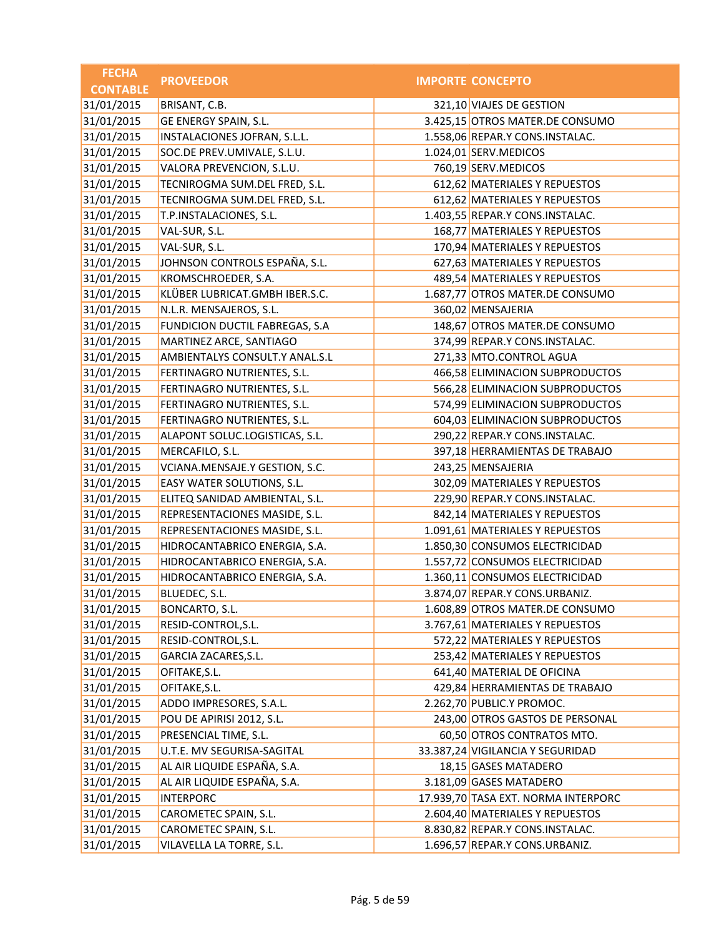| <b>FECHA</b>    | <b>PROVEEDOR</b>               | <b>IMPORTE CONCEPTO</b>             |
|-----------------|--------------------------------|-------------------------------------|
| <b>CONTABLE</b> |                                |                                     |
| 31/01/2015      | BRISANT, C.B.                  | 321,10 VIAJES DE GESTION            |
| 31/01/2015      | GE ENERGY SPAIN, S.L.          | 3.425,15 OTROS MATER.DE CONSUMO     |
| 31/01/2015      | INSTALACIONES JOFRAN, S.L.L.   | 1.558,06 REPAR.Y CONS.INSTALAC.     |
| 31/01/2015      | SOC.DE PREV.UMIVALE, S.L.U.    | 1.024,01 SERV.MEDICOS               |
| 31/01/2015      | VALORA PREVENCION, S.L.U.      | 760,19 SERV.MEDICOS                 |
| 31/01/2015      | TECNIROGMA SUM.DEL FRED, S.L.  | 612,62 MATERIALES Y REPUESTOS       |
| 31/01/2015      | TECNIROGMA SUM.DEL FRED, S.L.  | 612,62 MATERIALES Y REPUESTOS       |
| 31/01/2015      | T.P.INSTALACIONES, S.L.        | 1.403,55 REPAR.Y CONS.INSTALAC.     |
| 31/01/2015      | VAL-SUR, S.L.                  | 168,77 MATERIALES Y REPUESTOS       |
| 31/01/2015      | VAL-SUR, S.L.                  | 170,94 MATERIALES Y REPUESTOS       |
| 31/01/2015      | JOHNSON CONTROLS ESPAÑA, S.L.  | 627,63 MATERIALES Y REPUESTOS       |
| 31/01/2015      | KROMSCHROEDER, S.A.            | 489,54 MATERIALES Y REPUESTOS       |
| 31/01/2015      | KLÜBER LUBRICAT.GMBH IBER.S.C. | 1.687,77 OTROS MATER.DE CONSUMO     |
| 31/01/2015      | N.L.R. MENSAJEROS, S.L.        | 360,02 MENSAJERIA                   |
| 31/01/2015      | FUNDICION DUCTIL FABREGAS, S.A | 148,67 OTROS MATER.DE CONSUMO       |
| 31/01/2015      | MARTINEZ ARCE, SANTIAGO        | 374,99 REPAR.Y CONS.INSTALAC.       |
| 31/01/2015      | AMBIENTALYS CONSULT.Y ANAL.S.L | 271,33 MTO.CONTROL AGUA             |
| 31/01/2015      | FERTINAGRO NUTRIENTES, S.L.    | 466,58 ELIMINACION SUBPRODUCTOS     |
| 31/01/2015      | FERTINAGRO NUTRIENTES, S.L.    | 566,28 ELIMINACION SUBPRODUCTOS     |
| 31/01/2015      | FERTINAGRO NUTRIENTES, S.L.    | 574,99 ELIMINACION SUBPRODUCTOS     |
| 31/01/2015      | FERTINAGRO NUTRIENTES, S.L.    | 604,03 ELIMINACION SUBPRODUCTOS     |
| 31/01/2015      | ALAPONT SOLUC.LOGISTICAS, S.L. | 290,22 REPAR.Y CONS.INSTALAC.       |
| 31/01/2015      | MERCAFILO, S.L.                | 397,18 HERRAMIENTAS DE TRABAJO      |
| 31/01/2015      | VCIANA.MENSAJE.Y GESTION, S.C. | 243,25 MENSAJERIA                   |
| 31/01/2015      | EASY WATER SOLUTIONS, S.L.     | 302,09 MATERIALES Y REPUESTOS       |
| 31/01/2015      | ELITEQ SANIDAD AMBIENTAL, S.L. | 229,90 REPAR.Y CONS.INSTALAC.       |
| 31/01/2015      | REPRESENTACIONES MASIDE, S.L.  | 842,14 MATERIALES Y REPUESTOS       |
| 31/01/2015      | REPRESENTACIONES MASIDE, S.L.  | 1.091,61 MATERIALES Y REPUESTOS     |
| 31/01/2015      | HIDROCANTABRICO ENERGIA, S.A.  | 1.850,30 CONSUMOS ELECTRICIDAD      |
| 31/01/2015      | HIDROCANTABRICO ENERGIA, S.A.  | 1.557,72 CONSUMOS ELECTRICIDAD      |
| 31/01/2015      | HIDROCANTABRICO ENERGIA, S.A.  | 1.360,11 CONSUMOS ELECTRICIDAD      |
| 31/01/2015      | BLUEDEC, S.L.                  | 3.874,07 REPAR.Y CONS.URBANIZ.      |
| 31/01/2015      | BONCARTO, S.L.                 | 1.608,89 OTROS MATER.DE CONSUMO     |
| 31/01/2015      | RESID-CONTROL, S.L.            | 3.767,61 MATERIALES Y REPUESTOS     |
| 31/01/2015      | RESID-CONTROL, S.L.            | 572,22 MATERIALES Y REPUESTOS       |
| 31/01/2015      | GARCIA ZACARES, S.L.           | 253,42 MATERIALES Y REPUESTOS       |
| 31/01/2015      | OFITAKE, S.L.                  | 641,40 MATERIAL DE OFICINA          |
| 31/01/2015      | OFITAKE, S.L.                  | 429,84 HERRAMIENTAS DE TRABAJO      |
| 31/01/2015      | ADDO IMPRESORES, S.A.L.        | 2.262,70 PUBLIC.Y PROMOC.           |
| 31/01/2015      | POU DE APIRISI 2012, S.L.      | 243,00 OTROS GASTOS DE PERSONAL     |
| 31/01/2015      | PRESENCIAL TIME, S.L.          | 60,50 OTROS CONTRATOS MTO.          |
| 31/01/2015      | U.T.E. MV SEGURISA-SAGITAL     | 33.387,24 VIGILANCIA Y SEGURIDAD    |
| 31/01/2015      | AL AIR LIQUIDE ESPAÑA, S.A.    | 18,15 GASES MATADERO                |
| 31/01/2015      | AL AIR LIQUIDE ESPAÑA, S.A.    | 3.181,09 GASES MATADERO             |
| 31/01/2015      | <b>INTERPORC</b>               | 17.939,70 TASA EXT. NORMA INTERPORC |
| 31/01/2015      | CAROMETEC SPAIN, S.L.          | 2.604,40 MATERIALES Y REPUESTOS     |
| 31/01/2015      | CAROMETEC SPAIN, S.L.          | 8.830,82 REPAR.Y CONS.INSTALAC.     |
| 31/01/2015      | VILAVELLA LA TORRE, S.L.       | 1.696,57 REPAR.Y CONS.URBANIZ.      |
|                 |                                |                                     |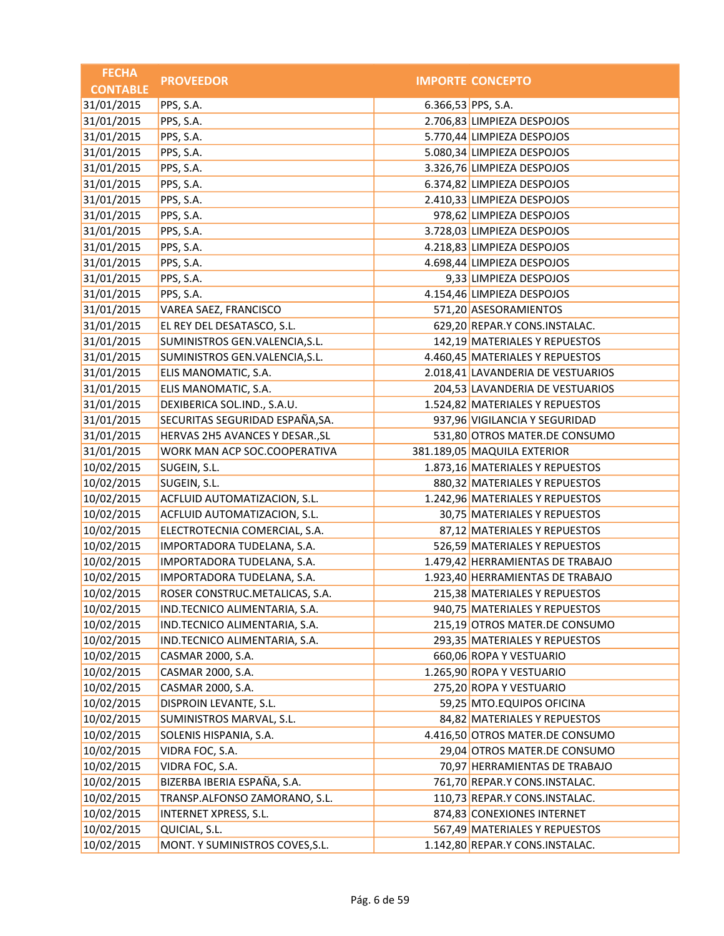| <b>FECHA</b>    | <b>PROVEEDOR</b>                |                    | <b>IMPORTE CONCEPTO</b>           |
|-----------------|---------------------------------|--------------------|-----------------------------------|
| <b>CONTABLE</b> |                                 |                    |                                   |
| 31/01/2015      | PPS, S.A.                       | 6.366,53 PPS, S.A. |                                   |
| 31/01/2015      | PPS, S.A.                       |                    | 2.706,83 LIMPIEZA DESPOJOS        |
| 31/01/2015      | PPS, S.A.                       |                    | 5.770,44 LIMPIEZA DESPOJOS        |
| 31/01/2015      | PPS, S.A.                       |                    | 5.080,34 LIMPIEZA DESPOJOS        |
| 31/01/2015      | PPS, S.A.                       |                    | 3.326,76 LIMPIEZA DESPOJOS        |
| 31/01/2015      | PPS, S.A.                       |                    | 6.374,82 LIMPIEZA DESPOJOS        |
| 31/01/2015      | PPS, S.A.                       |                    | 2.410,33 LIMPIEZA DESPOJOS        |
| 31/01/2015      | PPS, S.A.                       |                    | 978,62 LIMPIEZA DESPOJOS          |
| 31/01/2015      | PPS, S.A.                       |                    | 3.728,03 LIMPIEZA DESPOJOS        |
| 31/01/2015      | PPS, S.A.                       |                    | 4.218,83 LIMPIEZA DESPOJOS        |
| 31/01/2015      | PPS, S.A.                       |                    | 4.698,44 LIMPIEZA DESPOJOS        |
| 31/01/2015      | PPS, S.A.                       |                    | 9,33 LIMPIEZA DESPOJOS            |
| 31/01/2015      | PPS, S.A.                       |                    | 4.154,46 LIMPIEZA DESPOJOS        |
| 31/01/2015      | VAREA SAEZ, FRANCISCO           |                    | 571,20 ASESORAMIENTOS             |
| 31/01/2015      | EL REY DEL DESATASCO, S.L.      |                    | 629,20 REPAR.Y CONS.INSTALAC.     |
| 31/01/2015      | SUMINISTROS GEN.VALENCIA, S.L.  |                    | 142,19 MATERIALES Y REPUESTOS     |
| 31/01/2015      | SUMINISTROS GEN.VALENCIA, S.L.  |                    | 4.460,45 MATERIALES Y REPUESTOS   |
| 31/01/2015      | ELIS MANOMATIC, S.A.            |                    | 2.018,41 LAVANDERIA DE VESTUARIOS |
| 31/01/2015      | ELIS MANOMATIC, S.A.            |                    | 204,53 LAVANDERIA DE VESTUARIOS   |
| 31/01/2015      | DEXIBERICA SOL.IND., S.A.U.     |                    | 1.524,82 MATERIALES Y REPUESTOS   |
| 31/01/2015      | SECURITAS SEGURIDAD ESPAÑA, SA. |                    | 937,96 VIGILANCIA Y SEGURIDAD     |
| 31/01/2015      | HERVAS 2H5 AVANCES Y DESAR., SL |                    | 531,80 OTROS MATER.DE CONSUMO     |
| 31/01/2015      | WORK MAN ACP SOC.COOPERATIVA    |                    | 381.189,05 MAQUILA EXTERIOR       |
| 10/02/2015      | SUGEIN, S.L.                    |                    | 1.873,16 MATERIALES Y REPUESTOS   |
| 10/02/2015      | SUGEIN, S.L.                    |                    | 880,32 MATERIALES Y REPUESTOS     |
| 10/02/2015      | ACFLUID AUTOMATIZACION, S.L.    |                    | 1.242,96 MATERIALES Y REPUESTOS   |
| 10/02/2015      | ACFLUID AUTOMATIZACION, S.L.    |                    | 30,75 MATERIALES Y REPUESTOS      |
| 10/02/2015      | ELECTROTECNIA COMERCIAL, S.A.   |                    | 87,12 MATERIALES Y REPUESTOS      |
| 10/02/2015      | IMPORTADORA TUDELANA, S.A.      |                    | 526,59 MATERIALES Y REPUESTOS     |
| 10/02/2015      | IMPORTADORA TUDELANA, S.A.      |                    | 1.479,42 HERRAMIENTAS DE TRABAJO  |
| 10/02/2015      | IMPORTADORA TUDELANA, S.A.      |                    | 1.923,40 HERRAMIENTAS DE TRABAJO  |
| 10/02/2015      | ROSER CONSTRUC.METALICAS, S.A.  |                    | 215,38 MATERIALES Y REPUESTOS     |
| 10/02/2015      | IND.TECNICO ALIMENTARIA, S.A.   |                    | 940,75 MATERIALES Y REPUESTOS     |
| 10/02/2015      | IND.TECNICO ALIMENTARIA, S.A.   |                    | 215,19 OTROS MATER.DE CONSUMO     |
| 10/02/2015      | IND.TECNICO ALIMENTARIA, S.A.   |                    | 293,35 MATERIALES Y REPUESTOS     |
| 10/02/2015      | CASMAR 2000, S.A.               |                    | 660,06 ROPA Y VESTUARIO           |
| 10/02/2015      | CASMAR 2000, S.A.               |                    | 1.265,90 ROPA Y VESTUARIO         |
| 10/02/2015      | CASMAR 2000, S.A.               |                    | 275,20 ROPA Y VESTUARIO           |
| 10/02/2015      | DISPROIN LEVANTE, S.L.          |                    | 59,25 MTO.EQUIPOS OFICINA         |
| 10/02/2015      | SUMINISTROS MARVAL, S.L.        |                    | 84,82 MATERIALES Y REPUESTOS      |
| 10/02/2015      | SOLENIS HISPANIA, S.A.          |                    | 4.416,50 OTROS MATER.DE CONSUMO   |
| 10/02/2015      | VIDRA FOC, S.A.                 |                    | 29,04 OTROS MATER.DE CONSUMO      |
| 10/02/2015      | VIDRA FOC, S.A.                 |                    | 70,97 HERRAMIENTAS DE TRABAJO     |
| 10/02/2015      | BIZERBA IBERIA ESPAÑA, S.A.     |                    | 761,70 REPAR.Y CONS.INSTALAC.     |
| 10/02/2015      | TRANSP.ALFONSO ZAMORANO, S.L.   |                    | 110,73 REPAR.Y CONS.INSTALAC.     |
| 10/02/2015      | <b>INTERNET XPRESS, S.L.</b>    |                    | 874,83 CONEXIONES INTERNET        |
| 10/02/2015      | QUICIAL, S.L.                   |                    | 567,49 MATERIALES Y REPUESTOS     |
| 10/02/2015      | MONT. Y SUMINISTROS COVES, S.L. |                    | 1.142,80 REPAR.Y CONS.INSTALAC.   |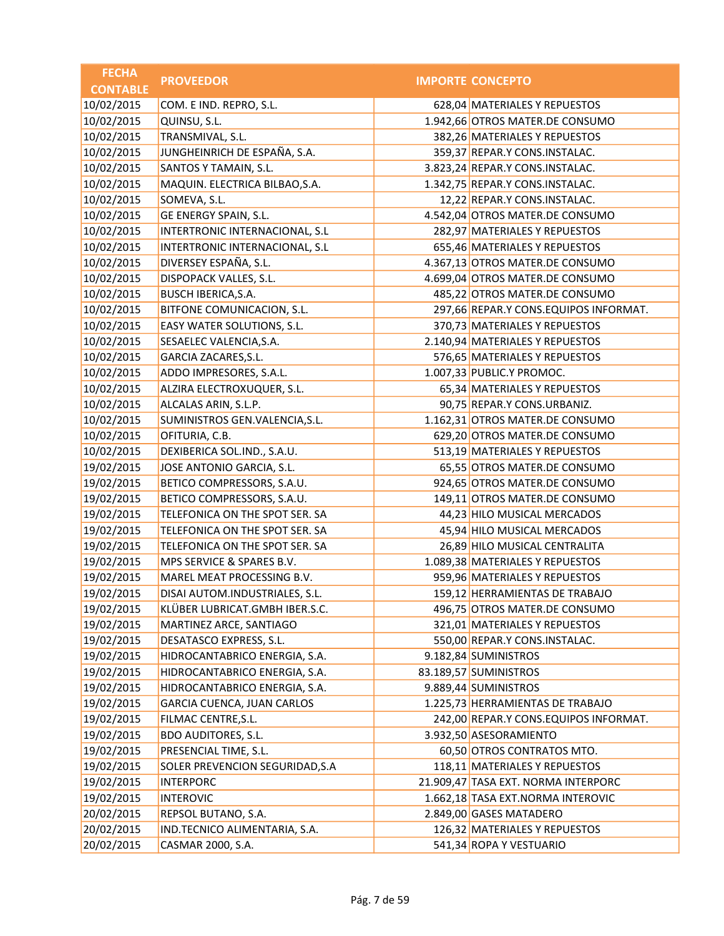| <b>FECHA</b>    | <b>PROVEEDOR</b>                | <b>IMPORTE CONCEPTO</b>               |
|-----------------|---------------------------------|---------------------------------------|
| <b>CONTABLE</b> |                                 |                                       |
| 10/02/2015      | COM. E IND. REPRO, S.L.         | 628,04 MATERIALES Y REPUESTOS         |
| 10/02/2015      | QUINSU, S.L.                    | 1.942,66 OTROS MATER.DE CONSUMO       |
| 10/02/2015      | TRANSMIVAL, S.L.                | 382,26 MATERIALES Y REPUESTOS         |
| 10/02/2015      | JUNGHEINRICH DE ESPAÑA, S.A.    | 359,37 REPAR.Y CONS.INSTALAC.         |
| 10/02/2015      | SANTOS Y TAMAIN, S.L.           | 3.823,24 REPAR.Y CONS.INSTALAC.       |
| 10/02/2015      | MAQUIN. ELECTRICA BILBAO, S.A.  | 1.342,75 REPAR.Y CONS.INSTALAC.       |
| 10/02/2015      | SOMEVA, S.L.                    | 12,22 REPAR.Y CONS.INSTALAC.          |
| 10/02/2015      | GE ENERGY SPAIN, S.L.           | 4.542,04 OTROS MATER.DE CONSUMO       |
| 10/02/2015      | INTERTRONIC INTERNACIONAL, S.L  | 282,97 MATERIALES Y REPUESTOS         |
| 10/02/2015      | INTERTRONIC INTERNACIONAL, S.L  | 655,46 MATERIALES Y REPUESTOS         |
| 10/02/2015      | DIVERSEY ESPAÑA, S.L.           | 4.367,13 OTROS MATER.DE CONSUMO       |
| 10/02/2015      | DISPOPACK VALLES, S.L.          | 4.699,04 OTROS MATER.DE CONSUMO       |
| 10/02/2015      | BUSCH IBERICA, S.A.             | 485,22 OTROS MATER.DE CONSUMO         |
| 10/02/2015      | BITFONE COMUNICACION, S.L.      | 297,66 REPAR.Y CONS.EQUIPOS INFORMAT. |
| 10/02/2015      | EASY WATER SOLUTIONS, S.L.      | 370,73 MATERIALES Y REPUESTOS         |
| 10/02/2015      | SESAELEC VALENCIA, S.A.         | 2.140,94 MATERIALES Y REPUESTOS       |
| 10/02/2015      | GARCIA ZACARES, S.L.            | 576,65 MATERIALES Y REPUESTOS         |
| 10/02/2015      | ADDO IMPRESORES, S.A.L.         | 1.007,33 PUBLIC.Y PROMOC.             |
| 10/02/2015      | ALZIRA ELECTROXUQUER, S.L.      | 65,34 MATERIALES Y REPUESTOS          |
| 10/02/2015      | ALCALAS ARIN, S.L.P.            | 90,75 REPAR.Y CONS.URBANIZ.           |
| 10/02/2015      | SUMINISTROS GEN.VALENCIA, S.L.  | 1.162,31 OTROS MATER.DE CONSUMO       |
| 10/02/2015      | OFITURIA, C.B.                  | 629,20 OTROS MATER.DE CONSUMO         |
| 10/02/2015      | DEXIBERICA SOL.IND., S.A.U.     | 513,19 MATERIALES Y REPUESTOS         |
| 19/02/2015      | JOSE ANTONIO GARCIA, S.L.       | 65,55 OTROS MATER.DE CONSUMO          |
| 19/02/2015      | BETICO COMPRESSORS, S.A.U.      | 924,65 OTROS MATER.DE CONSUMO         |
| 19/02/2015      | BETICO COMPRESSORS, S.A.U.      | 149,11 OTROS MATER.DE CONSUMO         |
| 19/02/2015      | TELEFONICA ON THE SPOT SER. SA  | 44,23 HILO MUSICAL MERCADOS           |
| 19/02/2015      | TELEFONICA ON THE SPOT SER. SA  | 45,94 HILO MUSICAL MERCADOS           |
| 19/02/2015      | TELEFONICA ON THE SPOT SER. SA  | 26,89 HILO MUSICAL CENTRALITA         |
| 19/02/2015      | MPS SERVICE & SPARES B.V.       | 1.089,38 MATERIALES Y REPUESTOS       |
| 19/02/2015      | MAREL MEAT PROCESSING B.V.      | 959,96 MATERIALES Y REPUESTOS         |
| 19/02/2015      | DISAI AUTOM.INDUSTRIALES, S.L.  | 159,12 HERRAMIENTAS DE TRABAJO        |
| 19/02/2015      | KLÜBER LUBRICAT.GMBH IBER.S.C.  | 496,75 OTROS MATER.DE CONSUMO         |
| 19/02/2015      | MARTINEZ ARCE, SANTIAGO         | 321,01 MATERIALES Y REPUESTOS         |
| 19/02/2015      | DESATASCO EXPRESS, S.L.         | 550,00 REPAR.Y CONS.INSTALAC.         |
| 19/02/2015      | HIDROCANTABRICO ENERGIA, S.A.   | 9.182,84 SUMINISTROS                  |
| 19/02/2015      | HIDROCANTABRICO ENERGIA, S.A.   | 83.189,57 SUMINISTROS                 |
| 19/02/2015      | HIDROCANTABRICO ENERGIA, S.A.   | 9.889,44 SUMINISTROS                  |
| 19/02/2015      | GARCIA CUENCA, JUAN CARLOS      | 1.225,73 HERRAMIENTAS DE TRABAJO      |
| 19/02/2015      | FILMAC CENTRE, S.L.             | 242,00 REPAR.Y CONS.EQUIPOS INFORMAT. |
| 19/02/2015      | <b>BDO AUDITORES, S.L.</b>      | 3.932,50 ASESORAMIENTO                |
| 19/02/2015      | PRESENCIAL TIME, S.L.           | 60,50 OTROS CONTRATOS MTO.            |
| 19/02/2015      | SOLER PREVENCION SEGURIDAD, S.A | 118,11 MATERIALES Y REPUESTOS         |
| 19/02/2015      | <b>INTERPORC</b>                | 21.909,47 TASA EXT. NORMA INTERPORC   |
| 19/02/2015      | <b>INTEROVIC</b>                | 1.662,18 TASA EXT.NORMA INTEROVIC     |
| 20/02/2015      | REPSOL BUTANO, S.A.             | 2.849,00 GASES MATADERO               |
| 20/02/2015      | IND.TECNICO ALIMENTARIA, S.A.   | 126,32 MATERIALES Y REPUESTOS         |
| 20/02/2015      | CASMAR 2000, S.A.               | 541,34 ROPA Y VESTUARIO               |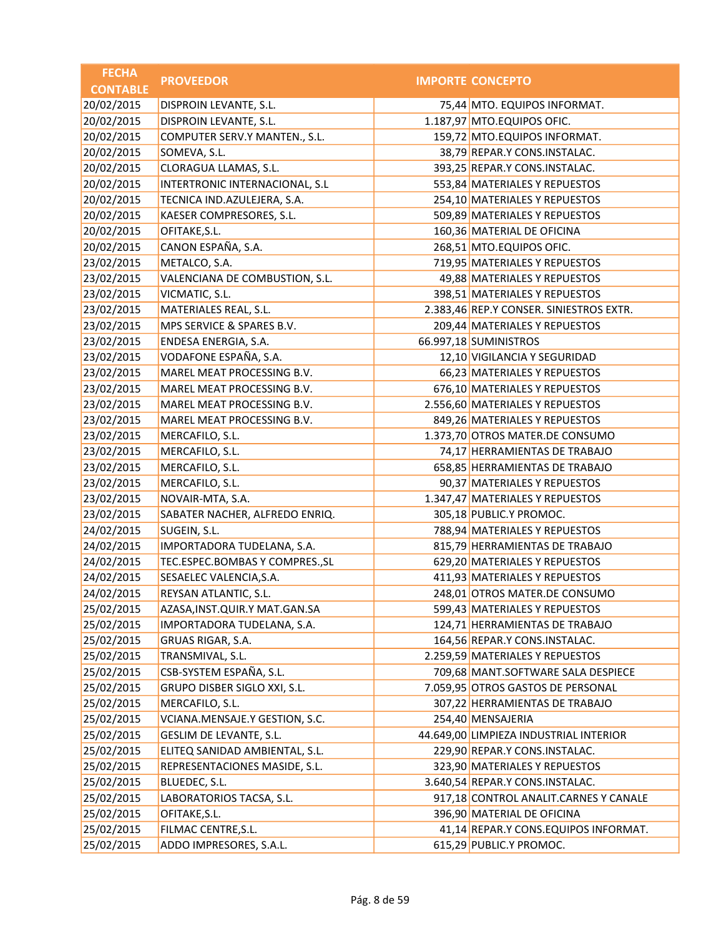| <b>FECHA</b>    | <b>PROVEEDOR</b>                  | <b>IMPORTE CONCEPTO</b>                 |
|-----------------|-----------------------------------|-----------------------------------------|
| <b>CONTABLE</b> |                                   |                                         |
| 20/02/2015      | DISPROIN LEVANTE, S.L.            | 75,44 MTO. EQUIPOS INFORMAT.            |
| 20/02/2015      | DISPROIN LEVANTE, S.L.            | 1.187,97 MTO.EQUIPOS OFIC.              |
| 20/02/2015      | COMPUTER SERV.Y MANTEN., S.L.     | 159,72 MTO.EQUIPOS INFORMAT.            |
| 20/02/2015      | SOMEVA, S.L.                      | 38,79 REPAR.Y CONS.INSTALAC.            |
| 20/02/2015      | CLORAGUA LLAMAS, S.L.             | 393,25 REPAR.Y CONS.INSTALAC.           |
| 20/02/2015      | INTERTRONIC INTERNACIONAL, S.L    | 553,84 MATERIALES Y REPUESTOS           |
| 20/02/2015      | TECNICA IND.AZULEJERA, S.A.       | 254,10 MATERIALES Y REPUESTOS           |
| 20/02/2015      | KAESER COMPRESORES, S.L.          | 509,89 MATERIALES Y REPUESTOS           |
| 20/02/2015      | OFITAKE, S.L.                     | 160,36 MATERIAL DE OFICINA              |
| 20/02/2015      | CANON ESPAÑA, S.A.                | 268,51 MTO.EQUIPOS OFIC.                |
| 23/02/2015      | METALCO, S.A.                     | 719,95 MATERIALES Y REPUESTOS           |
| 23/02/2015      | VALENCIANA DE COMBUSTION, S.L.    | 49,88 MATERIALES Y REPUESTOS            |
| 23/02/2015      | VICMATIC, S.L.                    | 398,51 MATERIALES Y REPUESTOS           |
| 23/02/2015      | MATERIALES REAL, S.L.             | 2.383,46 REP.Y CONSER. SINIESTROS EXTR. |
| 23/02/2015      | MPS SERVICE & SPARES B.V.         | 209,44 MATERIALES Y REPUESTOS           |
| 23/02/2015      | ENDESA ENERGIA, S.A.              | 66.997,18 SUMINISTROS                   |
| 23/02/2015      | VODAFONE ESPAÑA, S.A.             | 12,10 VIGILANCIA Y SEGURIDAD            |
| 23/02/2015      | MAREL MEAT PROCESSING B.V.        | 66,23 MATERIALES Y REPUESTOS            |
| 23/02/2015      | MAREL MEAT PROCESSING B.V.        | 676,10 MATERIALES Y REPUESTOS           |
| 23/02/2015      | MAREL MEAT PROCESSING B.V.        | 2.556,60 MATERIALES Y REPUESTOS         |
| 23/02/2015      | MAREL MEAT PROCESSING B.V.        | 849,26 MATERIALES Y REPUESTOS           |
| 23/02/2015      | MERCAFILO, S.L.                   | 1.373,70 OTROS MATER.DE CONSUMO         |
| 23/02/2015      | MERCAFILO, S.L.                   | 74,17 HERRAMIENTAS DE TRABAJO           |
| 23/02/2015      | MERCAFILO, S.L.                   | 658,85 HERRAMIENTAS DE TRABAJO          |
| 23/02/2015      | MERCAFILO, S.L.                   | 90,37 MATERIALES Y REPUESTOS            |
| 23/02/2015      | NOVAIR-MTA, S.A.                  | 1.347,47 MATERIALES Y REPUESTOS         |
| 23/02/2015      | SABATER NACHER, ALFREDO ENRIQ.    | 305,18 PUBLIC.Y PROMOC.                 |
| 24/02/2015      | SUGEIN, S.L.                      | 788,94 MATERIALES Y REPUESTOS           |
| 24/02/2015      | IMPORTADORA TUDELANA, S.A.        | 815,79 HERRAMIENTAS DE TRABAJO          |
| 24/02/2015      | TEC.ESPEC.BOMBAS Y COMPRES., SL   | 629,20 MATERIALES Y REPUESTOS           |
| 24/02/2015      | SESAELEC VALENCIA, S.A.           | 411,93 MATERIALES Y REPUESTOS           |
| 24/02/2015      | REYSAN ATLANTIC, S.L.             | 248,01 OTROS MATER.DE CONSUMO           |
| 25/02/2015      | AZASA, INST. QUIR. Y MAT. GAN. SA | 599,43 MATERIALES Y REPUESTOS           |
| 25/02/2015      | IMPORTADORA TUDELANA, S.A.        | 124,71 HERRAMIENTAS DE TRABAJO          |
| 25/02/2015      | GRUAS RIGAR, S.A.                 | 164,56 REPAR.Y CONS.INSTALAC.           |
| 25/02/2015      | TRANSMIVAL, S.L.                  | 2.259,59 MATERIALES Y REPUESTOS         |
| 25/02/2015      | CSB-SYSTEM ESPAÑA, S.L.           | 709,68 MANT.SOFTWARE SALA DESPIECE      |
| 25/02/2015      | GRUPO DISBER SIGLO XXI, S.L.      | 7.059,95 OTROS GASTOS DE PERSONAL       |
| 25/02/2015      | MERCAFILO, S.L.                   | 307,22 HERRAMIENTAS DE TRABAJO          |
| 25/02/2015      | VCIANA.MENSAJE.Y GESTION, S.C.    | 254,40 MENSAJERIA                       |
| 25/02/2015      | GESLIM DE LEVANTE, S.L.           | 44.649,00 LIMPIEZA INDUSTRIAL INTERIOR  |
| 25/02/2015      | ELITEQ SANIDAD AMBIENTAL, S.L.    | 229,90 REPAR.Y CONS.INSTALAC.           |
| 25/02/2015      | REPRESENTACIONES MASIDE, S.L.     | 323,90 MATERIALES Y REPUESTOS           |
| 25/02/2015      | BLUEDEC, S.L.                     | 3.640,54 REPAR.Y CONS.INSTALAC.         |
| 25/02/2015      | LABORATORIOS TACSA, S.L.          | 917,18 CONTROL ANALIT.CARNES Y CANALE   |
| 25/02/2015      | OFITAKE, S.L.                     | 396,90 MATERIAL DE OFICINA              |
| 25/02/2015      | FILMAC CENTRE, S.L.               | 41,14 REPAR.Y CONS.EQUIPOS INFORMAT.    |
| 25/02/2015      | ADDO IMPRESORES, S.A.L.           | 615,29 PUBLIC.Y PROMOC.                 |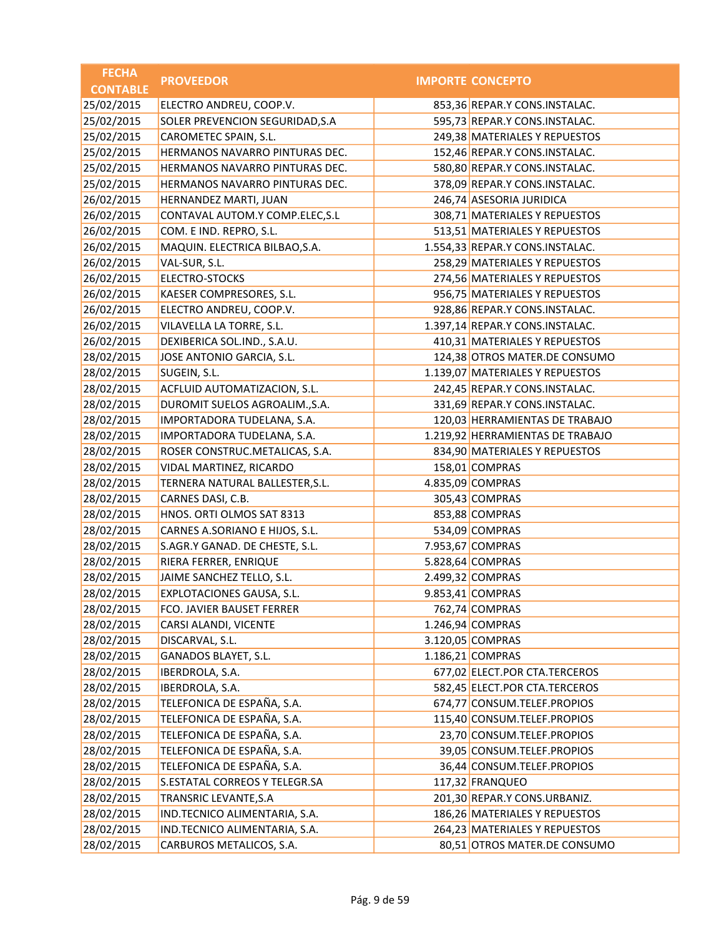| <b>IMPORTE CONCEPTO</b><br><b>CONTABLE</b><br>25/02/2015<br>ELECTRO ANDREU, COOP.V.<br>853,36 REPAR.Y CONS.INSTALAC.<br>SOLER PREVENCION SEGURIDAD, S.A<br>595,73 REPAR.Y CONS.INSTALAC.<br>25/02/2015<br>249,38 MATERIALES Y REPUESTOS<br>CAROMETEC SPAIN, S.L.<br>152,46 REPAR.Y CONS.INSTALAC.<br>HERMANOS NAVARRO PINTURAS DEC.<br>HERMANOS NAVARRO PINTURAS DEC.<br>580,80 REPAR.Y CONS.INSTALAC.<br>378,09 REPAR.Y CONS.INSTALAC.<br>HERMANOS NAVARRO PINTURAS DEC.<br>26/02/2015<br>246,74 ASESORIA JURIDICA<br>HERNANDEZ MARTI, JUAN<br>26/02/2015<br>CONTAVAL AUTOM.Y COMP.ELEC, S.L<br>308,71 MATERIALES Y REPUESTOS<br>COM. E IND. REPRO, S.L.<br>513,51 MATERIALES Y REPUESTOS<br>MAQUIN. ELECTRICA BILBAO, S.A.<br>1.554,33 REPAR.Y CONS.INSTALAC.<br>258,29 MATERIALES Y REPUESTOS<br>VAL-SUR, S.L.<br>26/02/2015<br>ELECTRO-STOCKS<br>274,56 MATERIALES Y REPUESTOS<br>956,75 MATERIALES Y REPUESTOS<br>KAESER COMPRESORES, S.L.<br>ELECTRO ANDREU, COOP.V.<br>928,86 REPAR.Y CONS.INSTALAC.<br>VILAVELLA LA TORRE, S.L.<br>1.397,14 REPAR.Y CONS.INSTALAC.<br>26/02/2015<br>DEXIBERICA SOL.IND., S.A.U.<br>410,31 MATERIALES Y REPUESTOS<br>JOSE ANTONIO GARCIA, S.L.<br>124,38 OTROS MATER.DE CONSUMO<br>1.139,07 MATERIALES Y REPUESTOS<br>SUGEIN, S.L.<br>242,45 REPAR.Y CONS.INSTALAC.<br>ACFLUID AUTOMATIZACION, S.L.<br>331,69 REPAR.Y CONS.INSTALAC.<br>DUROMIT SUELOS AGROALIM., S.A.<br>28/02/2015<br>120,03 HERRAMIENTAS DE TRABAJO<br>IMPORTADORA TUDELANA, S.A.<br>1.219,92 HERRAMIENTAS DE TRABAJO<br>IMPORTADORA TUDELANA, S.A.<br>ROSER CONSTRUC.METALICAS, S.A.<br>834,90 MATERIALES Y REPUESTOS<br>VIDAL MARTINEZ, RICARDO<br>158,01 COMPRAS<br>4.835,09 COMPRAS<br>TERNERA NATURAL BALLESTER, S.L.<br>28/02/2015<br>305,43 COMPRAS<br>CARNES DASI, C.B.<br>HNOS. ORTI OLMOS SAT 8313<br>853,88 COMPRAS<br>CARNES A.SORIANO E HIJOS, S.L.<br>534,09 COMPRAS<br>7.953,67 COMPRAS<br>S.AGR.Y GANAD. DE CHESTE, S.L.<br>5.828,64 COMPRAS<br>RIERA FERRER, ENRIQUE<br>2.499,32 COMPRAS<br>JAIME SANCHEZ TELLO, S.L.<br>EXPLOTACIONES GAUSA, S.L.<br>9.853,41 COMPRAS<br>FCO. JAVIER BAUSET FERRER<br>762,74 COMPRAS<br>1.246,94 COMPRAS<br>CARSI ALANDI, VICENTE<br>3.120,05 COMPRAS<br>DISCARVAL, S.L.<br>1.186,21 COMPRAS<br>GANADOS BLAYET, S.L.<br>IBERDROLA, S.A.<br>677,02 ELECT.POR CTA.TERCEROS<br>582,45 ELECT.POR CTA.TERCEROS<br>IBERDROLA, S.A.<br>TELEFONICA DE ESPAÑA, S.A.<br>28/02/2015<br>674,77 CONSUM.TELEF.PROPIOS<br>TELEFONICA DE ESPAÑA, S.A.<br>115,40 CONSUM.TELEF.PROPIOS<br>TELEFONICA DE ESPAÑA, S.A.<br>23,70 CONSUM.TELEF.PROPIOS<br>TELEFONICA DE ESPAÑA, S.A.<br>39,05 CONSUM.TELEF.PROPIOS<br>TELEFONICA DE ESPAÑA, S.A.<br>36,44 CONSUM.TELEF.PROPIOS<br>28/02/2015<br>S.ESTATAL CORREOS Y TELEGR.SA<br>117,32 FRANQUEO<br>TRANSRIC LEVANTE, S.A<br>201,30 REPAR.Y CONS.URBANIZ.<br>186,26 MATERIALES Y REPUESTOS<br>IND.TECNICO ALIMENTARIA, S.A.<br>IND.TECNICO ALIMENTARIA, S.A.<br>264,23 MATERIALES Y REPUESTOS<br>CARBUROS METALICOS, S.A.<br>80,51 OTROS MATER.DE CONSUMO | <b>FECHA</b> | <b>PROVEEDOR</b> |  |
|-------------------------------------------------------------------------------------------------------------------------------------------------------------------------------------------------------------------------------------------------------------------------------------------------------------------------------------------------------------------------------------------------------------------------------------------------------------------------------------------------------------------------------------------------------------------------------------------------------------------------------------------------------------------------------------------------------------------------------------------------------------------------------------------------------------------------------------------------------------------------------------------------------------------------------------------------------------------------------------------------------------------------------------------------------------------------------------------------------------------------------------------------------------------------------------------------------------------------------------------------------------------------------------------------------------------------------------------------------------------------------------------------------------------------------------------------------------------------------------------------------------------------------------------------------------------------------------------------------------------------------------------------------------------------------------------------------------------------------------------------------------------------------------------------------------------------------------------------------------------------------------------------------------------------------------------------------------------------------------------------------------------------------------------------------------------------------------------------------------------------------------------------------------------------------------------------------------------------------------------------------------------------------------------------------------------------------------------------------------------------------------------------------------------------------------------------------------------------------------------------------------------------------------------------------------------------------------------------------------------------------------------------------------------------------------------------------------------------------------------------------------------------------------------------------------------------------------------------------------------------------------------------------------------------------------------------------------------------------------------------------------------------------------------------|--------------|------------------|--|
|                                                                                                                                                                                                                                                                                                                                                                                                                                                                                                                                                                                                                                                                                                                                                                                                                                                                                                                                                                                                                                                                                                                                                                                                                                                                                                                                                                                                                                                                                                                                                                                                                                                                                                                                                                                                                                                                                                                                                                                                                                                                                                                                                                                                                                                                                                                                                                                                                                                                                                                                                                                                                                                                                                                                                                                                                                                                                                                                                                                                                                                 |              |                  |  |
|                                                                                                                                                                                                                                                                                                                                                                                                                                                                                                                                                                                                                                                                                                                                                                                                                                                                                                                                                                                                                                                                                                                                                                                                                                                                                                                                                                                                                                                                                                                                                                                                                                                                                                                                                                                                                                                                                                                                                                                                                                                                                                                                                                                                                                                                                                                                                                                                                                                                                                                                                                                                                                                                                                                                                                                                                                                                                                                                                                                                                                                 |              |                  |  |
|                                                                                                                                                                                                                                                                                                                                                                                                                                                                                                                                                                                                                                                                                                                                                                                                                                                                                                                                                                                                                                                                                                                                                                                                                                                                                                                                                                                                                                                                                                                                                                                                                                                                                                                                                                                                                                                                                                                                                                                                                                                                                                                                                                                                                                                                                                                                                                                                                                                                                                                                                                                                                                                                                                                                                                                                                                                                                                                                                                                                                                                 | 25/02/2015   |                  |  |
|                                                                                                                                                                                                                                                                                                                                                                                                                                                                                                                                                                                                                                                                                                                                                                                                                                                                                                                                                                                                                                                                                                                                                                                                                                                                                                                                                                                                                                                                                                                                                                                                                                                                                                                                                                                                                                                                                                                                                                                                                                                                                                                                                                                                                                                                                                                                                                                                                                                                                                                                                                                                                                                                                                                                                                                                                                                                                                                                                                                                                                                 |              |                  |  |
|                                                                                                                                                                                                                                                                                                                                                                                                                                                                                                                                                                                                                                                                                                                                                                                                                                                                                                                                                                                                                                                                                                                                                                                                                                                                                                                                                                                                                                                                                                                                                                                                                                                                                                                                                                                                                                                                                                                                                                                                                                                                                                                                                                                                                                                                                                                                                                                                                                                                                                                                                                                                                                                                                                                                                                                                                                                                                                                                                                                                                                                 | 25/02/2015   |                  |  |
|                                                                                                                                                                                                                                                                                                                                                                                                                                                                                                                                                                                                                                                                                                                                                                                                                                                                                                                                                                                                                                                                                                                                                                                                                                                                                                                                                                                                                                                                                                                                                                                                                                                                                                                                                                                                                                                                                                                                                                                                                                                                                                                                                                                                                                                                                                                                                                                                                                                                                                                                                                                                                                                                                                                                                                                                                                                                                                                                                                                                                                                 | 25/02/2015   |                  |  |
|                                                                                                                                                                                                                                                                                                                                                                                                                                                                                                                                                                                                                                                                                                                                                                                                                                                                                                                                                                                                                                                                                                                                                                                                                                                                                                                                                                                                                                                                                                                                                                                                                                                                                                                                                                                                                                                                                                                                                                                                                                                                                                                                                                                                                                                                                                                                                                                                                                                                                                                                                                                                                                                                                                                                                                                                                                                                                                                                                                                                                                                 | 25/02/2015   |                  |  |
|                                                                                                                                                                                                                                                                                                                                                                                                                                                                                                                                                                                                                                                                                                                                                                                                                                                                                                                                                                                                                                                                                                                                                                                                                                                                                                                                                                                                                                                                                                                                                                                                                                                                                                                                                                                                                                                                                                                                                                                                                                                                                                                                                                                                                                                                                                                                                                                                                                                                                                                                                                                                                                                                                                                                                                                                                                                                                                                                                                                                                                                 |              |                  |  |
|                                                                                                                                                                                                                                                                                                                                                                                                                                                                                                                                                                                                                                                                                                                                                                                                                                                                                                                                                                                                                                                                                                                                                                                                                                                                                                                                                                                                                                                                                                                                                                                                                                                                                                                                                                                                                                                                                                                                                                                                                                                                                                                                                                                                                                                                                                                                                                                                                                                                                                                                                                                                                                                                                                                                                                                                                                                                                                                                                                                                                                                 |              |                  |  |
|                                                                                                                                                                                                                                                                                                                                                                                                                                                                                                                                                                                                                                                                                                                                                                                                                                                                                                                                                                                                                                                                                                                                                                                                                                                                                                                                                                                                                                                                                                                                                                                                                                                                                                                                                                                                                                                                                                                                                                                                                                                                                                                                                                                                                                                                                                                                                                                                                                                                                                                                                                                                                                                                                                                                                                                                                                                                                                                                                                                                                                                 | 26/02/2015   |                  |  |
|                                                                                                                                                                                                                                                                                                                                                                                                                                                                                                                                                                                                                                                                                                                                                                                                                                                                                                                                                                                                                                                                                                                                                                                                                                                                                                                                                                                                                                                                                                                                                                                                                                                                                                                                                                                                                                                                                                                                                                                                                                                                                                                                                                                                                                                                                                                                                                                                                                                                                                                                                                                                                                                                                                                                                                                                                                                                                                                                                                                                                                                 | 26/02/2015   |                  |  |
|                                                                                                                                                                                                                                                                                                                                                                                                                                                                                                                                                                                                                                                                                                                                                                                                                                                                                                                                                                                                                                                                                                                                                                                                                                                                                                                                                                                                                                                                                                                                                                                                                                                                                                                                                                                                                                                                                                                                                                                                                                                                                                                                                                                                                                                                                                                                                                                                                                                                                                                                                                                                                                                                                                                                                                                                                                                                                                                                                                                                                                                 | 26/02/2015   |                  |  |
|                                                                                                                                                                                                                                                                                                                                                                                                                                                                                                                                                                                                                                                                                                                                                                                                                                                                                                                                                                                                                                                                                                                                                                                                                                                                                                                                                                                                                                                                                                                                                                                                                                                                                                                                                                                                                                                                                                                                                                                                                                                                                                                                                                                                                                                                                                                                                                                                                                                                                                                                                                                                                                                                                                                                                                                                                                                                                                                                                                                                                                                 |              |                  |  |
|                                                                                                                                                                                                                                                                                                                                                                                                                                                                                                                                                                                                                                                                                                                                                                                                                                                                                                                                                                                                                                                                                                                                                                                                                                                                                                                                                                                                                                                                                                                                                                                                                                                                                                                                                                                                                                                                                                                                                                                                                                                                                                                                                                                                                                                                                                                                                                                                                                                                                                                                                                                                                                                                                                                                                                                                                                                                                                                                                                                                                                                 | 26/02/2015   |                  |  |
|                                                                                                                                                                                                                                                                                                                                                                                                                                                                                                                                                                                                                                                                                                                                                                                                                                                                                                                                                                                                                                                                                                                                                                                                                                                                                                                                                                                                                                                                                                                                                                                                                                                                                                                                                                                                                                                                                                                                                                                                                                                                                                                                                                                                                                                                                                                                                                                                                                                                                                                                                                                                                                                                                                                                                                                                                                                                                                                                                                                                                                                 | 26/02/2015   |                  |  |
|                                                                                                                                                                                                                                                                                                                                                                                                                                                                                                                                                                                                                                                                                                                                                                                                                                                                                                                                                                                                                                                                                                                                                                                                                                                                                                                                                                                                                                                                                                                                                                                                                                                                                                                                                                                                                                                                                                                                                                                                                                                                                                                                                                                                                                                                                                                                                                                                                                                                                                                                                                                                                                                                                                                                                                                                                                                                                                                                                                                                                                                 | 26/02/2015   |                  |  |
|                                                                                                                                                                                                                                                                                                                                                                                                                                                                                                                                                                                                                                                                                                                                                                                                                                                                                                                                                                                                                                                                                                                                                                                                                                                                                                                                                                                                                                                                                                                                                                                                                                                                                                                                                                                                                                                                                                                                                                                                                                                                                                                                                                                                                                                                                                                                                                                                                                                                                                                                                                                                                                                                                                                                                                                                                                                                                                                                                                                                                                                 |              |                  |  |
|                                                                                                                                                                                                                                                                                                                                                                                                                                                                                                                                                                                                                                                                                                                                                                                                                                                                                                                                                                                                                                                                                                                                                                                                                                                                                                                                                                                                                                                                                                                                                                                                                                                                                                                                                                                                                                                                                                                                                                                                                                                                                                                                                                                                                                                                                                                                                                                                                                                                                                                                                                                                                                                                                                                                                                                                                                                                                                                                                                                                                                                 | 28/02/2015   |                  |  |
|                                                                                                                                                                                                                                                                                                                                                                                                                                                                                                                                                                                                                                                                                                                                                                                                                                                                                                                                                                                                                                                                                                                                                                                                                                                                                                                                                                                                                                                                                                                                                                                                                                                                                                                                                                                                                                                                                                                                                                                                                                                                                                                                                                                                                                                                                                                                                                                                                                                                                                                                                                                                                                                                                                                                                                                                                                                                                                                                                                                                                                                 | 28/02/2015   |                  |  |
|                                                                                                                                                                                                                                                                                                                                                                                                                                                                                                                                                                                                                                                                                                                                                                                                                                                                                                                                                                                                                                                                                                                                                                                                                                                                                                                                                                                                                                                                                                                                                                                                                                                                                                                                                                                                                                                                                                                                                                                                                                                                                                                                                                                                                                                                                                                                                                                                                                                                                                                                                                                                                                                                                                                                                                                                                                                                                                                                                                                                                                                 | 28/02/2015   |                  |  |
|                                                                                                                                                                                                                                                                                                                                                                                                                                                                                                                                                                                                                                                                                                                                                                                                                                                                                                                                                                                                                                                                                                                                                                                                                                                                                                                                                                                                                                                                                                                                                                                                                                                                                                                                                                                                                                                                                                                                                                                                                                                                                                                                                                                                                                                                                                                                                                                                                                                                                                                                                                                                                                                                                                                                                                                                                                                                                                                                                                                                                                                 | 28/02/2015   |                  |  |
|                                                                                                                                                                                                                                                                                                                                                                                                                                                                                                                                                                                                                                                                                                                                                                                                                                                                                                                                                                                                                                                                                                                                                                                                                                                                                                                                                                                                                                                                                                                                                                                                                                                                                                                                                                                                                                                                                                                                                                                                                                                                                                                                                                                                                                                                                                                                                                                                                                                                                                                                                                                                                                                                                                                                                                                                                                                                                                                                                                                                                                                 |              |                  |  |
|                                                                                                                                                                                                                                                                                                                                                                                                                                                                                                                                                                                                                                                                                                                                                                                                                                                                                                                                                                                                                                                                                                                                                                                                                                                                                                                                                                                                                                                                                                                                                                                                                                                                                                                                                                                                                                                                                                                                                                                                                                                                                                                                                                                                                                                                                                                                                                                                                                                                                                                                                                                                                                                                                                                                                                                                                                                                                                                                                                                                                                                 | 28/02/2015   |                  |  |
|                                                                                                                                                                                                                                                                                                                                                                                                                                                                                                                                                                                                                                                                                                                                                                                                                                                                                                                                                                                                                                                                                                                                                                                                                                                                                                                                                                                                                                                                                                                                                                                                                                                                                                                                                                                                                                                                                                                                                                                                                                                                                                                                                                                                                                                                                                                                                                                                                                                                                                                                                                                                                                                                                                                                                                                                                                                                                                                                                                                                                                                 | 28/02/2015   |                  |  |
|                                                                                                                                                                                                                                                                                                                                                                                                                                                                                                                                                                                                                                                                                                                                                                                                                                                                                                                                                                                                                                                                                                                                                                                                                                                                                                                                                                                                                                                                                                                                                                                                                                                                                                                                                                                                                                                                                                                                                                                                                                                                                                                                                                                                                                                                                                                                                                                                                                                                                                                                                                                                                                                                                                                                                                                                                                                                                                                                                                                                                                                 | 28/02/2015   |                  |  |
|                                                                                                                                                                                                                                                                                                                                                                                                                                                                                                                                                                                                                                                                                                                                                                                                                                                                                                                                                                                                                                                                                                                                                                                                                                                                                                                                                                                                                                                                                                                                                                                                                                                                                                                                                                                                                                                                                                                                                                                                                                                                                                                                                                                                                                                                                                                                                                                                                                                                                                                                                                                                                                                                                                                                                                                                                                                                                                                                                                                                                                                 | 28/02/2015   |                  |  |
|                                                                                                                                                                                                                                                                                                                                                                                                                                                                                                                                                                                                                                                                                                                                                                                                                                                                                                                                                                                                                                                                                                                                                                                                                                                                                                                                                                                                                                                                                                                                                                                                                                                                                                                                                                                                                                                                                                                                                                                                                                                                                                                                                                                                                                                                                                                                                                                                                                                                                                                                                                                                                                                                                                                                                                                                                                                                                                                                                                                                                                                 |              |                  |  |
|                                                                                                                                                                                                                                                                                                                                                                                                                                                                                                                                                                                                                                                                                                                                                                                                                                                                                                                                                                                                                                                                                                                                                                                                                                                                                                                                                                                                                                                                                                                                                                                                                                                                                                                                                                                                                                                                                                                                                                                                                                                                                                                                                                                                                                                                                                                                                                                                                                                                                                                                                                                                                                                                                                                                                                                                                                                                                                                                                                                                                                                 | 28/02/2015   |                  |  |
|                                                                                                                                                                                                                                                                                                                                                                                                                                                                                                                                                                                                                                                                                                                                                                                                                                                                                                                                                                                                                                                                                                                                                                                                                                                                                                                                                                                                                                                                                                                                                                                                                                                                                                                                                                                                                                                                                                                                                                                                                                                                                                                                                                                                                                                                                                                                                                                                                                                                                                                                                                                                                                                                                                                                                                                                                                                                                                                                                                                                                                                 | 28/02/2015   |                  |  |
|                                                                                                                                                                                                                                                                                                                                                                                                                                                                                                                                                                                                                                                                                                                                                                                                                                                                                                                                                                                                                                                                                                                                                                                                                                                                                                                                                                                                                                                                                                                                                                                                                                                                                                                                                                                                                                                                                                                                                                                                                                                                                                                                                                                                                                                                                                                                                                                                                                                                                                                                                                                                                                                                                                                                                                                                                                                                                                                                                                                                                                                 | 28/02/2015   |                  |  |
|                                                                                                                                                                                                                                                                                                                                                                                                                                                                                                                                                                                                                                                                                                                                                                                                                                                                                                                                                                                                                                                                                                                                                                                                                                                                                                                                                                                                                                                                                                                                                                                                                                                                                                                                                                                                                                                                                                                                                                                                                                                                                                                                                                                                                                                                                                                                                                                                                                                                                                                                                                                                                                                                                                                                                                                                                                                                                                                                                                                                                                                 | 28/02/2015   |                  |  |
|                                                                                                                                                                                                                                                                                                                                                                                                                                                                                                                                                                                                                                                                                                                                                                                                                                                                                                                                                                                                                                                                                                                                                                                                                                                                                                                                                                                                                                                                                                                                                                                                                                                                                                                                                                                                                                                                                                                                                                                                                                                                                                                                                                                                                                                                                                                                                                                                                                                                                                                                                                                                                                                                                                                                                                                                                                                                                                                                                                                                                                                 | 28/02/2015   |                  |  |
|                                                                                                                                                                                                                                                                                                                                                                                                                                                                                                                                                                                                                                                                                                                                                                                                                                                                                                                                                                                                                                                                                                                                                                                                                                                                                                                                                                                                                                                                                                                                                                                                                                                                                                                                                                                                                                                                                                                                                                                                                                                                                                                                                                                                                                                                                                                                                                                                                                                                                                                                                                                                                                                                                                                                                                                                                                                                                                                                                                                                                                                 | 28/02/2015   |                  |  |
|                                                                                                                                                                                                                                                                                                                                                                                                                                                                                                                                                                                                                                                                                                                                                                                                                                                                                                                                                                                                                                                                                                                                                                                                                                                                                                                                                                                                                                                                                                                                                                                                                                                                                                                                                                                                                                                                                                                                                                                                                                                                                                                                                                                                                                                                                                                                                                                                                                                                                                                                                                                                                                                                                                                                                                                                                                                                                                                                                                                                                                                 | 28/02/2015   |                  |  |
|                                                                                                                                                                                                                                                                                                                                                                                                                                                                                                                                                                                                                                                                                                                                                                                                                                                                                                                                                                                                                                                                                                                                                                                                                                                                                                                                                                                                                                                                                                                                                                                                                                                                                                                                                                                                                                                                                                                                                                                                                                                                                                                                                                                                                                                                                                                                                                                                                                                                                                                                                                                                                                                                                                                                                                                                                                                                                                                                                                                                                                                 | 28/02/2015   |                  |  |
|                                                                                                                                                                                                                                                                                                                                                                                                                                                                                                                                                                                                                                                                                                                                                                                                                                                                                                                                                                                                                                                                                                                                                                                                                                                                                                                                                                                                                                                                                                                                                                                                                                                                                                                                                                                                                                                                                                                                                                                                                                                                                                                                                                                                                                                                                                                                                                                                                                                                                                                                                                                                                                                                                                                                                                                                                                                                                                                                                                                                                                                 | 28/02/2015   |                  |  |
|                                                                                                                                                                                                                                                                                                                                                                                                                                                                                                                                                                                                                                                                                                                                                                                                                                                                                                                                                                                                                                                                                                                                                                                                                                                                                                                                                                                                                                                                                                                                                                                                                                                                                                                                                                                                                                                                                                                                                                                                                                                                                                                                                                                                                                                                                                                                                                                                                                                                                                                                                                                                                                                                                                                                                                                                                                                                                                                                                                                                                                                 | 28/02/2015   |                  |  |
|                                                                                                                                                                                                                                                                                                                                                                                                                                                                                                                                                                                                                                                                                                                                                                                                                                                                                                                                                                                                                                                                                                                                                                                                                                                                                                                                                                                                                                                                                                                                                                                                                                                                                                                                                                                                                                                                                                                                                                                                                                                                                                                                                                                                                                                                                                                                                                                                                                                                                                                                                                                                                                                                                                                                                                                                                                                                                                                                                                                                                                                 | 28/02/2015   |                  |  |
|                                                                                                                                                                                                                                                                                                                                                                                                                                                                                                                                                                                                                                                                                                                                                                                                                                                                                                                                                                                                                                                                                                                                                                                                                                                                                                                                                                                                                                                                                                                                                                                                                                                                                                                                                                                                                                                                                                                                                                                                                                                                                                                                                                                                                                                                                                                                                                                                                                                                                                                                                                                                                                                                                                                                                                                                                                                                                                                                                                                                                                                 | 28/02/2015   |                  |  |
|                                                                                                                                                                                                                                                                                                                                                                                                                                                                                                                                                                                                                                                                                                                                                                                                                                                                                                                                                                                                                                                                                                                                                                                                                                                                                                                                                                                                                                                                                                                                                                                                                                                                                                                                                                                                                                                                                                                                                                                                                                                                                                                                                                                                                                                                                                                                                                                                                                                                                                                                                                                                                                                                                                                                                                                                                                                                                                                                                                                                                                                 |              |                  |  |
|                                                                                                                                                                                                                                                                                                                                                                                                                                                                                                                                                                                                                                                                                                                                                                                                                                                                                                                                                                                                                                                                                                                                                                                                                                                                                                                                                                                                                                                                                                                                                                                                                                                                                                                                                                                                                                                                                                                                                                                                                                                                                                                                                                                                                                                                                                                                                                                                                                                                                                                                                                                                                                                                                                                                                                                                                                                                                                                                                                                                                                                 | 28/02/2015   |                  |  |
|                                                                                                                                                                                                                                                                                                                                                                                                                                                                                                                                                                                                                                                                                                                                                                                                                                                                                                                                                                                                                                                                                                                                                                                                                                                                                                                                                                                                                                                                                                                                                                                                                                                                                                                                                                                                                                                                                                                                                                                                                                                                                                                                                                                                                                                                                                                                                                                                                                                                                                                                                                                                                                                                                                                                                                                                                                                                                                                                                                                                                                                 | 28/02/2015   |                  |  |
|                                                                                                                                                                                                                                                                                                                                                                                                                                                                                                                                                                                                                                                                                                                                                                                                                                                                                                                                                                                                                                                                                                                                                                                                                                                                                                                                                                                                                                                                                                                                                                                                                                                                                                                                                                                                                                                                                                                                                                                                                                                                                                                                                                                                                                                                                                                                                                                                                                                                                                                                                                                                                                                                                                                                                                                                                                                                                                                                                                                                                                                 | 28/02/2015   |                  |  |
|                                                                                                                                                                                                                                                                                                                                                                                                                                                                                                                                                                                                                                                                                                                                                                                                                                                                                                                                                                                                                                                                                                                                                                                                                                                                                                                                                                                                                                                                                                                                                                                                                                                                                                                                                                                                                                                                                                                                                                                                                                                                                                                                                                                                                                                                                                                                                                                                                                                                                                                                                                                                                                                                                                                                                                                                                                                                                                                                                                                                                                                 | 28/02/2015   |                  |  |
|                                                                                                                                                                                                                                                                                                                                                                                                                                                                                                                                                                                                                                                                                                                                                                                                                                                                                                                                                                                                                                                                                                                                                                                                                                                                                                                                                                                                                                                                                                                                                                                                                                                                                                                                                                                                                                                                                                                                                                                                                                                                                                                                                                                                                                                                                                                                                                                                                                                                                                                                                                                                                                                                                                                                                                                                                                                                                                                                                                                                                                                 |              |                  |  |
|                                                                                                                                                                                                                                                                                                                                                                                                                                                                                                                                                                                                                                                                                                                                                                                                                                                                                                                                                                                                                                                                                                                                                                                                                                                                                                                                                                                                                                                                                                                                                                                                                                                                                                                                                                                                                                                                                                                                                                                                                                                                                                                                                                                                                                                                                                                                                                                                                                                                                                                                                                                                                                                                                                                                                                                                                                                                                                                                                                                                                                                 | 28/02/2015   |                  |  |
|                                                                                                                                                                                                                                                                                                                                                                                                                                                                                                                                                                                                                                                                                                                                                                                                                                                                                                                                                                                                                                                                                                                                                                                                                                                                                                                                                                                                                                                                                                                                                                                                                                                                                                                                                                                                                                                                                                                                                                                                                                                                                                                                                                                                                                                                                                                                                                                                                                                                                                                                                                                                                                                                                                                                                                                                                                                                                                                                                                                                                                                 | 28/02/2015   |                  |  |
|                                                                                                                                                                                                                                                                                                                                                                                                                                                                                                                                                                                                                                                                                                                                                                                                                                                                                                                                                                                                                                                                                                                                                                                                                                                                                                                                                                                                                                                                                                                                                                                                                                                                                                                                                                                                                                                                                                                                                                                                                                                                                                                                                                                                                                                                                                                                                                                                                                                                                                                                                                                                                                                                                                                                                                                                                                                                                                                                                                                                                                                 | 28/02/2015   |                  |  |
|                                                                                                                                                                                                                                                                                                                                                                                                                                                                                                                                                                                                                                                                                                                                                                                                                                                                                                                                                                                                                                                                                                                                                                                                                                                                                                                                                                                                                                                                                                                                                                                                                                                                                                                                                                                                                                                                                                                                                                                                                                                                                                                                                                                                                                                                                                                                                                                                                                                                                                                                                                                                                                                                                                                                                                                                                                                                                                                                                                                                                                                 | 28/02/2015   |                  |  |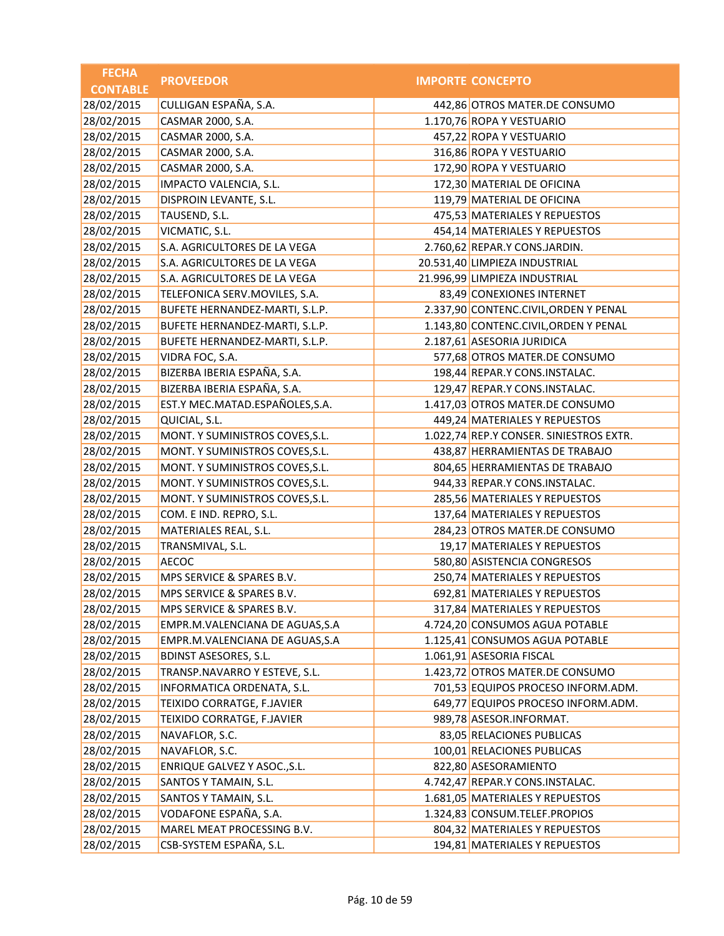| <b>FECHA</b>    | <b>PROVEEDOR</b>                | <b>IMPORTE CONCEPTO</b>                 |
|-----------------|---------------------------------|-----------------------------------------|
| <b>CONTABLE</b> |                                 |                                         |
| 28/02/2015      | CULLIGAN ESPAÑA, S.A.           | 442,86 OTROS MATER.DE CONSUMO           |
| 28/02/2015      | CASMAR 2000, S.A.               | 1.170,76 ROPA Y VESTUARIO               |
| 28/02/2015      | CASMAR 2000, S.A.               | 457,22 ROPA Y VESTUARIO                 |
| 28/02/2015      | CASMAR 2000, S.A.               | 316,86 ROPA Y VESTUARIO                 |
| 28/02/2015      | CASMAR 2000, S.A.               | 172,90 ROPA Y VESTUARIO                 |
| 28/02/2015      | IMPACTO VALENCIA, S.L.          | 172,30 MATERIAL DE OFICINA              |
| 28/02/2015      | DISPROIN LEVANTE, S.L.          | 119,79 MATERIAL DE OFICINA              |
| 28/02/2015      | TAUSEND, S.L.                   | 475,53 MATERIALES Y REPUESTOS           |
| 28/02/2015      | VICMATIC, S.L.                  | 454,14 MATERIALES Y REPUESTOS           |
| 28/02/2015      | S.A. AGRICULTORES DE LA VEGA    | 2.760,62 REPAR.Y CONS.JARDIN.           |
| 28/02/2015      | S.A. AGRICULTORES DE LA VEGA    | 20.531,40 LIMPIEZA INDUSTRIAL           |
| 28/02/2015      | S.A. AGRICULTORES DE LA VEGA    | 21.996,99 LIMPIEZA INDUSTRIAL           |
| 28/02/2015      | TELEFONICA SERV.MOVILES, S.A.   | 83,49 CONEXIONES INTERNET               |
| 28/02/2015      | BUFETE HERNANDEZ-MARTI, S.L.P.  | 2.337,90 CONTENC.CIVIL, ORDEN Y PENAL   |
| 28/02/2015      | BUFETE HERNANDEZ-MARTI, S.L.P.  | 1.143,80 CONTENC.CIVIL, ORDEN Y PENAL   |
| 28/02/2015      | BUFETE HERNANDEZ-MARTI, S.L.P.  | 2.187,61 ASESORIA JURIDICA              |
| 28/02/2015      | VIDRA FOC, S.A.                 | 577,68 OTROS MATER.DE CONSUMO           |
| 28/02/2015      | BIZERBA IBERIA ESPAÑA, S.A.     | 198,44 REPAR.Y CONS.INSTALAC.           |
| 28/02/2015      | BIZERBA IBERIA ESPAÑA, S.A.     | 129,47 REPAR.Y CONS.INSTALAC.           |
| 28/02/2015      | EST.Y MEC.MATAD.ESPAÑOLES,S.A.  | 1.417,03 OTROS MATER.DE CONSUMO         |
| 28/02/2015      | QUICIAL, S.L.                   | 449,24 MATERIALES Y REPUESTOS           |
| 28/02/2015      | MONT. Y SUMINISTROS COVES, S.L. | 1.022,74 REP.Y CONSER. SINIESTROS EXTR. |
| 28/02/2015      | MONT. Y SUMINISTROS COVES, S.L. | 438,87 HERRAMIENTAS DE TRABAJO          |
| 28/02/2015      | MONT. Y SUMINISTROS COVES, S.L. | 804,65 HERRAMIENTAS DE TRABAJO          |
| 28/02/2015      | MONT. Y SUMINISTROS COVES, S.L. | 944,33 REPAR.Y CONS.INSTALAC.           |
| 28/02/2015      | MONT. Y SUMINISTROS COVES, S.L. | 285,56 MATERIALES Y REPUESTOS           |
| 28/02/2015      | COM. E IND. REPRO, S.L.         | 137,64 MATERIALES Y REPUESTOS           |
| 28/02/2015      | MATERIALES REAL, S.L.           | 284,23 OTROS MATER.DE CONSUMO           |
| 28/02/2015      | TRANSMIVAL, S.L.                | 19,17 MATERIALES Y REPUESTOS            |
| 28/02/2015      | <b>AECOC</b>                    | 580,80 ASISTENCIA CONGRESOS             |
| 28/02/2015      | MPS SERVICE & SPARES B.V.       | 250,74 MATERIALES Y REPUESTOS           |
| 28/02/2015      | MPS SERVICE & SPARES B.V.       | 692,81 MATERIALES Y REPUESTOS           |
| 28/02/2015      | MPS SERVICE & SPARES B.V.       | 317,84 MATERIALES Y REPUESTOS           |
| 28/02/2015      | EMPR.M.VALENCIANA DE AGUAS, S.A | 4.724,20 CONSUMOS AGUA POTABLE          |
| 28/02/2015      | EMPR.M.VALENCIANA DE AGUAS, S.A | 1.125,41 CONSUMOS AGUA POTABLE          |
| 28/02/2015      | <b>BDINST ASESORES, S.L.</b>    | 1.061,91 ASESORIA FISCAL                |
| 28/02/2015      | TRANSP.NAVARRO Y ESTEVE, S.L.   | 1.423,72 OTROS MATER.DE CONSUMO         |
| 28/02/2015      | INFORMATICA ORDENATA, S.L.      | 701,53 EQUIPOS PROCESO INFORM.ADM.      |
| 28/02/2015      | TEIXIDO CORRATGE, F.JAVIER      | 649,77 EQUIPOS PROCESO INFORM.ADM.      |
| 28/02/2015      | TEIXIDO CORRATGE, F.JAVIER      | 989,78 ASESOR.INFORMAT.                 |
| 28/02/2015      | NAVAFLOR, S.C.                  | 83,05 RELACIONES PUBLICAS               |
| 28/02/2015      | NAVAFLOR, S.C.                  | 100,01 RELACIONES PUBLICAS              |
| 28/02/2015      | ENRIQUE GALVEZ Y ASOC., S.L.    | 822,80 ASESORAMIENTO                    |
| 28/02/2015      | SANTOS Y TAMAIN, S.L.           | 4.742,47 REPAR.Y CONS.INSTALAC.         |
| 28/02/2015      | SANTOS Y TAMAIN, S.L.           | 1.681,05 MATERIALES Y REPUESTOS         |
| 28/02/2015      | VODAFONE ESPAÑA, S.A.           | 1.324,83 CONSUM.TELEF.PROPIOS           |
| 28/02/2015      | MAREL MEAT PROCESSING B.V.      | 804,32 MATERIALES Y REPUESTOS           |
| 28/02/2015      | CSB-SYSTEM ESPAÑA, S.L.         | 194,81 MATERIALES Y REPUESTOS           |
|                 |                                 |                                         |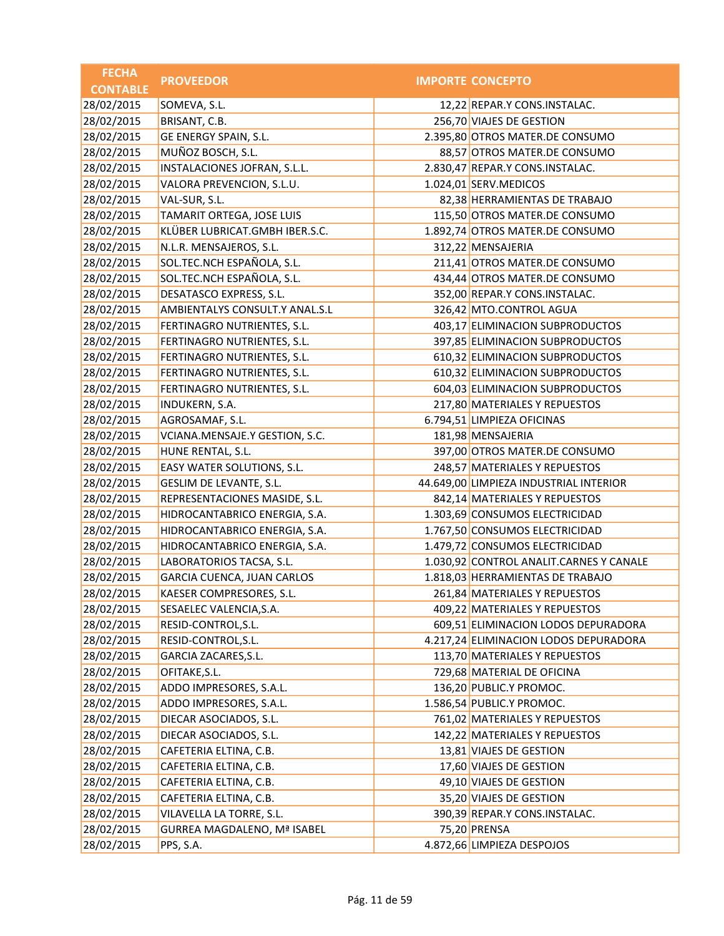| <b>IMPORTE CONCEPTO</b><br><b>CONTABLE</b><br>28/02/2015<br>SOMEVA, S.L.<br>12,22 REPAR.Y CONS.INSTALAC.<br>28/02/2015<br>BRISANT, C.B.<br>256,70 VIAJES DE GESTION<br>28/02/2015<br>GE ENERGY SPAIN, S.L.<br>2.395,80 OTROS MATER.DE CONSUMO<br>MUÑOZ BOSCH, S.L.<br>28/02/2015<br>88,57 OTROS MATER.DE CONSUMO<br>INSTALACIONES JOFRAN, S.L.L.<br>28/02/2015<br>2.830,47 REPAR.Y CONS.INSTALAC.<br>28/02/2015<br>VALORA PREVENCION, S.L.U.<br>1.024,01 SERV.MEDICOS<br>28/02/2015<br>VAL-SUR, S.L.<br>82,38 HERRAMIENTAS DE TRABAJO<br>28/02/2015<br>TAMARIT ORTEGA, JOSE LUIS<br>115,50 OTROS MATER.DE CONSUMO<br>KLÜBER LUBRICAT.GMBH IBER.S.C.<br>1.892,74 OTROS MATER.DE CONSUMO<br>28/02/2015<br>N.L.R. MENSAJEROS, S.L.<br>312,22 MENSAJERIA<br>SOL.TEC.NCH ESPAÑOLA, S.L.<br>28/02/2015<br>211,41 OTROS MATER.DE CONSUMO<br>SOL.TEC.NCH ESPAÑOLA, S.L.<br>28/02/2015<br>434,44 OTROS MATER.DE CONSUMO<br>DESATASCO EXPRESS, S.L.<br>28/02/2015<br>352,00 REPAR.Y CONS.INSTALAC.<br>AMBIENTALYS CONSULT.Y ANAL.S.L<br>28/02/2015<br>326,42 MTO.CONTROL AGUA<br>28/02/2015<br>FERTINAGRO NUTRIENTES, S.L.<br>403,17 ELIMINACION SUBPRODUCTOS<br>28/02/2015<br>FERTINAGRO NUTRIENTES, S.L.<br>397,85 ELIMINACION SUBPRODUCTOS<br>28/02/2015<br>FERTINAGRO NUTRIENTES, S.L.<br>610,32 ELIMINACION SUBPRODUCTOS<br>28/02/2015<br>FERTINAGRO NUTRIENTES, S.L.<br>610,32 ELIMINACION SUBPRODUCTOS<br>28/02/2015<br>FERTINAGRO NUTRIENTES, S.L.<br>604,03 ELIMINACION SUBPRODUCTOS<br>28/02/2015<br>217,80 MATERIALES Y REPUESTOS<br>INDUKERN, S.A.<br>28/02/2015<br>6.794,51 LIMPIEZA OFICINAS<br>AGROSAMAF, S.L.<br>181,98 MENSAJERIA | <b>FECHA</b> | <b>PROVEEDOR</b>               |  |
|------------------------------------------------------------------------------------------------------------------------------------------------------------------------------------------------------------------------------------------------------------------------------------------------------------------------------------------------------------------------------------------------------------------------------------------------------------------------------------------------------------------------------------------------------------------------------------------------------------------------------------------------------------------------------------------------------------------------------------------------------------------------------------------------------------------------------------------------------------------------------------------------------------------------------------------------------------------------------------------------------------------------------------------------------------------------------------------------------------------------------------------------------------------------------------------------------------------------------------------------------------------------------------------------------------------------------------------------------------------------------------------------------------------------------------------------------------------------------------------------------------------------------------------------------------------------------------------------------------------------------------------|--------------|--------------------------------|--|
| 28/02/2015                                                                                                                                                                                                                                                                                                                                                                                                                                                                                                                                                                                                                                                                                                                                                                                                                                                                                                                                                                                                                                                                                                                                                                                                                                                                                                                                                                                                                                                                                                                                                                                                                               |              |                                |  |
|                                                                                                                                                                                                                                                                                                                                                                                                                                                                                                                                                                                                                                                                                                                                                                                                                                                                                                                                                                                                                                                                                                                                                                                                                                                                                                                                                                                                                                                                                                                                                                                                                                          |              |                                |  |
|                                                                                                                                                                                                                                                                                                                                                                                                                                                                                                                                                                                                                                                                                                                                                                                                                                                                                                                                                                                                                                                                                                                                                                                                                                                                                                                                                                                                                                                                                                                                                                                                                                          |              |                                |  |
|                                                                                                                                                                                                                                                                                                                                                                                                                                                                                                                                                                                                                                                                                                                                                                                                                                                                                                                                                                                                                                                                                                                                                                                                                                                                                                                                                                                                                                                                                                                                                                                                                                          |              |                                |  |
|                                                                                                                                                                                                                                                                                                                                                                                                                                                                                                                                                                                                                                                                                                                                                                                                                                                                                                                                                                                                                                                                                                                                                                                                                                                                                                                                                                                                                                                                                                                                                                                                                                          |              |                                |  |
|                                                                                                                                                                                                                                                                                                                                                                                                                                                                                                                                                                                                                                                                                                                                                                                                                                                                                                                                                                                                                                                                                                                                                                                                                                                                                                                                                                                                                                                                                                                                                                                                                                          |              |                                |  |
|                                                                                                                                                                                                                                                                                                                                                                                                                                                                                                                                                                                                                                                                                                                                                                                                                                                                                                                                                                                                                                                                                                                                                                                                                                                                                                                                                                                                                                                                                                                                                                                                                                          |              |                                |  |
|                                                                                                                                                                                                                                                                                                                                                                                                                                                                                                                                                                                                                                                                                                                                                                                                                                                                                                                                                                                                                                                                                                                                                                                                                                                                                                                                                                                                                                                                                                                                                                                                                                          |              |                                |  |
|                                                                                                                                                                                                                                                                                                                                                                                                                                                                                                                                                                                                                                                                                                                                                                                                                                                                                                                                                                                                                                                                                                                                                                                                                                                                                                                                                                                                                                                                                                                                                                                                                                          |              |                                |  |
|                                                                                                                                                                                                                                                                                                                                                                                                                                                                                                                                                                                                                                                                                                                                                                                                                                                                                                                                                                                                                                                                                                                                                                                                                                                                                                                                                                                                                                                                                                                                                                                                                                          |              |                                |  |
|                                                                                                                                                                                                                                                                                                                                                                                                                                                                                                                                                                                                                                                                                                                                                                                                                                                                                                                                                                                                                                                                                                                                                                                                                                                                                                                                                                                                                                                                                                                                                                                                                                          |              |                                |  |
|                                                                                                                                                                                                                                                                                                                                                                                                                                                                                                                                                                                                                                                                                                                                                                                                                                                                                                                                                                                                                                                                                                                                                                                                                                                                                                                                                                                                                                                                                                                                                                                                                                          |              |                                |  |
|                                                                                                                                                                                                                                                                                                                                                                                                                                                                                                                                                                                                                                                                                                                                                                                                                                                                                                                                                                                                                                                                                                                                                                                                                                                                                                                                                                                                                                                                                                                                                                                                                                          |              |                                |  |
|                                                                                                                                                                                                                                                                                                                                                                                                                                                                                                                                                                                                                                                                                                                                                                                                                                                                                                                                                                                                                                                                                                                                                                                                                                                                                                                                                                                                                                                                                                                                                                                                                                          |              |                                |  |
|                                                                                                                                                                                                                                                                                                                                                                                                                                                                                                                                                                                                                                                                                                                                                                                                                                                                                                                                                                                                                                                                                                                                                                                                                                                                                                                                                                                                                                                                                                                                                                                                                                          |              |                                |  |
|                                                                                                                                                                                                                                                                                                                                                                                                                                                                                                                                                                                                                                                                                                                                                                                                                                                                                                                                                                                                                                                                                                                                                                                                                                                                                                                                                                                                                                                                                                                                                                                                                                          |              |                                |  |
|                                                                                                                                                                                                                                                                                                                                                                                                                                                                                                                                                                                                                                                                                                                                                                                                                                                                                                                                                                                                                                                                                                                                                                                                                                                                                                                                                                                                                                                                                                                                                                                                                                          |              |                                |  |
|                                                                                                                                                                                                                                                                                                                                                                                                                                                                                                                                                                                                                                                                                                                                                                                                                                                                                                                                                                                                                                                                                                                                                                                                                                                                                                                                                                                                                                                                                                                                                                                                                                          |              |                                |  |
|                                                                                                                                                                                                                                                                                                                                                                                                                                                                                                                                                                                                                                                                                                                                                                                                                                                                                                                                                                                                                                                                                                                                                                                                                                                                                                                                                                                                                                                                                                                                                                                                                                          |              |                                |  |
|                                                                                                                                                                                                                                                                                                                                                                                                                                                                                                                                                                                                                                                                                                                                                                                                                                                                                                                                                                                                                                                                                                                                                                                                                                                                                                                                                                                                                                                                                                                                                                                                                                          |              |                                |  |
|                                                                                                                                                                                                                                                                                                                                                                                                                                                                                                                                                                                                                                                                                                                                                                                                                                                                                                                                                                                                                                                                                                                                                                                                                                                                                                                                                                                                                                                                                                                                                                                                                                          |              |                                |  |
|                                                                                                                                                                                                                                                                                                                                                                                                                                                                                                                                                                                                                                                                                                                                                                                                                                                                                                                                                                                                                                                                                                                                                                                                                                                                                                                                                                                                                                                                                                                                                                                                                                          |              |                                |  |
|                                                                                                                                                                                                                                                                                                                                                                                                                                                                                                                                                                                                                                                                                                                                                                                                                                                                                                                                                                                                                                                                                                                                                                                                                                                                                                                                                                                                                                                                                                                                                                                                                                          | 28/02/2015   | VCIANA.MENSAJE.Y GESTION, S.C. |  |
| 28/02/2015<br>HUNE RENTAL, S.L.<br>397,00 OTROS MATER.DE CONSUMO                                                                                                                                                                                                                                                                                                                                                                                                                                                                                                                                                                                                                                                                                                                                                                                                                                                                                                                                                                                                                                                                                                                                                                                                                                                                                                                                                                                                                                                                                                                                                                         |              |                                |  |
| 28/02/2015<br>248,57 MATERIALES Y REPUESTOS<br>EASY WATER SOLUTIONS, S.L.                                                                                                                                                                                                                                                                                                                                                                                                                                                                                                                                                                                                                                                                                                                                                                                                                                                                                                                                                                                                                                                                                                                                                                                                                                                                                                                                                                                                                                                                                                                                                                |              |                                |  |
| 28/02/2015<br>GESLIM DE LEVANTE, S.L.<br>44.649,00 LIMPIEZA INDUSTRIAL INTERIOR                                                                                                                                                                                                                                                                                                                                                                                                                                                                                                                                                                                                                                                                                                                                                                                                                                                                                                                                                                                                                                                                                                                                                                                                                                                                                                                                                                                                                                                                                                                                                          |              |                                |  |
| 28/02/2015<br>REPRESENTACIONES MASIDE, S.L.<br>842,14 MATERIALES Y REPUESTOS                                                                                                                                                                                                                                                                                                                                                                                                                                                                                                                                                                                                                                                                                                                                                                                                                                                                                                                                                                                                                                                                                                                                                                                                                                                                                                                                                                                                                                                                                                                                                             |              |                                |  |
| 28/02/2015<br>HIDROCANTABRICO ENERGIA, S.A.<br>1.303,69 CONSUMOS ELECTRICIDAD                                                                                                                                                                                                                                                                                                                                                                                                                                                                                                                                                                                                                                                                                                                                                                                                                                                                                                                                                                                                                                                                                                                                                                                                                                                                                                                                                                                                                                                                                                                                                            |              |                                |  |
| 28/02/2015<br>1.767,50 CONSUMOS ELECTRICIDAD<br>HIDROCANTABRICO ENERGIA, S.A.                                                                                                                                                                                                                                                                                                                                                                                                                                                                                                                                                                                                                                                                                                                                                                                                                                                                                                                                                                                                                                                                                                                                                                                                                                                                                                                                                                                                                                                                                                                                                            |              |                                |  |
| 28/02/2015<br>1.479,72 CONSUMOS ELECTRICIDAD<br>HIDROCANTABRICO ENERGIA, S.A.                                                                                                                                                                                                                                                                                                                                                                                                                                                                                                                                                                                                                                                                                                                                                                                                                                                                                                                                                                                                                                                                                                                                                                                                                                                                                                                                                                                                                                                                                                                                                            |              |                                |  |
| 28/02/2015<br>LABORATORIOS TACSA, S.L.<br>1.030,92 CONTROL ANALIT.CARNES Y CANALE                                                                                                                                                                                                                                                                                                                                                                                                                                                                                                                                                                                                                                                                                                                                                                                                                                                                                                                                                                                                                                                                                                                                                                                                                                                                                                                                                                                                                                                                                                                                                        |              |                                |  |
| 28/02/2015<br>1.818,03 HERRAMIENTAS DE TRABAJO<br>GARCIA CUENCA, JUAN CARLOS                                                                                                                                                                                                                                                                                                                                                                                                                                                                                                                                                                                                                                                                                                                                                                                                                                                                                                                                                                                                                                                                                                                                                                                                                                                                                                                                                                                                                                                                                                                                                             |              |                                |  |
| 28/02/2015<br>KAESER COMPRESORES, S.L.<br>261,84 MATERIALES Y REPUESTOS                                                                                                                                                                                                                                                                                                                                                                                                                                                                                                                                                                                                                                                                                                                                                                                                                                                                                                                                                                                                                                                                                                                                                                                                                                                                                                                                                                                                                                                                                                                                                                  |              |                                |  |
| 409,22 MATERIALES Y REPUESTOS<br>28/02/2015<br>SESAELEC VALENCIA, S.A.                                                                                                                                                                                                                                                                                                                                                                                                                                                                                                                                                                                                                                                                                                                                                                                                                                                                                                                                                                                                                                                                                                                                                                                                                                                                                                                                                                                                                                                                                                                                                                   |              |                                |  |
| 28/02/2015<br>609,51 ELIMINACION LODOS DEPURADORA<br>RESID-CONTROL, S.L.                                                                                                                                                                                                                                                                                                                                                                                                                                                                                                                                                                                                                                                                                                                                                                                                                                                                                                                                                                                                                                                                                                                                                                                                                                                                                                                                                                                                                                                                                                                                                                 |              |                                |  |
| 28/02/2015<br>RESID-CONTROL, S.L.<br>4.217,24 ELIMINACION LODOS DEPURADORA                                                                                                                                                                                                                                                                                                                                                                                                                                                                                                                                                                                                                                                                                                                                                                                                                                                                                                                                                                                                                                                                                                                                                                                                                                                                                                                                                                                                                                                                                                                                                               |              |                                |  |
| 28/02/2015<br>GARCIA ZACARES, S.L.<br>113,70 MATERIALES Y REPUESTOS                                                                                                                                                                                                                                                                                                                                                                                                                                                                                                                                                                                                                                                                                                                                                                                                                                                                                                                                                                                                                                                                                                                                                                                                                                                                                                                                                                                                                                                                                                                                                                      |              |                                |  |
| 28/02/2015<br>729,68 MATERIAL DE OFICINA<br>OFITAKE, S.L.                                                                                                                                                                                                                                                                                                                                                                                                                                                                                                                                                                                                                                                                                                                                                                                                                                                                                                                                                                                                                                                                                                                                                                                                                                                                                                                                                                                                                                                                                                                                                                                |              |                                |  |
| 28/02/2015<br>136,20 PUBLIC.Y PROMOC.<br>ADDO IMPRESORES, S.A.L.                                                                                                                                                                                                                                                                                                                                                                                                                                                                                                                                                                                                                                                                                                                                                                                                                                                                                                                                                                                                                                                                                                                                                                                                                                                                                                                                                                                                                                                                                                                                                                         |              |                                |  |
| 28/02/2015<br>ADDO IMPRESORES, S.A.L.<br>1.586,54 PUBLIC.Y PROMOC.                                                                                                                                                                                                                                                                                                                                                                                                                                                                                                                                                                                                                                                                                                                                                                                                                                                                                                                                                                                                                                                                                                                                                                                                                                                                                                                                                                                                                                                                                                                                                                       |              |                                |  |
| 28/02/2015<br>DIECAR ASOCIADOS, S.L.<br>761,02 MATERIALES Y REPUESTOS                                                                                                                                                                                                                                                                                                                                                                                                                                                                                                                                                                                                                                                                                                                                                                                                                                                                                                                                                                                                                                                                                                                                                                                                                                                                                                                                                                                                                                                                                                                                                                    |              |                                |  |
| 28/02/2015<br>DIECAR ASOCIADOS, S.L.<br>142,22 MATERIALES Y REPUESTOS                                                                                                                                                                                                                                                                                                                                                                                                                                                                                                                                                                                                                                                                                                                                                                                                                                                                                                                                                                                                                                                                                                                                                                                                                                                                                                                                                                                                                                                                                                                                                                    |              |                                |  |
| 28/02/2015<br>13,81 VIAJES DE GESTION<br>CAFETERIA ELTINA, C.B.                                                                                                                                                                                                                                                                                                                                                                                                                                                                                                                                                                                                                                                                                                                                                                                                                                                                                                                                                                                                                                                                                                                                                                                                                                                                                                                                                                                                                                                                                                                                                                          |              |                                |  |
| 28/02/2015<br>CAFETERIA ELTINA, C.B.<br>17,60 VIAJES DE GESTION                                                                                                                                                                                                                                                                                                                                                                                                                                                                                                                                                                                                                                                                                                                                                                                                                                                                                                                                                                                                                                                                                                                                                                                                                                                                                                                                                                                                                                                                                                                                                                          |              |                                |  |
| 28/02/2015<br>49,10 VIAJES DE GESTION<br>CAFETERIA ELTINA, C.B.                                                                                                                                                                                                                                                                                                                                                                                                                                                                                                                                                                                                                                                                                                                                                                                                                                                                                                                                                                                                                                                                                                                                                                                                                                                                                                                                                                                                                                                                                                                                                                          |              |                                |  |
| 28/02/2015<br>CAFETERIA ELTINA, C.B.<br>35,20 VIAJES DE GESTION                                                                                                                                                                                                                                                                                                                                                                                                                                                                                                                                                                                                                                                                                                                                                                                                                                                                                                                                                                                                                                                                                                                                                                                                                                                                                                                                                                                                                                                                                                                                                                          |              |                                |  |
| 28/02/2015<br>VILAVELLA LA TORRE, S.L.<br>390,39 REPAR.Y CONS.INSTALAC.                                                                                                                                                                                                                                                                                                                                                                                                                                                                                                                                                                                                                                                                                                                                                                                                                                                                                                                                                                                                                                                                                                                                                                                                                                                                                                                                                                                                                                                                                                                                                                  |              |                                |  |
| 28/02/2015<br><b>GURREA MAGDALENO, Mª ISABEL</b><br>75,20 PRENSA                                                                                                                                                                                                                                                                                                                                                                                                                                                                                                                                                                                                                                                                                                                                                                                                                                                                                                                                                                                                                                                                                                                                                                                                                                                                                                                                                                                                                                                                                                                                                                         |              |                                |  |
| 28/02/2015<br>PPS, S.A.<br>4.872,66 LIMPIEZA DESPOJOS                                                                                                                                                                                                                                                                                                                                                                                                                                                                                                                                                                                                                                                                                                                                                                                                                                                                                                                                                                                                                                                                                                                                                                                                                                                                                                                                                                                                                                                                                                                                                                                    |              |                                |  |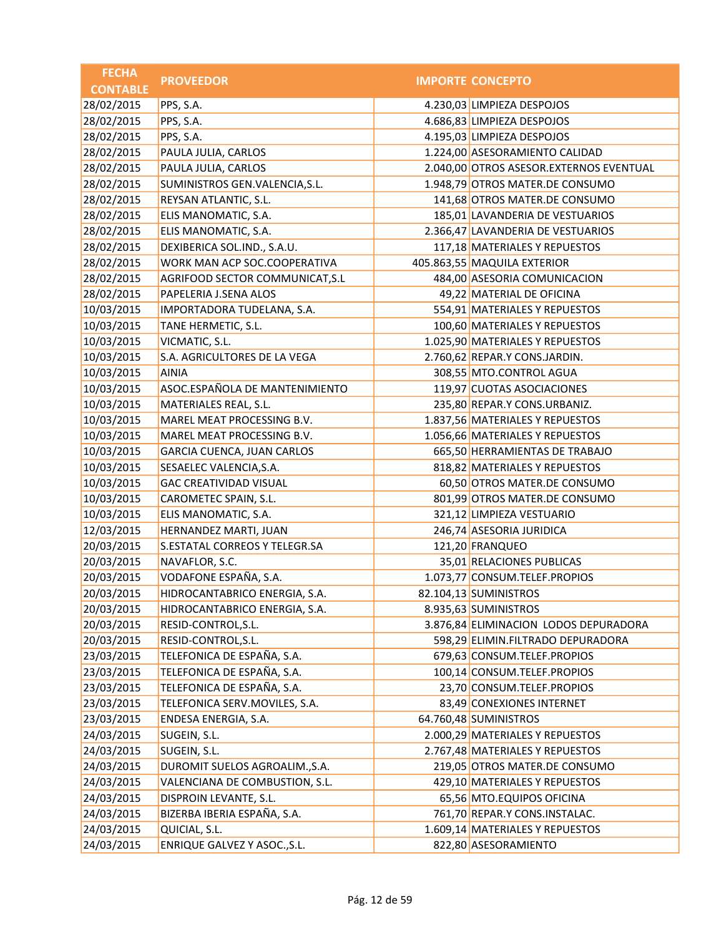| <b>FECHA</b>    | <b>PROVEEDOR</b>                | <b>IMPORTE CONCEPTO</b>                 |
|-----------------|---------------------------------|-----------------------------------------|
| <b>CONTABLE</b> |                                 |                                         |
| 28/02/2015      | PPS, S.A.                       | 4.230,03 LIMPIEZA DESPOJOS              |
| 28/02/2015      | PPS, S.A.                       | 4.686,83 LIMPIEZA DESPOJOS              |
| 28/02/2015      | PPS, S.A.                       | 4.195,03 LIMPIEZA DESPOJOS              |
| 28/02/2015      | PAULA JULIA, CARLOS             | 1.224,00 ASESORAMIENTO CALIDAD          |
| 28/02/2015      | PAULA JULIA, CARLOS             | 2.040,00 OTROS ASESOR.EXTERNOS EVENTUAL |
| 28/02/2015      | SUMINISTROS GEN.VALENCIA, S.L.  | 1.948,79 OTROS MATER.DE CONSUMO         |
| 28/02/2015      | REYSAN ATLANTIC, S.L.           | 141,68 OTROS MATER.DE CONSUMO           |
| 28/02/2015      | ELIS MANOMATIC, S.A.            | 185,01 LAVANDERIA DE VESTUARIOS         |
| 28/02/2015      | ELIS MANOMATIC, S.A.            | 2.366,47 LAVANDERIA DE VESTUARIOS       |
| 28/02/2015      | DEXIBERICA SOL.IND., S.A.U.     | 117,18 MATERIALES Y REPUESTOS           |
| 28/02/2015      | WORK MAN ACP SOC.COOPERATIVA    | 405.863,55 MAQUILA EXTERIOR             |
| 28/02/2015      | AGRIFOOD SECTOR COMMUNICAT, S.L | 484,00 ASESORIA COMUNICACION            |
| 28/02/2015      | PAPELERIA J.SENA ALOS           | 49,22 MATERIAL DE OFICINA               |
| 10/03/2015      | IMPORTADORA TUDELANA, S.A.      | 554,91 MATERIALES Y REPUESTOS           |
| 10/03/2015      | TANE HERMETIC, S.L.             | 100,60 MATERIALES Y REPUESTOS           |
| 10/03/2015      | VICMATIC, S.L.                  | 1.025,90 MATERIALES Y REPUESTOS         |
| 10/03/2015      | S.A. AGRICULTORES DE LA VEGA    | 2.760,62 REPAR.Y CONS.JARDIN.           |
| 10/03/2015      | <b>AINIA</b>                    | 308,55 MTO.CONTROL AGUA                 |
| 10/03/2015      | ASOC.ESPAÑOLA DE MANTENIMIENTO  | 119,97 CUOTAS ASOCIACIONES              |
| 10/03/2015      | MATERIALES REAL, S.L.           | 235,80 REPAR.Y CONS.URBANIZ.            |
| 10/03/2015      | MAREL MEAT PROCESSING B.V.      | 1.837,56 MATERIALES Y REPUESTOS         |
| 10/03/2015      | MAREL MEAT PROCESSING B.V.      | 1.056,66 MATERIALES Y REPUESTOS         |
| 10/03/2015      | GARCIA CUENCA, JUAN CARLOS      | 665,50 HERRAMIENTAS DE TRABAJO          |
| 10/03/2015      | SESAELEC VALENCIA, S.A.         | 818,82 MATERIALES Y REPUESTOS           |
| 10/03/2015      | <b>GAC CREATIVIDAD VISUAL</b>   | 60,50 OTROS MATER.DE CONSUMO            |
| 10/03/2015      | CAROMETEC SPAIN, S.L.           | 801,99 OTROS MATER.DE CONSUMO           |
| 10/03/2015      | ELIS MANOMATIC, S.A.            | 321,12 LIMPIEZA VESTUARIO               |
| 12/03/2015      | HERNANDEZ MARTI, JUAN           | 246,74 ASESORIA JURIDICA                |
| 20/03/2015      | S.ESTATAL CORREOS Y TELEGR.SA   | 121,20 FRANQUEO                         |
| 20/03/2015      | NAVAFLOR, S.C.                  | 35,01 RELACIONES PUBLICAS               |
| 20/03/2015      | VODAFONE ESPAÑA, S.A.           | 1.073,77 CONSUM.TELEF.PROPIOS           |
| 20/03/2015      | HIDROCANTABRICO ENERGIA, S.A.   | 82.104,13 SUMINISTROS                   |
| 20/03/2015      | HIDROCANTABRICO ENERGIA, S.A.   | 8.935,63 SUMINISTROS                    |
| 20/03/2015      | RESID-CONTROL, S.L.             | 3.876,84 ELIMINACION LODOS DEPURADORA   |
| 20/03/2015      | RESID-CONTROL, S.L.             | 598,29 ELIMIN.FILTRADO DEPURADORA       |
| 23/03/2015      | TELEFONICA DE ESPAÑA, S.A.      | 679,63 CONSUM.TELEF.PROPIOS             |
| 23/03/2015      | TELEFONICA DE ESPAÑA, S.A.      | 100,14 CONSUM.TELEF.PROPIOS             |
| 23/03/2015      | TELEFONICA DE ESPAÑA, S.A.      | 23,70 CONSUM.TELEF.PROPIOS              |
| 23/03/2015      | TELEFONICA SERV.MOVILES, S.A.   | 83,49 CONEXIONES INTERNET               |
| 23/03/2015      | ENDESA ENERGIA, S.A.            | 64.760,48 SUMINISTROS                   |
| 24/03/2015      | SUGEIN, S.L.                    | 2.000,29 MATERIALES Y REPUESTOS         |
| 24/03/2015      | SUGEIN, S.L.                    | 2.767,48 MATERIALES Y REPUESTOS         |
| 24/03/2015      | DUROMIT SUELOS AGROALIM., S.A.  | 219,05 OTROS MATER.DE CONSUMO           |
| 24/03/2015      | VALENCIANA DE COMBUSTION, S.L.  | 429,10 MATERIALES Y REPUESTOS           |
| 24/03/2015      | DISPROIN LEVANTE, S.L.          | 65,56 MTO.EQUIPOS OFICINA               |
| 24/03/2015      | BIZERBA IBERIA ESPAÑA, S.A.     | 761,70 REPAR.Y CONS.INSTALAC.           |
| 24/03/2015      | QUICIAL, S.L.                   | 1.609,14 MATERIALES Y REPUESTOS         |
| 24/03/2015      | ENRIQUE GALVEZ Y ASOC., S.L.    | 822,80 ASESORAMIENTO                    |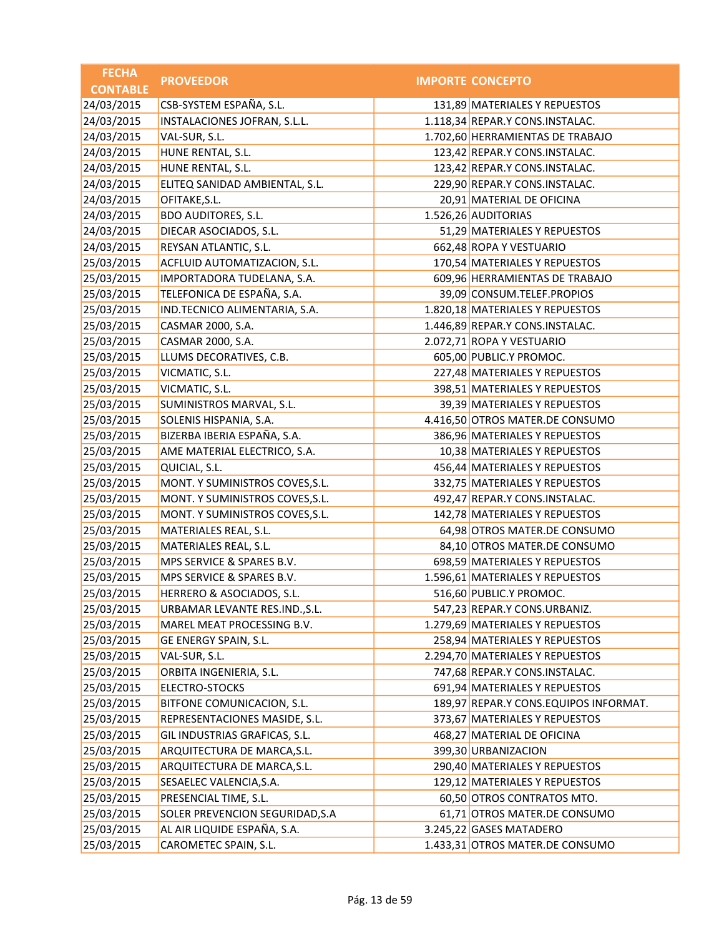| <b>FECHA</b>    | <b>PROVEEDOR</b>                | <b>IMPORTE CONCEPTO</b>               |
|-----------------|---------------------------------|---------------------------------------|
| <b>CONTABLE</b> |                                 |                                       |
| 24/03/2015      | CSB-SYSTEM ESPAÑA, S.L.         | 131,89 MATERIALES Y REPUESTOS         |
| 24/03/2015      | INSTALACIONES JOFRAN, S.L.L.    | 1.118,34 REPAR.Y CONS.INSTALAC.       |
| 24/03/2015      | VAL-SUR, S.L.                   | 1.702,60 HERRAMIENTAS DE TRABAJO      |
| 24/03/2015      | HUNE RENTAL, S.L.               | 123,42 REPAR.Y CONS.INSTALAC.         |
| 24/03/2015      | HUNE RENTAL, S.L.               | 123,42 REPAR.Y CONS.INSTALAC.         |
| 24/03/2015      | ELITEQ SANIDAD AMBIENTAL, S.L.  | 229,90 REPAR.Y CONS.INSTALAC.         |
| 24/03/2015      | OFITAKE, S.L.                   | 20,91 MATERIAL DE OFICINA             |
| 24/03/2015      | <b>BDO AUDITORES, S.L.</b>      | 1.526,26 AUDITORIAS                   |
| 24/03/2015      | DIECAR ASOCIADOS, S.L.          | 51,29 MATERIALES Y REPUESTOS          |
| 24/03/2015      | REYSAN ATLANTIC, S.L.           | 662,48 ROPA Y VESTUARIO               |
| 25/03/2015      | ACFLUID AUTOMATIZACION, S.L.    | 170,54 MATERIALES Y REPUESTOS         |
| 25/03/2015      | IMPORTADORA TUDELANA, S.A.      | 609,96 HERRAMIENTAS DE TRABAJO        |
| 25/03/2015      | TELEFONICA DE ESPAÑA, S.A.      | 39,09 CONSUM.TELEF.PROPIOS            |
| 25/03/2015      | IND.TECNICO ALIMENTARIA, S.A.   | 1.820,18 MATERIALES Y REPUESTOS       |
| 25/03/2015      | CASMAR 2000, S.A.               | 1.446,89 REPAR.Y CONS.INSTALAC.       |
| 25/03/2015      | CASMAR 2000, S.A.               | 2.072,71 ROPA Y VESTUARIO             |
| 25/03/2015      | LLUMS DECORATIVES, C.B.         | 605,00 PUBLIC.Y PROMOC.               |
| 25/03/2015      | VICMATIC, S.L.                  | 227,48 MATERIALES Y REPUESTOS         |
| 25/03/2015      | VICMATIC, S.L.                  | 398,51 MATERIALES Y REPUESTOS         |
| 25/03/2015      | SUMINISTROS MARVAL, S.L.        | 39,39 MATERIALES Y REPUESTOS          |
| 25/03/2015      | SOLENIS HISPANIA, S.A.          | 4.416,50 OTROS MATER.DE CONSUMO       |
| 25/03/2015      | BIZERBA IBERIA ESPAÑA, S.A.     | 386,96 MATERIALES Y REPUESTOS         |
| 25/03/2015      | AME MATERIAL ELECTRICO, S.A.    | 10,38 MATERIALES Y REPUESTOS          |
| 25/03/2015      | QUICIAL, S.L.                   | 456,44 MATERIALES Y REPUESTOS         |
| 25/03/2015      | MONT. Y SUMINISTROS COVES, S.L. | 332,75 MATERIALES Y REPUESTOS         |
| 25/03/2015      | MONT. Y SUMINISTROS COVES, S.L. | 492,47 REPAR.Y CONS.INSTALAC.         |
| 25/03/2015      | MONT. Y SUMINISTROS COVES, S.L. | 142,78 MATERIALES Y REPUESTOS         |
| 25/03/2015      | MATERIALES REAL, S.L.           | 64,98 OTROS MATER.DE CONSUMO          |
| 25/03/2015      | MATERIALES REAL, S.L.           | 84,10 OTROS MATER.DE CONSUMO          |
| 25/03/2015      | MPS SERVICE & SPARES B.V.       | 698,59 MATERIALES Y REPUESTOS         |
| 25/03/2015      | MPS SERVICE & SPARES B.V.       | 1.596,61 MATERIALES Y REPUESTOS       |
| 25/03/2015      | HERRERO & ASOCIADOS, S.L.       | 516,60 PUBLIC.Y PROMOC.               |
| 25/03/2015      | URBAMAR LEVANTE RES.IND., S.L.  | 547,23 REPAR.Y CONS.URBANIZ.          |
| 25/03/2015      | MAREL MEAT PROCESSING B.V.      | 1.279,69 MATERIALES Y REPUESTOS       |
| 25/03/2015      | GE ENERGY SPAIN, S.L.           | 258,94 MATERIALES Y REPUESTOS         |
| 25/03/2015      | VAL-SUR, S.L.                   | 2.294,70 MATERIALES Y REPUESTOS       |
| 25/03/2015      | ORBITA INGENIERIA, S.L.         | 747,68 REPAR.Y CONS.INSTALAC.         |
| 25/03/2015      | ELECTRO-STOCKS                  | 691,94 MATERIALES Y REPUESTOS         |
| 25/03/2015      | BITFONE COMUNICACION, S.L.      | 189,97 REPAR.Y CONS.EQUIPOS INFORMAT. |
| 25/03/2015      | REPRESENTACIONES MASIDE, S.L.   | 373,67 MATERIALES Y REPUESTOS         |
| 25/03/2015      | GIL INDUSTRIAS GRAFICAS, S.L.   | 468,27 MATERIAL DE OFICINA            |
| 25/03/2015      | ARQUITECTURA DE MARCA, S.L.     | 399,30 URBANIZACION                   |
| 25/03/2015      | ARQUITECTURA DE MARCA, S.L.     | 290,40 MATERIALES Y REPUESTOS         |
| 25/03/2015      | SESAELEC VALENCIA, S.A.         | 129,12 MATERIALES Y REPUESTOS         |
| 25/03/2015      | PRESENCIAL TIME, S.L.           | 60,50 OTROS CONTRATOS MTO.            |
| 25/03/2015      | SOLER PREVENCION SEGURIDAD, S.A | 61,71 OTROS MATER.DE CONSUMO          |
| 25/03/2015      | AL AIR LIQUIDE ESPAÑA, S.A.     | 3.245,22 GASES MATADERO               |
| 25/03/2015      | CAROMETEC SPAIN, S.L.           | 1.433,31 OTROS MATER.DE CONSUMO       |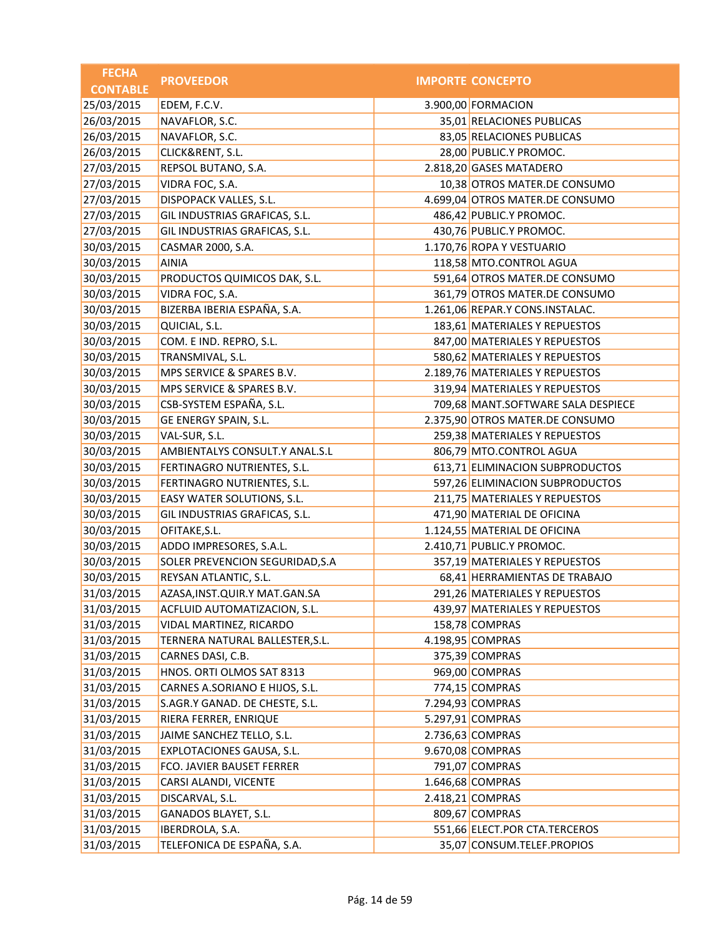| <b>FECHA</b>    | <b>PROVEEDOR</b>                  | <b>IMPORTE CONCEPTO</b>            |
|-----------------|-----------------------------------|------------------------------------|
| <b>CONTABLE</b> |                                   |                                    |
| 25/03/2015      | EDEM, F.C.V.                      | 3.900,00 FORMACION                 |
| 26/03/2015      | NAVAFLOR, S.C.                    | 35,01 RELACIONES PUBLICAS          |
| 26/03/2015      | NAVAFLOR, S.C.                    | 83,05 RELACIONES PUBLICAS          |
| 26/03/2015      | CLICK&RENT, S.L.                  | 28,00 PUBLIC.Y PROMOC.             |
| 27/03/2015      | REPSOL BUTANO, S.A.               | 2.818,20 GASES MATADERO            |
| 27/03/2015      | VIDRA FOC, S.A.                   | 10,38 OTROS MATER.DE CONSUMO       |
| 27/03/2015      | DISPOPACK VALLES, S.L.            | 4.699,04 OTROS MATER.DE CONSUMO    |
| 27/03/2015      | GIL INDUSTRIAS GRAFICAS, S.L.     | 486,42 PUBLIC.Y PROMOC.            |
| 27/03/2015      | GIL INDUSTRIAS GRAFICAS, S.L.     | 430,76 PUBLIC.Y PROMOC.            |
| 30/03/2015      | CASMAR 2000, S.A.                 | 1.170,76 ROPA Y VESTUARIO          |
| 30/03/2015      | <b>AINIA</b>                      | 118,58 MTO.CONTROL AGUA            |
| 30/03/2015      | PRODUCTOS QUIMICOS DAK, S.L.      | 591,64 OTROS MATER.DE CONSUMO      |
| 30/03/2015      | VIDRA FOC, S.A.                   | 361,79 OTROS MATER.DE CONSUMO      |
| 30/03/2015      | BIZERBA IBERIA ESPAÑA, S.A.       | 1.261,06 REPAR.Y CONS.INSTALAC.    |
| 30/03/2015      | QUICIAL, S.L.                     | 183,61 MATERIALES Y REPUESTOS      |
| 30/03/2015      | COM. E IND. REPRO, S.L.           | 847,00 MATERIALES Y REPUESTOS      |
| 30/03/2015      | TRANSMIVAL, S.L.                  | 580,62 MATERIALES Y REPUESTOS      |
| 30/03/2015      | MPS SERVICE & SPARES B.V.         | 2.189,76 MATERIALES Y REPUESTOS    |
| 30/03/2015      | MPS SERVICE & SPARES B.V.         | 319,94 MATERIALES Y REPUESTOS      |
| 30/03/2015      | CSB-SYSTEM ESPAÑA, S.L.           | 709,68 MANT.SOFTWARE SALA DESPIECE |
| 30/03/2015      | GE ENERGY SPAIN, S.L.             | 2.375,90 OTROS MATER.DE CONSUMO    |
| 30/03/2015      | VAL-SUR, S.L.                     | 259,38 MATERIALES Y REPUESTOS      |
| 30/03/2015      | AMBIENTALYS CONSULT.Y ANAL.S.L    | 806,79 MTO.CONTROL AGUA            |
| 30/03/2015      | FERTINAGRO NUTRIENTES, S.L.       | 613,71 ELIMINACION SUBPRODUCTOS    |
| 30/03/2015      | FERTINAGRO NUTRIENTES, S.L.       | 597,26 ELIMINACION SUBPRODUCTOS    |
| 30/03/2015      | EASY WATER SOLUTIONS, S.L.        | 211,75 MATERIALES Y REPUESTOS      |
| 30/03/2015      | GIL INDUSTRIAS GRAFICAS, S.L.     | 471,90 MATERIAL DE OFICINA         |
| 30/03/2015      | OFITAKE, S.L.                     | 1.124,55 MATERIAL DE OFICINA       |
| 30/03/2015      | ADDO IMPRESORES, S.A.L.           | 2.410,71 PUBLIC.Y PROMOC.          |
| 30/03/2015      | SOLER PREVENCION SEGURIDAD, S.A   | 357,19 MATERIALES Y REPUESTOS      |
| 30/03/2015      | REYSAN ATLANTIC, S.L.             | 68,41 HERRAMIENTAS DE TRABAJO      |
| 31/03/2015      | AZASA, INST. QUIR. Y MAT. GAN. SA | 291,26 MATERIALES Y REPUESTOS      |
| 31/03/2015      | ACFLUID AUTOMATIZACION, S.L.      | 439,97 MATERIALES Y REPUESTOS      |
| 31/03/2015      | VIDAL MARTINEZ, RICARDO           | 158,78 COMPRAS                     |
| 31/03/2015      | TERNERA NATURAL BALLESTER, S.L.   | 4.198,95 COMPRAS                   |
| 31/03/2015      | CARNES DASI, C.B.                 | 375,39 COMPRAS                     |
| 31/03/2015      | HNOS. ORTI OLMOS SAT 8313         | 969,00 COMPRAS                     |
| 31/03/2015      | CARNES A.SORIANO E HIJOS, S.L.    | 774,15 COMPRAS                     |
| 31/03/2015      | S.AGR.Y GANAD. DE CHESTE, S.L.    | 7.294,93 COMPRAS                   |
| 31/03/2015      | RIERA FERRER, ENRIQUE             | 5.297,91 COMPRAS                   |
| 31/03/2015      | JAIME SANCHEZ TELLO, S.L.         | 2.736,63 COMPRAS                   |
| 31/03/2015      | EXPLOTACIONES GAUSA, S.L.         | 9.670,08 COMPRAS                   |
| 31/03/2015      | FCO. JAVIER BAUSET FERRER         | 791,07 COMPRAS                     |
| 31/03/2015      | CARSI ALANDI, VICENTE             | 1.646,68 COMPRAS                   |
| 31/03/2015      | DISCARVAL, S.L.                   | 2.418,21 COMPRAS                   |
| 31/03/2015      | GANADOS BLAYET, S.L.              | 809,67 COMPRAS                     |
| 31/03/2015      | IBERDROLA, S.A.                   | 551,66 ELECT.POR CTA.TERCEROS      |
| 31/03/2015      | TELEFONICA DE ESPAÑA, S.A.        | 35,07 CONSUM.TELEF.PROPIOS         |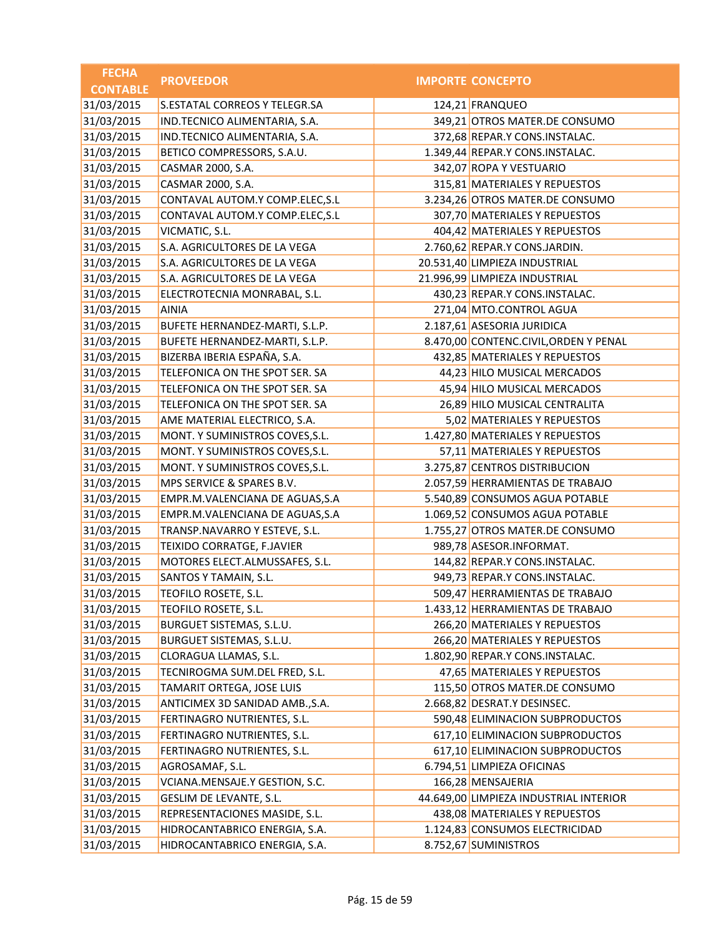| <b>FECHA</b>    | <b>PROVEEDOR</b>                | <b>IMPORTE CONCEPTO</b>                |
|-----------------|---------------------------------|----------------------------------------|
| <b>CONTABLE</b> |                                 |                                        |
| 31/03/2015      | S.ESTATAL CORREOS Y TELEGR.SA   | 124,21 FRANQUEO                        |
| 31/03/2015      | IND.TECNICO ALIMENTARIA, S.A.   | 349,21 OTROS MATER.DE CONSUMO          |
| 31/03/2015      | IND.TECNICO ALIMENTARIA, S.A.   | 372,68 REPAR.Y CONS.INSTALAC.          |
| 31/03/2015      | BETICO COMPRESSORS, S.A.U.      | 1.349,44 REPAR.Y CONS.INSTALAC.        |
| 31/03/2015      | CASMAR 2000, S.A.               | 342,07 ROPA Y VESTUARIO                |
| 31/03/2015      | CASMAR 2000, S.A.               | 315,81 MATERIALES Y REPUESTOS          |
| 31/03/2015      | CONTAVAL AUTOM.Y COMP.ELEC, S.L | 3.234,26 OTROS MATER.DE CONSUMO        |
| 31/03/2015      | CONTAVAL AUTOM.Y COMP.ELEC, S.L | 307,70 MATERIALES Y REPUESTOS          |
| 31/03/2015      | VICMATIC, S.L.                  | 404,42 MATERIALES Y REPUESTOS          |
| 31/03/2015      | S.A. AGRICULTORES DE LA VEGA    | 2.760,62 REPAR.Y CONS.JARDIN.          |
| 31/03/2015      | S.A. AGRICULTORES DE LA VEGA    | 20.531,40 LIMPIEZA INDUSTRIAL          |
| 31/03/2015      | S.A. AGRICULTORES DE LA VEGA    | 21.996,99 LIMPIEZA INDUSTRIAL          |
| 31/03/2015      | ELECTROTECNIA MONRABAL, S.L.    | 430,23 REPAR.Y CONS.INSTALAC.          |
| 31/03/2015      | <b>AINIA</b>                    | 271,04 MTO.CONTROL AGUA                |
| 31/03/2015      | BUFETE HERNANDEZ-MARTI, S.L.P.  | 2.187,61 ASESORIA JURIDICA             |
| 31/03/2015      | BUFETE HERNANDEZ-MARTI, S.L.P.  | 8.470,00 CONTENC.CIVIL, ORDEN Y PENAL  |
| 31/03/2015      | BIZERBA IBERIA ESPAÑA, S.A.     | 432,85 MATERIALES Y REPUESTOS          |
| 31/03/2015      | TELEFONICA ON THE SPOT SER. SA  | 44,23 HILO MUSICAL MERCADOS            |
| 31/03/2015      | TELEFONICA ON THE SPOT SER. SA  | 45,94 HILO MUSICAL MERCADOS            |
| 31/03/2015      | TELEFONICA ON THE SPOT SER. SA  | 26,89 HILO MUSICAL CENTRALITA          |
| 31/03/2015      | AME MATERIAL ELECTRICO, S.A.    | 5,02 MATERIALES Y REPUESTOS            |
| 31/03/2015      | MONT. Y SUMINISTROS COVES, S.L. | 1.427,80 MATERIALES Y REPUESTOS        |
| 31/03/2015      | MONT. Y SUMINISTROS COVES, S.L. | 57,11 MATERIALES Y REPUESTOS           |
| 31/03/2015      | MONT. Y SUMINISTROS COVES, S.L. | 3.275,87 CENTROS DISTRIBUCION          |
| 31/03/2015      | MPS SERVICE & SPARES B.V.       | 2.057,59 HERRAMIENTAS DE TRABAJO       |
| 31/03/2015      | EMPR.M.VALENCIANA DE AGUAS, S.A | 5.540,89 CONSUMOS AGUA POTABLE         |
| 31/03/2015      | EMPR.M.VALENCIANA DE AGUAS, S.A | 1.069,52 CONSUMOS AGUA POTABLE         |
| 31/03/2015      | TRANSP.NAVARRO Y ESTEVE, S.L.   | 1.755,27 OTROS MATER.DE CONSUMO        |
| 31/03/2015      | TEIXIDO CORRATGE, F.JAVIER      | 989,78 ASESOR.INFORMAT.                |
| 31/03/2015      | MOTORES ELECT.ALMUSSAFES, S.L.  | 144,82 REPAR.Y CONS.INSTALAC.          |
| 31/03/2015      | SANTOS Y TAMAIN, S.L.           | 949,73 REPAR.Y CONS.INSTALAC.          |
| 31/03/2015      | TEOFILO ROSETE, S.L.            | 509,47 HERRAMIENTAS DE TRABAJO         |
| 31/03/2015      | TEOFILO ROSETE, S.L.            | 1.433,12 HERRAMIENTAS DE TRABAJO       |
| 31/03/2015      | BURGUET SISTEMAS, S.L.U.        | 266,20 MATERIALES Y REPUESTOS          |
| 31/03/2015      | BURGUET SISTEMAS, S.L.U.        | 266,20 MATERIALES Y REPUESTOS          |
| 31/03/2015      | CLORAGUA LLAMAS, S.L.           | 1.802,90 REPAR.Y CONS.INSTALAC.        |
| 31/03/2015      | TECNIROGMA SUM.DEL FRED, S.L.   | 47,65 MATERIALES Y REPUESTOS           |
| 31/03/2015      | TAMARIT ORTEGA, JOSE LUIS       | 115,50 OTROS MATER.DE CONSUMO          |
| 31/03/2015      | ANTICIMEX 3D SANIDAD AMB., S.A. | 2.668,82 DESRAT.Y DESINSEC.            |
| 31/03/2015      | FERTINAGRO NUTRIENTES, S.L.     | 590,48 ELIMINACION SUBPRODUCTOS        |
| 31/03/2015      | FERTINAGRO NUTRIENTES, S.L.     | 617,10 ELIMINACION SUBPRODUCTOS        |
| 31/03/2015      | FERTINAGRO NUTRIENTES, S.L.     | 617,10 ELIMINACION SUBPRODUCTOS        |
| 31/03/2015      | AGROSAMAF, S.L.                 | 6.794,51 LIMPIEZA OFICINAS             |
| 31/03/2015      | VCIANA.MENSAJE.Y GESTION, S.C.  | 166,28 MENSAJERIA                      |
| 31/03/2015      | GESLIM DE LEVANTE, S.L.         | 44.649,00 LIMPIEZA INDUSTRIAL INTERIOR |
| 31/03/2015      | REPRESENTACIONES MASIDE, S.L.   | 438,08 MATERIALES Y REPUESTOS          |
| 31/03/2015      | HIDROCANTABRICO ENERGIA, S.A.   | 1.124,83 CONSUMOS ELECTRICIDAD         |
| 31/03/2015      | HIDROCANTABRICO ENERGIA, S.A.   | 8.752,67 SUMINISTROS                   |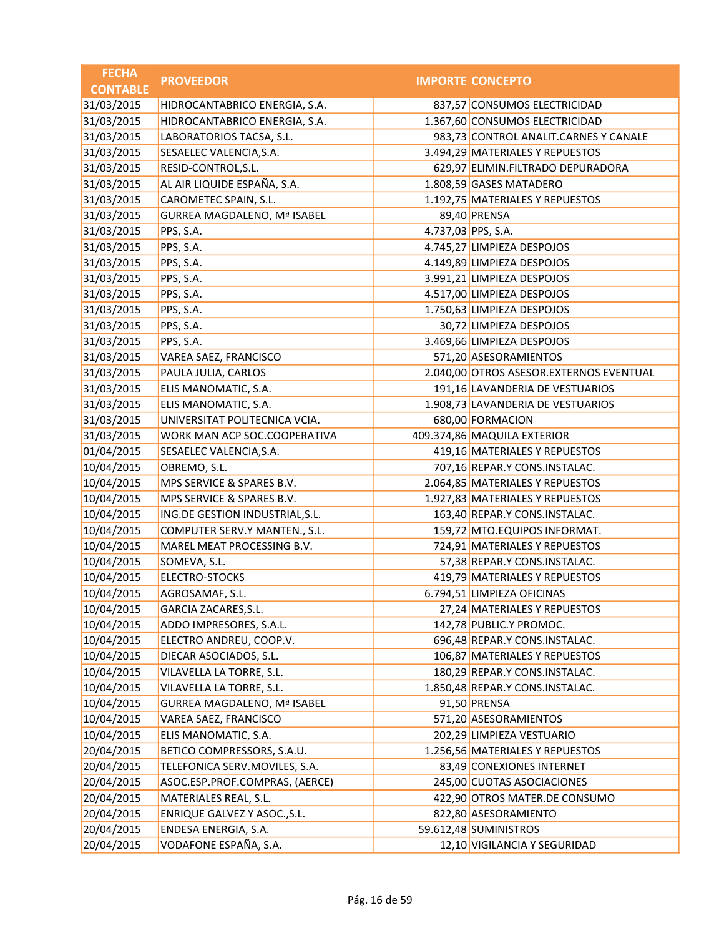| <b>FECHA</b>    | <b>PROVEEDOR</b>                   |                    | <b>IMPORTE CONCEPTO</b>                 |
|-----------------|------------------------------------|--------------------|-----------------------------------------|
| <b>CONTABLE</b> |                                    |                    |                                         |
| 31/03/2015      | HIDROCANTABRICO ENERGIA, S.A.      |                    | 837,57 CONSUMOS ELECTRICIDAD            |
| 31/03/2015      | HIDROCANTABRICO ENERGIA, S.A.      |                    | 1.367,60 CONSUMOS ELECTRICIDAD          |
| 31/03/2015      | LABORATORIOS TACSA, S.L.           |                    | 983,73 CONTROL ANALIT.CARNES Y CANALE   |
| 31/03/2015      | SESAELEC VALENCIA, S.A.            |                    | 3.494,29 MATERIALES Y REPUESTOS         |
| 31/03/2015      | RESID-CONTROL, S.L.                |                    | 629,97 ELIMIN.FILTRADO DEPURADORA       |
| 31/03/2015      | AL AIR LIQUIDE ESPAÑA, S.A.        |                    | 1.808,59 GASES MATADERO                 |
| 31/03/2015      | CAROMETEC SPAIN, S.L.              |                    | 1.192,75 MATERIALES Y REPUESTOS         |
| 31/03/2015      | <b>GURREA MAGDALENO, Mª ISABEL</b> |                    | 89,40 PRENSA                            |
| 31/03/2015      | PPS, S.A.                          | 4.737,03 PPS, S.A. |                                         |
| 31/03/2015      | PPS, S.A.                          |                    | 4.745,27 LIMPIEZA DESPOJOS              |
| 31/03/2015      | PPS, S.A.                          |                    | 4.149,89 LIMPIEZA DESPOJOS              |
| 31/03/2015      | PPS, S.A.                          |                    | 3.991,21 LIMPIEZA DESPOJOS              |
| 31/03/2015      | PPS, S.A.                          |                    | 4.517,00 LIMPIEZA DESPOJOS              |
| 31/03/2015      | PPS, S.A.                          |                    | 1.750,63 LIMPIEZA DESPOJOS              |
| 31/03/2015      | PPS, S.A.                          |                    | 30,72 LIMPIEZA DESPOJOS                 |
| 31/03/2015      | PPS, S.A.                          |                    | 3.469,66 LIMPIEZA DESPOJOS              |
| 31/03/2015      | VAREA SAEZ, FRANCISCO              |                    | 571,20 ASESORAMIENTOS                   |
| 31/03/2015      | PAULA JULIA, CARLOS                |                    | 2.040,00 OTROS ASESOR.EXTERNOS EVENTUAL |
| 31/03/2015      | ELIS MANOMATIC, S.A.               |                    | 191,16 LAVANDERIA DE VESTUARIOS         |
| 31/03/2015      | ELIS MANOMATIC, S.A.               |                    | 1.908,73 LAVANDERIA DE VESTUARIOS       |
| 31/03/2015      | UNIVERSITAT POLITECNICA VCIA.      |                    | 680,00 FORMACION                        |
| 31/03/2015      | WORK MAN ACP SOC.COOPERATIVA       |                    | 409.374,86 MAQUILA EXTERIOR             |
| 01/04/2015      | SESAELEC VALENCIA, S.A.            |                    | 419,16 MATERIALES Y REPUESTOS           |
| 10/04/2015      | OBREMO, S.L.                       |                    | 707,16 REPAR.Y CONS.INSTALAC.           |
| 10/04/2015      | MPS SERVICE & SPARES B.V.          |                    | 2.064,85 MATERIALES Y REPUESTOS         |
| 10/04/2015      | MPS SERVICE & SPARES B.V.          |                    | 1.927,83 MATERIALES Y REPUESTOS         |
| 10/04/2015      | ING.DE GESTION INDUSTRIAL, S.L.    |                    | 163,40 REPAR.Y CONS.INSTALAC.           |
| 10/04/2015      | COMPUTER SERV.Y MANTEN., S.L.      |                    | 159,72 MTO.EQUIPOS INFORMAT.            |
| 10/04/2015      | MAREL MEAT PROCESSING B.V.         |                    | 724,91 MATERIALES Y REPUESTOS           |
| 10/04/2015      | SOMEVA, S.L.                       |                    | 57,38 REPAR.Y CONS.INSTALAC.            |
| 10/04/2015      | <b>ELECTRO-STOCKS</b>              |                    | 419,79 MATERIALES Y REPUESTOS           |
| 10/04/2015      | AGROSAMAF, S.L.                    |                    | 6.794,51 LIMPIEZA OFICINAS              |
| 10/04/2015      | GARCIA ZACARES, S.L.               |                    | 27,24 MATERIALES Y REPUESTOS            |
| 10/04/2015      | ADDO IMPRESORES, S.A.L.            |                    | 142,78 PUBLIC.Y PROMOC.                 |
| 10/04/2015      | ELECTRO ANDREU, COOP.V.            |                    | 696,48 REPAR.Y CONS.INSTALAC.           |
| 10/04/2015      | DIECAR ASOCIADOS, S.L.             |                    | 106,87 MATERIALES Y REPUESTOS           |
| 10/04/2015      | VILAVELLA LA TORRE, S.L.           |                    | 180,29 REPAR.Y CONS.INSTALAC.           |
| 10/04/2015      | VILAVELLA LA TORRE, S.L.           |                    | 1.850,48 REPAR.Y CONS.INSTALAC.         |
| 10/04/2015      | <b>GURREA MAGDALENO, Mª ISABEL</b> |                    | 91,50 PRENSA                            |
| 10/04/2015      | VAREA SAEZ, FRANCISCO              |                    | 571,20 ASESORAMIENTOS                   |
| 10/04/2015      | ELIS MANOMATIC, S.A.               |                    | 202,29 LIMPIEZA VESTUARIO               |
| 20/04/2015      | BETICO COMPRESSORS, S.A.U.         |                    | 1.256,56 MATERIALES Y REPUESTOS         |
| 20/04/2015      | TELEFONICA SERV.MOVILES, S.A.      |                    | 83,49 CONEXIONES INTERNET               |
| 20/04/2015      | ASOC.ESP.PROF.COMPRAS, (AERCE)     |                    | 245,00 CUOTAS ASOCIACIONES              |
| 20/04/2015      | MATERIALES REAL, S.L.              |                    | 422,90 OTROS MATER.DE CONSUMO           |
| 20/04/2015      | ENRIQUE GALVEZ Y ASOC., S.L.       |                    | 822,80 ASESORAMIENTO                    |
| 20/04/2015      | ENDESA ENERGIA, S.A.               |                    | 59.612,48 SUMINISTROS                   |
| 20/04/2015      | VODAFONE ESPAÑA, S.A.              |                    | 12,10 VIGILANCIA Y SEGURIDAD            |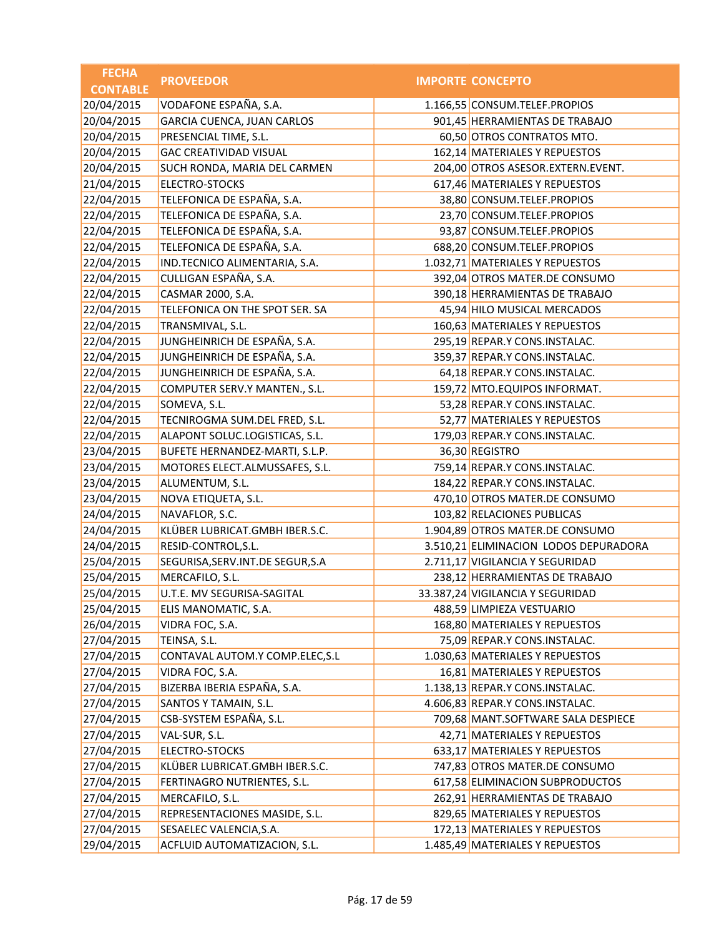| <b>IMPORTE CONCEPTO</b><br><b>CONTABLE</b><br>VODAFONE ESPAÑA, S.A.<br>1.166,55 CONSUM.TELEF.PROPIOS<br>20/04/2015<br><b>GARCIA CUENCA, JUAN CARLOS</b><br>901,45 HERRAMIENTAS DE TRABAJO<br>20/04/2015<br>PRESENCIAL TIME, S.L.<br>60,50 OTROS CONTRATOS MTO.<br>20/04/2015<br>162,14 MATERIALES Y REPUESTOS<br><b>GAC CREATIVIDAD VISUAL</b><br>204,00 OTROS ASESOR.EXTERN.EVENT.<br>SUCH RONDA, MARIA DEL CARMEN<br>21/04/2015<br><b>ELECTRO-STOCKS</b><br>617,46 MATERIALES Y REPUESTOS<br>TELEFONICA DE ESPAÑA, S.A.<br>22/04/2015<br>38,80 CONSUM.TELEF.PROPIOS<br>TELEFONICA DE ESPAÑA, S.A.<br>23,70 CONSUM.TELEF.PROPIOS<br>TELEFONICA DE ESPAÑA, S.A.<br>93,87 CONSUM.TELEF.PROPIOS<br>TELEFONICA DE ESPAÑA, S.A.<br>688,20 CONSUM.TELEF.PROPIOS<br>IND.TECNICO ALIMENTARIA, S.A.<br>1.032,71 MATERIALES Y REPUESTOS<br>CULLIGAN ESPAÑA, S.A.<br>22/04/2015<br>392,04 OTROS MATER.DE CONSUMO<br>CASMAR 2000, S.A.<br>390,18 HERRAMIENTAS DE TRABAJO<br>TELEFONICA ON THE SPOT SER. SA<br>45,94 HILO MUSICAL MERCADOS<br>TRANSMIVAL, S.L.<br>160,63 MATERIALES Y REPUESTOS<br>JUNGHEINRICH DE ESPAÑA, S.A.<br>295,19 REPAR.Y CONS.INSTALAC.<br>JUNGHEINRICH DE ESPAÑA, S.A.<br>359,37 REPAR.Y CONS.INSTALAC.<br>JUNGHEINRICH DE ESPAÑA, S.A.<br>64,18 REPAR.Y CONS.INSTALAC.<br>COMPUTER SERV.Y MANTEN., S.L.<br>159,72 MTO.EQUIPOS INFORMAT.<br>SOMEVA, S.L.<br>53,28 REPAR.Y CONS.INSTALAC.<br>22/04/2015<br>52,77 MATERIALES Y REPUESTOS<br>TECNIROGMA SUM.DEL FRED, S.L.<br>ALAPONT SOLUC.LOGISTICAS, S.L.<br>179,03 REPAR.Y CONS.INSTALAC.<br>BUFETE HERNANDEZ-MARTI, S.L.P.<br>36,30 REGISTRO<br>759,14 REPAR.Y CONS.INSTALAC.<br>MOTORES ELECT.ALMUSSAFES, S.L.<br>184,22 REPAR.Y CONS.INSTALAC.<br>ALUMENTUM, S.L.<br>470,10 OTROS MATER.DE CONSUMO<br>NOVA ETIQUETA, S.L.<br>NAVAFLOR, S.C.<br>103,82 RELACIONES PUBLICAS<br>KLÜBER LUBRICAT.GMBH IBER.S.C.<br>1.904,89 OTROS MATER.DE CONSUMO<br>3.510,21 ELIMINACION LODOS DEPURADORA<br>RESID-CONTROL, S.L.<br>SEGURISA, SERV. INT. DE SEGUR, S.A<br>2.711,17 VIGILANCIA Y SEGURIDAD<br>MERCAFILO, S.L.<br>238,12 HERRAMIENTAS DE TRABAJO<br>25/04/2015<br>U.T.E. MV SEGURISA-SAGITAL<br>33.387,24 VIGILANCIA Y SEGURIDAD<br>ELIS MANOMATIC, S.A.<br>488,59 LIMPIEZA VESTUARIO<br>VIDRA FOC, S.A.<br>168,80 MATERIALES Y REPUESTOS<br>75,09 REPAR.Y CONS.INSTALAC.<br>TEINSA, S.L.<br>1.030,63 MATERIALES Y REPUESTOS<br>CONTAVAL AUTOM.Y COMP.ELEC, S.L<br>VIDRA FOC, S.A.<br>16,81 MATERIALES Y REPUESTOS<br>BIZERBA IBERIA ESPAÑA, S.A.<br>1.138,13 REPAR.Y CONS.INSTALAC.<br>27/04/2015<br>SANTOS Y TAMAIN, S.L.<br>4.606,83 REPAR.Y CONS.INSTALAC.<br>CSB-SYSTEM ESPAÑA, S.L.<br>709,68 MANT.SOFTWARE SALA DESPIECE<br>VAL-SUR, S.L.<br>42,71 MATERIALES Y REPUESTOS<br>ELECTRO-STOCKS<br>633,17 MATERIALES Y REPUESTOS<br>KLÜBER LUBRICAT.GMBH IBER.S.C.<br>747,83 OTROS MATER.DE CONSUMO<br>27/04/2015<br>FERTINAGRO NUTRIENTES, S.L.<br>617,58 ELIMINACION SUBPRODUCTOS<br>262,91 HERRAMIENTAS DE TRABAJO<br>MERCAFILO, S.L.<br>REPRESENTACIONES MASIDE, S.L.<br>829,65 MATERIALES Y REPUESTOS<br>SESAELEC VALENCIA, S.A.<br>172,13 MATERIALES Y REPUESTOS<br>ACFLUID AUTOMATIZACION, S.L.<br>1.485,49 MATERIALES Y REPUESTOS | <b>FECHA</b> | <b>PROVEEDOR</b> |  |
|------------------------------------------------------------------------------------------------------------------------------------------------------------------------------------------------------------------------------------------------------------------------------------------------------------------------------------------------------------------------------------------------------------------------------------------------------------------------------------------------------------------------------------------------------------------------------------------------------------------------------------------------------------------------------------------------------------------------------------------------------------------------------------------------------------------------------------------------------------------------------------------------------------------------------------------------------------------------------------------------------------------------------------------------------------------------------------------------------------------------------------------------------------------------------------------------------------------------------------------------------------------------------------------------------------------------------------------------------------------------------------------------------------------------------------------------------------------------------------------------------------------------------------------------------------------------------------------------------------------------------------------------------------------------------------------------------------------------------------------------------------------------------------------------------------------------------------------------------------------------------------------------------------------------------------------------------------------------------------------------------------------------------------------------------------------------------------------------------------------------------------------------------------------------------------------------------------------------------------------------------------------------------------------------------------------------------------------------------------------------------------------------------------------------------------------------------------------------------------------------------------------------------------------------------------------------------------------------------------------------------------------------------------------------------------------------------------------------------------------------------------------------------------------------------------------------------------------------------------------------------------------------------------------------------------------------------------------------------------------------------------------------------------------------------------------------------------------------------------------------------------------------------------------------------------------------------------|--------------|------------------|--|
|                                                                                                                                                                                                                                                                                                                                                                                                                                                                                                                                                                                                                                                                                                                                                                                                                                                                                                                                                                                                                                                                                                                                                                                                                                                                                                                                                                                                                                                                                                                                                                                                                                                                                                                                                                                                                                                                                                                                                                                                                                                                                                                                                                                                                                                                                                                                                                                                                                                                                                                                                                                                                                                                                                                                                                                                                                                                                                                                                                                                                                                                                                                                                                                                            |              |                  |  |
|                                                                                                                                                                                                                                                                                                                                                                                                                                                                                                                                                                                                                                                                                                                                                                                                                                                                                                                                                                                                                                                                                                                                                                                                                                                                                                                                                                                                                                                                                                                                                                                                                                                                                                                                                                                                                                                                                                                                                                                                                                                                                                                                                                                                                                                                                                                                                                                                                                                                                                                                                                                                                                                                                                                                                                                                                                                                                                                                                                                                                                                                                                                                                                                                            |              |                  |  |
|                                                                                                                                                                                                                                                                                                                                                                                                                                                                                                                                                                                                                                                                                                                                                                                                                                                                                                                                                                                                                                                                                                                                                                                                                                                                                                                                                                                                                                                                                                                                                                                                                                                                                                                                                                                                                                                                                                                                                                                                                                                                                                                                                                                                                                                                                                                                                                                                                                                                                                                                                                                                                                                                                                                                                                                                                                                                                                                                                                                                                                                                                                                                                                                                            | 20/04/2015   |                  |  |
|                                                                                                                                                                                                                                                                                                                                                                                                                                                                                                                                                                                                                                                                                                                                                                                                                                                                                                                                                                                                                                                                                                                                                                                                                                                                                                                                                                                                                                                                                                                                                                                                                                                                                                                                                                                                                                                                                                                                                                                                                                                                                                                                                                                                                                                                                                                                                                                                                                                                                                                                                                                                                                                                                                                                                                                                                                                                                                                                                                                                                                                                                                                                                                                                            |              |                  |  |
|                                                                                                                                                                                                                                                                                                                                                                                                                                                                                                                                                                                                                                                                                                                                                                                                                                                                                                                                                                                                                                                                                                                                                                                                                                                                                                                                                                                                                                                                                                                                                                                                                                                                                                                                                                                                                                                                                                                                                                                                                                                                                                                                                                                                                                                                                                                                                                                                                                                                                                                                                                                                                                                                                                                                                                                                                                                                                                                                                                                                                                                                                                                                                                                                            |              |                  |  |
|                                                                                                                                                                                                                                                                                                                                                                                                                                                                                                                                                                                                                                                                                                                                                                                                                                                                                                                                                                                                                                                                                                                                                                                                                                                                                                                                                                                                                                                                                                                                                                                                                                                                                                                                                                                                                                                                                                                                                                                                                                                                                                                                                                                                                                                                                                                                                                                                                                                                                                                                                                                                                                                                                                                                                                                                                                                                                                                                                                                                                                                                                                                                                                                                            | 20/04/2015   |                  |  |
|                                                                                                                                                                                                                                                                                                                                                                                                                                                                                                                                                                                                                                                                                                                                                                                                                                                                                                                                                                                                                                                                                                                                                                                                                                                                                                                                                                                                                                                                                                                                                                                                                                                                                                                                                                                                                                                                                                                                                                                                                                                                                                                                                                                                                                                                                                                                                                                                                                                                                                                                                                                                                                                                                                                                                                                                                                                                                                                                                                                                                                                                                                                                                                                                            |              |                  |  |
|                                                                                                                                                                                                                                                                                                                                                                                                                                                                                                                                                                                                                                                                                                                                                                                                                                                                                                                                                                                                                                                                                                                                                                                                                                                                                                                                                                                                                                                                                                                                                                                                                                                                                                                                                                                                                                                                                                                                                                                                                                                                                                                                                                                                                                                                                                                                                                                                                                                                                                                                                                                                                                                                                                                                                                                                                                                                                                                                                                                                                                                                                                                                                                                                            |              |                  |  |
|                                                                                                                                                                                                                                                                                                                                                                                                                                                                                                                                                                                                                                                                                                                                                                                                                                                                                                                                                                                                                                                                                                                                                                                                                                                                                                                                                                                                                                                                                                                                                                                                                                                                                                                                                                                                                                                                                                                                                                                                                                                                                                                                                                                                                                                                                                                                                                                                                                                                                                                                                                                                                                                                                                                                                                                                                                                                                                                                                                                                                                                                                                                                                                                                            | 22/04/2015   |                  |  |
|                                                                                                                                                                                                                                                                                                                                                                                                                                                                                                                                                                                                                                                                                                                                                                                                                                                                                                                                                                                                                                                                                                                                                                                                                                                                                                                                                                                                                                                                                                                                                                                                                                                                                                                                                                                                                                                                                                                                                                                                                                                                                                                                                                                                                                                                                                                                                                                                                                                                                                                                                                                                                                                                                                                                                                                                                                                                                                                                                                                                                                                                                                                                                                                                            | 22/04/2015   |                  |  |
|                                                                                                                                                                                                                                                                                                                                                                                                                                                                                                                                                                                                                                                                                                                                                                                                                                                                                                                                                                                                                                                                                                                                                                                                                                                                                                                                                                                                                                                                                                                                                                                                                                                                                                                                                                                                                                                                                                                                                                                                                                                                                                                                                                                                                                                                                                                                                                                                                                                                                                                                                                                                                                                                                                                                                                                                                                                                                                                                                                                                                                                                                                                                                                                                            | 22/04/2015   |                  |  |
|                                                                                                                                                                                                                                                                                                                                                                                                                                                                                                                                                                                                                                                                                                                                                                                                                                                                                                                                                                                                                                                                                                                                                                                                                                                                                                                                                                                                                                                                                                                                                                                                                                                                                                                                                                                                                                                                                                                                                                                                                                                                                                                                                                                                                                                                                                                                                                                                                                                                                                                                                                                                                                                                                                                                                                                                                                                                                                                                                                                                                                                                                                                                                                                                            | 22/04/2015   |                  |  |
|                                                                                                                                                                                                                                                                                                                                                                                                                                                                                                                                                                                                                                                                                                                                                                                                                                                                                                                                                                                                                                                                                                                                                                                                                                                                                                                                                                                                                                                                                                                                                                                                                                                                                                                                                                                                                                                                                                                                                                                                                                                                                                                                                                                                                                                                                                                                                                                                                                                                                                                                                                                                                                                                                                                                                                                                                                                                                                                                                                                                                                                                                                                                                                                                            |              |                  |  |
|                                                                                                                                                                                                                                                                                                                                                                                                                                                                                                                                                                                                                                                                                                                                                                                                                                                                                                                                                                                                                                                                                                                                                                                                                                                                                                                                                                                                                                                                                                                                                                                                                                                                                                                                                                                                                                                                                                                                                                                                                                                                                                                                                                                                                                                                                                                                                                                                                                                                                                                                                                                                                                                                                                                                                                                                                                                                                                                                                                                                                                                                                                                                                                                                            | 22/04/2015   |                  |  |
|                                                                                                                                                                                                                                                                                                                                                                                                                                                                                                                                                                                                                                                                                                                                                                                                                                                                                                                                                                                                                                                                                                                                                                                                                                                                                                                                                                                                                                                                                                                                                                                                                                                                                                                                                                                                                                                                                                                                                                                                                                                                                                                                                                                                                                                                                                                                                                                                                                                                                                                                                                                                                                                                                                                                                                                                                                                                                                                                                                                                                                                                                                                                                                                                            | 22/04/2015   |                  |  |
|                                                                                                                                                                                                                                                                                                                                                                                                                                                                                                                                                                                                                                                                                                                                                                                                                                                                                                                                                                                                                                                                                                                                                                                                                                                                                                                                                                                                                                                                                                                                                                                                                                                                                                                                                                                                                                                                                                                                                                                                                                                                                                                                                                                                                                                                                                                                                                                                                                                                                                                                                                                                                                                                                                                                                                                                                                                                                                                                                                                                                                                                                                                                                                                                            | 22/04/2015   |                  |  |
|                                                                                                                                                                                                                                                                                                                                                                                                                                                                                                                                                                                                                                                                                                                                                                                                                                                                                                                                                                                                                                                                                                                                                                                                                                                                                                                                                                                                                                                                                                                                                                                                                                                                                                                                                                                                                                                                                                                                                                                                                                                                                                                                                                                                                                                                                                                                                                                                                                                                                                                                                                                                                                                                                                                                                                                                                                                                                                                                                                                                                                                                                                                                                                                                            | 22/04/2015   |                  |  |
|                                                                                                                                                                                                                                                                                                                                                                                                                                                                                                                                                                                                                                                                                                                                                                                                                                                                                                                                                                                                                                                                                                                                                                                                                                                                                                                                                                                                                                                                                                                                                                                                                                                                                                                                                                                                                                                                                                                                                                                                                                                                                                                                                                                                                                                                                                                                                                                                                                                                                                                                                                                                                                                                                                                                                                                                                                                                                                                                                                                                                                                                                                                                                                                                            | 22/04/2015   |                  |  |
|                                                                                                                                                                                                                                                                                                                                                                                                                                                                                                                                                                                                                                                                                                                                                                                                                                                                                                                                                                                                                                                                                                                                                                                                                                                                                                                                                                                                                                                                                                                                                                                                                                                                                                                                                                                                                                                                                                                                                                                                                                                                                                                                                                                                                                                                                                                                                                                                                                                                                                                                                                                                                                                                                                                                                                                                                                                                                                                                                                                                                                                                                                                                                                                                            | 22/04/2015   |                  |  |
|                                                                                                                                                                                                                                                                                                                                                                                                                                                                                                                                                                                                                                                                                                                                                                                                                                                                                                                                                                                                                                                                                                                                                                                                                                                                                                                                                                                                                                                                                                                                                                                                                                                                                                                                                                                                                                                                                                                                                                                                                                                                                                                                                                                                                                                                                                                                                                                                                                                                                                                                                                                                                                                                                                                                                                                                                                                                                                                                                                                                                                                                                                                                                                                                            | 22/04/2015   |                  |  |
|                                                                                                                                                                                                                                                                                                                                                                                                                                                                                                                                                                                                                                                                                                                                                                                                                                                                                                                                                                                                                                                                                                                                                                                                                                                                                                                                                                                                                                                                                                                                                                                                                                                                                                                                                                                                                                                                                                                                                                                                                                                                                                                                                                                                                                                                                                                                                                                                                                                                                                                                                                                                                                                                                                                                                                                                                                                                                                                                                                                                                                                                                                                                                                                                            | 22/04/2015   |                  |  |
|                                                                                                                                                                                                                                                                                                                                                                                                                                                                                                                                                                                                                                                                                                                                                                                                                                                                                                                                                                                                                                                                                                                                                                                                                                                                                                                                                                                                                                                                                                                                                                                                                                                                                                                                                                                                                                                                                                                                                                                                                                                                                                                                                                                                                                                                                                                                                                                                                                                                                                                                                                                                                                                                                                                                                                                                                                                                                                                                                                                                                                                                                                                                                                                                            |              |                  |  |
|                                                                                                                                                                                                                                                                                                                                                                                                                                                                                                                                                                                                                                                                                                                                                                                                                                                                                                                                                                                                                                                                                                                                                                                                                                                                                                                                                                                                                                                                                                                                                                                                                                                                                                                                                                                                                                                                                                                                                                                                                                                                                                                                                                                                                                                                                                                                                                                                                                                                                                                                                                                                                                                                                                                                                                                                                                                                                                                                                                                                                                                                                                                                                                                                            | 22/04/2015   |                  |  |
|                                                                                                                                                                                                                                                                                                                                                                                                                                                                                                                                                                                                                                                                                                                                                                                                                                                                                                                                                                                                                                                                                                                                                                                                                                                                                                                                                                                                                                                                                                                                                                                                                                                                                                                                                                                                                                                                                                                                                                                                                                                                                                                                                                                                                                                                                                                                                                                                                                                                                                                                                                                                                                                                                                                                                                                                                                                                                                                                                                                                                                                                                                                                                                                                            | 23/04/2015   |                  |  |
|                                                                                                                                                                                                                                                                                                                                                                                                                                                                                                                                                                                                                                                                                                                                                                                                                                                                                                                                                                                                                                                                                                                                                                                                                                                                                                                                                                                                                                                                                                                                                                                                                                                                                                                                                                                                                                                                                                                                                                                                                                                                                                                                                                                                                                                                                                                                                                                                                                                                                                                                                                                                                                                                                                                                                                                                                                                                                                                                                                                                                                                                                                                                                                                                            | 23/04/2015   |                  |  |
|                                                                                                                                                                                                                                                                                                                                                                                                                                                                                                                                                                                                                                                                                                                                                                                                                                                                                                                                                                                                                                                                                                                                                                                                                                                                                                                                                                                                                                                                                                                                                                                                                                                                                                                                                                                                                                                                                                                                                                                                                                                                                                                                                                                                                                                                                                                                                                                                                                                                                                                                                                                                                                                                                                                                                                                                                                                                                                                                                                                                                                                                                                                                                                                                            | 23/04/2015   |                  |  |
|                                                                                                                                                                                                                                                                                                                                                                                                                                                                                                                                                                                                                                                                                                                                                                                                                                                                                                                                                                                                                                                                                                                                                                                                                                                                                                                                                                                                                                                                                                                                                                                                                                                                                                                                                                                                                                                                                                                                                                                                                                                                                                                                                                                                                                                                                                                                                                                                                                                                                                                                                                                                                                                                                                                                                                                                                                                                                                                                                                                                                                                                                                                                                                                                            | 23/04/2015   |                  |  |
|                                                                                                                                                                                                                                                                                                                                                                                                                                                                                                                                                                                                                                                                                                                                                                                                                                                                                                                                                                                                                                                                                                                                                                                                                                                                                                                                                                                                                                                                                                                                                                                                                                                                                                                                                                                                                                                                                                                                                                                                                                                                                                                                                                                                                                                                                                                                                                                                                                                                                                                                                                                                                                                                                                                                                                                                                                                                                                                                                                                                                                                                                                                                                                                                            | 24/04/2015   |                  |  |
|                                                                                                                                                                                                                                                                                                                                                                                                                                                                                                                                                                                                                                                                                                                                                                                                                                                                                                                                                                                                                                                                                                                                                                                                                                                                                                                                                                                                                                                                                                                                                                                                                                                                                                                                                                                                                                                                                                                                                                                                                                                                                                                                                                                                                                                                                                                                                                                                                                                                                                                                                                                                                                                                                                                                                                                                                                                                                                                                                                                                                                                                                                                                                                                                            | 24/04/2015   |                  |  |
|                                                                                                                                                                                                                                                                                                                                                                                                                                                                                                                                                                                                                                                                                                                                                                                                                                                                                                                                                                                                                                                                                                                                                                                                                                                                                                                                                                                                                                                                                                                                                                                                                                                                                                                                                                                                                                                                                                                                                                                                                                                                                                                                                                                                                                                                                                                                                                                                                                                                                                                                                                                                                                                                                                                                                                                                                                                                                                                                                                                                                                                                                                                                                                                                            | 24/04/2015   |                  |  |
|                                                                                                                                                                                                                                                                                                                                                                                                                                                                                                                                                                                                                                                                                                                                                                                                                                                                                                                                                                                                                                                                                                                                                                                                                                                                                                                                                                                                                                                                                                                                                                                                                                                                                                                                                                                                                                                                                                                                                                                                                                                                                                                                                                                                                                                                                                                                                                                                                                                                                                                                                                                                                                                                                                                                                                                                                                                                                                                                                                                                                                                                                                                                                                                                            | 25/04/2015   |                  |  |
|                                                                                                                                                                                                                                                                                                                                                                                                                                                                                                                                                                                                                                                                                                                                                                                                                                                                                                                                                                                                                                                                                                                                                                                                                                                                                                                                                                                                                                                                                                                                                                                                                                                                                                                                                                                                                                                                                                                                                                                                                                                                                                                                                                                                                                                                                                                                                                                                                                                                                                                                                                                                                                                                                                                                                                                                                                                                                                                                                                                                                                                                                                                                                                                                            | 25/04/2015   |                  |  |
|                                                                                                                                                                                                                                                                                                                                                                                                                                                                                                                                                                                                                                                                                                                                                                                                                                                                                                                                                                                                                                                                                                                                                                                                                                                                                                                                                                                                                                                                                                                                                                                                                                                                                                                                                                                                                                                                                                                                                                                                                                                                                                                                                                                                                                                                                                                                                                                                                                                                                                                                                                                                                                                                                                                                                                                                                                                                                                                                                                                                                                                                                                                                                                                                            |              |                  |  |
|                                                                                                                                                                                                                                                                                                                                                                                                                                                                                                                                                                                                                                                                                                                                                                                                                                                                                                                                                                                                                                                                                                                                                                                                                                                                                                                                                                                                                                                                                                                                                                                                                                                                                                                                                                                                                                                                                                                                                                                                                                                                                                                                                                                                                                                                                                                                                                                                                                                                                                                                                                                                                                                                                                                                                                                                                                                                                                                                                                                                                                                                                                                                                                                                            | 25/04/2015   |                  |  |
|                                                                                                                                                                                                                                                                                                                                                                                                                                                                                                                                                                                                                                                                                                                                                                                                                                                                                                                                                                                                                                                                                                                                                                                                                                                                                                                                                                                                                                                                                                                                                                                                                                                                                                                                                                                                                                                                                                                                                                                                                                                                                                                                                                                                                                                                                                                                                                                                                                                                                                                                                                                                                                                                                                                                                                                                                                                                                                                                                                                                                                                                                                                                                                                                            | 26/04/2015   |                  |  |
|                                                                                                                                                                                                                                                                                                                                                                                                                                                                                                                                                                                                                                                                                                                                                                                                                                                                                                                                                                                                                                                                                                                                                                                                                                                                                                                                                                                                                                                                                                                                                                                                                                                                                                                                                                                                                                                                                                                                                                                                                                                                                                                                                                                                                                                                                                                                                                                                                                                                                                                                                                                                                                                                                                                                                                                                                                                                                                                                                                                                                                                                                                                                                                                                            | 27/04/2015   |                  |  |
|                                                                                                                                                                                                                                                                                                                                                                                                                                                                                                                                                                                                                                                                                                                                                                                                                                                                                                                                                                                                                                                                                                                                                                                                                                                                                                                                                                                                                                                                                                                                                                                                                                                                                                                                                                                                                                                                                                                                                                                                                                                                                                                                                                                                                                                                                                                                                                                                                                                                                                                                                                                                                                                                                                                                                                                                                                                                                                                                                                                                                                                                                                                                                                                                            | 27/04/2015   |                  |  |
|                                                                                                                                                                                                                                                                                                                                                                                                                                                                                                                                                                                                                                                                                                                                                                                                                                                                                                                                                                                                                                                                                                                                                                                                                                                                                                                                                                                                                                                                                                                                                                                                                                                                                                                                                                                                                                                                                                                                                                                                                                                                                                                                                                                                                                                                                                                                                                                                                                                                                                                                                                                                                                                                                                                                                                                                                                                                                                                                                                                                                                                                                                                                                                                                            | 27/04/2015   |                  |  |
|                                                                                                                                                                                                                                                                                                                                                                                                                                                                                                                                                                                                                                                                                                                                                                                                                                                                                                                                                                                                                                                                                                                                                                                                                                                                                                                                                                                                                                                                                                                                                                                                                                                                                                                                                                                                                                                                                                                                                                                                                                                                                                                                                                                                                                                                                                                                                                                                                                                                                                                                                                                                                                                                                                                                                                                                                                                                                                                                                                                                                                                                                                                                                                                                            | 27/04/2015   |                  |  |
|                                                                                                                                                                                                                                                                                                                                                                                                                                                                                                                                                                                                                                                                                                                                                                                                                                                                                                                                                                                                                                                                                                                                                                                                                                                                                                                                                                                                                                                                                                                                                                                                                                                                                                                                                                                                                                                                                                                                                                                                                                                                                                                                                                                                                                                                                                                                                                                                                                                                                                                                                                                                                                                                                                                                                                                                                                                                                                                                                                                                                                                                                                                                                                                                            |              |                  |  |
|                                                                                                                                                                                                                                                                                                                                                                                                                                                                                                                                                                                                                                                                                                                                                                                                                                                                                                                                                                                                                                                                                                                                                                                                                                                                                                                                                                                                                                                                                                                                                                                                                                                                                                                                                                                                                                                                                                                                                                                                                                                                                                                                                                                                                                                                                                                                                                                                                                                                                                                                                                                                                                                                                                                                                                                                                                                                                                                                                                                                                                                                                                                                                                                                            | 27/04/2015   |                  |  |
|                                                                                                                                                                                                                                                                                                                                                                                                                                                                                                                                                                                                                                                                                                                                                                                                                                                                                                                                                                                                                                                                                                                                                                                                                                                                                                                                                                                                                                                                                                                                                                                                                                                                                                                                                                                                                                                                                                                                                                                                                                                                                                                                                                                                                                                                                                                                                                                                                                                                                                                                                                                                                                                                                                                                                                                                                                                                                                                                                                                                                                                                                                                                                                                                            | 27/04/2015   |                  |  |
|                                                                                                                                                                                                                                                                                                                                                                                                                                                                                                                                                                                                                                                                                                                                                                                                                                                                                                                                                                                                                                                                                                                                                                                                                                                                                                                                                                                                                                                                                                                                                                                                                                                                                                                                                                                                                                                                                                                                                                                                                                                                                                                                                                                                                                                                                                                                                                                                                                                                                                                                                                                                                                                                                                                                                                                                                                                                                                                                                                                                                                                                                                                                                                                                            | 27/04/2015   |                  |  |
|                                                                                                                                                                                                                                                                                                                                                                                                                                                                                                                                                                                                                                                                                                                                                                                                                                                                                                                                                                                                                                                                                                                                                                                                                                                                                                                                                                                                                                                                                                                                                                                                                                                                                                                                                                                                                                                                                                                                                                                                                                                                                                                                                                                                                                                                                                                                                                                                                                                                                                                                                                                                                                                                                                                                                                                                                                                                                                                                                                                                                                                                                                                                                                                                            | 27/04/2015   |                  |  |
|                                                                                                                                                                                                                                                                                                                                                                                                                                                                                                                                                                                                                                                                                                                                                                                                                                                                                                                                                                                                                                                                                                                                                                                                                                                                                                                                                                                                                                                                                                                                                                                                                                                                                                                                                                                                                                                                                                                                                                                                                                                                                                                                                                                                                                                                                                                                                                                                                                                                                                                                                                                                                                                                                                                                                                                                                                                                                                                                                                                                                                                                                                                                                                                                            |              |                  |  |
|                                                                                                                                                                                                                                                                                                                                                                                                                                                                                                                                                                                                                                                                                                                                                                                                                                                                                                                                                                                                                                                                                                                                                                                                                                                                                                                                                                                                                                                                                                                                                                                                                                                                                                                                                                                                                                                                                                                                                                                                                                                                                                                                                                                                                                                                                                                                                                                                                                                                                                                                                                                                                                                                                                                                                                                                                                                                                                                                                                                                                                                                                                                                                                                                            | 27/04/2015   |                  |  |
|                                                                                                                                                                                                                                                                                                                                                                                                                                                                                                                                                                                                                                                                                                                                                                                                                                                                                                                                                                                                                                                                                                                                                                                                                                                                                                                                                                                                                                                                                                                                                                                                                                                                                                                                                                                                                                                                                                                                                                                                                                                                                                                                                                                                                                                                                                                                                                                                                                                                                                                                                                                                                                                                                                                                                                                                                                                                                                                                                                                                                                                                                                                                                                                                            | 27/04/2015   |                  |  |
|                                                                                                                                                                                                                                                                                                                                                                                                                                                                                                                                                                                                                                                                                                                                                                                                                                                                                                                                                                                                                                                                                                                                                                                                                                                                                                                                                                                                                                                                                                                                                                                                                                                                                                                                                                                                                                                                                                                                                                                                                                                                                                                                                                                                                                                                                                                                                                                                                                                                                                                                                                                                                                                                                                                                                                                                                                                                                                                                                                                                                                                                                                                                                                                                            | 27/04/2015   |                  |  |
|                                                                                                                                                                                                                                                                                                                                                                                                                                                                                                                                                                                                                                                                                                                                                                                                                                                                                                                                                                                                                                                                                                                                                                                                                                                                                                                                                                                                                                                                                                                                                                                                                                                                                                                                                                                                                                                                                                                                                                                                                                                                                                                                                                                                                                                                                                                                                                                                                                                                                                                                                                                                                                                                                                                                                                                                                                                                                                                                                                                                                                                                                                                                                                                                            | 29/04/2015   |                  |  |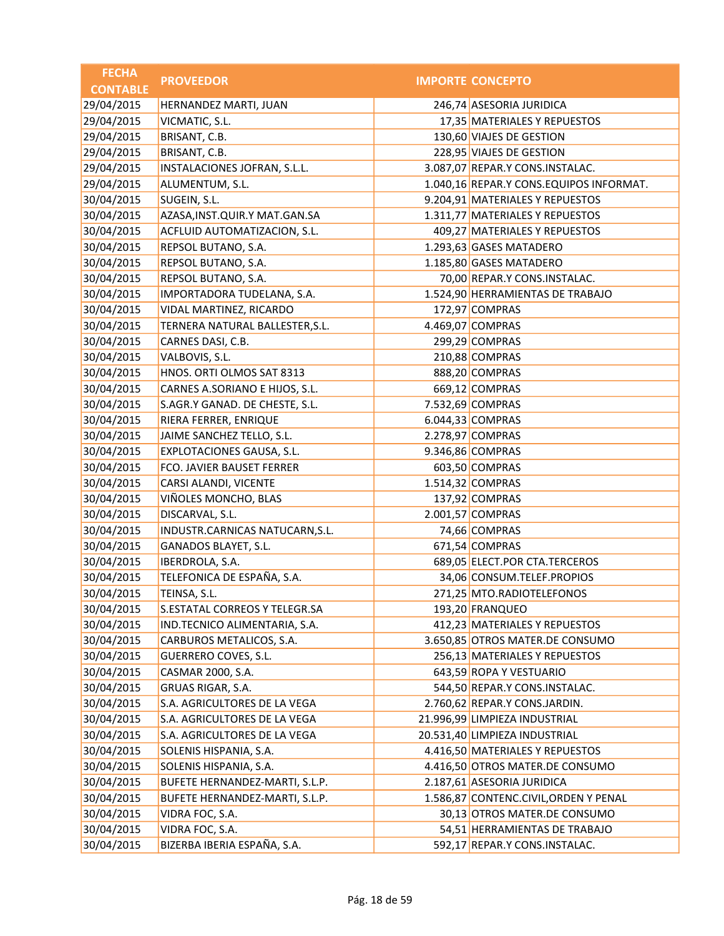| <b>FECHA</b>    | <b>PROVEEDOR</b>                  | <b>IMPORTE CONCEPTO</b>                 |
|-----------------|-----------------------------------|-----------------------------------------|
| <b>CONTABLE</b> |                                   |                                         |
| 29/04/2015      | HERNANDEZ MARTI, JUAN             | 246,74 ASESORIA JURIDICA                |
| 29/04/2015      | VICMATIC, S.L.                    | 17,35 MATERIALES Y REPUESTOS            |
| 29/04/2015      | BRISANT, C.B.                     | 130,60 VIAJES DE GESTION                |
| 29/04/2015      | BRISANT, C.B.                     | 228,95 VIAJES DE GESTION                |
| 29/04/2015      | INSTALACIONES JOFRAN, S.L.L.      | 3.087,07 REPAR.Y CONS.INSTALAC.         |
| 29/04/2015      | ALUMENTUM, S.L.                   | 1.040,16 REPAR.Y CONS.EQUIPOS INFORMAT. |
| 30/04/2015      | SUGEIN, S.L.                      | 9.204,91 MATERIALES Y REPUESTOS         |
| 30/04/2015      | AZASA, INST. QUIR. Y MAT. GAN. SA | 1.311,77 MATERIALES Y REPUESTOS         |
| 30/04/2015      | ACFLUID AUTOMATIZACION, S.L.      | 409,27 MATERIALES Y REPUESTOS           |
| 30/04/2015      | REPSOL BUTANO, S.A.               | 1.293,63 GASES MATADERO                 |
| 30/04/2015      | REPSOL BUTANO, S.A.               | 1.185,80 GASES MATADERO                 |
| 30/04/2015      | REPSOL BUTANO, S.A.               | 70,00 REPAR.Y CONS.INSTALAC.            |
| 30/04/2015      | IMPORTADORA TUDELANA, S.A.        | 1.524,90 HERRAMIENTAS DE TRABAJO        |
| 30/04/2015      | VIDAL MARTINEZ, RICARDO           | 172,97 COMPRAS                          |
| 30/04/2015      | TERNERA NATURAL BALLESTER, S.L.   | 4.469,07 COMPRAS                        |
| 30/04/2015      | CARNES DASI, C.B.                 | 299,29 COMPRAS                          |
| 30/04/2015      | VALBOVIS, S.L.                    | 210,88 COMPRAS                          |
| 30/04/2015      | HNOS. ORTI OLMOS SAT 8313         | 888,20 COMPRAS                          |
| 30/04/2015      | CARNES A.SORIANO E HIJOS, S.L.    | 669,12 COMPRAS                          |
| 30/04/2015      | S.AGR.Y GANAD. DE CHESTE, S.L.    | 7.532,69 COMPRAS                        |
| 30/04/2015      | RIERA FERRER, ENRIQUE             | 6.044,33 COMPRAS                        |
| 30/04/2015      | JAIME SANCHEZ TELLO, S.L.         | 2.278,97 COMPRAS                        |
| 30/04/2015      | EXPLOTACIONES GAUSA, S.L.         | 9.346,86 COMPRAS                        |
| 30/04/2015      | FCO. JAVIER BAUSET FERRER         | 603,50 COMPRAS                          |
| 30/04/2015      | CARSI ALANDI, VICENTE             | 1.514,32 COMPRAS                        |
| 30/04/2015      | VIÑOLES MONCHO, BLAS              | 137,92 COMPRAS                          |
| 30/04/2015      | DISCARVAL, S.L.                   | 2.001,57 COMPRAS                        |
| 30/04/2015      | INDUSTR.CARNICAS NATUCARN, S.L.   | 74,66 COMPRAS                           |
| 30/04/2015      | GANADOS BLAYET, S.L.              | 671,54 COMPRAS                          |
| 30/04/2015      | <b>IBERDROLA, S.A.</b>            | 689,05 ELECT.POR CTA.TERCEROS           |
| 30/04/2015      | TELEFONICA DE ESPAÑA, S.A.        | 34,06 CONSUM.TELEF.PROPIOS              |
| 30/04/2015      | TEINSA, S.L.                      | 271,25 MTO.RADIOTELEFONOS               |
| 30/04/2015      | S.ESTATAL CORREOS Y TELEGR.SA     | 193,20 FRANQUEO                         |
| 30/04/2015      | IND.TECNICO ALIMENTARIA, S.A.     | 412,23 MATERIALES Y REPUESTOS           |
| 30/04/2015      | CARBUROS METALICOS, S.A.          | 3.650,85 OTROS MATER.DE CONSUMO         |
| 30/04/2015      | <b>GUERRERO COVES, S.L.</b>       | 256,13 MATERIALES Y REPUESTOS           |
| 30/04/2015      | CASMAR 2000, S.A.                 | 643,59 ROPA Y VESTUARIO                 |
| 30/04/2015      | GRUAS RIGAR, S.A.                 | 544,50 REPAR.Y CONS.INSTALAC.           |
| 30/04/2015      | S.A. AGRICULTORES DE LA VEGA      | 2.760,62 REPAR.Y CONS.JARDIN.           |
| 30/04/2015      | S.A. AGRICULTORES DE LA VEGA      | 21.996,99 LIMPIEZA INDUSTRIAL           |
| 30/04/2015      | S.A. AGRICULTORES DE LA VEGA      | 20.531,40 LIMPIEZA INDUSTRIAL           |
| 30/04/2015      | SOLENIS HISPANIA, S.A.            | 4.416,50 MATERIALES Y REPUESTOS         |
| 30/04/2015      | SOLENIS HISPANIA, S.A.            | 4.416,50 OTROS MATER.DE CONSUMO         |
| 30/04/2015      | BUFETE HERNANDEZ-MARTI, S.L.P.    | 2.187,61 ASESORIA JURIDICA              |
| 30/04/2015      | BUFETE HERNANDEZ-MARTI, S.L.P.    | 1.586,87 CONTENC.CIVIL, ORDEN Y PENAL   |
| 30/04/2015      | VIDRA FOC, S.A.                   | 30,13 OTROS MATER.DE CONSUMO            |
| 30/04/2015      | VIDRA FOC, S.A.                   | 54,51 HERRAMIENTAS DE TRABAJO           |
| 30/04/2015      | BIZERBA IBERIA ESPAÑA, S.A.       | 592,17 REPAR.Y CONS.INSTALAC.           |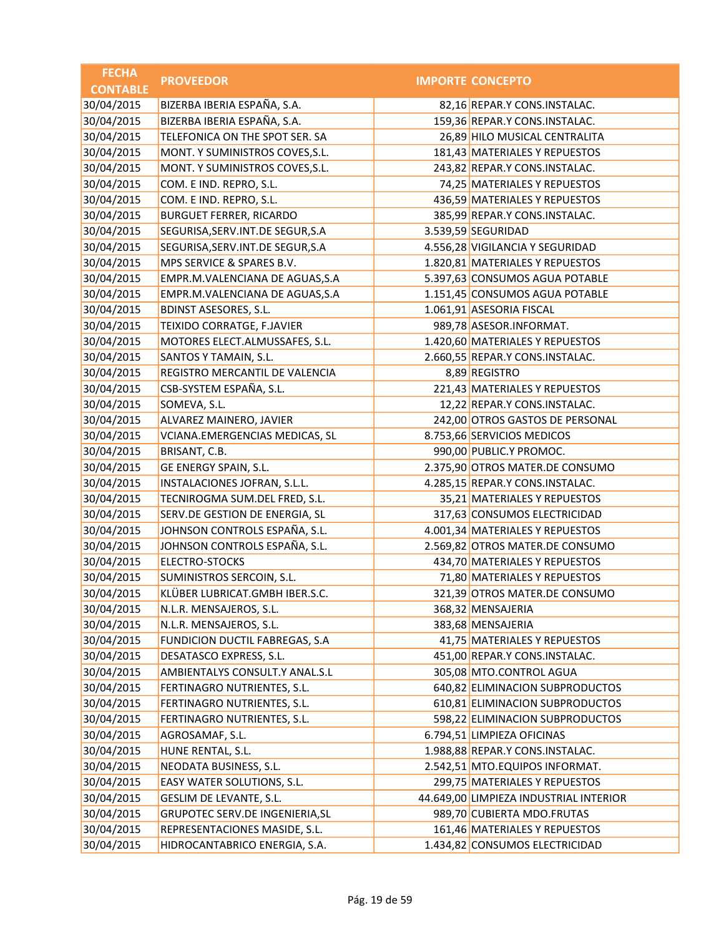| <b>FECHA</b>    | <b>PROVEEDOR</b>                   | <b>IMPORTE CONCEPTO</b>                |
|-----------------|------------------------------------|----------------------------------------|
| <b>CONTABLE</b> |                                    |                                        |
| 30/04/2015      | BIZERBA IBERIA ESPAÑA, S.A.        | 82,16 REPAR.Y CONS.INSTALAC.           |
| 30/04/2015      | BIZERBA IBERIA ESPAÑA, S.A.        | 159,36 REPAR.Y CONS.INSTALAC.          |
| 30/04/2015      | TELEFONICA ON THE SPOT SER. SA     | 26,89 HILO MUSICAL CENTRALITA          |
| 30/04/2015      | MONT. Y SUMINISTROS COVES, S.L.    | 181,43 MATERIALES Y REPUESTOS          |
| 30/04/2015      | MONT. Y SUMINISTROS COVES, S.L.    | 243,82 REPAR.Y CONS.INSTALAC.          |
| 30/04/2015      | COM. E IND. REPRO, S.L.            | 74,25 MATERIALES Y REPUESTOS           |
| 30/04/2015      | COM. E IND. REPRO, S.L.            | 436,59 MATERIALES Y REPUESTOS          |
| 30/04/2015      | <b>BURGUET FERRER, RICARDO</b>     | 385,99 REPAR.Y CONS.INSTALAC.          |
| 30/04/2015      | SEGURISA, SERV. INT. DE SEGUR, S.A | 3.539,59 SEGURIDAD                     |
| 30/04/2015      | SEGURISA, SERV. INT. DE SEGUR, S.A | 4.556,28 VIGILANCIA Y SEGURIDAD        |
| 30/04/2015      | MPS SERVICE & SPARES B.V.          | 1.820,81 MATERIALES Y REPUESTOS        |
| 30/04/2015      | EMPR.M.VALENCIANA DE AGUAS, S.A    | 5.397,63 CONSUMOS AGUA POTABLE         |
| 30/04/2015      | EMPR.M.VALENCIANA DE AGUAS, S.A    | 1.151,45 CONSUMOS AGUA POTABLE         |
| 30/04/2015      | <b>BDINST ASESORES, S.L.</b>       | 1.061,91 ASESORIA FISCAL               |
| 30/04/2015      | TEIXIDO CORRATGE, F.JAVIER         | 989,78 ASESOR.INFORMAT.                |
| 30/04/2015      | MOTORES ELECT.ALMUSSAFES, S.L.     | 1.420,60 MATERIALES Y REPUESTOS        |
| 30/04/2015      | SANTOS Y TAMAIN, S.L.              | 2.660,55 REPAR.Y CONS.INSTALAC.        |
| 30/04/2015      | REGISTRO MERCANTIL DE VALENCIA     | 8,89 REGISTRO                          |
| 30/04/2015      | CSB-SYSTEM ESPAÑA, S.L.            | 221,43 MATERIALES Y REPUESTOS          |
| 30/04/2015      | SOMEVA, S.L.                       | 12,22 REPAR.Y CONS.INSTALAC.           |
| 30/04/2015      | ALVAREZ MAINERO, JAVIER            | 242,00 OTROS GASTOS DE PERSONAL        |
| 30/04/2015      | VCIANA.EMERGENCIAS MEDICAS, SL     | 8.753,66 SERVICIOS MEDICOS             |
| 30/04/2015      | BRISANT, C.B.                      | 990,00 PUBLIC.Y PROMOC.                |
| 30/04/2015      | GE ENERGY SPAIN, S.L.              | 2.375,90 OTROS MATER.DE CONSUMO        |
| 30/04/2015      | INSTALACIONES JOFRAN, S.L.L.       | 4.285,15 REPAR.Y CONS.INSTALAC.        |
| 30/04/2015      | TECNIROGMA SUM.DEL FRED, S.L.      | 35,21 MATERIALES Y REPUESTOS           |
| 30/04/2015      | SERV.DE GESTION DE ENERGIA, SL     | 317,63 CONSUMOS ELECTRICIDAD           |
| 30/04/2015      | JOHNSON CONTROLS ESPAÑA, S.L.      | 4.001,34 MATERIALES Y REPUESTOS        |
| 30/04/2015      | JOHNSON CONTROLS ESPAÑA, S.L.      | 2.569,82 OTROS MATER.DE CONSUMO        |
| 30/04/2015      | <b>ELECTRO-STOCKS</b>              | 434,70 MATERIALES Y REPUESTOS          |
| 30/04/2015      | SUMINISTROS SERCOIN, S.L.          | 71,80 MATERIALES Y REPUESTOS           |
| 30/04/2015      | KLÜBER LUBRICAT.GMBH IBER.S.C.     | 321,39 OTROS MATER.DE CONSUMO          |
| 30/04/2015      | N.L.R. MENSAJEROS, S.L.            | 368,32 MENSAJERIA                      |
| 30/04/2015      | N.L.R. MENSAJEROS, S.L.            | 383,68 MENSAJERIA                      |
| 30/04/2015      | FUNDICION DUCTIL FABREGAS, S.A     | 41,75 MATERIALES Y REPUESTOS           |
| 30/04/2015      | DESATASCO EXPRESS, S.L.            | 451,00 REPAR.Y CONS.INSTALAC.          |
| 30/04/2015      | AMBIENTALYS CONSULT.Y ANAL.S.L     | 305,08 MTO.CONTROL AGUA                |
| 30/04/2015      | FERTINAGRO NUTRIENTES, S.L.        | 640,82 ELIMINACION SUBPRODUCTOS        |
| 30/04/2015      | FERTINAGRO NUTRIENTES, S.L.        | 610,81 ELIMINACION SUBPRODUCTOS        |
| 30/04/2015      | FERTINAGRO NUTRIENTES, S.L.        | 598,22 ELIMINACION SUBPRODUCTOS        |
| 30/04/2015      | AGROSAMAF, S.L.                    | 6.794,51 LIMPIEZA OFICINAS             |
| 30/04/2015      | HUNE RENTAL, S.L.                  | 1.988,88 REPAR.Y CONS.INSTALAC.        |
| 30/04/2015      | NEODATA BUSINESS, S.L.             | 2.542,51 MTO.EQUIPOS INFORMAT.         |
| 30/04/2015      | EASY WATER SOLUTIONS, S.L.         | 299,75 MATERIALES Y REPUESTOS          |
| 30/04/2015      | GESLIM DE LEVANTE, S.L.            | 44.649,00 LIMPIEZA INDUSTRIAL INTERIOR |
| 30/04/2015      | GRUPOTEC SERV.DE INGENIERIA, SL    | 989,70 CUBIERTA MDO.FRUTAS             |
| 30/04/2015      | REPRESENTACIONES MASIDE, S.L.      | 161,46 MATERIALES Y REPUESTOS          |
| 30/04/2015      | HIDROCANTABRICO ENERGIA, S.A.      | 1.434,82 CONSUMOS ELECTRICIDAD         |
|                 |                                    |                                        |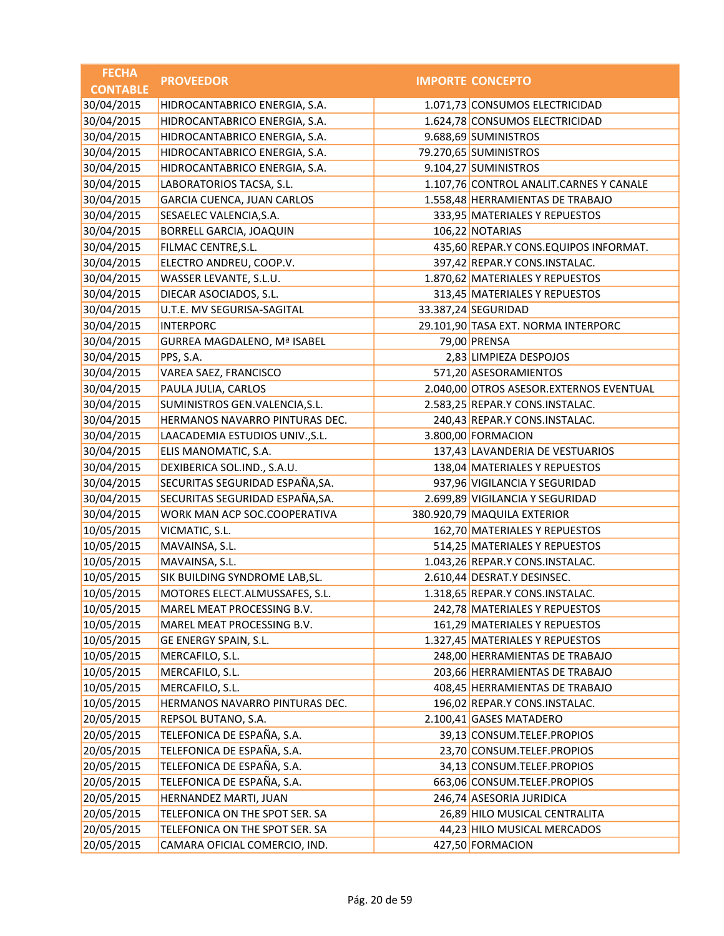| <b>FECHA</b>    | <b>PROVEEDOR</b>                   | <b>IMPORTE CONCEPTO</b>                 |
|-----------------|------------------------------------|-----------------------------------------|
| <b>CONTABLE</b> |                                    |                                         |
| 30/04/2015      | HIDROCANTABRICO ENERGIA, S.A.      | 1.071,73 CONSUMOS ELECTRICIDAD          |
| 30/04/2015      | HIDROCANTABRICO ENERGIA, S.A.      | 1.624,78 CONSUMOS ELECTRICIDAD          |
| 30/04/2015      | HIDROCANTABRICO ENERGIA, S.A.      | 9.688,69 SUMINISTROS                    |
| 30/04/2015      | HIDROCANTABRICO ENERGIA, S.A.      | 79.270,65 SUMINISTROS                   |
| 30/04/2015      | HIDROCANTABRICO ENERGIA, S.A.      | 9.104,27 SUMINISTROS                    |
| 30/04/2015      | LABORATORIOS TACSA, S.L.           | 1.107,76 CONTROL ANALIT.CARNES Y CANALE |
| 30/04/2015      | GARCIA CUENCA, JUAN CARLOS         | 1.558,48 HERRAMIENTAS DE TRABAJO        |
| 30/04/2015      | SESAELEC VALENCIA, S.A.            | 333,95 MATERIALES Y REPUESTOS           |
| 30/04/2015      | BORRELL GARCIA, JOAQUIN            | 106,22 NOTARIAS                         |
| 30/04/2015      | FILMAC CENTRE, S.L.                | 435,60 REPAR.Y CONS.EQUIPOS INFORMAT.   |
| 30/04/2015      | ELECTRO ANDREU, COOP.V.            | 397,42 REPAR.Y CONS.INSTALAC.           |
| 30/04/2015      | WASSER LEVANTE, S.L.U.             | 1.870,62 MATERIALES Y REPUESTOS         |
| 30/04/2015      | DIECAR ASOCIADOS, S.L.             | 313,45 MATERIALES Y REPUESTOS           |
| 30/04/2015      | U.T.E. MV SEGURISA-SAGITAL         | 33.387,24 SEGURIDAD                     |
| 30/04/2015      | <b>INTERPORC</b>                   | 29.101,90 TASA EXT. NORMA INTERPORC     |
| 30/04/2015      | <b>GURREA MAGDALENO, Mª ISABEL</b> | 79,00 PRENSA                            |
| 30/04/2015      | PPS, S.A.                          | 2,83 LIMPIEZA DESPOJOS                  |
| 30/04/2015      | VAREA SAEZ, FRANCISCO              | 571,20 ASESORAMIENTOS                   |
| 30/04/2015      | PAULA JULIA, CARLOS                | 2.040,00 OTROS ASESOR.EXTERNOS EVENTUAL |
| 30/04/2015      | SUMINISTROS GEN.VALENCIA, S.L.     | 2.583,25 REPAR.Y CONS.INSTALAC.         |
| 30/04/2015      | HERMANOS NAVARRO PINTURAS DEC.     | 240,43 REPAR.Y CONS.INSTALAC.           |
| 30/04/2015      | LAACADEMIA ESTUDIOS UNIV., S.L.    | 3.800,00 FORMACION                      |
| 30/04/2015      | ELIS MANOMATIC, S.A.               | 137,43 LAVANDERIA DE VESTUARIOS         |
| 30/04/2015      | DEXIBERICA SOL.IND., S.A.U.        | 138,04 MATERIALES Y REPUESTOS           |
| 30/04/2015      | SECURITAS SEGURIDAD ESPAÑA, SA.    | 937,96 VIGILANCIA Y SEGURIDAD           |
| 30/04/2015      | SECURITAS SEGURIDAD ESPAÑA, SA.    | 2.699,89 VIGILANCIA Y SEGURIDAD         |
| 30/04/2015      | WORK MAN ACP SOC.COOPERATIVA       | 380.920,79 MAQUILA EXTERIOR             |
| 10/05/2015      | VICMATIC, S.L.                     | 162,70 MATERIALES Y REPUESTOS           |
| 10/05/2015      | MAVAINSA, S.L.                     | 514,25 MATERIALES Y REPUESTOS           |
| 10/05/2015      | MAVAINSA, S.L.                     | 1.043,26 REPAR.Y CONS.INSTALAC.         |
| 10/05/2015      | SIK BUILDING SYNDROME LAB, SL.     | 2.610,44 DESRAT.Y DESINSEC.             |
| 10/05/2015      | MOTORES ELECT.ALMUSSAFES, S.L.     | 1.318,65 REPAR.Y CONS.INSTALAC.         |
| 10/05/2015      | MAREL MEAT PROCESSING B.V.         | 242,78 MATERIALES Y REPUESTOS           |
| 10/05/2015      | MAREL MEAT PROCESSING B.V.         | 161,29 MATERIALES Y REPUESTOS           |
| 10/05/2015      | GE ENERGY SPAIN, S.L.              | 1.327,45 MATERIALES Y REPUESTOS         |
| 10/05/2015      | MERCAFILO, S.L.                    | 248,00 HERRAMIENTAS DE TRABAJO          |
| 10/05/2015      | MERCAFILO, S.L.                    | 203,66 HERRAMIENTAS DE TRABAJO          |
| 10/05/2015      | MERCAFILO, S.L.                    | 408,45 HERRAMIENTAS DE TRABAJO          |
| 10/05/2015      | HERMANOS NAVARRO PINTURAS DEC.     | 196,02 REPAR.Y CONS.INSTALAC.           |
| 20/05/2015      | REPSOL BUTANO, S.A.                | 2.100,41 GASES MATADERO                 |
| 20/05/2015      | TELEFONICA DE ESPAÑA, S.A.         | 39,13 CONSUM.TELEF.PROPIOS              |
| 20/05/2015      | TELEFONICA DE ESPAÑA, S.A.         | 23,70 CONSUM.TELEF.PROPIOS              |
| 20/05/2015      | TELEFONICA DE ESPAÑA, S.A.         | 34,13 CONSUM.TELEF.PROPIOS              |
| 20/05/2015      | TELEFONICA DE ESPAÑA, S.A.         | 663,06 CONSUM.TELEF.PROPIOS             |
| 20/05/2015      | HERNANDEZ MARTI, JUAN              | 246,74 ASESORIA JURIDICA                |
| 20/05/2015      | TELEFONICA ON THE SPOT SER. SA     | 26,89 HILO MUSICAL CENTRALITA           |
| 20/05/2015      | TELEFONICA ON THE SPOT SER. SA     | 44,23 HILO MUSICAL MERCADOS             |
| 20/05/2015      | CAMARA OFICIAL COMERCIO, IND.      | 427,50 FORMACION                        |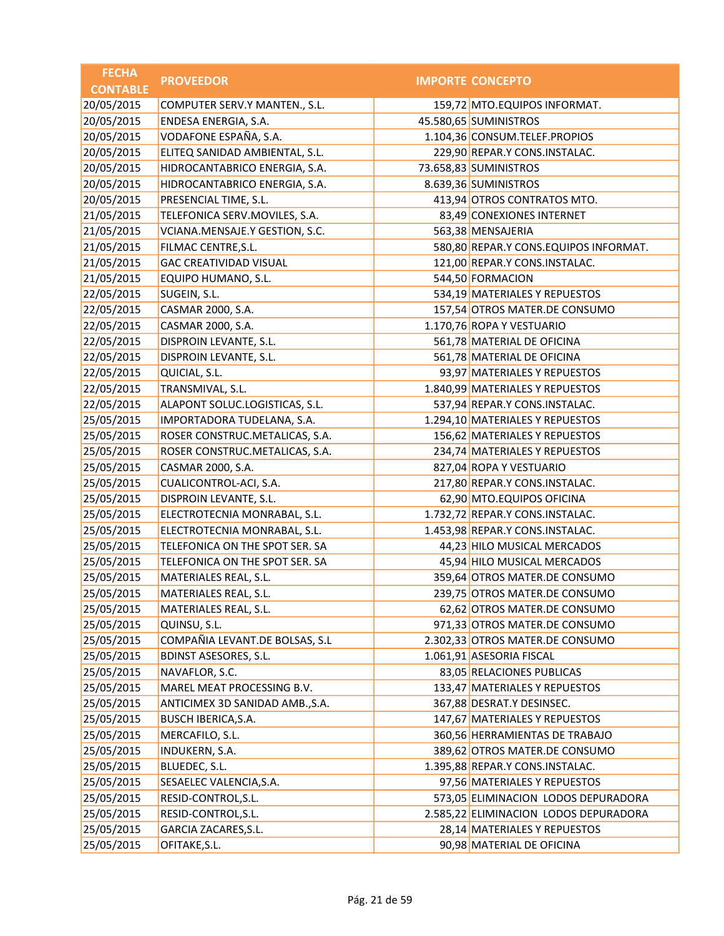| <b>FECHA</b>    | <b>PROVEEDOR</b>                | <b>IMPORTE CONCEPTO</b>               |
|-----------------|---------------------------------|---------------------------------------|
| <b>CONTABLE</b> |                                 |                                       |
| 20/05/2015      | COMPUTER SERV.Y MANTEN., S.L.   | 159,72 MTO.EQUIPOS INFORMAT.          |
| 20/05/2015      | ENDESA ENERGIA, S.A.            | 45.580,65 SUMINISTROS                 |
| 20/05/2015      | VODAFONE ESPAÑA, S.A.           | 1.104,36 CONSUM.TELEF.PROPIOS         |
| 20/05/2015      | ELITEQ SANIDAD AMBIENTAL, S.L.  | 229,90 REPAR.Y CONS.INSTALAC.         |
| 20/05/2015      | HIDROCANTABRICO ENERGIA, S.A.   | 73.658,83 SUMINISTROS                 |
| 20/05/2015      | HIDROCANTABRICO ENERGIA, S.A.   | 8.639,36 SUMINISTROS                  |
| 20/05/2015      | PRESENCIAL TIME, S.L.           | 413,94 OTROS CONTRATOS MTO.           |
| 21/05/2015      | TELEFONICA SERV.MOVILES, S.A.   | 83,49 CONEXIONES INTERNET             |
| 21/05/2015      | VCIANA.MENSAJE.Y GESTION, S.C.  | 563,38 MENSAJERIA                     |
| 21/05/2015      | FILMAC CENTRE, S.L.             | 580,80 REPAR.Y CONS.EQUIPOS INFORMAT. |
| 21/05/2015      | <b>GAC CREATIVIDAD VISUAL</b>   | 121,00 REPAR.Y CONS.INSTALAC.         |
| 21/05/2015      | EQUIPO HUMANO, S.L.             | 544,50 FORMACION                      |
| 22/05/2015      | SUGEIN, S.L.                    | 534,19 MATERIALES Y REPUESTOS         |
| 22/05/2015      | CASMAR 2000, S.A.               | 157,54 OTROS MATER.DE CONSUMO         |
| 22/05/2015      | CASMAR 2000, S.A.               | 1.170,76 ROPA Y VESTUARIO             |
| 22/05/2015      | DISPROIN LEVANTE, S.L.          | 561,78 MATERIAL DE OFICINA            |
| 22/05/2015      | DISPROIN LEVANTE, S.L.          | 561,78 MATERIAL DE OFICINA            |
| 22/05/2015      | QUICIAL, S.L.                   | 93,97 MATERIALES Y REPUESTOS          |
| 22/05/2015      | TRANSMIVAL, S.L.                | 1.840,99 MATERIALES Y REPUESTOS       |
| 22/05/2015      | ALAPONT SOLUC.LOGISTICAS, S.L.  | 537,94 REPAR.Y CONS.INSTALAC.         |
| 25/05/2015      | IMPORTADORA TUDELANA, S.A.      | 1.294,10 MATERIALES Y REPUESTOS       |
| 25/05/2015      | ROSER CONSTRUC.METALICAS, S.A.  | 156,62 MATERIALES Y REPUESTOS         |
| 25/05/2015      | ROSER CONSTRUC.METALICAS, S.A.  | 234,74 MATERIALES Y REPUESTOS         |
| 25/05/2015      | CASMAR 2000, S.A.               | 827,04 ROPA Y VESTUARIO               |
| 25/05/2015      | CUALICONTROL-ACI, S.A.          | 217,80 REPAR.Y CONS.INSTALAC.         |
| 25/05/2015      | DISPROIN LEVANTE, S.L.          | 62,90 MTO.EQUIPOS OFICINA             |
| 25/05/2015      | ELECTROTECNIA MONRABAL, S.L.    | 1.732,72 REPAR.Y CONS.INSTALAC.       |
| 25/05/2015      | ELECTROTECNIA MONRABAL, S.L.    | 1.453,98 REPAR.Y CONS.INSTALAC.       |
| 25/05/2015      | TELEFONICA ON THE SPOT SER. SA  | 44,23 HILO MUSICAL MERCADOS           |
| 25/05/2015      | TELEFONICA ON THE SPOT SER. SA  | 45,94 HILO MUSICAL MERCADOS           |
| 25/05/2015      | MATERIALES REAL, S.L.           | 359,64 OTROS MATER.DE CONSUMO         |
| 25/05/2015      | <b>MATERIALES REAL, S.L.</b>    | 239,75 OTROS MATER.DE CONSUMO         |
| 25/05/2015      | MATERIALES REAL, S.L.           | 62,62 OTROS MATER.DE CONSUMO          |
| 25/05/2015      | QUINSU, S.L.                    | 971,33 OTROS MATER.DE CONSUMO         |
| 25/05/2015      | COMPAÑIA LEVANT.DE BOLSAS, S.L  | 2.302,33 OTROS MATER.DE CONSUMO       |
| 25/05/2015      | <b>BDINST ASESORES, S.L.</b>    | 1.061,91 ASESORIA FISCAL              |
| 25/05/2015      | NAVAFLOR, S.C.                  | 83,05 RELACIONES PUBLICAS             |
| 25/05/2015      | MAREL MEAT PROCESSING B.V.      | 133,47 MATERIALES Y REPUESTOS         |
| 25/05/2015      | ANTICIMEX 3D SANIDAD AMB., S.A. | 367,88 DESRAT.Y DESINSEC.             |
| 25/05/2015      | BUSCH IBERICA, S.A.             | 147,67 MATERIALES Y REPUESTOS         |
| 25/05/2015      | MERCAFILO, S.L.                 | 360,56 HERRAMIENTAS DE TRABAJO        |
| 25/05/2015      | <b>INDUKERN, S.A.</b>           | 389,62 OTROS MATER.DE CONSUMO         |
| 25/05/2015      | BLUEDEC, S.L.                   | 1.395,88 REPAR.Y CONS.INSTALAC.       |
| 25/05/2015      | SESAELEC VALENCIA, S.A.         | 97,56 MATERIALES Y REPUESTOS          |
| 25/05/2015      | RESID-CONTROL, S.L.             | 573,05 ELIMINACION LODOS DEPURADORA   |
| 25/05/2015      | RESID-CONTROL, S.L.             | 2.585,22 ELIMINACION LODOS DEPURADORA |
| 25/05/2015      | GARCIA ZACARES, S.L.            | 28,14 MATERIALES Y REPUESTOS          |
| 25/05/2015      | OFITAKE, S.L.                   | 90,98 MATERIAL DE OFICINA             |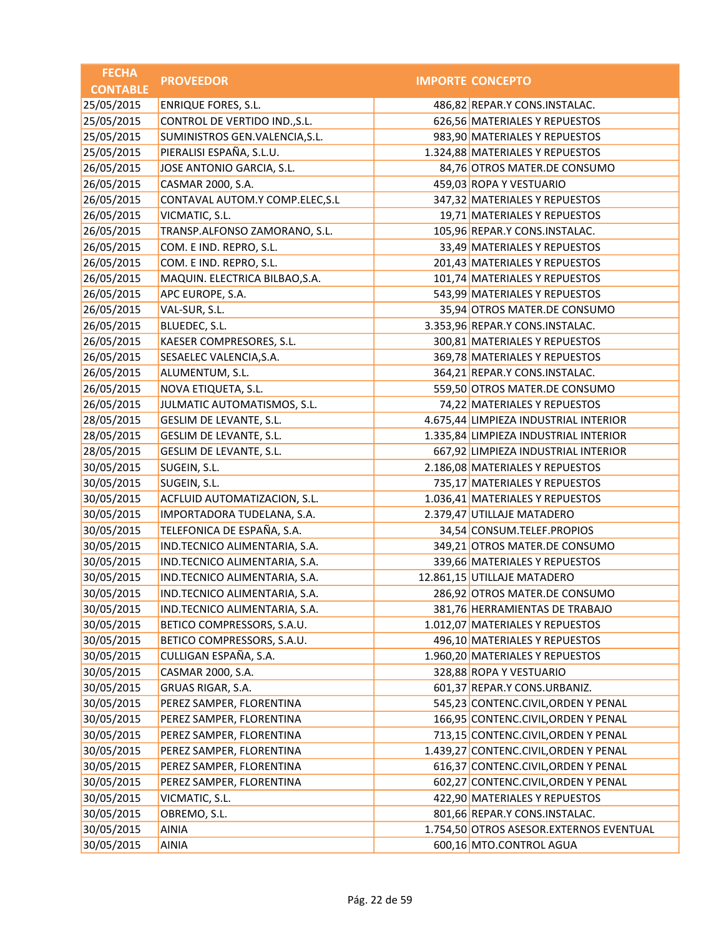| <b>FECHA</b>    | <b>PROVEEDOR</b>                | <b>IMPORTE CONCEPTO</b>                 |
|-----------------|---------------------------------|-----------------------------------------|
| <b>CONTABLE</b> |                                 |                                         |
| 25/05/2015      | <b>ENRIQUE FORES, S.L.</b>      | 486,82 REPAR.Y CONS.INSTALAC.           |
| 25/05/2015      | CONTROL DE VERTIDO IND., S.L.   | 626,56 MATERIALES Y REPUESTOS           |
| 25/05/2015      | SUMINISTROS GEN.VALENCIA, S.L.  | 983,90 MATERIALES Y REPUESTOS           |
| 25/05/2015      | PIERALISI ESPAÑA, S.L.U.        | 1.324,88 MATERIALES Y REPUESTOS         |
| 26/05/2015      | JOSE ANTONIO GARCIA, S.L.       | 84,76 OTROS MATER.DE CONSUMO            |
| 26/05/2015      | CASMAR 2000, S.A.               | 459,03 ROPA Y VESTUARIO                 |
| 26/05/2015      | CONTAVAL AUTOM.Y COMP.ELEC, S.L | 347,32 MATERIALES Y REPUESTOS           |
| 26/05/2015      | VICMATIC, S.L.                  | 19,71 MATERIALES Y REPUESTOS            |
| 26/05/2015      | TRANSP.ALFONSO ZAMORANO, S.L.   | 105,96 REPAR.Y CONS.INSTALAC.           |
| 26/05/2015      | COM. E IND. REPRO, S.L.         | 33,49 MATERIALES Y REPUESTOS            |
| 26/05/2015      | COM. E IND. REPRO, S.L.         | 201,43 MATERIALES Y REPUESTOS           |
| 26/05/2015      | MAQUIN. ELECTRICA BILBAO, S.A.  | 101,74 MATERIALES Y REPUESTOS           |
| 26/05/2015      | APC EUROPE, S.A.                | 543,99 MATERIALES Y REPUESTOS           |
| 26/05/2015      | VAL-SUR, S.L.                   | 35,94 OTROS MATER.DE CONSUMO            |
| 26/05/2015      | BLUEDEC, S.L.                   | 3.353,96 REPAR.Y CONS.INSTALAC.         |
| 26/05/2015      | KAESER COMPRESORES, S.L.        | 300,81 MATERIALES Y REPUESTOS           |
| 26/05/2015      | SESAELEC VALENCIA, S.A.         | 369,78 MATERIALES Y REPUESTOS           |
| 26/05/2015      | ALUMENTUM, S.L.                 | 364,21 REPAR.Y CONS.INSTALAC.           |
| 26/05/2015      | NOVA ETIQUETA, S.L.             | 559,50 OTROS MATER.DE CONSUMO           |
| 26/05/2015      | JULMATIC AUTOMATISMOS, S.L.     | 74,22 MATERIALES Y REPUESTOS            |
| 28/05/2015      | GESLIM DE LEVANTE, S.L.         | 4.675,44 LIMPIEZA INDUSTRIAL INTERIOR   |
| 28/05/2015      | GESLIM DE LEVANTE, S.L.         | 1.335,84 LIMPIEZA INDUSTRIAL INTERIOR   |
| 28/05/2015      | GESLIM DE LEVANTE, S.L.         | 667,92 LIMPIEZA INDUSTRIAL INTERIOR     |
| 30/05/2015      | SUGEIN, S.L.                    | 2.186,08 MATERIALES Y REPUESTOS         |
| 30/05/2015      | SUGEIN, S.L.                    | 735,17 MATERIALES Y REPUESTOS           |
| 30/05/2015      | ACFLUID AUTOMATIZACION, S.L.    | 1.036,41 MATERIALES Y REPUESTOS         |
| 30/05/2015      | IMPORTADORA TUDELANA, S.A.      | 2.379,47 UTILLAJE MATADERO              |
| 30/05/2015      | TELEFONICA DE ESPAÑA, S.A.      | 34,54 CONSUM.TELEF.PROPIOS              |
| 30/05/2015      | IND.TECNICO ALIMENTARIA, S.A.   | 349,21 OTROS MATER.DE CONSUMO           |
| 30/05/2015      | IND.TECNICO ALIMENTARIA, S.A.   | 339,66 MATERIALES Y REPUESTOS           |
| 30/05/2015      | IND.TECNICO ALIMENTARIA, S.A.   | 12.861,15 UTILLAJE MATADERO             |
| 30/05/2015      | IND.TECNICO ALIMENTARIA, S.A.   | 286,92 OTROS MATER.DE CONSUMO           |
| 30/05/2015      | IND.TECNICO ALIMENTARIA, S.A.   | 381,76 HERRAMIENTAS DE TRABAJO          |
| 30/05/2015      | BETICO COMPRESSORS, S.A.U.      | 1.012,07 MATERIALES Y REPUESTOS         |
| 30/05/2015      | BETICO COMPRESSORS, S.A.U.      | 496,10 MATERIALES Y REPUESTOS           |
| 30/05/2015      | CULLIGAN ESPAÑA, S.A.           | 1.960,20 MATERIALES Y REPUESTOS         |
| 30/05/2015      | CASMAR 2000, S.A.               | 328,88 ROPA Y VESTUARIO                 |
| 30/05/2015      | GRUAS RIGAR, S.A.               | 601,37 REPAR.Y CONS.URBANIZ.            |
| 30/05/2015      | PEREZ SAMPER, FLORENTINA        | 545,23 CONTENC.CIVIL, ORDEN Y PENAL     |
| 30/05/2015      | PEREZ SAMPER, FLORENTINA        | 166,95 CONTENC.CIVIL, ORDEN Y PENAL     |
| 30/05/2015      | PEREZ SAMPER, FLORENTINA        | 713,15 CONTENC.CIVIL, ORDEN Y PENAL     |
| 30/05/2015      | PEREZ SAMPER, FLORENTINA        | 1.439,27 CONTENC.CIVIL, ORDEN Y PENAL   |
| 30/05/2015      | PEREZ SAMPER, FLORENTINA        | 616,37 CONTENC.CIVIL, ORDEN Y PENAL     |
| 30/05/2015      | PEREZ SAMPER, FLORENTINA        | 602,27 CONTENC.CIVIL, ORDEN Y PENAL     |
| 30/05/2015      | VICMATIC, S.L.                  | 422,90 MATERIALES Y REPUESTOS           |
| 30/05/2015      | OBREMO, S.L.                    | 801,66 REPAR.Y CONS.INSTALAC.           |
| 30/05/2015      | <b>AINIA</b>                    | 1.754,50 OTROS ASESOR.EXTERNOS EVENTUAL |
| 30/05/2015      | <b>AINIA</b>                    | 600,16 MTO.CONTROL AGUA                 |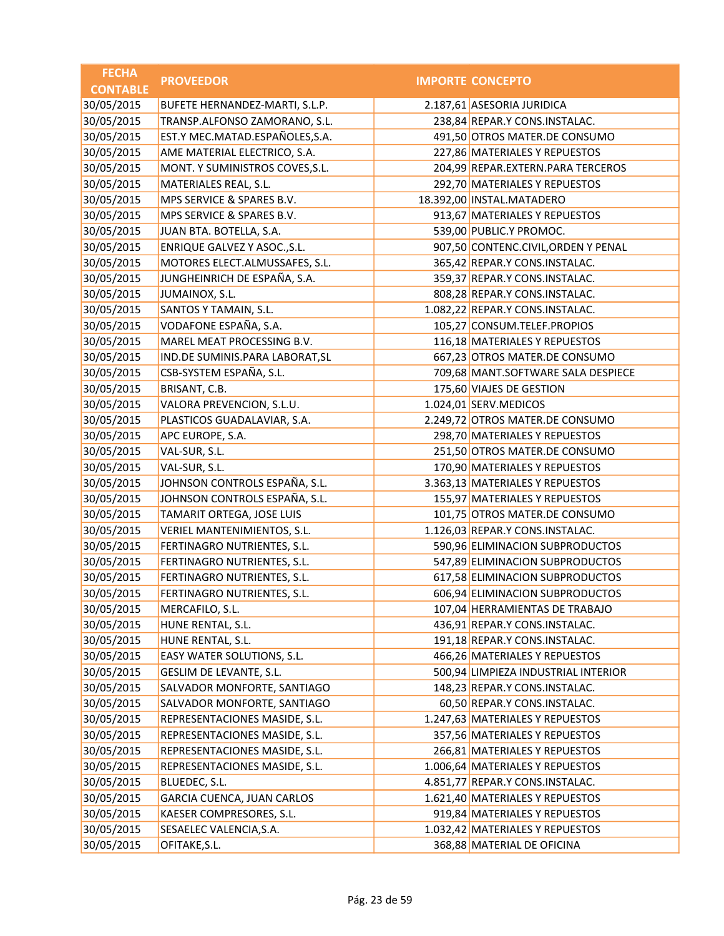| <b>FECHA</b>    | <b>PROVEEDOR</b>                | <b>IMPORTE CONCEPTO</b>             |
|-----------------|---------------------------------|-------------------------------------|
| <b>CONTABLE</b> |                                 |                                     |
| 30/05/2015      | BUFETE HERNANDEZ-MARTI, S.L.P.  | 2.187,61 ASESORIA JURIDICA          |
| 30/05/2015      | TRANSP.ALFONSO ZAMORANO, S.L.   | 238,84 REPAR.Y CONS.INSTALAC.       |
| 30/05/2015      | EST.Y MEC.MATAD.ESPAÑOLES,S.A.  | 491,50 OTROS MATER.DE CONSUMO       |
| 30/05/2015      | AME MATERIAL ELECTRICO, S.A.    | 227,86 MATERIALES Y REPUESTOS       |
| 30/05/2015      | MONT. Y SUMINISTROS COVES, S.L. | 204,99 REPAR.EXTERN.PARA TERCEROS   |
| 30/05/2015      | MATERIALES REAL, S.L.           | 292,70 MATERIALES Y REPUESTOS       |
| 30/05/2015      | MPS SERVICE & SPARES B.V.       | 18.392,00 INSTAL.MATADERO           |
| 30/05/2015      | MPS SERVICE & SPARES B.V.       | 913,67 MATERIALES Y REPUESTOS       |
| 30/05/2015      | JUAN BTA. BOTELLA, S.A.         | 539,00 PUBLIC.Y PROMOC.             |
| 30/05/2015      | ENRIQUE GALVEZ Y ASOC., S.L.    | 907,50 CONTENC.CIVIL, ORDEN Y PENAL |
| 30/05/2015      | MOTORES ELECT.ALMUSSAFES, S.L.  | 365,42 REPAR.Y CONS.INSTALAC.       |
| 30/05/2015      | JUNGHEINRICH DE ESPAÑA, S.A.    | 359,37 REPAR.Y CONS.INSTALAC.       |
| 30/05/2015      | JUMAINOX, S.L.                  | 808,28 REPAR.Y CONS.INSTALAC.       |
| 30/05/2015      | SANTOS Y TAMAIN, S.L.           | 1.082,22 REPAR.Y CONS.INSTALAC.     |
| 30/05/2015      | VODAFONE ESPAÑA, S.A.           | 105,27 CONSUM.TELEF.PROPIOS         |
| 30/05/2015      | MAREL MEAT PROCESSING B.V.      | 116,18 MATERIALES Y REPUESTOS       |
| 30/05/2015      | IND.DE SUMINIS.PARA LABORAT, SL | 667,23 OTROS MATER.DE CONSUMO       |
| 30/05/2015      | CSB-SYSTEM ESPAÑA, S.L.         | 709,68 MANT.SOFTWARE SALA DESPIECE  |
| 30/05/2015      | BRISANT, C.B.                   | 175,60 VIAJES DE GESTION            |
| 30/05/2015      | VALORA PREVENCION, S.L.U.       | 1.024,01 SERV.MEDICOS               |
| 30/05/2015      | PLASTICOS GUADALAVIAR, S.A.     | 2.249,72 OTROS MATER.DE CONSUMO     |
| 30/05/2015      | APC EUROPE, S.A.                | 298,70 MATERIALES Y REPUESTOS       |
| 30/05/2015      | VAL-SUR, S.L.                   | 251,50 OTROS MATER.DE CONSUMO       |
| 30/05/2015      | VAL-SUR, S.L.                   | 170,90 MATERIALES Y REPUESTOS       |
| 30/05/2015      | JOHNSON CONTROLS ESPAÑA, S.L.   | 3.363,13 MATERIALES Y REPUESTOS     |
| 30/05/2015      | JOHNSON CONTROLS ESPAÑA, S.L.   | 155,97 MATERIALES Y REPUESTOS       |
| 30/05/2015      | TAMARIT ORTEGA, JOSE LUIS       | 101,75 OTROS MATER.DE CONSUMO       |
| 30/05/2015      | VERIEL MANTENIMIENTOS, S.L.     | 1.126,03 REPAR.Y CONS.INSTALAC.     |
| 30/05/2015      | FERTINAGRO NUTRIENTES, S.L.     | 590,96 ELIMINACION SUBPRODUCTOS     |
| 30/05/2015      | FERTINAGRO NUTRIENTES, S.L.     | 547,89 ELIMINACION SUBPRODUCTOS     |
| 30/05/2015      | FERTINAGRO NUTRIENTES, S.L.     | 617,58 ELIMINACION SUBPRODUCTOS     |
| 30/05/2015      | FERTINAGRO NUTRIENTES, S.L.     | 606,94 ELIMINACION SUBPRODUCTOS     |
| 30/05/2015      | MERCAFILO, S.L.                 | 107,04 HERRAMIENTAS DE TRABAJO      |
| 30/05/2015      | HUNE RENTAL, S.L.               | 436,91 REPAR.Y CONS.INSTALAC.       |
| 30/05/2015      | HUNE RENTAL, S.L.               | 191,18 REPAR.Y CONS.INSTALAC.       |
| 30/05/2015      | EASY WATER SOLUTIONS, S.L.      | 466,26 MATERIALES Y REPUESTOS       |
| 30/05/2015      | GESLIM DE LEVANTE, S.L.         | 500,94 LIMPIEZA INDUSTRIAL INTERIOR |
| 30/05/2015      | SALVADOR MONFORTE, SANTIAGO     | 148,23 REPAR.Y CONS.INSTALAC.       |
| 30/05/2015      | SALVADOR MONFORTE, SANTIAGO     | 60,50 REPAR.Y CONS.INSTALAC.        |
| 30/05/2015      | REPRESENTACIONES MASIDE, S.L.   | 1.247,63 MATERIALES Y REPUESTOS     |
| 30/05/2015      | REPRESENTACIONES MASIDE, S.L.   | 357,56 MATERIALES Y REPUESTOS       |
| 30/05/2015      | REPRESENTACIONES MASIDE, S.L.   | 266,81 MATERIALES Y REPUESTOS       |
| 30/05/2015      | REPRESENTACIONES MASIDE, S.L.   | 1.006,64 MATERIALES Y REPUESTOS     |
| 30/05/2015      | BLUEDEC, S.L.                   | 4.851,77 REPAR.Y CONS.INSTALAC.     |
| 30/05/2015      | GARCIA CUENCA, JUAN CARLOS      | 1.621,40 MATERIALES Y REPUESTOS     |
| 30/05/2015      | KAESER COMPRESORES, S.L.        | 919,84 MATERIALES Y REPUESTOS       |
| 30/05/2015      | SESAELEC VALENCIA, S.A.         | 1.032,42 MATERIALES Y REPUESTOS     |
| 30/05/2015      | OFITAKE, S.L.                   | 368,88 MATERIAL DE OFICINA          |
|                 |                                 |                                     |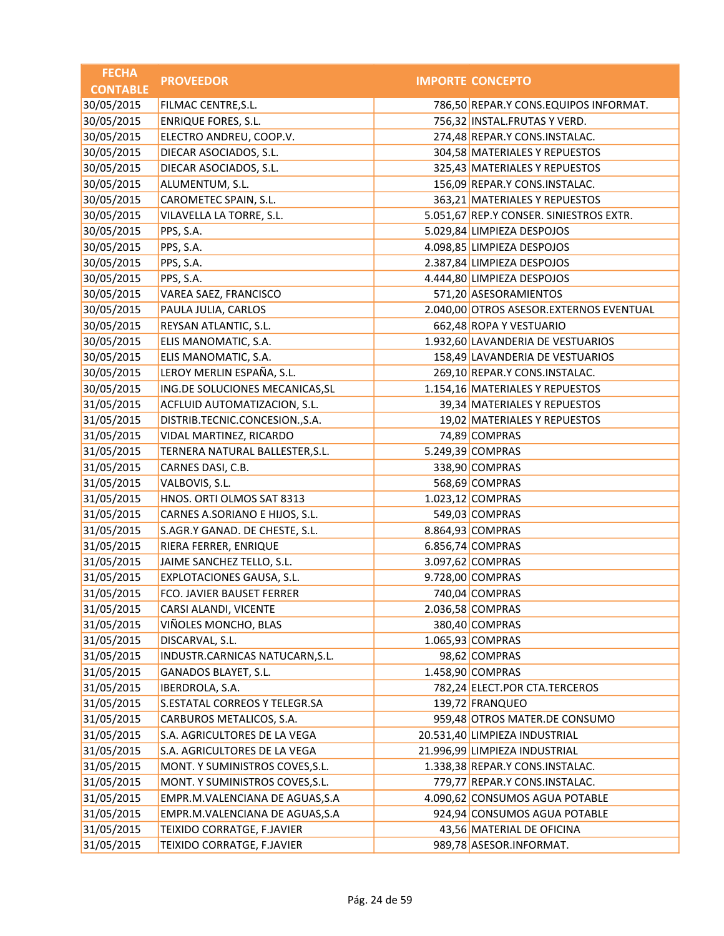| <b>FECHA</b>    | <b>PROVEEDOR</b>                | <b>IMPORTE CONCEPTO</b>                 |
|-----------------|---------------------------------|-----------------------------------------|
| <b>CONTABLE</b> |                                 |                                         |
| 30/05/2015      | FILMAC CENTRE, S.L.             | 786,50 REPAR.Y CONS.EQUIPOS INFORMAT.   |
| 30/05/2015      | <b>ENRIQUE FORES, S.L.</b>      | 756,32 INSTAL.FRUTAS Y VERD.            |
| 30/05/2015      | ELECTRO ANDREU, COOP.V.         | 274,48 REPAR.Y CONS.INSTALAC.           |
| 30/05/2015      | DIECAR ASOCIADOS, S.L.          | 304,58 MATERIALES Y REPUESTOS           |
| 30/05/2015      | DIECAR ASOCIADOS, S.L.          | 325,43 MATERIALES Y REPUESTOS           |
| 30/05/2015      | ALUMENTUM, S.L.                 | 156,09 REPAR.Y CONS.INSTALAC.           |
| 30/05/2015      | CAROMETEC SPAIN, S.L.           | 363,21 MATERIALES Y REPUESTOS           |
| 30/05/2015      | VILAVELLA LA TORRE, S.L.        | 5.051,67 REP.Y CONSER. SINIESTROS EXTR. |
| 30/05/2015      | PPS, S.A.                       | 5.029,84 LIMPIEZA DESPOJOS              |
| 30/05/2015      | PPS, S.A.                       | 4.098,85 LIMPIEZA DESPOJOS              |
| 30/05/2015      | PPS, S.A.                       | 2.387,84 LIMPIEZA DESPOJOS              |
| 30/05/2015      | PPS, S.A.                       | 4.444,80 LIMPIEZA DESPOJOS              |
| 30/05/2015      | VAREA SAEZ, FRANCISCO           | 571,20 ASESORAMIENTOS                   |
| 30/05/2015      | PAULA JULIA, CARLOS             | 2.040,00 OTROS ASESOR.EXTERNOS EVENTUAL |
| 30/05/2015      | REYSAN ATLANTIC, S.L.           | 662,48 ROPA Y VESTUARIO                 |
| 30/05/2015      | ELIS MANOMATIC, S.A.            | 1.932,60 LAVANDERIA DE VESTUARIOS       |
| 30/05/2015      | ELIS MANOMATIC, S.A.            | 158,49 LAVANDERIA DE VESTUARIOS         |
| 30/05/2015      | LEROY MERLIN ESPAÑA, S.L.       | 269,10 REPAR.Y CONS.INSTALAC.           |
| 30/05/2015      | ING.DE SOLUCIONES MECANICAS, SL | 1.154,16 MATERIALES Y REPUESTOS         |
| 31/05/2015      | ACFLUID AUTOMATIZACION, S.L.    | 39,34 MATERIALES Y REPUESTOS            |
| 31/05/2015      | DISTRIB.TECNIC.CONCESION.,S.A.  | 19,02 MATERIALES Y REPUESTOS            |
| 31/05/2015      | VIDAL MARTINEZ, RICARDO         | 74,89 COMPRAS                           |
| 31/05/2015      | TERNERA NATURAL BALLESTER, S.L. | 5.249,39 COMPRAS                        |
| 31/05/2015      | CARNES DASI, C.B.               | 338,90 COMPRAS                          |
| 31/05/2015      | VALBOVIS, S.L.                  | 568,69 COMPRAS                          |
| 31/05/2015      | HNOS. ORTI OLMOS SAT 8313       | 1.023,12 COMPRAS                        |
| 31/05/2015      | CARNES A.SORIANO E HIJOS, S.L.  | 549,03 COMPRAS                          |
| 31/05/2015      | S.AGR.Y GANAD. DE CHESTE, S.L.  | 8.864,93 COMPRAS                        |
| 31/05/2015      | RIERA FERRER, ENRIQUE           | 6.856,74 COMPRAS                        |
| 31/05/2015      | JAIME SANCHEZ TELLO, S.L.       | 3.097,62 COMPRAS                        |
| 31/05/2015      | EXPLOTACIONES GAUSA, S.L.       | 9.728,00 COMPRAS                        |
| 31/05/2015      | FCO. JAVIER BAUSET FERRER       | 740,04 COMPRAS                          |
| 31/05/2015      | CARSI ALANDI, VICENTE           | 2.036,58 COMPRAS                        |
| 31/05/2015      | VIÑOLES MONCHO, BLAS            | 380,40 COMPRAS                          |
| 31/05/2015      | DISCARVAL, S.L.                 | 1.065,93 COMPRAS                        |
| 31/05/2015      | INDUSTR.CARNICAS NATUCARN, S.L. | 98,62 COMPRAS                           |
| 31/05/2015      | GANADOS BLAYET, S.L.            | 1.458,90 COMPRAS                        |
| 31/05/2015      | IBERDROLA, S.A.                 | 782,24 ELECT.POR CTA.TERCEROS           |
| 31/05/2015      | S.ESTATAL CORREOS Y TELEGR.SA   | 139,72 FRANQUEO                         |
| 31/05/2015      | CARBUROS METALICOS, S.A.        | 959,48 OTROS MATER.DE CONSUMO           |
| 31/05/2015      | S.A. AGRICULTORES DE LA VEGA    | 20.531,40 LIMPIEZA INDUSTRIAL           |
| 31/05/2015      | S.A. AGRICULTORES DE LA VEGA    | 21.996,99 LIMPIEZA INDUSTRIAL           |
| 31/05/2015      | MONT. Y SUMINISTROS COVES, S.L. | 1.338,38 REPAR.Y CONS.INSTALAC.         |
| 31/05/2015      | MONT. Y SUMINISTROS COVES, S.L. | 779,77 REPAR.Y CONS.INSTALAC.           |
| 31/05/2015      | EMPR.M.VALENCIANA DE AGUAS, S.A | 4.090,62 CONSUMOS AGUA POTABLE          |
| 31/05/2015      | EMPR.M.VALENCIANA DE AGUAS, S.A | 924,94 CONSUMOS AGUA POTABLE            |
| 31/05/2015      | TEIXIDO CORRATGE, F.JAVIER      | 43,56 MATERIAL DE OFICINA               |
| 31/05/2015      | TEIXIDO CORRATGE, F.JAVIER      | 989,78 ASESOR.INFORMAT.                 |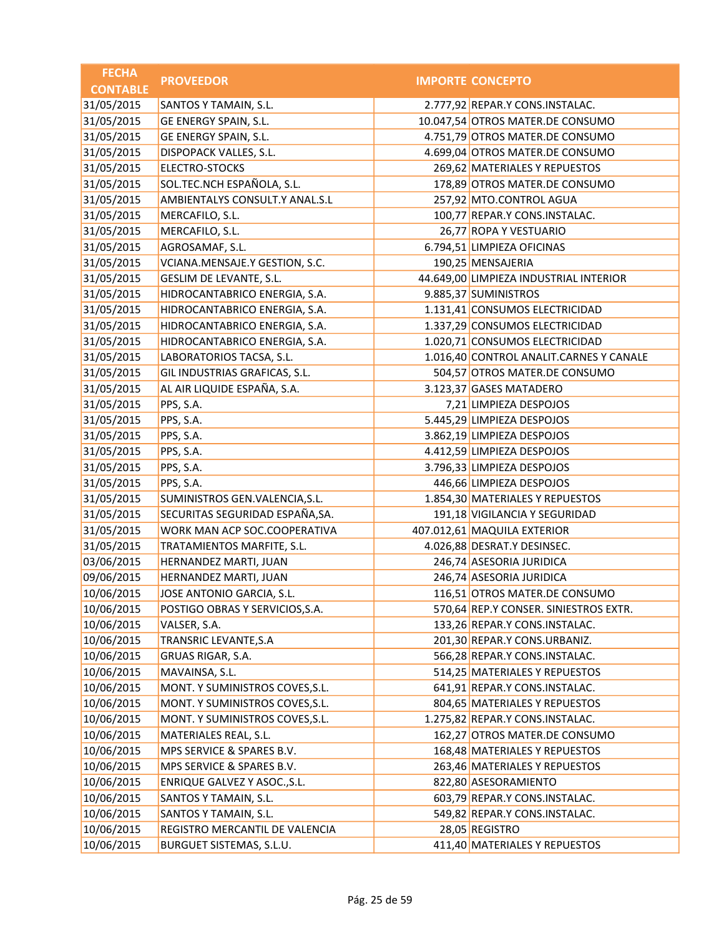| <b>FECHA</b>    | <b>PROVEEDOR</b>                | <b>IMPORTE CONCEPTO</b>                 |
|-----------------|---------------------------------|-----------------------------------------|
| <b>CONTABLE</b> |                                 |                                         |
| 31/05/2015      | SANTOS Y TAMAIN, S.L.           | 2.777,92 REPAR.Y CONS.INSTALAC.         |
| 31/05/2015      | GE ENERGY SPAIN, S.L.           | 10.047,54 OTROS MATER.DE CONSUMO        |
| 31/05/2015      | GE ENERGY SPAIN, S.L.           | 4.751,79 OTROS MATER.DE CONSUMO         |
| 31/05/2015      | DISPOPACK VALLES, S.L.          | 4.699,04 OTROS MATER.DE CONSUMO         |
| 31/05/2015      | ELECTRO-STOCKS                  | 269,62 MATERIALES Y REPUESTOS           |
| 31/05/2015      | SOL.TEC.NCH ESPAÑOLA, S.L.      | 178,89 OTROS MATER.DE CONSUMO           |
| 31/05/2015      | AMBIENTALYS CONSULT.Y ANAL.S.L  | 257,92 MTO.CONTROL AGUA                 |
| 31/05/2015      | MERCAFILO, S.L.                 | 100,77 REPAR.Y CONS.INSTALAC.           |
| 31/05/2015      | MERCAFILO, S.L.                 | 26,77 ROPA Y VESTUARIO                  |
| 31/05/2015      | AGROSAMAF, S.L.                 | 6.794,51 LIMPIEZA OFICINAS              |
| 31/05/2015      | VCIANA.MENSAJE.Y GESTION, S.C.  | 190,25 MENSAJERIA                       |
| 31/05/2015      | GESLIM DE LEVANTE, S.L.         | 44.649,00 LIMPIEZA INDUSTRIAL INTERIOR  |
| 31/05/2015      | HIDROCANTABRICO ENERGIA, S.A.   | 9.885,37 SUMINISTROS                    |
| 31/05/2015      | HIDROCANTABRICO ENERGIA, S.A.   | 1.131,41 CONSUMOS ELECTRICIDAD          |
| 31/05/2015      | HIDROCANTABRICO ENERGIA, S.A.   | 1.337,29 CONSUMOS ELECTRICIDAD          |
| 31/05/2015      | HIDROCANTABRICO ENERGIA, S.A.   | 1.020,71 CONSUMOS ELECTRICIDAD          |
| 31/05/2015      | LABORATORIOS TACSA, S.L.        | 1.016,40 CONTROL ANALIT.CARNES Y CANALE |
| 31/05/2015      | GIL INDUSTRIAS GRAFICAS, S.L.   | 504,57 OTROS MATER.DE CONSUMO           |
| 31/05/2015      | AL AIR LIQUIDE ESPAÑA, S.A.     | 3.123,37 GASES MATADERO                 |
| 31/05/2015      | PPS, S.A.                       | 7,21 LIMPIEZA DESPOJOS                  |
| 31/05/2015      | PPS, S.A.                       | 5.445,29 LIMPIEZA DESPOJOS              |
| 31/05/2015      | PPS, S.A.                       | 3.862,19 LIMPIEZA DESPOJOS              |
| 31/05/2015      | PPS, S.A.                       | 4.412,59 LIMPIEZA DESPOJOS              |
| 31/05/2015      | PPS, S.A.                       | 3.796,33 LIMPIEZA DESPOJOS              |
| 31/05/2015      | PPS, S.A.                       | 446,66 LIMPIEZA DESPOJOS                |
| 31/05/2015      | SUMINISTROS GEN.VALENCIA, S.L.  | 1.854,30 MATERIALES Y REPUESTOS         |
| 31/05/2015      | SECURITAS SEGURIDAD ESPAÑA, SA. | 191,18 VIGILANCIA Y SEGURIDAD           |
| 31/05/2015      | WORK MAN ACP SOC.COOPERATIVA    | 407.012,61 MAQUILA EXTERIOR             |
| 31/05/2015      | TRATAMIENTOS MARFITE, S.L.      | 4.026,88 DESRAT.Y DESINSEC.             |
| 03/06/2015      | HERNANDEZ MARTI, JUAN           | 246,74 ASESORIA JURIDICA                |
| 09/06/2015      | HERNANDEZ MARTI, JUAN           | 246,74 ASESORIA JURIDICA                |
| 10/06/2015      | JOSE ANTONIO GARCIA, S.L.       | 116,51 OTROS MATER.DE CONSUMO           |
| 10/06/2015      | POSTIGO OBRAS Y SERVICIOS, S.A. | 570,64 REP.Y CONSER. SINIESTROS EXTR.   |
| 10/06/2015      | VALSER, S.A.                    | 133,26 REPAR.Y CONS.INSTALAC.           |
| 10/06/2015      | TRANSRIC LEVANTE, S.A           | 201,30 REPAR.Y CONS.URBANIZ.            |
| 10/06/2015      | GRUAS RIGAR, S.A.               | 566,28 REPAR.Y CONS.INSTALAC.           |
| 10/06/2015      | MAVAINSA, S.L.                  | 514,25 MATERIALES Y REPUESTOS           |
| 10/06/2015      | MONT. Y SUMINISTROS COVES, S.L. | 641,91 REPAR.Y CONS.INSTALAC.           |
| 10/06/2015      | MONT. Y SUMINISTROS COVES, S.L. | 804,65 MATERIALES Y REPUESTOS           |
| 10/06/2015      | MONT. Y SUMINISTROS COVES, S.L. | 1.275,82 REPAR.Y CONS.INSTALAC.         |
| 10/06/2015      | MATERIALES REAL, S.L.           | 162,27 OTROS MATER.DE CONSUMO           |
| 10/06/2015      | MPS SERVICE & SPARES B.V.       | 168,48 MATERIALES Y REPUESTOS           |
| 10/06/2015      | MPS SERVICE & SPARES B.V.       | 263,46 MATERIALES Y REPUESTOS           |
| 10/06/2015      | ENRIQUE GALVEZ Y ASOC., S.L.    | 822,80 ASESORAMIENTO                    |
| 10/06/2015      | SANTOS Y TAMAIN, S.L.           | 603,79 REPAR.Y CONS.INSTALAC.           |
| 10/06/2015      | SANTOS Y TAMAIN, S.L.           | 549,82 REPAR.Y CONS.INSTALAC.           |
| 10/06/2015      | REGISTRO MERCANTIL DE VALENCIA  | 28,05 REGISTRO                          |
| 10/06/2015      | BURGUET SISTEMAS, S.L.U.        | 411,40 MATERIALES Y REPUESTOS           |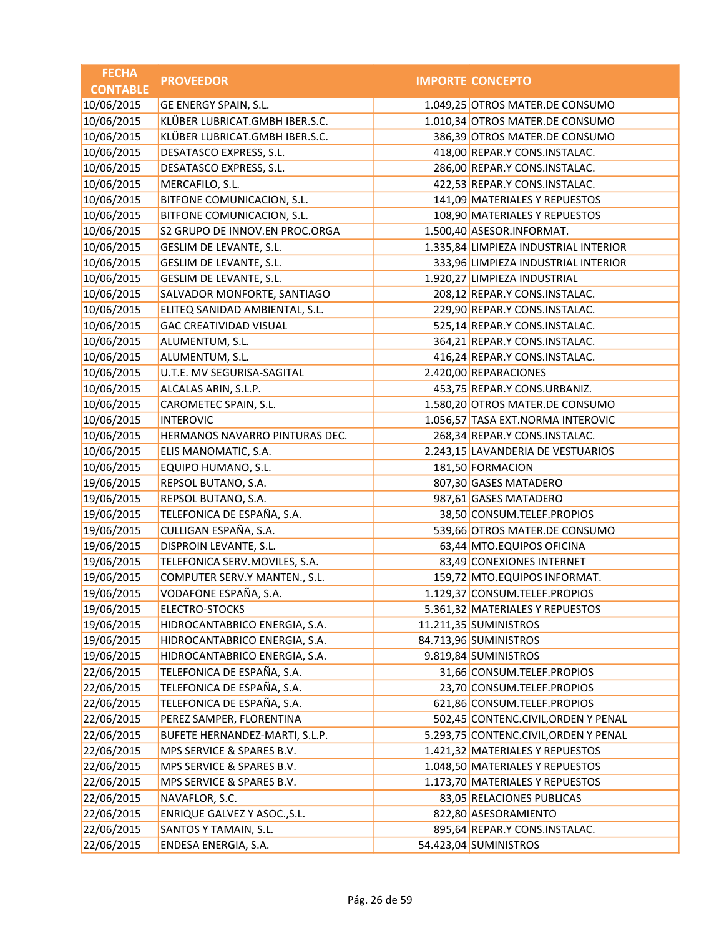| <b>FECHA</b>    | <b>PROVEEDOR</b>               | <b>IMPORTE CONCEPTO</b>               |
|-----------------|--------------------------------|---------------------------------------|
| <b>CONTABLE</b> |                                |                                       |
| 10/06/2015      | GE ENERGY SPAIN, S.L.          | 1.049,25 OTROS MATER.DE CONSUMO       |
| 10/06/2015      | KLÜBER LUBRICAT.GMBH IBER.S.C. | 1.010,34 OTROS MATER.DE CONSUMO       |
| 10/06/2015      | KLÜBER LUBRICAT.GMBH IBER.S.C. | 386,39 OTROS MATER.DE CONSUMO         |
| 10/06/2015      | DESATASCO EXPRESS, S.L.        | 418,00 REPAR.Y CONS.INSTALAC.         |
| 10/06/2015      | DESATASCO EXPRESS, S.L.        | 286,00 REPAR.Y CONS.INSTALAC.         |
| 10/06/2015      | MERCAFILO, S.L.                | 422,53 REPAR.Y CONS.INSTALAC.         |
| 10/06/2015      | BITFONE COMUNICACION, S.L.     | 141,09 MATERIALES Y REPUESTOS         |
| 10/06/2015      | BITFONE COMUNICACION, S.L.     | 108,90 MATERIALES Y REPUESTOS         |
| 10/06/2015      | S2 GRUPO DE INNOV.EN PROC.ORGA | 1.500,40 ASESOR.INFORMAT.             |
| 10/06/2015      | GESLIM DE LEVANTE, S.L.        | 1.335,84 LIMPIEZA INDUSTRIAL INTERIOR |
| 10/06/2015      | GESLIM DE LEVANTE, S.L.        | 333,96 LIMPIEZA INDUSTRIAL INTERIOR   |
| 10/06/2015      | GESLIM DE LEVANTE, S.L.        | 1.920,27 LIMPIEZA INDUSTRIAL          |
| 10/06/2015      | SALVADOR MONFORTE, SANTIAGO    | 208,12 REPAR.Y CONS.INSTALAC.         |
| 10/06/2015      | ELITEQ SANIDAD AMBIENTAL, S.L. | 229,90 REPAR.Y CONS.INSTALAC.         |
| 10/06/2015      | <b>GAC CREATIVIDAD VISUAL</b>  | 525,14 REPAR.Y CONS.INSTALAC.         |
| 10/06/2015      | ALUMENTUM, S.L.                | 364,21 REPAR.Y CONS.INSTALAC.         |
| 10/06/2015      | ALUMENTUM, S.L.                | 416,24 REPAR.Y CONS.INSTALAC.         |
| 10/06/2015      | U.T.E. MV SEGURISA-SAGITAL     | 2.420,00 REPARACIONES                 |
| 10/06/2015      | ALCALAS ARIN, S.L.P.           | 453,75 REPAR.Y CONS.URBANIZ.          |
| 10/06/2015      | CAROMETEC SPAIN, S.L.          | 1.580,20 OTROS MATER.DE CONSUMO       |
| 10/06/2015      | <b>INTEROVIC</b>               | 1.056,57 TASA EXT.NORMA INTEROVIC     |
| 10/06/2015      | HERMANOS NAVARRO PINTURAS DEC. | 268,34 REPAR.Y CONS.INSTALAC.         |
| 10/06/2015      | ELIS MANOMATIC, S.A.           | 2.243,15 LAVANDERIA DE VESTUARIOS     |
| 10/06/2015      | EQUIPO HUMANO, S.L.            | 181,50 FORMACION                      |
| 19/06/2015      | REPSOL BUTANO, S.A.            | 807,30 GASES MATADERO                 |
| 19/06/2015      | REPSOL BUTANO, S.A.            | 987,61 GASES MATADERO                 |
| 19/06/2015      | TELEFONICA DE ESPAÑA, S.A.     | 38,50 CONSUM.TELEF.PROPIOS            |
| 19/06/2015      | CULLIGAN ESPAÑA, S.A.          | 539,66 OTROS MATER.DE CONSUMO         |
| 19/06/2015      | DISPROIN LEVANTE, S.L.         | 63,44 MTO.EQUIPOS OFICINA             |
| 19/06/2015      | TELEFONICA SERV.MOVILES, S.A.  | 83,49 CONEXIONES INTERNET             |
| 19/06/2015      | COMPUTER SERV.Y MANTEN., S.L.  | 159,72 MTO.EQUIPOS INFORMAT.          |
| 19/06/2015      | VODAFONE ESPAÑA, S.A.          | 1.129,37 CONSUM.TELEF.PROPIOS         |
| 19/06/2015      | ELECTRO-STOCKS                 | 5.361,32 MATERIALES Y REPUESTOS       |
| 19/06/2015      | HIDROCANTABRICO ENERGIA, S.A.  | 11.211,35 SUMINISTROS                 |
| 19/06/2015      | HIDROCANTABRICO ENERGIA, S.A.  | 84.713,96 SUMINISTROS                 |
| 19/06/2015      | HIDROCANTABRICO ENERGIA, S.A.  | 9.819,84 SUMINISTROS                  |
| 22/06/2015      | TELEFONICA DE ESPAÑA, S.A.     | 31,66 CONSUM.TELEF.PROPIOS            |
| 22/06/2015      | TELEFONICA DE ESPAÑA, S.A.     | 23,70 CONSUM.TELEF.PROPIOS            |
| 22/06/2015      | TELEFONICA DE ESPAÑA, S.A.     | 621,86 CONSUM.TELEF.PROPIOS           |
| 22/06/2015      | PEREZ SAMPER, FLORENTINA       | 502,45 CONTENC.CIVIL, ORDEN Y PENAL   |
| 22/06/2015      | BUFETE HERNANDEZ-MARTI, S.L.P. | 5.293,75 CONTENC.CIVIL, ORDEN Y PENAL |
| 22/06/2015      | MPS SERVICE & SPARES B.V.      | 1.421,32 MATERIALES Y REPUESTOS       |
| 22/06/2015      | MPS SERVICE & SPARES B.V.      | 1.048,50 MATERIALES Y REPUESTOS       |
| 22/06/2015      | MPS SERVICE & SPARES B.V.      | 1.173,70 MATERIALES Y REPUESTOS       |
| 22/06/2015      | NAVAFLOR, S.C.                 | 83,05 RELACIONES PUBLICAS             |
| 22/06/2015      | ENRIQUE GALVEZ Y ASOC., S.L.   | 822,80 ASESORAMIENTO                  |
| 22/06/2015      | SANTOS Y TAMAIN, S.L.          | 895,64 REPAR.Y CONS.INSTALAC.         |
| 22/06/2015      | ENDESA ENERGIA, S.A.           | 54.423,04 SUMINISTROS                 |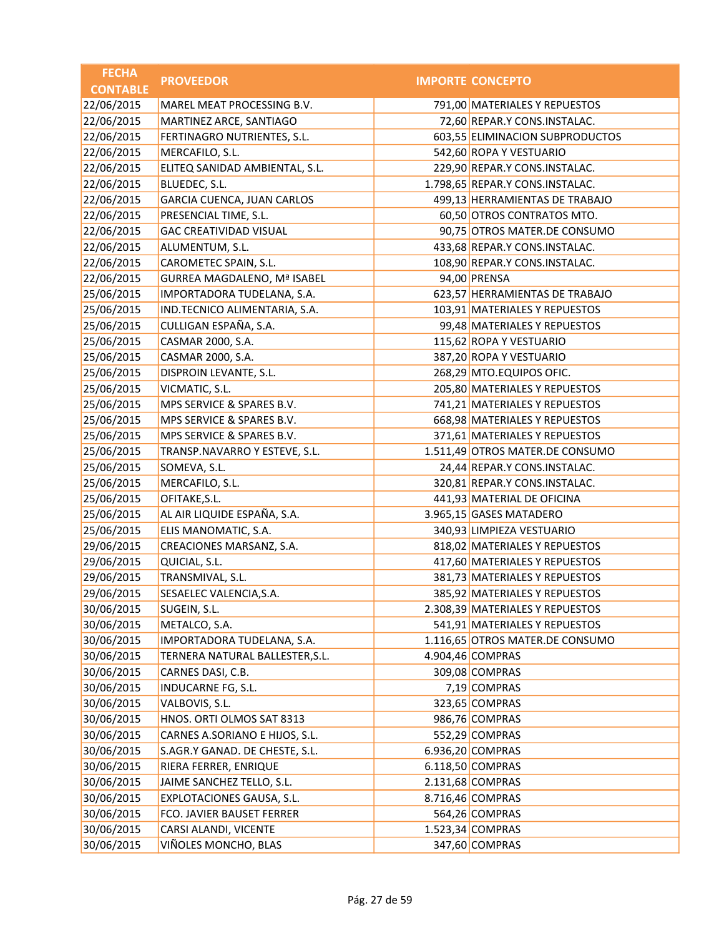| <b>FECHA</b>    | <b>PROVEEDOR</b>                   | <b>IMPORTE CONCEPTO</b>         |
|-----------------|------------------------------------|---------------------------------|
| <b>CONTABLE</b> |                                    |                                 |
| 22/06/2015      | MAREL MEAT PROCESSING B.V.         | 791,00 MATERIALES Y REPUESTOS   |
| 22/06/2015      | MARTINEZ ARCE, SANTIAGO            | 72,60 REPAR.Y CONS.INSTALAC.    |
| 22/06/2015      | FERTINAGRO NUTRIENTES, S.L.        | 603,55 ELIMINACION SUBPRODUCTOS |
| 22/06/2015      | MERCAFILO, S.L.                    | 542,60 ROPA Y VESTUARIO         |
| 22/06/2015      | ELITEQ SANIDAD AMBIENTAL, S.L.     | 229,90 REPAR.Y CONS.INSTALAC.   |
| 22/06/2015      | BLUEDEC, S.L.                      | 1.798,65 REPAR.Y CONS.INSTALAC. |
| 22/06/2015      | <b>GARCIA CUENCA, JUAN CARLOS</b>  | 499,13 HERRAMIENTAS DE TRABAJO  |
| 22/06/2015      | PRESENCIAL TIME, S.L.              | 60,50 OTROS CONTRATOS MTO.      |
| 22/06/2015      | <b>GAC CREATIVIDAD VISUAL</b>      | 90,75 OTROS MATER.DE CONSUMO    |
| 22/06/2015      | ALUMENTUM, S.L.                    | 433,68 REPAR.Y CONS.INSTALAC.   |
| 22/06/2015      | CAROMETEC SPAIN, S.L.              | 108,90 REPAR.Y CONS.INSTALAC.   |
| 22/06/2015      | <b>GURREA MAGDALENO, Mª ISABEL</b> | 94,00 PRENSA                    |
| 25/06/2015      | IMPORTADORA TUDELANA, S.A.         | 623,57 HERRAMIENTAS DE TRABAJO  |
| 25/06/2015      | IND.TECNICO ALIMENTARIA, S.A.      | 103,91 MATERIALES Y REPUESTOS   |
| 25/06/2015      | CULLIGAN ESPAÑA, S.A.              | 99,48 MATERIALES Y REPUESTOS    |
| 25/06/2015      | CASMAR 2000, S.A.                  | 115,62 ROPA Y VESTUARIO         |
| 25/06/2015      | CASMAR 2000, S.A.                  | 387,20 ROPA Y VESTUARIO         |
| 25/06/2015      | DISPROIN LEVANTE, S.L.             | 268,29 MTO.EQUIPOS OFIC.        |
| 25/06/2015      | VICMATIC, S.L.                     | 205,80 MATERIALES Y REPUESTOS   |
| 25/06/2015      | MPS SERVICE & SPARES B.V.          | 741,21 MATERIALES Y REPUESTOS   |
| 25/06/2015      | MPS SERVICE & SPARES B.V.          | 668,98 MATERIALES Y REPUESTOS   |
| 25/06/2015      | MPS SERVICE & SPARES B.V.          | 371,61 MATERIALES Y REPUESTOS   |
| 25/06/2015      | TRANSP.NAVARRO Y ESTEVE, S.L.      | 1.511,49 OTROS MATER.DE CONSUMO |
| 25/06/2015      | SOMEVA, S.L.                       | 24,44 REPAR.Y CONS.INSTALAC.    |
| 25/06/2015      | MERCAFILO, S.L.                    | 320,81 REPAR.Y CONS.INSTALAC.   |
| 25/06/2015      | OFITAKE, S.L.                      | 441,93 MATERIAL DE OFICINA      |
| 25/06/2015      | AL AIR LIQUIDE ESPAÑA, S.A.        | 3.965,15 GASES MATADERO         |
| 25/06/2015      | ELIS MANOMATIC, S.A.               | 340,93 LIMPIEZA VESTUARIO       |
| 29/06/2015      | CREACIONES MARSANZ, S.A.           | 818,02 MATERIALES Y REPUESTOS   |
| 29/06/2015      | QUICIAL, S.L.                      | 417,60 MATERIALES Y REPUESTOS   |
| 29/06/2015      | TRANSMIVAL, S.L.                   | 381,73 MATERIALES Y REPUESTOS   |
| 29/06/2015      | SESAELEC VALENCIA, S.A.            | 385,92 MATERIALES Y REPUESTOS   |
| 30/06/2015      | SUGEIN, S.L.                       | 2.308,39 MATERIALES Y REPUESTOS |
| 30/06/2015      | METALCO, S.A.                      | 541,91 MATERIALES Y REPUESTOS   |
| 30/06/2015      | IMPORTADORA TUDELANA, S.A.         | 1.116,65 OTROS MATER.DE CONSUMO |
| 30/06/2015      | TERNERA NATURAL BALLESTER, S.L.    | 4.904,46 COMPRAS                |
| 30/06/2015      | CARNES DASI, C.B.                  | 309,08 COMPRAS                  |
| 30/06/2015      | INDUCARNE FG, S.L.                 | 7,19 COMPRAS                    |
| 30/06/2015      | VALBOVIS, S.L.                     | 323,65 COMPRAS                  |
| 30/06/2015      | HNOS. ORTI OLMOS SAT 8313          | 986,76 COMPRAS                  |
| 30/06/2015      | CARNES A.SORIANO E HIJOS, S.L.     | 552,29 COMPRAS                  |
| 30/06/2015      | S.AGR.Y GANAD. DE CHESTE, S.L.     | 6.936,20 COMPRAS                |
| 30/06/2015      | RIERA FERRER, ENRIQUE              | 6.118,50 COMPRAS                |
| 30/06/2015      | JAIME SANCHEZ TELLO, S.L.          | 2.131,68 COMPRAS                |
| 30/06/2015      | EXPLOTACIONES GAUSA, S.L.          | 8.716,46 COMPRAS                |
| 30/06/2015      | FCO. JAVIER BAUSET FERRER          | 564,26 COMPRAS                  |
| 30/06/2015      | CARSI ALANDI, VICENTE              | 1.523,34 COMPRAS                |
| 30/06/2015      | VIÑOLES MONCHO, BLAS               | 347,60 COMPRAS                  |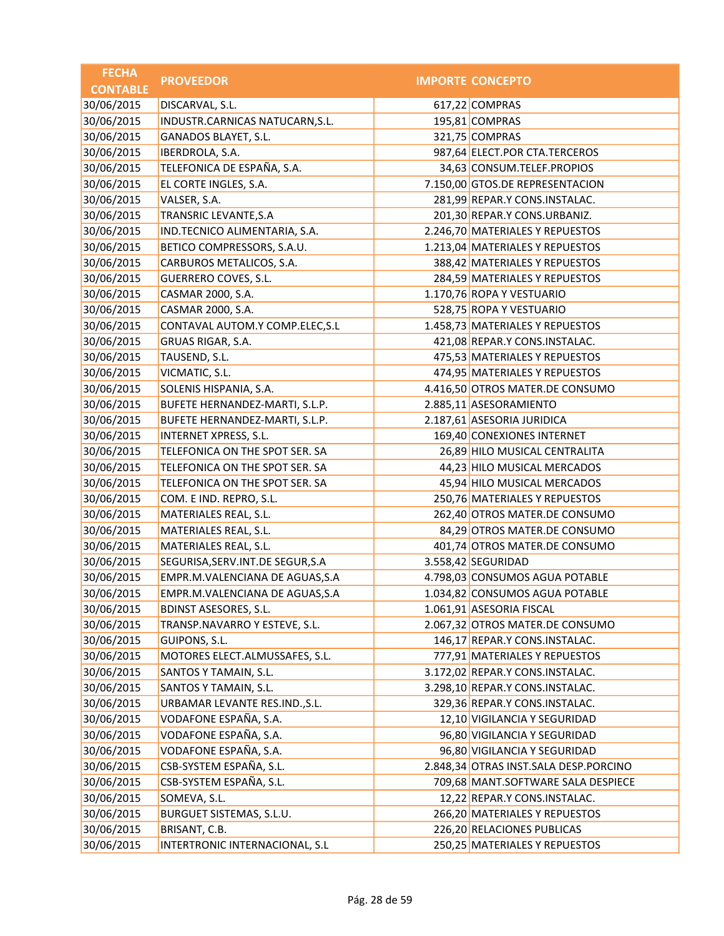| <b>FECHA</b>    | <b>PROVEEDOR</b>                   | <b>IMPORTE CONCEPTO</b>               |
|-----------------|------------------------------------|---------------------------------------|
| <b>CONTABLE</b> |                                    |                                       |
| 30/06/2015      | DISCARVAL, S.L.                    | 617,22 COMPRAS                        |
| 30/06/2015      | INDUSTR.CARNICAS NATUCARN, S.L.    | 195,81 COMPRAS                        |
| 30/06/2015      | GANADOS BLAYET, S.L.               | 321,75 COMPRAS                        |
| 30/06/2015      | IBERDROLA, S.A.                    | 987,64 ELECT.POR CTA.TERCEROS         |
| 30/06/2015      | TELEFONICA DE ESPAÑA, S.A.         | 34,63 CONSUM.TELEF.PROPIOS            |
| 30/06/2015      | EL CORTE INGLES, S.A.              | 7.150,00 GTOS.DE REPRESENTACION       |
| 30/06/2015      | VALSER, S.A.                       | 281,99 REPAR.Y CONS.INSTALAC.         |
| 30/06/2015      | TRANSRIC LEVANTE, S.A              | 201,30 REPAR.Y CONS.URBANIZ.          |
| 30/06/2015      | IND.TECNICO ALIMENTARIA, S.A.      | 2.246,70 MATERIALES Y REPUESTOS       |
| 30/06/2015      | BETICO COMPRESSORS, S.A.U.         | 1.213,04 MATERIALES Y REPUESTOS       |
| 30/06/2015      | CARBUROS METALICOS, S.A.           | 388,42 MATERIALES Y REPUESTOS         |
| 30/06/2015      | GUERRERO COVES, S.L.               | 284,59 MATERIALES Y REPUESTOS         |
| 30/06/2015      | CASMAR 2000, S.A.                  | 1.170,76 ROPA Y VESTUARIO             |
| 30/06/2015      | CASMAR 2000, S.A.                  | 528,75 ROPA Y VESTUARIO               |
| 30/06/2015      | CONTAVAL AUTOM.Y COMP.ELEC, S.L    | 1.458,73 MATERIALES Y REPUESTOS       |
| 30/06/2015      | GRUAS RIGAR, S.A.                  | 421,08 REPAR.Y CONS.INSTALAC.         |
| 30/06/2015      | TAUSEND, S.L.                      | 475,53 MATERIALES Y REPUESTOS         |
| 30/06/2015      | VICMATIC, S.L.                     | 474,95 MATERIALES Y REPUESTOS         |
| 30/06/2015      | SOLENIS HISPANIA, S.A.             | 4.416,50 OTROS MATER.DE CONSUMO       |
| 30/06/2015      | BUFETE HERNANDEZ-MARTI, S.L.P.     | 2.885,11 ASESORAMIENTO                |
| 30/06/2015      | BUFETE HERNANDEZ-MARTI, S.L.P.     | 2.187,61 ASESORIA JURIDICA            |
| 30/06/2015      | INTERNET XPRESS, S.L.              | 169,40 CONEXIONES INTERNET            |
| 30/06/2015      | TELEFONICA ON THE SPOT SER. SA     | 26,89 HILO MUSICAL CENTRALITA         |
| 30/06/2015      | TELEFONICA ON THE SPOT SER. SA     | 44,23 HILO MUSICAL MERCADOS           |
| 30/06/2015      | TELEFONICA ON THE SPOT SER. SA     | 45,94 HILO MUSICAL MERCADOS           |
| 30/06/2015      | COM. E IND. REPRO, S.L.            | 250,76 MATERIALES Y REPUESTOS         |
| 30/06/2015      | MATERIALES REAL, S.L.              | 262,40 OTROS MATER.DE CONSUMO         |
| 30/06/2015      | MATERIALES REAL, S.L.              | 84,29 OTROS MATER.DE CONSUMO          |
| 30/06/2015      | MATERIALES REAL, S.L.              | 401,74 OTROS MATER.DE CONSUMO         |
| 30/06/2015      | SEGURISA, SERV. INT. DE SEGUR, S.A | 3.558,42 SEGURIDAD                    |
| 30/06/2015      | EMPR.M.VALENCIANA DE AGUAS, S.A    | 4.798,03 CONSUMOS AGUA POTABLE        |
| 30/06/2015      | EMPR.M.VALENCIANA DE AGUAS, S.A    | 1.034,82 CONSUMOS AGUA POTABLE        |
| 30/06/2015      | <b>BDINST ASESORES, S.L.</b>       | 1.061,91 ASESORIA FISCAL              |
| 30/06/2015      | TRANSP.NAVARRO Y ESTEVE, S.L.      | 2.067,32 OTROS MATER.DE CONSUMO       |
| 30/06/2015      | GUIPONS, S.L.                      | 146,17 REPAR.Y CONS.INSTALAC.         |
| 30/06/2015      | MOTORES ELECT.ALMUSSAFES, S.L.     | 777,91 MATERIALES Y REPUESTOS         |
| 30/06/2015      | SANTOS Y TAMAIN, S.L.              | 3.172,02 REPAR.Y CONS.INSTALAC.       |
| 30/06/2015      | SANTOS Y TAMAIN, S.L.              | 3.298,10 REPAR.Y CONS.INSTALAC.       |
| 30/06/2015      | URBAMAR LEVANTE RES.IND., S.L.     | 329,36 REPAR.Y CONS.INSTALAC.         |
| 30/06/2015      | VODAFONE ESPAÑA, S.A.              | 12,10 VIGILANCIA Y SEGURIDAD          |
| 30/06/2015      | VODAFONE ESPAÑA, S.A.              | 96,80 VIGILANCIA Y SEGURIDAD          |
| 30/06/2015      | VODAFONE ESPAÑA, S.A.              | 96,80 VIGILANCIA Y SEGURIDAD          |
| 30/06/2015      | CSB-SYSTEM ESPAÑA, S.L.            | 2.848,34 OTRAS INST.SALA DESP.PORCINO |
| 30/06/2015      | CSB-SYSTEM ESPAÑA, S.L.            | 709,68 MANT.SOFTWARE SALA DESPIECE    |
| 30/06/2015      | SOMEVA, S.L.                       | 12,22 REPAR.Y CONS.INSTALAC.          |
| 30/06/2015      | BURGUET SISTEMAS, S.L.U.           | 266,20 MATERIALES Y REPUESTOS         |
| 30/06/2015      | BRISANT, C.B.                      | 226,20 RELACIONES PUBLICAS            |
| 30/06/2015      | INTERTRONIC INTERNACIONAL, S.L     | 250,25 MATERIALES Y REPUESTOS         |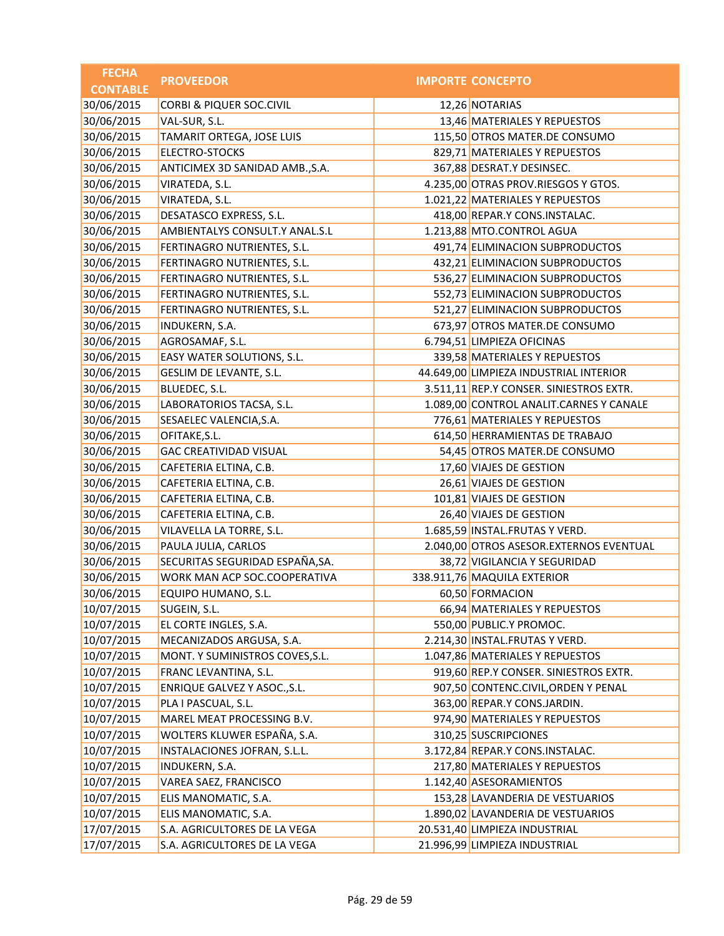| <b>FECHA</b>    | <b>PROVEEDOR</b>                    | <b>IMPORTE CONCEPTO</b>                 |
|-----------------|-------------------------------------|-----------------------------------------|
| <b>CONTABLE</b> |                                     |                                         |
| 30/06/2015      | <b>CORBI &amp; PIQUER SOC.CIVIL</b> | 12,26 NOTARIAS                          |
| 30/06/2015      | VAL-SUR, S.L.                       | 13,46 MATERIALES Y REPUESTOS            |
| 30/06/2015      | TAMARIT ORTEGA, JOSE LUIS           | 115,50 OTROS MATER.DE CONSUMO           |
| 30/06/2015      | <b>ELECTRO-STOCKS</b>               | 829,71 MATERIALES Y REPUESTOS           |
| 30/06/2015      | ANTICIMEX 3D SANIDAD AMB., S.A.     | 367,88 DESRAT.Y DESINSEC.               |
| 30/06/2015      | VIRATEDA, S.L.                      | 4.235,00 OTRAS PROV.RIESGOS Y GTOS.     |
| 30/06/2015      | VIRATEDA, S.L.                      | 1.021,22 MATERIALES Y REPUESTOS         |
| 30/06/2015      | DESATASCO EXPRESS, S.L.             | 418,00 REPAR.Y CONS.INSTALAC.           |
| 30/06/2015      | AMBIENTALYS CONSULT.Y ANAL.S.L      | 1.213,88 MTO.CONTROL AGUA               |
| 30/06/2015      | FERTINAGRO NUTRIENTES, S.L.         | 491,74 ELIMINACION SUBPRODUCTOS         |
| 30/06/2015      | FERTINAGRO NUTRIENTES, S.L.         | 432,21 ELIMINACION SUBPRODUCTOS         |
| 30/06/2015      | FERTINAGRO NUTRIENTES, S.L.         | 536,27 ELIMINACION SUBPRODUCTOS         |
| 30/06/2015      | FERTINAGRO NUTRIENTES, S.L.         | 552,73 ELIMINACION SUBPRODUCTOS         |
| 30/06/2015      | FERTINAGRO NUTRIENTES, S.L.         | 521,27 ELIMINACION SUBPRODUCTOS         |
| 30/06/2015      | INDUKERN, S.A.                      | 673,97 OTROS MATER.DE CONSUMO           |
| 30/06/2015      | AGROSAMAF, S.L.                     | 6.794,51 LIMPIEZA OFICINAS              |
| 30/06/2015      | EASY WATER SOLUTIONS, S.L.          | 339,58 MATERIALES Y REPUESTOS           |
| 30/06/2015      | GESLIM DE LEVANTE, S.L.             | 44.649,00 LIMPIEZA INDUSTRIAL INTERIOR  |
| 30/06/2015      | BLUEDEC, S.L.                       | 3.511,11 REP.Y CONSER. SINIESTROS EXTR. |
| 30/06/2015      | LABORATORIOS TACSA, S.L.            | 1.089,00 CONTROL ANALIT.CARNES Y CANALE |
| 30/06/2015      | SESAELEC VALENCIA, S.A.             | 776,61 MATERIALES Y REPUESTOS           |
| 30/06/2015      | OFITAKE, S.L.                       | 614,50 HERRAMIENTAS DE TRABAJO          |
| 30/06/2015      | <b>GAC CREATIVIDAD VISUAL</b>       | 54,45 OTROS MATER.DE CONSUMO            |
| 30/06/2015      | CAFETERIA ELTINA, C.B.              | 17,60 VIAJES DE GESTION                 |
| 30/06/2015      | CAFETERIA ELTINA, C.B.              | 26,61 VIAJES DE GESTION                 |
| 30/06/2015      | CAFETERIA ELTINA, C.B.              | 101,81 VIAJES DE GESTION                |
| 30/06/2015      | CAFETERIA ELTINA, C.B.              | 26,40 VIAJES DE GESTION                 |
| 30/06/2015      | VILAVELLA LA TORRE, S.L.            | 1.685,59 INSTAL.FRUTAS Y VERD.          |
| 30/06/2015      | PAULA JULIA, CARLOS                 | 2.040,00 OTROS ASESOR.EXTERNOS EVENTUAL |
| 30/06/2015      | SECURITAS SEGURIDAD ESPAÑA, SA.     | 38,72 VIGILANCIA Y SEGURIDAD            |
| 30/06/2015      | WORK MAN ACP SOC.COOPERATIVA        | 338.911,76 MAQUILA EXTERIOR             |
| 30/06/2015      | EQUIPO HUMANO, S.L.                 | 60,50 FORMACION                         |
| 10/07/2015      | SUGEIN, S.L.                        | 66,94 MATERIALES Y REPUESTOS            |
| 10/07/2015      | EL CORTE INGLES, S.A.               | 550,00 PUBLIC.Y PROMOC.                 |
| 10/07/2015      | MECANIZADOS ARGUSA, S.A.            | 2.214,30 INSTAL.FRUTAS Y VERD.          |
| 10/07/2015      | MONT. Y SUMINISTROS COVES, S.L.     | 1.047,86 MATERIALES Y REPUESTOS         |
| 10/07/2015      | FRANC LEVANTINA, S.L.               | 919,60 REP.Y CONSER. SINIESTROS EXTR.   |
| 10/07/2015      | ENRIQUE GALVEZ Y ASOC., S.L.        | 907,50 CONTENC.CIVIL, ORDEN Y PENAL     |
| 10/07/2015      | PLA I PASCUAL, S.L.                 | 363,00 REPAR.Y CONS.JARDIN.             |
| 10/07/2015      | MAREL MEAT PROCESSING B.V.          | 974,90 MATERIALES Y REPUESTOS           |
| 10/07/2015      | WOLTERS KLUWER ESPAÑA, S.A.         | 310,25 SUSCRIPCIONES                    |
| 10/07/2015      | INSTALACIONES JOFRAN, S.L.L.        | 3.172,84 REPAR.Y CONS.INSTALAC.         |
| 10/07/2015      | INDUKERN, S.A.                      | 217,80 MATERIALES Y REPUESTOS           |
| 10/07/2015      | VAREA SAEZ, FRANCISCO               | 1.142,40 ASESORAMIENTOS                 |
| 10/07/2015      | ELIS MANOMATIC, S.A.                | 153,28 LAVANDERIA DE VESTUARIOS         |
| 10/07/2015      | ELIS MANOMATIC, S.A.                | 1.890,02 LAVANDERIA DE VESTUARIOS       |
| 17/07/2015      | S.A. AGRICULTORES DE LA VEGA        | 20.531,40 LIMPIEZA INDUSTRIAL           |
| 17/07/2015      | S.A. AGRICULTORES DE LA VEGA        | 21.996,99 LIMPIEZA INDUSTRIAL           |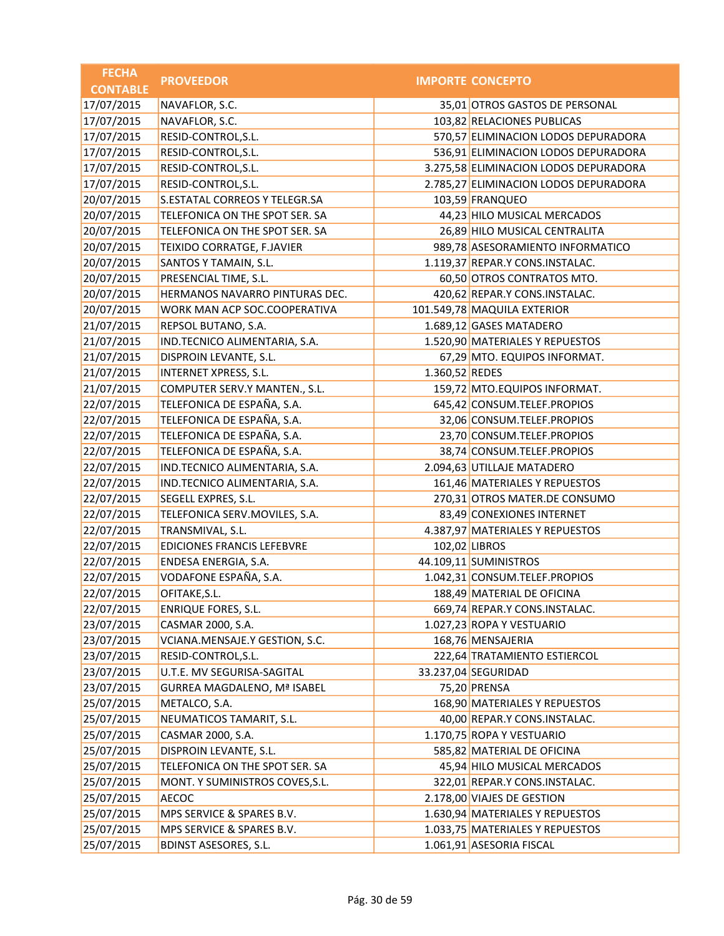| <b>FECHA</b>    | <b>PROVEEDOR</b>                   |                | <b>IMPORTE CONCEPTO</b>               |
|-----------------|------------------------------------|----------------|---------------------------------------|
| <b>CONTABLE</b> |                                    |                |                                       |
| 17/07/2015      | NAVAFLOR, S.C.                     |                | 35,01 OTROS GASTOS DE PERSONAL        |
| 17/07/2015      | NAVAFLOR, S.C.                     |                | 103,82 RELACIONES PUBLICAS            |
| 17/07/2015      | RESID-CONTROL, S.L.                |                | 570,57 ELIMINACION LODOS DEPURADORA   |
| 17/07/2015      | RESID-CONTROL, S.L.                |                | 536,91 ELIMINACION LODOS DEPURADORA   |
| 17/07/2015      | RESID-CONTROL, S.L.                |                | 3.275,58 ELIMINACION LODOS DEPURADORA |
| 17/07/2015      | RESID-CONTROL, S.L.                |                | 2.785,27 ELIMINACION LODOS DEPURADORA |
| 20/07/2015      | S.ESTATAL CORREOS Y TELEGR.SA      |                | 103,59 FRANQUEO                       |
| 20/07/2015      | TELEFONICA ON THE SPOT SER. SA     |                | 44,23 HILO MUSICAL MERCADOS           |
| 20/07/2015      | TELEFONICA ON THE SPOT SER. SA     |                | 26,89 HILO MUSICAL CENTRALITA         |
| 20/07/2015      | TEIXIDO CORRATGE, F.JAVIER         |                | 989,78 ASESORAMIENTO INFORMATICO      |
| 20/07/2015      | SANTOS Y TAMAIN, S.L.              |                | 1.119,37 REPAR.Y CONS.INSTALAC.       |
| 20/07/2015      | PRESENCIAL TIME, S.L.              |                | 60,50 OTROS CONTRATOS MTO.            |
| 20/07/2015      | HERMANOS NAVARRO PINTURAS DEC.     |                | 420,62 REPAR.Y CONS.INSTALAC.         |
| 20/07/2015      | WORK MAN ACP SOC.COOPERATIVA       |                | 101.549,78 MAQUILA EXTERIOR           |
| 21/07/2015      | REPSOL BUTANO, S.A.                |                | 1.689,12 GASES MATADERO               |
| 21/07/2015      | IND.TECNICO ALIMENTARIA, S.A.      |                | 1.520,90 MATERIALES Y REPUESTOS       |
| 21/07/2015      | DISPROIN LEVANTE, S.L.             |                | 67,29 MTO. EQUIPOS INFORMAT.          |
| 21/07/2015      | <b>INTERNET XPRESS, S.L.</b>       | 1.360,52 REDES |                                       |
| 21/07/2015      | COMPUTER SERV.Y MANTEN., S.L.      |                | 159,72 MTO.EQUIPOS INFORMAT.          |
| 22/07/2015      | TELEFONICA DE ESPAÑA, S.A.         |                | 645,42 CONSUM.TELEF.PROPIOS           |
| 22/07/2015      | TELEFONICA DE ESPAÑA, S.A.         |                | 32,06 CONSUM.TELEF.PROPIOS            |
| 22/07/2015      | TELEFONICA DE ESPAÑA, S.A.         |                | 23,70 CONSUM.TELEF.PROPIOS            |
| 22/07/2015      | TELEFONICA DE ESPAÑA, S.A.         |                | 38,74 CONSUM.TELEF.PROPIOS            |
| 22/07/2015      | IND.TECNICO ALIMENTARIA, S.A.      |                | 2.094,63 UTILLAJE MATADERO            |
| 22/07/2015      | IND.TECNICO ALIMENTARIA, S.A.      |                | 161,46 MATERIALES Y REPUESTOS         |
| 22/07/2015      | SEGELL EXPRES, S.L.                |                | 270,31 OTROS MATER.DE CONSUMO         |
| 22/07/2015      | TELEFONICA SERV.MOVILES, S.A.      |                | 83,49 CONEXIONES INTERNET             |
| 22/07/2015      | TRANSMIVAL, S.L.                   |                | 4.387,97 MATERIALES Y REPUESTOS       |
| 22/07/2015      | <b>EDICIONES FRANCIS LEFEBVRE</b>  |                | 102,02 LIBROS                         |
| 22/07/2015      | ENDESA ENERGIA, S.A.               |                | 44.109,11 SUMINISTROS                 |
| 22/07/2015      | VODAFONE ESPAÑA, S.A.              |                | 1.042,31 CONSUM.TELEF.PROPIOS         |
| 22/07/2015      | OFITAKE, S.L.                      |                | 188,49 MATERIAL DE OFICINA            |
| 22/07/2015      | <b>ENRIQUE FORES, S.L.</b>         |                | 669,74 REPAR.Y CONS.INSTALAC.         |
| 23/07/2015      | CASMAR 2000, S.A.                  |                | 1.027,23 ROPA Y VESTUARIO             |
| 23/07/2015      | VCIANA.MENSAJE.Y GESTION, S.C.     |                | 168,76 MENSAJERIA                     |
| 23/07/2015      | RESID-CONTROL, S.L.                |                | 222,64 TRATAMIENTO ESTIERCOL          |
| 23/07/2015      | U.T.E. MV SEGURISA-SAGITAL         |                | 33.237,04 SEGURIDAD                   |
| 23/07/2015      | <b>GURREA MAGDALENO, Mª ISABEL</b> |                | 75,20 PRENSA                          |
| 25/07/2015      | METALCO, S.A.                      |                | 168,90 MATERIALES Y REPUESTOS         |
| 25/07/2015      | NEUMATICOS TAMARIT, S.L.           |                | 40,00 REPAR.Y CONS.INSTALAC.          |
| 25/07/2015      | CASMAR 2000, S.A.                  |                | 1.170,75 ROPA Y VESTUARIO             |
| 25/07/2015      | DISPROIN LEVANTE, S.L.             |                | 585,82 MATERIAL DE OFICINA            |
| 25/07/2015      | TELEFONICA ON THE SPOT SER. SA     |                | 45,94 HILO MUSICAL MERCADOS           |
| 25/07/2015      | MONT. Y SUMINISTROS COVES, S.L.    |                | 322,01 REPAR.Y CONS.INSTALAC.         |
| 25/07/2015      | AECOC                              |                | 2.178,00 VIAJES DE GESTION            |
| 25/07/2015      | MPS SERVICE & SPARES B.V.          |                | 1.630,94 MATERIALES Y REPUESTOS       |
| 25/07/2015      | MPS SERVICE & SPARES B.V.          |                | 1.033,75 MATERIALES Y REPUESTOS       |
| 25/07/2015      | <b>BDINST ASESORES, S.L.</b>       |                | 1.061,91 ASESORIA FISCAL              |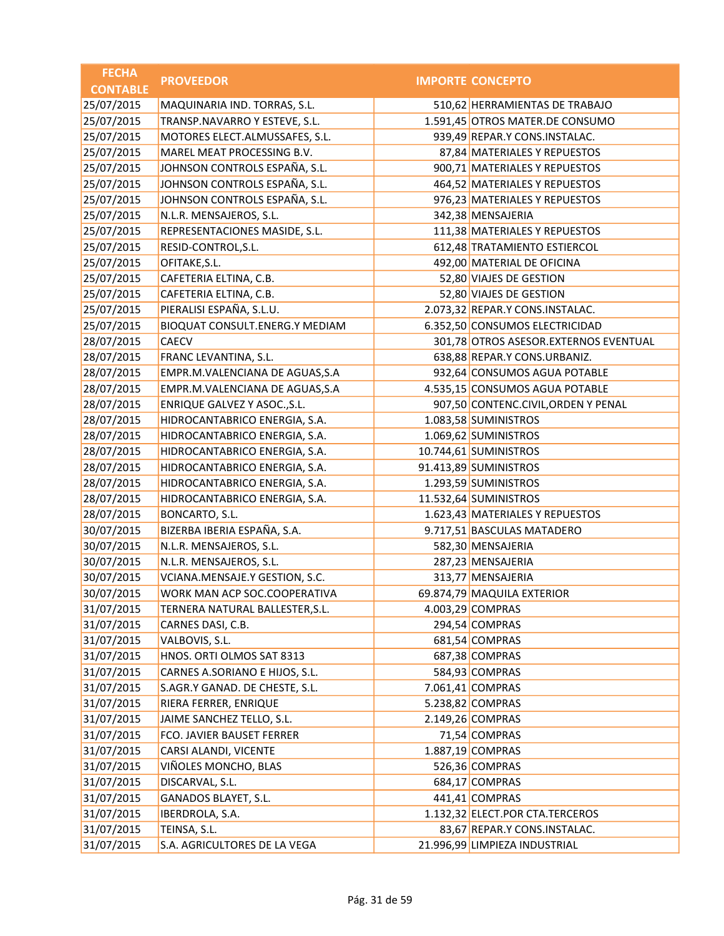| <b>FECHA</b>    | <b>PROVEEDOR</b>                | <b>IMPORTE CONCEPTO</b>               |
|-----------------|---------------------------------|---------------------------------------|
| <b>CONTABLE</b> |                                 |                                       |
| 25/07/2015      | MAQUINARIA IND. TORRAS, S.L.    | 510,62 HERRAMIENTAS DE TRABAJO        |
| 25/07/2015      | TRANSP.NAVARRO Y ESTEVE, S.L.   | 1.591,45 OTROS MATER.DE CONSUMO       |
| 25/07/2015      | MOTORES ELECT.ALMUSSAFES, S.L.  | 939,49 REPAR.Y CONS.INSTALAC.         |
| 25/07/2015      | MAREL MEAT PROCESSING B.V.      | 87,84 MATERIALES Y REPUESTOS          |
| 25/07/2015      | JOHNSON CONTROLS ESPAÑA, S.L.   | 900,71 MATERIALES Y REPUESTOS         |
| 25/07/2015      | JOHNSON CONTROLS ESPAÑA, S.L.   | 464,52 MATERIALES Y REPUESTOS         |
| 25/07/2015      | JOHNSON CONTROLS ESPAÑA, S.L.   | 976,23 MATERIALES Y REPUESTOS         |
| 25/07/2015      | N.L.R. MENSAJEROS, S.L.         | 342,38 MENSAJERIA                     |
| 25/07/2015      | REPRESENTACIONES MASIDE, S.L.   | 111,38 MATERIALES Y REPUESTOS         |
| 25/07/2015      | RESID-CONTROL, S.L.             | 612,48 TRATAMIENTO ESTIERCOL          |
| 25/07/2015      | OFITAKE, S.L.                   | 492,00 MATERIAL DE OFICINA            |
| 25/07/2015      | CAFETERIA ELTINA, C.B.          | 52,80 VIAJES DE GESTION               |
| 25/07/2015      | CAFETERIA ELTINA, C.B.          | 52,80 VIAJES DE GESTION               |
| 25/07/2015      | PIERALISI ESPAÑA, S.L.U.        | 2.073,32 REPAR.Y CONS.INSTALAC.       |
| 25/07/2015      | BIOQUAT CONSULT.ENERG.Y MEDIAM  | 6.352,50 CONSUMOS ELECTRICIDAD        |
| 28/07/2015      | <b>CAECV</b>                    | 301,78 OTROS ASESOR.EXTERNOS EVENTUAL |
| 28/07/2015      | FRANC LEVANTINA, S.L.           | 638,88 REPAR.Y CONS.URBANIZ.          |
| 28/07/2015      | EMPR.M.VALENCIANA DE AGUAS, S.A | 932,64 CONSUMOS AGUA POTABLE          |
| 28/07/2015      | EMPR.M.VALENCIANA DE AGUAS, S.A | 4.535,15 CONSUMOS AGUA POTABLE        |
| 28/07/2015      | ENRIQUE GALVEZ Y ASOC., S.L.    | 907,50 CONTENC.CIVIL, ORDEN Y PENAL   |
| 28/07/2015      | HIDROCANTABRICO ENERGIA, S.A.   | 1.083,58 SUMINISTROS                  |
| 28/07/2015      | HIDROCANTABRICO ENERGIA, S.A.   | 1.069,62 SUMINISTROS                  |
| 28/07/2015      | HIDROCANTABRICO ENERGIA, S.A.   | 10.744,61 SUMINISTROS                 |
| 28/07/2015      | HIDROCANTABRICO ENERGIA, S.A.   | 91.413,89 SUMINISTROS                 |
| 28/07/2015      | HIDROCANTABRICO ENERGIA, S.A.   | 1.293,59 SUMINISTROS                  |
| 28/07/2015      | HIDROCANTABRICO ENERGIA, S.A.   | 11.532,64 SUMINISTROS                 |
| 28/07/2015      | BONCARTO, S.L.                  | 1.623,43 MATERIALES Y REPUESTOS       |
| 30/07/2015      | BIZERBA IBERIA ESPAÑA, S.A.     | 9.717,51 BASCULAS MATADERO            |
| 30/07/2015      | N.L.R. MENSAJEROS, S.L.         | 582,30 MENSAJERIA                     |
| 30/07/2015      | N.L.R. MENSAJEROS, S.L.         | 287,23 MENSAJERIA                     |
| 30/07/2015      | VCIANA.MENSAJE.Y GESTION, S.C.  | 313,77 MENSAJERIA                     |
| 30/07/2015      | WORK MAN ACP SOC.COOPERATIVA    | 69.874,79 MAQUILA EXTERIOR            |
| 31/07/2015      | TERNERA NATURAL BALLESTER, S.L. | 4.003,29 COMPRAS                      |
| 31/07/2015      | CARNES DASI, C.B.               | 294,54 COMPRAS                        |
| 31/07/2015      | VALBOVIS, S.L.                  | 681,54 COMPRAS                        |
| 31/07/2015      | HNOS. ORTI OLMOS SAT 8313       | 687,38 COMPRAS                        |
| 31/07/2015      | CARNES A.SORIANO E HIJOS, S.L.  | 584,93 COMPRAS                        |
| 31/07/2015      | S.AGR.Y GANAD. DE CHESTE, S.L.  | 7.061,41 COMPRAS                      |
| 31/07/2015      | RIERA FERRER, ENRIQUE           | 5.238,82 COMPRAS                      |
| 31/07/2015      | JAIME SANCHEZ TELLO, S.L.       | 2.149,26 COMPRAS                      |
| 31/07/2015      | FCO. JAVIER BAUSET FERRER       | 71,54 COMPRAS                         |
| 31/07/2015      | CARSI ALANDI, VICENTE           | 1.887,19 COMPRAS                      |
| 31/07/2015      | VIÑOLES MONCHO, BLAS            | 526,36 COMPRAS                        |
| 31/07/2015      | DISCARVAL, S.L.                 | 684,17 COMPRAS                        |
| 31/07/2015      | GANADOS BLAYET, S.L.            | 441,41 COMPRAS                        |
| 31/07/2015      | IBERDROLA, S.A.                 | 1.132,32 ELECT.POR CTA.TERCEROS       |
| 31/07/2015      | TEINSA, S.L.                    | 83,67 REPAR.Y CONS.INSTALAC.          |
| 31/07/2015      | S.A. AGRICULTORES DE LA VEGA    | 21.996,99 LIMPIEZA INDUSTRIAL         |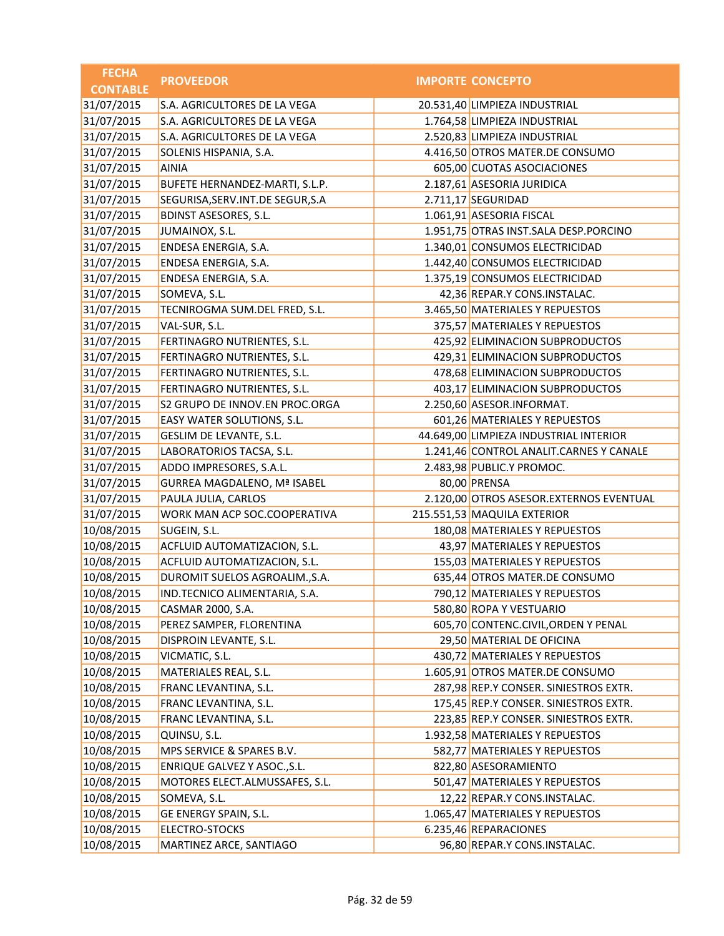| <b>FECHA</b>    | <b>PROVEEDOR</b>                   | <b>IMPORTE CONCEPTO</b>                 |
|-----------------|------------------------------------|-----------------------------------------|
| <b>CONTABLE</b> |                                    |                                         |
| 31/07/2015      | S.A. AGRICULTORES DE LA VEGA       | 20.531,40 LIMPIEZA INDUSTRIAL           |
| 31/07/2015      | S.A. AGRICULTORES DE LA VEGA       | 1.764,58 LIMPIEZA INDUSTRIAL            |
| 31/07/2015      | S.A. AGRICULTORES DE LA VEGA       | 2.520,83 LIMPIEZA INDUSTRIAL            |
| 31/07/2015      | SOLENIS HISPANIA, S.A.             | 4.416,50 OTROS MATER.DE CONSUMO         |
| 31/07/2015      | <b>AINIA</b>                       | 605,00 CUOTAS ASOCIACIONES              |
| 31/07/2015      | BUFETE HERNANDEZ-MARTI, S.L.P.     | 2.187,61 ASESORIA JURIDICA              |
| 31/07/2015      | SEGURISA, SERV. INT. DE SEGUR, S.A | 2.711,17 SEGURIDAD                      |
| 31/07/2015      | <b>BDINST ASESORES, S.L.</b>       | 1.061,91 ASESORIA FISCAL                |
| 31/07/2015      | JUMAINOX, S.L.                     | 1.951,75 OTRAS INST.SALA DESP.PORCINO   |
| 31/07/2015      | ENDESA ENERGIA, S.A.               | 1.340,01 CONSUMOS ELECTRICIDAD          |
| 31/07/2015      | ENDESA ENERGIA, S.A.               | 1.442,40 CONSUMOS ELECTRICIDAD          |
| 31/07/2015      | ENDESA ENERGIA, S.A.               | 1.375,19 CONSUMOS ELECTRICIDAD          |
| 31/07/2015      | SOMEVA, S.L.                       | 42,36 REPAR.Y CONS.INSTALAC.            |
| 31/07/2015      | TECNIROGMA SUM.DEL FRED, S.L.      | 3.465,50 MATERIALES Y REPUESTOS         |
| 31/07/2015      | VAL-SUR, S.L.                      | 375,57 MATERIALES Y REPUESTOS           |
| 31/07/2015      | FERTINAGRO NUTRIENTES, S.L.        | 425,92 ELIMINACION SUBPRODUCTOS         |
| 31/07/2015      | FERTINAGRO NUTRIENTES, S.L.        | 429,31 ELIMINACION SUBPRODUCTOS         |
| 31/07/2015      | FERTINAGRO NUTRIENTES, S.L.        | 478,68 ELIMINACION SUBPRODUCTOS         |
| 31/07/2015      | FERTINAGRO NUTRIENTES, S.L.        | 403,17 ELIMINACION SUBPRODUCTOS         |
| 31/07/2015      | S2 GRUPO DE INNOV.EN PROC.ORGA     | 2.250,60 ASESOR.INFORMAT.               |
| 31/07/2015      | EASY WATER SOLUTIONS, S.L.         | 601,26 MATERIALES Y REPUESTOS           |
| 31/07/2015      | GESLIM DE LEVANTE, S.L.            | 44.649,00 LIMPIEZA INDUSTRIAL INTERIOR  |
| 31/07/2015      | LABORATORIOS TACSA, S.L.           | 1.241,46 CONTROL ANALIT.CARNES Y CANALE |
| 31/07/2015      | ADDO IMPRESORES, S.A.L.            | 2.483,98 PUBLIC.Y PROMOC.               |
| 31/07/2015      | <b>GURREA MAGDALENO, Mª ISABEL</b> | 80,00 PRENSA                            |
| 31/07/2015      | PAULA JULIA, CARLOS                | 2.120,00 OTROS ASESOR.EXTERNOS EVENTUAL |
| 31/07/2015      | WORK MAN ACP SOC.COOPERATIVA       | 215.551,53 MAQUILA EXTERIOR             |
| 10/08/2015      | SUGEIN, S.L.                       | 180,08 MATERIALES Y REPUESTOS           |
| 10/08/2015      | ACFLUID AUTOMATIZACION, S.L.       | 43,97 MATERIALES Y REPUESTOS            |
| 10/08/2015      | ACFLUID AUTOMATIZACION, S.L.       | 155,03 MATERIALES Y REPUESTOS           |
| 10/08/2015      | DUROMIT SUELOS AGROALIM., S.A.     | 635,44 OTROS MATER.DE CONSUMO           |
| 10/08/2015      | IND.TECNICO ALIMENTARIA, S.A.      | 790,12 MATERIALES Y REPUESTOS           |
| 10/08/2015      | CASMAR 2000, S.A.                  | 580,80 ROPA Y VESTUARIO                 |
| 10/08/2015      | PEREZ SAMPER, FLORENTINA           | 605,70 CONTENC.CIVIL, ORDEN Y PENAL     |
| 10/08/2015      | DISPROIN LEVANTE, S.L.             | 29,50 MATERIAL DE OFICINA               |
| 10/08/2015      | VICMATIC, S.L.                     | 430,72 MATERIALES Y REPUESTOS           |
| 10/08/2015      | MATERIALES REAL, S.L.              | 1.605,91 OTROS MATER.DE CONSUMO         |
| 10/08/2015      | FRANC LEVANTINA, S.L.              | 287,98 REP.Y CONSER. SINIESTROS EXTR.   |
| 10/08/2015      | FRANC LEVANTINA, S.L.              | 175,45 REP.Y CONSER. SINIESTROS EXTR.   |
| 10/08/2015      | FRANC LEVANTINA, S.L.              | 223,85 REP.Y CONSER. SINIESTROS EXTR.   |
| 10/08/2015      | QUINSU, S.L.                       | 1.932,58 MATERIALES Y REPUESTOS         |
| 10/08/2015      | MPS SERVICE & SPARES B.V.          | 582,77 MATERIALES Y REPUESTOS           |
| 10/08/2015      | ENRIQUE GALVEZ Y ASOC., S.L.       | 822,80 ASESORAMIENTO                    |
| 10/08/2015      | MOTORES ELECT.ALMUSSAFES, S.L.     | 501,47 MATERIALES Y REPUESTOS           |
| 10/08/2015      | SOMEVA, S.L.                       | 12,22 REPAR.Y CONS.INSTALAC.            |
| 10/08/2015      | GE ENERGY SPAIN, S.L.              | 1.065,47 MATERIALES Y REPUESTOS         |
| 10/08/2015      | <b>ELECTRO-STOCKS</b>              | 6.235,46 REPARACIONES                   |
| 10/08/2015      | MARTINEZ ARCE, SANTIAGO            | 96,80 REPAR.Y CONS.INSTALAC.            |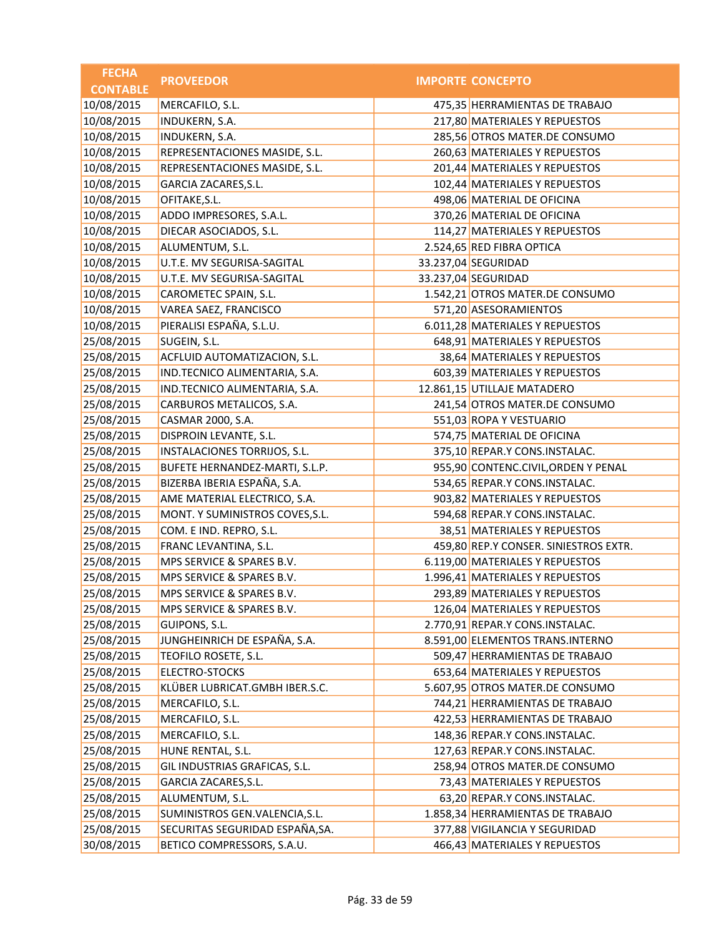| <b>FECHA</b>    | <b>PROVEEDOR</b>                | <b>IMPORTE CONCEPTO</b>               |
|-----------------|---------------------------------|---------------------------------------|
| <b>CONTABLE</b> |                                 |                                       |
| 10/08/2015      | MERCAFILO, S.L.                 | 475,35 HERRAMIENTAS DE TRABAJO        |
| 10/08/2015      | INDUKERN, S.A.                  | 217,80 MATERIALES Y REPUESTOS         |
| 10/08/2015      | INDUKERN, S.A.                  | 285,56 OTROS MATER.DE CONSUMO         |
| 10/08/2015      | REPRESENTACIONES MASIDE, S.L.   | 260,63 MATERIALES Y REPUESTOS         |
| 10/08/2015      | REPRESENTACIONES MASIDE, S.L.   | 201,44 MATERIALES Y REPUESTOS         |
| 10/08/2015      | GARCIA ZACARES, S.L.            | 102,44 MATERIALES Y REPUESTOS         |
| 10/08/2015      | OFITAKE, S.L.                   | 498,06 MATERIAL DE OFICINA            |
| 10/08/2015      | ADDO IMPRESORES, S.A.L.         | 370,26 MATERIAL DE OFICINA            |
| 10/08/2015      | DIECAR ASOCIADOS, S.L.          | 114,27 MATERIALES Y REPUESTOS         |
| 10/08/2015      | ALUMENTUM, S.L.                 | 2.524,65 RED FIBRA OPTICA             |
| 10/08/2015      | U.T.E. MV SEGURISA-SAGITAL      | 33.237,04 SEGURIDAD                   |
| 10/08/2015      | U.T.E. MV SEGURISA-SAGITAL      | 33.237,04 SEGURIDAD                   |
| 10/08/2015      | CAROMETEC SPAIN, S.L.           | 1.542,21 OTROS MATER.DE CONSUMO       |
| 10/08/2015      | VAREA SAEZ, FRANCISCO           | 571,20 ASESORAMIENTOS                 |
| 10/08/2015      | PIERALISI ESPAÑA, S.L.U.        | 6.011,28 MATERIALES Y REPUESTOS       |
| 25/08/2015      | SUGEIN, S.L.                    | 648,91 MATERIALES Y REPUESTOS         |
| 25/08/2015      | ACFLUID AUTOMATIZACION, S.L.    | 38,64 MATERIALES Y REPUESTOS          |
| 25/08/2015      | IND.TECNICO ALIMENTARIA, S.A.   | 603,39 MATERIALES Y REPUESTOS         |
| 25/08/2015      | IND.TECNICO ALIMENTARIA, S.A.   | 12.861,15 UTILLAJE MATADERO           |
| 25/08/2015      | CARBUROS METALICOS, S.A.        | 241,54 OTROS MATER.DE CONSUMO         |
| 25/08/2015      | CASMAR 2000, S.A.               | 551,03 ROPA Y VESTUARIO               |
| 25/08/2015      | DISPROIN LEVANTE, S.L.          | 574,75 MATERIAL DE OFICINA            |
| 25/08/2015      | INSTALACIONES TORRIJOS, S.L.    | 375,10 REPAR.Y CONS.INSTALAC.         |
| 25/08/2015      | BUFETE HERNANDEZ-MARTI, S.L.P.  | 955,90 CONTENC.CIVIL, ORDEN Y PENAL   |
| 25/08/2015      | BIZERBA IBERIA ESPAÑA, S.A.     | 534,65 REPAR.Y CONS.INSTALAC.         |
| 25/08/2015      | AME MATERIAL ELECTRICO, S.A.    | 903,82 MATERIALES Y REPUESTOS         |
| 25/08/2015      | MONT. Y SUMINISTROS COVES, S.L. | 594,68 REPAR.Y CONS.INSTALAC.         |
| 25/08/2015      | COM. E IND. REPRO, S.L.         | 38,51 MATERIALES Y REPUESTOS          |
| 25/08/2015      | FRANC LEVANTINA, S.L.           | 459,80 REP.Y CONSER. SINIESTROS EXTR. |
| 25/08/2015      | MPS SERVICE & SPARES B.V.       | 6.119,00 MATERIALES Y REPUESTOS       |
| 25/08/2015      | MPS SERVICE & SPARES B.V.       | 1.996,41 MATERIALES Y REPUESTOS       |
| 25/08/2015      | MPS SERVICE & SPARES B.V.       | 293,89 MATERIALES Y REPUESTOS         |
| 25/08/2015      | MPS SERVICE & SPARES B.V.       | 126,04 MATERIALES Y REPUESTOS         |
| 25/08/2015      | GUIPONS, S.L.                   | 2.770,91 REPAR.Y CONS.INSTALAC.       |
| 25/08/2015      | JUNGHEINRICH DE ESPAÑA, S.A.    | 8.591,00 ELEMENTOS TRANS.INTERNO      |
| 25/08/2015      | TEOFILO ROSETE, S.L.            | 509,47 HERRAMIENTAS DE TRABAJO        |
| 25/08/2015      | ELECTRO-STOCKS                  | 653,64 MATERIALES Y REPUESTOS         |
| 25/08/2015      | KLÜBER LUBRICAT.GMBH IBER.S.C.  | 5.607,95 OTROS MATER.DE CONSUMO       |
| 25/08/2015      | MERCAFILO, S.L.                 | 744,21 HERRAMIENTAS DE TRABAJO        |
| 25/08/2015      | MERCAFILO, S.L.                 | 422,53 HERRAMIENTAS DE TRABAJO        |
| 25/08/2015      | MERCAFILO, S.L.                 | 148,36 REPAR.Y CONS.INSTALAC.         |
| 25/08/2015      | HUNE RENTAL, S.L.               | 127,63 REPAR.Y CONS.INSTALAC.         |
| 25/08/2015      | GIL INDUSTRIAS GRAFICAS, S.L.   | 258,94 OTROS MATER.DE CONSUMO         |
| 25/08/2015      | GARCIA ZACARES, S.L.            | 73,43 MATERIALES Y REPUESTOS          |
| 25/08/2015      | ALUMENTUM, S.L.                 | 63,20 REPAR.Y CONS.INSTALAC.          |
| 25/08/2015      | SUMINISTROS GEN.VALENCIA, S.L.  | 1.858,34 HERRAMIENTAS DE TRABAJO      |
| 25/08/2015      | SECURITAS SEGURIDAD ESPAÑA, SA. | 377,88 VIGILANCIA Y SEGURIDAD         |
| 30/08/2015      | BETICO COMPRESSORS, S.A.U.      | 466,43 MATERIALES Y REPUESTOS         |
|                 |                                 |                                       |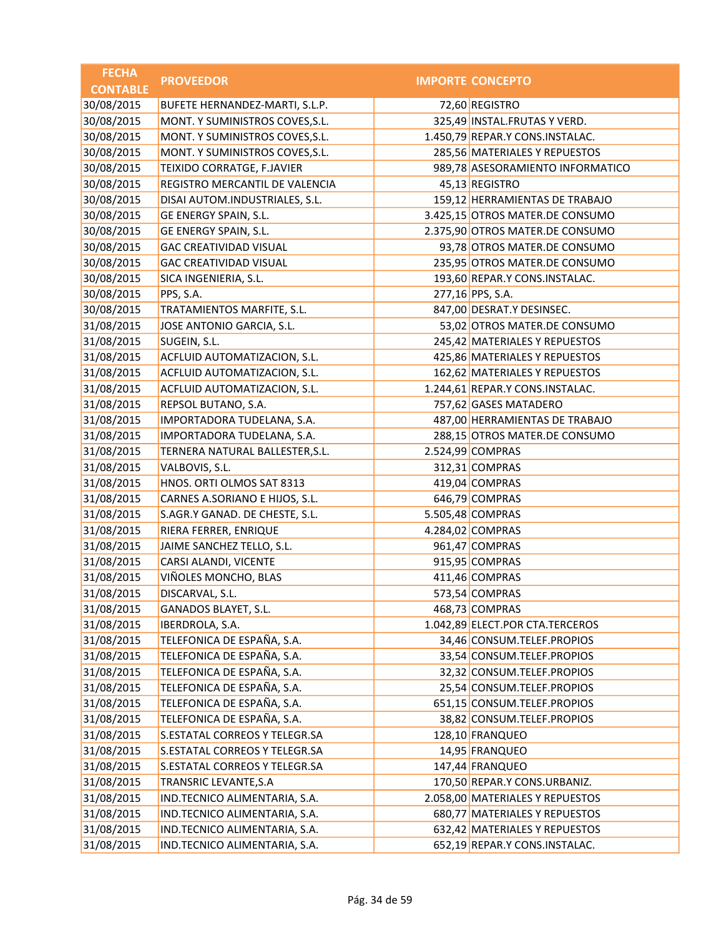| <b>FECHA</b>    | <b>PROVEEDOR</b>                | <b>IMPORTE CONCEPTO</b>          |
|-----------------|---------------------------------|----------------------------------|
| <b>CONTABLE</b> |                                 |                                  |
| 30/08/2015      | BUFETE HERNANDEZ-MARTI, S.L.P.  | 72,60 REGISTRO                   |
| 30/08/2015      | MONT. Y SUMINISTROS COVES, S.L. | 325,49 INSTAL.FRUTAS Y VERD.     |
| 30/08/2015      | MONT. Y SUMINISTROS COVES, S.L. | 1.450,79 REPAR.Y CONS.INSTALAC.  |
| 30/08/2015      | MONT. Y SUMINISTROS COVES, S.L. | 285,56 MATERIALES Y REPUESTOS    |
| 30/08/2015      | TEIXIDO CORRATGE, F.JAVIER      | 989,78 ASESORAMIENTO INFORMATICO |
| 30/08/2015      | REGISTRO MERCANTIL DE VALENCIA  | 45,13 REGISTRO                   |
| 30/08/2015      | DISAI AUTOM.INDUSTRIALES, S.L.  | 159,12 HERRAMIENTAS DE TRABAJO   |
| 30/08/2015      | GE ENERGY SPAIN, S.L.           | 3.425,15 OTROS MATER.DE CONSUMO  |
| 30/08/2015      | GE ENERGY SPAIN, S.L.           | 2.375,90 OTROS MATER.DE CONSUMO  |
| 30/08/2015      | <b>GAC CREATIVIDAD VISUAL</b>   | 93,78 OTROS MATER.DE CONSUMO     |
| 30/08/2015      | <b>GAC CREATIVIDAD VISUAL</b>   | 235,95 OTROS MATER.DE CONSUMO    |
| 30/08/2015      | SICA INGENIERIA, S.L.           | 193,60 REPAR.Y CONS.INSTALAC.    |
| 30/08/2015      | PPS, S.A.                       | 277,16 PPS, S.A.                 |
| 30/08/2015      | TRATAMIENTOS MARFITE, S.L.      | 847,00 DESRAT.Y DESINSEC.        |
| 31/08/2015      | JOSE ANTONIO GARCIA, S.L.       | 53,02 OTROS MATER.DE CONSUMO     |
| 31/08/2015      | SUGEIN, S.L.                    | 245,42 MATERIALES Y REPUESTOS    |
| 31/08/2015      | ACFLUID AUTOMATIZACION, S.L.    | 425,86 MATERIALES Y REPUESTOS    |
| 31/08/2015      | ACFLUID AUTOMATIZACION, S.L.    | 162,62 MATERIALES Y REPUESTOS    |
| 31/08/2015      | ACFLUID AUTOMATIZACION, S.L.    | 1.244,61 REPAR.Y CONS.INSTALAC.  |
| 31/08/2015      | REPSOL BUTANO, S.A.             | 757,62 GASES MATADERO            |
| 31/08/2015      | IMPORTADORA TUDELANA, S.A.      | 487,00 HERRAMIENTAS DE TRABAJO   |
| 31/08/2015      | IMPORTADORA TUDELANA, S.A.      | 288,15 OTROS MATER.DE CONSUMO    |
| 31/08/2015      | TERNERA NATURAL BALLESTER, S.L. | 2.524,99 COMPRAS                 |
| 31/08/2015      | VALBOVIS, S.L.                  | 312,31 COMPRAS                   |
| 31/08/2015      | HNOS. ORTI OLMOS SAT 8313       | 419,04 COMPRAS                   |
| 31/08/2015      | CARNES A.SORIANO E HIJOS, S.L.  | 646,79 COMPRAS                   |
| 31/08/2015      | S.AGR.Y GANAD. DE CHESTE, S.L.  | 5.505,48 COMPRAS                 |
| 31/08/2015      | RIERA FERRER, ENRIQUE           | 4.284,02 COMPRAS                 |
| 31/08/2015      | JAIME SANCHEZ TELLO, S.L.       | 961,47 COMPRAS                   |
| 31/08/2015      | CARSI ALANDI, VICENTE           | 915,95 COMPRAS                   |
| 31/08/2015      | VIÑOLES MONCHO, BLAS            | 411,46 COMPRAS                   |
| 31/08/2015      | DISCARVAL, S.L.                 | 573,54 COMPRAS                   |
| 31/08/2015      | GANADOS BLAYET, S.L.            | 468,73 COMPRAS                   |
| 31/08/2015      | IBERDROLA, S.A.                 | 1.042,89 ELECT.POR CTA.TERCEROS  |
| 31/08/2015      | TELEFONICA DE ESPAÑA, S.A.      | 34,46 CONSUM.TELEF.PROPIOS       |
| 31/08/2015      | TELEFONICA DE ESPAÑA, S.A.      | 33,54 CONSUM.TELEF.PROPIOS       |
| 31/08/2015      | TELEFONICA DE ESPAÑA, S.A.      | 32,32 CONSUM.TELEF.PROPIOS       |
| 31/08/2015      | TELEFONICA DE ESPAÑA, S.A.      | 25,54 CONSUM.TELEF.PROPIOS       |
| 31/08/2015      | TELEFONICA DE ESPAÑA, S.A.      | 651,15 CONSUM.TELEF.PROPIOS      |
| 31/08/2015      | TELEFONICA DE ESPAÑA, S.A.      | 38,82 CONSUM.TELEF.PROPIOS       |
| 31/08/2015      | S.ESTATAL CORREOS Y TELEGR.SA   | 128,10 FRANQUEO                  |
| 31/08/2015      | S.ESTATAL CORREOS Y TELEGR.SA   | 14,95 FRANQUEO                   |
| 31/08/2015      | S.ESTATAL CORREOS Y TELEGR.SA   | 147,44 FRANQUEO                  |
| 31/08/2015      | TRANSRIC LEVANTE, S.A           | 170,50 REPAR.Y CONS.URBANIZ.     |
| 31/08/2015      | IND.TECNICO ALIMENTARIA, S.A.   | 2.058,00 MATERIALES Y REPUESTOS  |
| 31/08/2015      | IND.TECNICO ALIMENTARIA, S.A.   | 680,77 MATERIALES Y REPUESTOS    |
| 31/08/2015      | IND.TECNICO ALIMENTARIA, S.A.   | 632,42 MATERIALES Y REPUESTOS    |
| 31/08/2015      | IND.TECNICO ALIMENTARIA, S.A.   | 652,19 REPAR.Y CONS.INSTALAC.    |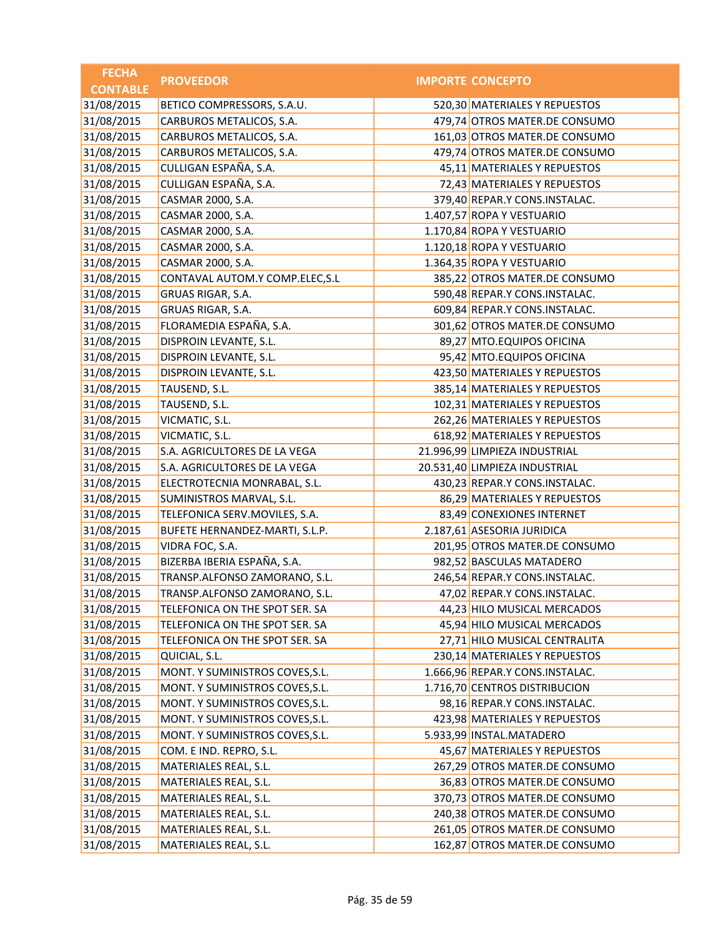| <b>FECHA</b>    | <b>PROVEEDOR</b>                | <b>IMPORTE CONCEPTO</b>         |
|-----------------|---------------------------------|---------------------------------|
| <b>CONTABLE</b> |                                 |                                 |
| 31/08/2015      | BETICO COMPRESSORS, S.A.U.      | 520,30 MATERIALES Y REPUESTOS   |
| 31/08/2015      | CARBUROS METALICOS, S.A.        | 479,74 OTROS MATER.DE CONSUMO   |
| 31/08/2015      | CARBUROS METALICOS, S.A.        | 161,03 OTROS MATER.DE CONSUMO   |
| 31/08/2015      | CARBUROS METALICOS, S.A.        | 479,74 OTROS MATER.DE CONSUMO   |
| 31/08/2015      | CULLIGAN ESPAÑA, S.A.           | 45,11 MATERIALES Y REPUESTOS    |
| 31/08/2015      | CULLIGAN ESPAÑA, S.A.           | 72,43 MATERIALES Y REPUESTOS    |
| 31/08/2015      | CASMAR 2000, S.A.               | 379,40 REPAR.Y CONS.INSTALAC.   |
| 31/08/2015      | CASMAR 2000, S.A.               | 1.407,57 ROPA Y VESTUARIO       |
| 31/08/2015      | CASMAR 2000, S.A.               | 1.170,84 ROPA Y VESTUARIO       |
| 31/08/2015      | CASMAR 2000, S.A.               | 1.120,18 ROPA Y VESTUARIO       |
| 31/08/2015      | CASMAR 2000, S.A.               | 1.364,35 ROPA Y VESTUARIO       |
| 31/08/2015      | CONTAVAL AUTOM.Y COMP.ELEC, S.L | 385,22 OTROS MATER.DE CONSUMO   |
| 31/08/2015      | GRUAS RIGAR, S.A.               | 590,48 REPAR.Y CONS.INSTALAC.   |
| 31/08/2015      | GRUAS RIGAR, S.A.               | 609,84 REPAR.Y CONS.INSTALAC.   |
| 31/08/2015      | FLORAMEDIA ESPAÑA, S.A.         | 301,62 OTROS MATER.DE CONSUMO   |
| 31/08/2015      | DISPROIN LEVANTE, S.L.          | 89,27 MTO.EQUIPOS OFICINA       |
| 31/08/2015      | DISPROIN LEVANTE, S.L.          | 95,42 MTO.EQUIPOS OFICINA       |
| 31/08/2015      | DISPROIN LEVANTE, S.L.          | 423,50 MATERIALES Y REPUESTOS   |
| 31/08/2015      | TAUSEND, S.L.                   | 385,14 MATERIALES Y REPUESTOS   |
| 31/08/2015      | TAUSEND, S.L.                   | 102,31 MATERIALES Y REPUESTOS   |
| 31/08/2015      | VICMATIC, S.L.                  | 262,26 MATERIALES Y REPUESTOS   |
| 31/08/2015      | VICMATIC, S.L.                  | 618,92 MATERIALES Y REPUESTOS   |
| 31/08/2015      | S.A. AGRICULTORES DE LA VEGA    | 21.996,99 LIMPIEZA INDUSTRIAL   |
| 31/08/2015      | S.A. AGRICULTORES DE LA VEGA    | 20.531,40 LIMPIEZA INDUSTRIAL   |
| 31/08/2015      | ELECTROTECNIA MONRABAL, S.L.    | 430,23 REPAR.Y CONS.INSTALAC.   |
| 31/08/2015      | SUMINISTROS MARVAL, S.L.        | 86,29 MATERIALES Y REPUESTOS    |
| 31/08/2015      | TELEFONICA SERV.MOVILES, S.A.   | 83,49 CONEXIONES INTERNET       |
| 31/08/2015      | BUFETE HERNANDEZ-MARTI, S.L.P.  | 2.187,61 ASESORIA JURIDICA      |
| 31/08/2015      | VIDRA FOC, S.A.                 | 201,95 OTROS MATER.DE CONSUMO   |
| 31/08/2015      | BIZERBA IBERIA ESPAÑA, S.A.     | 982,52 BASCULAS MATADERO        |
| 31/08/2015      | TRANSP.ALFONSO ZAMORANO, S.L.   | 246,54 REPAR.Y CONS.INSTALAC.   |
| 31/08/2015      | TRANSP.ALFONSO ZAMORANO, S.L.   | 47,02 REPAR.Y CONS.INSTALAC.    |
| 31/08/2015      | TELEFONICA ON THE SPOT SER. SA  | 44,23 HILO MUSICAL MERCADOS     |
| 31/08/2015      | TELEFONICA ON THE SPOT SER. SA  | 45,94 HILO MUSICAL MERCADOS     |
| 31/08/2015      | TELEFONICA ON THE SPOT SER. SA  | 27,71 HILO MUSICAL CENTRALITA   |
| 31/08/2015      | QUICIAL, S.L.                   | 230,14 MATERIALES Y REPUESTOS   |
| 31/08/2015      | MONT. Y SUMINISTROS COVES, S.L. | 1.666,96 REPAR.Y CONS.INSTALAC. |
| 31/08/2015      | MONT. Y SUMINISTROS COVES, S.L. | 1.716,70 CENTROS DISTRIBUCION   |
| 31/08/2015      | MONT. Y SUMINISTROS COVES, S.L. | 98,16 REPAR.Y CONS.INSTALAC.    |
| 31/08/2015      | MONT. Y SUMINISTROS COVES, S.L. | 423,98 MATERIALES Y REPUESTOS   |
| 31/08/2015      | MONT. Y SUMINISTROS COVES, S.L. | 5.933,99 INSTAL.MATADERO        |
| 31/08/2015      | COM. E IND. REPRO, S.L.         | 45,67 MATERIALES Y REPUESTOS    |
| 31/08/2015      | MATERIALES REAL, S.L.           | 267,29 OTROS MATER.DE CONSUMO   |
| 31/08/2015      | MATERIALES REAL, S.L.           | 36,83 OTROS MATER.DE CONSUMO    |
| 31/08/2015      | MATERIALES REAL, S.L.           | 370,73 OTROS MATER.DE CONSUMO   |
| 31/08/2015      | MATERIALES REAL, S.L.           | 240,38 OTROS MATER.DE CONSUMO   |
| 31/08/2015      | MATERIALES REAL, S.L.           | 261,05 OTROS MATER.DE CONSUMO   |
| 31/08/2015      | MATERIALES REAL, S.L.           | 162,87 OTROS MATER.DE CONSUMO   |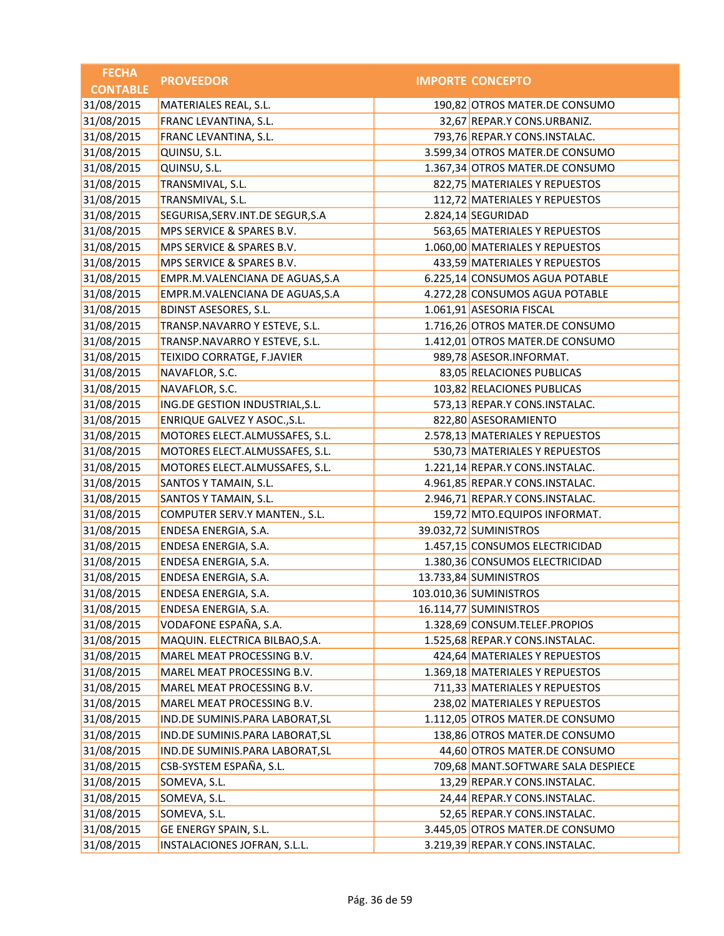| <b>FECHA</b>    | <b>PROVEEDOR</b>                   | <b>IMPORTE CONCEPTO</b>            |
|-----------------|------------------------------------|------------------------------------|
| <b>CONTABLE</b> |                                    |                                    |
| 31/08/2015      | MATERIALES REAL, S.L.              | 190,82 OTROS MATER.DE CONSUMO      |
| 31/08/2015      | FRANC LEVANTINA, S.L.              | 32,67 REPAR.Y CONS.URBANIZ.        |
| 31/08/2015      | FRANC LEVANTINA, S.L.              | 793,76 REPAR.Y CONS.INSTALAC.      |
| 31/08/2015      | QUINSU, S.L.                       | 3.599,34 OTROS MATER.DE CONSUMO    |
| 31/08/2015      | QUINSU, S.L.                       | 1.367,34 OTROS MATER.DE CONSUMO    |
| 31/08/2015      | TRANSMIVAL, S.L.                   | 822,75 MATERIALES Y REPUESTOS      |
| 31/08/2015      | TRANSMIVAL, S.L.                   | 112,72 MATERIALES Y REPUESTOS      |
| 31/08/2015      | SEGURISA, SERV. INT. DE SEGUR, S.A | 2.824,14 SEGURIDAD                 |
| 31/08/2015      | MPS SERVICE & SPARES B.V.          | 563,65 MATERIALES Y REPUESTOS      |
| 31/08/2015      | MPS SERVICE & SPARES B.V.          | 1.060,00 MATERIALES Y REPUESTOS    |
| 31/08/2015      | MPS SERVICE & SPARES B.V.          | 433,59 MATERIALES Y REPUESTOS      |
| 31/08/2015      | EMPR.M.VALENCIANA DE AGUAS, S.A    | 6.225,14 CONSUMOS AGUA POTABLE     |
| 31/08/2015      | EMPR.M.VALENCIANA DE AGUAS, S.A    | 4.272,28 CONSUMOS AGUA POTABLE     |
| 31/08/2015      | <b>BDINST ASESORES, S.L.</b>       | 1.061,91 ASESORIA FISCAL           |
| 31/08/2015      | TRANSP.NAVARRO Y ESTEVE, S.L.      | 1.716,26 OTROS MATER.DE CONSUMO    |
| 31/08/2015      | TRANSP.NAVARRO Y ESTEVE, S.L.      | 1.412,01 OTROS MATER.DE CONSUMO    |
| 31/08/2015      | TEIXIDO CORRATGE, F.JAVIER         | 989,78 ASESOR.INFORMAT.            |
| 31/08/2015      | NAVAFLOR, S.C.                     | 83,05 RELACIONES PUBLICAS          |
| 31/08/2015      | NAVAFLOR, S.C.                     | 103,82 RELACIONES PUBLICAS         |
| 31/08/2015      | ING.DE GESTION INDUSTRIAL, S.L.    | 573,13 REPAR.Y CONS.INSTALAC.      |
| 31/08/2015      | ENRIQUE GALVEZ Y ASOC., S.L.       | 822,80 ASESORAMIENTO               |
| 31/08/2015      | MOTORES ELECT.ALMUSSAFES, S.L.     | 2.578,13 MATERIALES Y REPUESTOS    |
| 31/08/2015      | MOTORES ELECT.ALMUSSAFES, S.L.     | 530,73 MATERIALES Y REPUESTOS      |
| 31/08/2015      | MOTORES ELECT.ALMUSSAFES, S.L.     | 1.221,14 REPAR.Y CONS.INSTALAC.    |
| 31/08/2015      | SANTOS Y TAMAIN, S.L.              | 4.961,85 REPAR.Y CONS.INSTALAC.    |
| 31/08/2015      | SANTOS Y TAMAIN, S.L.              | 2.946,71 REPAR.Y CONS.INSTALAC.    |
| 31/08/2015      | COMPUTER SERV.Y MANTEN., S.L.      | 159,72 MTO.EQUIPOS INFORMAT.       |
| 31/08/2015      | ENDESA ENERGIA, S.A.               | 39.032,72 SUMINISTROS              |
| 31/08/2015      | ENDESA ENERGIA, S.A.               | 1.457,15 CONSUMOS ELECTRICIDAD     |
| 31/08/2015      | ENDESA ENERGIA, S.A.               | 1.380,36 CONSUMOS ELECTRICIDAD     |
| 31/08/2015      | ENDESA ENERGIA, S.A.               | 13.733,84 SUMINISTROS              |
| 31/08/2015      | ENDESA ENERGIA, S.A.               | 103.010,36 SUMINISTROS             |
| 31/08/2015      | ENDESA ENERGIA, S.A.               | 16.114,77 SUMINISTROS              |
| 31/08/2015      | VODAFONE ESPAÑA, S.A.              | 1.328,69 CONSUM.TELEF.PROPIOS      |
| 31/08/2015      | MAQUIN. ELECTRICA BILBAO, S.A.     | 1.525,68 REPAR.Y CONS.INSTALAC.    |
| 31/08/2015      | MAREL MEAT PROCESSING B.V.         | 424,64 MATERIALES Y REPUESTOS      |
| 31/08/2015      | MAREL MEAT PROCESSING B.V.         | 1.369,18 MATERIALES Y REPUESTOS    |
| 31/08/2015      | MAREL MEAT PROCESSING B.V.         | 711,33 MATERIALES Y REPUESTOS      |
| 31/08/2015      | MAREL MEAT PROCESSING B.V.         | 238,02 MATERIALES Y REPUESTOS      |
| 31/08/2015      | IND.DE SUMINIS.PARA LABORAT, SL    | 1.112,05 OTROS MATER.DE CONSUMO    |
| 31/08/2015      | IND.DE SUMINIS.PARA LABORAT, SL    | 138,86 OTROS MATER.DE CONSUMO      |
| 31/08/2015      | IND.DE SUMINIS.PARA LABORAT, SL    | 44,60 OTROS MATER.DE CONSUMO       |
| 31/08/2015      | CSB-SYSTEM ESPAÑA, S.L.            | 709,68 MANT.SOFTWARE SALA DESPIECE |
| 31/08/2015      | SOMEVA, S.L.                       | 13,29 REPAR.Y CONS.INSTALAC.       |
| 31/08/2015      | SOMEVA, S.L.                       | 24,44 REPAR.Y CONS.INSTALAC.       |
| 31/08/2015      | SOMEVA, S.L.                       | 52,65 REPAR.Y CONS.INSTALAC.       |
| 31/08/2015      | GE ENERGY SPAIN, S.L.              | 3.445,05 OTROS MATER.DE CONSUMO    |
| 31/08/2015      | INSTALACIONES JOFRAN, S.L.L.       | 3.219,39 REPAR.Y CONS.INSTALAC.    |
|                 |                                    |                                    |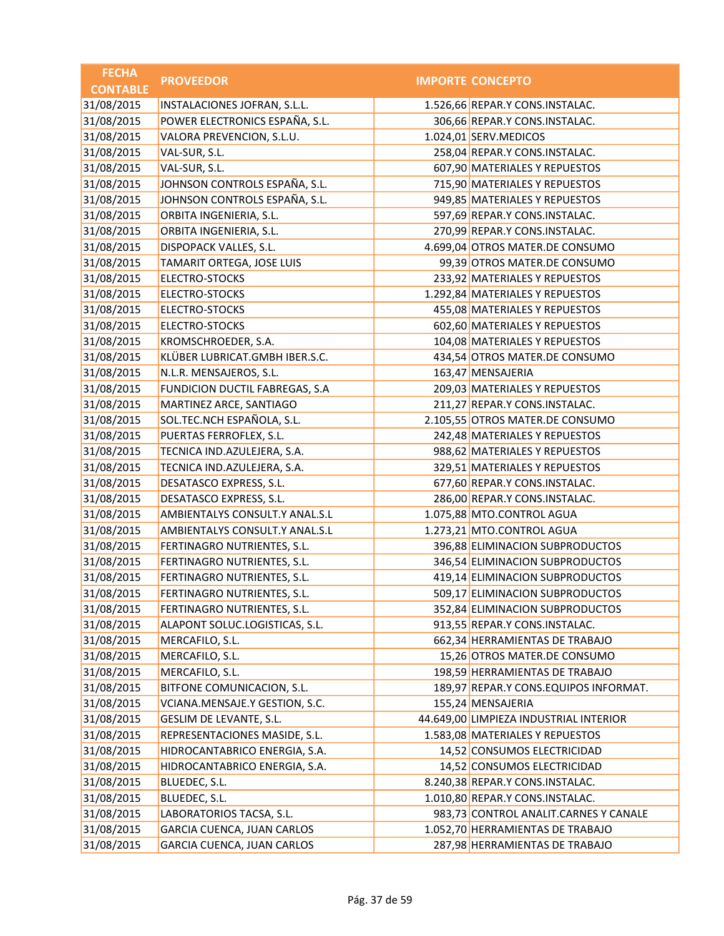| <b>FECHA</b>    | <b>PROVEEDOR</b>               | <b>IMPORTE CONCEPTO</b>                |
|-----------------|--------------------------------|----------------------------------------|
| <b>CONTABLE</b> |                                |                                        |
| 31/08/2015      | INSTALACIONES JOFRAN, S.L.L.   | 1.526,66 REPAR.Y CONS.INSTALAC.        |
| 31/08/2015      | POWER ELECTRONICS ESPAÑA, S.L. | 306,66 REPAR.Y CONS.INSTALAC.          |
| 31/08/2015      | VALORA PREVENCION, S.L.U.      | 1.024,01 SERV.MEDICOS                  |
| 31/08/2015      | VAL-SUR, S.L.                  | 258,04 REPAR.Y CONS.INSTALAC.          |
| 31/08/2015      | VAL-SUR, S.L.                  | 607,90 MATERIALES Y REPUESTOS          |
| 31/08/2015      | JOHNSON CONTROLS ESPAÑA, S.L.  | 715,90 MATERIALES Y REPUESTOS          |
| 31/08/2015      | JOHNSON CONTROLS ESPAÑA, S.L.  | 949,85 MATERIALES Y REPUESTOS          |
| 31/08/2015      | ORBITA INGENIERIA, S.L.        | 597,69 REPAR.Y CONS.INSTALAC.          |
| 31/08/2015      | ORBITA INGENIERIA, S.L.        | 270,99 REPAR.Y CONS.INSTALAC.          |
| 31/08/2015      | DISPOPACK VALLES, S.L.         | 4.699,04 OTROS MATER.DE CONSUMO        |
| 31/08/2015      | TAMARIT ORTEGA, JOSE LUIS      | 99,39 OTROS MATER.DE CONSUMO           |
| 31/08/2015      | ELECTRO-STOCKS                 | 233,92 MATERIALES Y REPUESTOS          |
| 31/08/2015      | ELECTRO-STOCKS                 | 1.292,84 MATERIALES Y REPUESTOS        |
| 31/08/2015      | ELECTRO-STOCKS                 | 455,08 MATERIALES Y REPUESTOS          |
| 31/08/2015      | ELECTRO-STOCKS                 | 602,60 MATERIALES Y REPUESTOS          |
| 31/08/2015      | KROMSCHROEDER, S.A.            | 104,08 MATERIALES Y REPUESTOS          |
| 31/08/2015      | KLÜBER LUBRICAT.GMBH IBER.S.C. | 434,54 OTROS MATER.DE CONSUMO          |
| 31/08/2015      | N.L.R. MENSAJEROS, S.L.        | 163,47 MENSAJERIA                      |
| 31/08/2015      | FUNDICION DUCTIL FABREGAS, S.A | 209,03 MATERIALES Y REPUESTOS          |
| 31/08/2015      | MARTINEZ ARCE, SANTIAGO        | 211,27 REPAR.Y CONS.INSTALAC.          |
| 31/08/2015      | SOL.TEC.NCH ESPAÑOLA, S.L.     | 2.105,55 OTROS MATER.DE CONSUMO        |
| 31/08/2015      | PUERTAS FERROFLEX, S.L.        | 242,48 MATERIALES Y REPUESTOS          |
| 31/08/2015      | TECNICA IND.AZULEJERA, S.A.    | 988,62 MATERIALES Y REPUESTOS          |
| 31/08/2015      | TECNICA IND.AZULEJERA, S.A.    | 329,51 MATERIALES Y REPUESTOS          |
| 31/08/2015      | DESATASCO EXPRESS, S.L.        | 677,60 REPAR.Y CONS.INSTALAC.          |
| 31/08/2015      | DESATASCO EXPRESS, S.L.        | 286,00 REPAR.Y CONS.INSTALAC.          |
| 31/08/2015      | AMBIENTALYS CONSULT.Y ANAL.S.L | 1.075,88 MTO.CONTROL AGUA              |
| 31/08/2015      | AMBIENTALYS CONSULT.Y ANAL.S.L | 1.273,21 MTO.CONTROL AGUA              |
| 31/08/2015      | FERTINAGRO NUTRIENTES, S.L.    | 396,88 ELIMINACION SUBPRODUCTOS        |
| 31/08/2015      | FERTINAGRO NUTRIENTES, S.L.    | 346,54 ELIMINACION SUBPRODUCTOS        |
| 31/08/2015      | FERTINAGRO NUTRIENTES, S.L.    | 419,14 ELIMINACION SUBPRODUCTOS        |
| 31/08/2015      | FERTINAGRO NUTRIENTES, S.L.    | 509,17 ELIMINACION SUBPRODUCTOS        |
| 31/08/2015      | FERTINAGRO NUTRIENTES, S.L.    | 352,84 ELIMINACION SUBPRODUCTOS        |
| 31/08/2015      | ALAPONT SOLUC.LOGISTICAS, S.L. | 913,55 REPAR.Y CONS.INSTALAC.          |
| 31/08/2015      | MERCAFILO, S.L.                | 662,34 HERRAMIENTAS DE TRABAJO         |
| 31/08/2015      | MERCAFILO, S.L.                | 15,26 OTROS MATER.DE CONSUMO           |
| 31/08/2015      | MERCAFILO, S.L.                | 198,59 HERRAMIENTAS DE TRABAJO         |
| 31/08/2015      | BITFONE COMUNICACION, S.L.     | 189,97 REPAR.Y CONS.EQUIPOS INFORMAT.  |
| 31/08/2015      | VCIANA.MENSAJE.Y GESTION, S.C. | 155,24 MENSAJERIA                      |
| 31/08/2015      | GESLIM DE LEVANTE, S.L.        | 44.649,00 LIMPIEZA INDUSTRIAL INTERIOR |
| 31/08/2015      | REPRESENTACIONES MASIDE, S.L.  | 1.583,08 MATERIALES Y REPUESTOS        |
| 31/08/2015      | HIDROCANTABRICO ENERGIA, S.A.  | 14,52 CONSUMOS ELECTRICIDAD            |
| 31/08/2015      | HIDROCANTABRICO ENERGIA, S.A.  | 14,52 CONSUMOS ELECTRICIDAD            |
| 31/08/2015      | BLUEDEC, S.L.                  | 8.240,38 REPAR.Y CONS.INSTALAC.        |
| 31/08/2015      | BLUEDEC, S.L.                  | 1.010,80 REPAR.Y CONS.INSTALAC.        |
| 31/08/2015      | LABORATORIOS TACSA, S.L.       | 983,73 CONTROL ANALIT.CARNES Y CANALE  |
| 31/08/2015      | GARCIA CUENCA, JUAN CARLOS     | 1.052,70 HERRAMIENTAS DE TRABAJO       |
| 31/08/2015      | GARCIA CUENCA, JUAN CARLOS     | 287,98 HERRAMIENTAS DE TRABAJO         |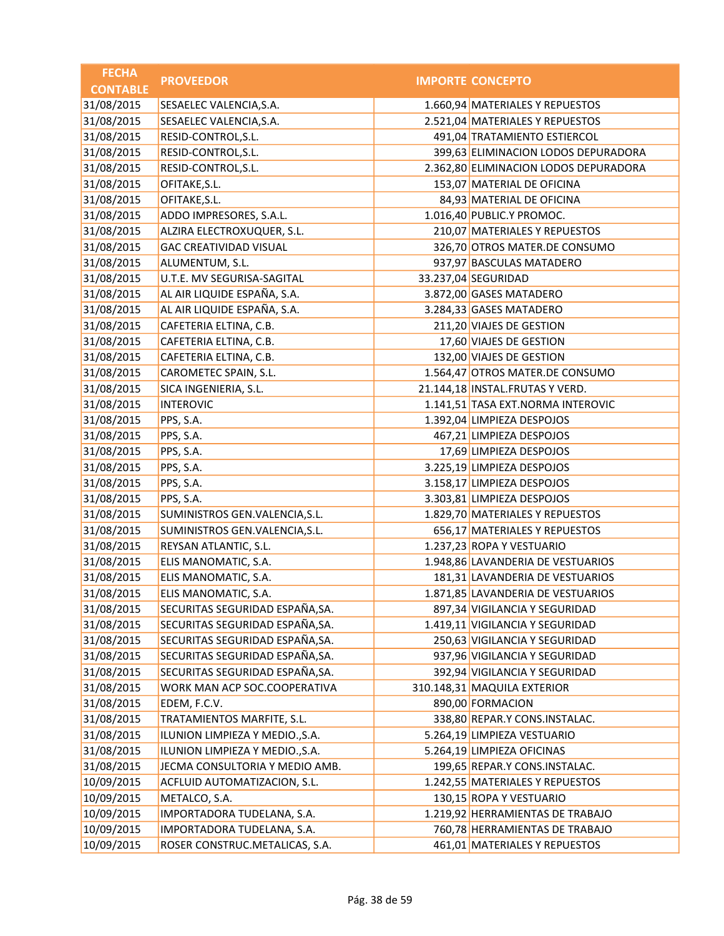| <b>FECHA</b>    | <b>PROVEEDOR</b>                | <b>IMPORTE CONCEPTO</b>               |
|-----------------|---------------------------------|---------------------------------------|
| <b>CONTABLE</b> |                                 |                                       |
| 31/08/2015      | SESAELEC VALENCIA, S.A.         | 1.660,94 MATERIALES Y REPUESTOS       |
| 31/08/2015      | SESAELEC VALENCIA, S.A.         | 2.521,04 MATERIALES Y REPUESTOS       |
| 31/08/2015      | RESID-CONTROL, S.L.             | 491,04 TRATAMIENTO ESTIERCOL          |
| 31/08/2015      | RESID-CONTROL, S.L.             | 399,63 ELIMINACION LODOS DEPURADORA   |
| 31/08/2015      | RESID-CONTROL, S.L.             | 2.362,80 ELIMINACION LODOS DEPURADORA |
| 31/08/2015      | OFITAKE, S.L.                   | 153,07 MATERIAL DE OFICINA            |
| 31/08/2015      | OFITAKE, S.L.                   | 84,93 MATERIAL DE OFICINA             |
| 31/08/2015      | ADDO IMPRESORES, S.A.L.         | 1.016,40 PUBLIC.Y PROMOC.             |
| 31/08/2015      | ALZIRA ELECTROXUQUER, S.L.      | 210,07 MATERIALES Y REPUESTOS         |
| 31/08/2015      | <b>GAC CREATIVIDAD VISUAL</b>   | 326,70 OTROS MATER.DE CONSUMO         |
| 31/08/2015      | ALUMENTUM, S.L.                 | 937,97 BASCULAS MATADERO              |
| 31/08/2015      | U.T.E. MV SEGURISA-SAGITAL      | 33.237,04 SEGURIDAD                   |
| 31/08/2015      | AL AIR LIQUIDE ESPAÑA, S.A.     | 3.872,00 GASES MATADERO               |
| 31/08/2015      | AL AIR LIQUIDE ESPAÑA, S.A.     | 3.284,33 GASES MATADERO               |
| 31/08/2015      | CAFETERIA ELTINA, C.B.          | 211,20 VIAJES DE GESTION              |
| 31/08/2015      | CAFETERIA ELTINA, C.B.          | 17,60 VIAJES DE GESTION               |
| 31/08/2015      | CAFETERIA ELTINA, C.B.          | 132,00 VIAJES DE GESTION              |
| 31/08/2015      | CAROMETEC SPAIN, S.L.           | 1.564,47 OTROS MATER.DE CONSUMO       |
| 31/08/2015      | SICA INGENIERIA, S.L.           | 21.144,18 INSTAL.FRUTAS Y VERD.       |
| 31/08/2015      | <b>INTEROVIC</b>                | 1.141,51 TASA EXT.NORMA INTEROVIC     |
| 31/08/2015      | PPS, S.A.                       | 1.392,04 LIMPIEZA DESPOJOS            |
| 31/08/2015      | PPS, S.A.                       | 467,21 LIMPIEZA DESPOJOS              |
| 31/08/2015      | PPS, S.A.                       | 17,69 LIMPIEZA DESPOJOS               |
| 31/08/2015      | PPS, S.A.                       | 3.225,19 LIMPIEZA DESPOJOS            |
| 31/08/2015      | PPS, S.A.                       | 3.158,17 LIMPIEZA DESPOJOS            |
| 31/08/2015      | PPS, S.A.                       | 3.303,81 LIMPIEZA DESPOJOS            |
| 31/08/2015      | SUMINISTROS GEN.VALENCIA, S.L.  | 1.829,70 MATERIALES Y REPUESTOS       |
| 31/08/2015      | SUMINISTROS GEN.VALENCIA, S.L.  | 656,17 MATERIALES Y REPUESTOS         |
| 31/08/2015      | REYSAN ATLANTIC, S.L.           | 1.237,23 ROPA Y VESTUARIO             |
| 31/08/2015      | ELIS MANOMATIC, S.A.            | 1.948,86 LAVANDERIA DE VESTUARIOS     |
| 31/08/2015      | ELIS MANOMATIC, S.A.            | 181,31 LAVANDERIA DE VESTUARIOS       |
| 31/08/2015      | ELIS MANOMATIC, S.A.            | 1.871,85 LAVANDERIA DE VESTUARIOS     |
| 31/08/2015      | SECURITAS SEGURIDAD ESPAÑA, SA. | 897,34 VIGILANCIA Y SEGURIDAD         |
| 31/08/2015      | SECURITAS SEGURIDAD ESPAÑA, SA. | 1.419,11 VIGILANCIA Y SEGURIDAD       |
| 31/08/2015      | SECURITAS SEGURIDAD ESPAÑA, SA. | 250,63 VIGILANCIA Y SEGURIDAD         |
| 31/08/2015      | SECURITAS SEGURIDAD ESPAÑA, SA. | 937,96 VIGILANCIA Y SEGURIDAD         |
| 31/08/2015      | SECURITAS SEGURIDAD ESPAÑA, SA. | 392,94 VIGILANCIA Y SEGURIDAD         |
| 31/08/2015      | WORK MAN ACP SOC.COOPERATIVA    | 310.148,31 MAQUILA EXTERIOR           |
| 31/08/2015      | EDEM, F.C.V.                    | 890,00 FORMACION                      |
| 31/08/2015      | TRATAMIENTOS MARFITE, S.L.      | 338,80 REPAR.Y CONS.INSTALAC.         |
| 31/08/2015      | ILUNION LIMPIEZA Y MEDIO., S.A. | 5.264,19 LIMPIEZA VESTUARIO           |
| 31/08/2015      | ILUNION LIMPIEZA Y MEDIO., S.A. | 5.264,19 LIMPIEZA OFICINAS            |
| 31/08/2015      | JECMA CONSULTORIA Y MEDIO AMB.  | 199,65 REPAR.Y CONS.INSTALAC.         |
| 10/09/2015      | ACFLUID AUTOMATIZACION, S.L.    | 1.242,55 MATERIALES Y REPUESTOS       |
| 10/09/2015      | METALCO, S.A.                   | 130,15 ROPA Y VESTUARIO               |
| 10/09/2015      | IMPORTADORA TUDELANA, S.A.      | 1.219,92 HERRAMIENTAS DE TRABAJO      |
| 10/09/2015      | IMPORTADORA TUDELANA, S.A.      | 760,78 HERRAMIENTAS DE TRABAJO        |
| 10/09/2015      | ROSER CONSTRUC.METALICAS, S.A.  | 461,01 MATERIALES Y REPUESTOS         |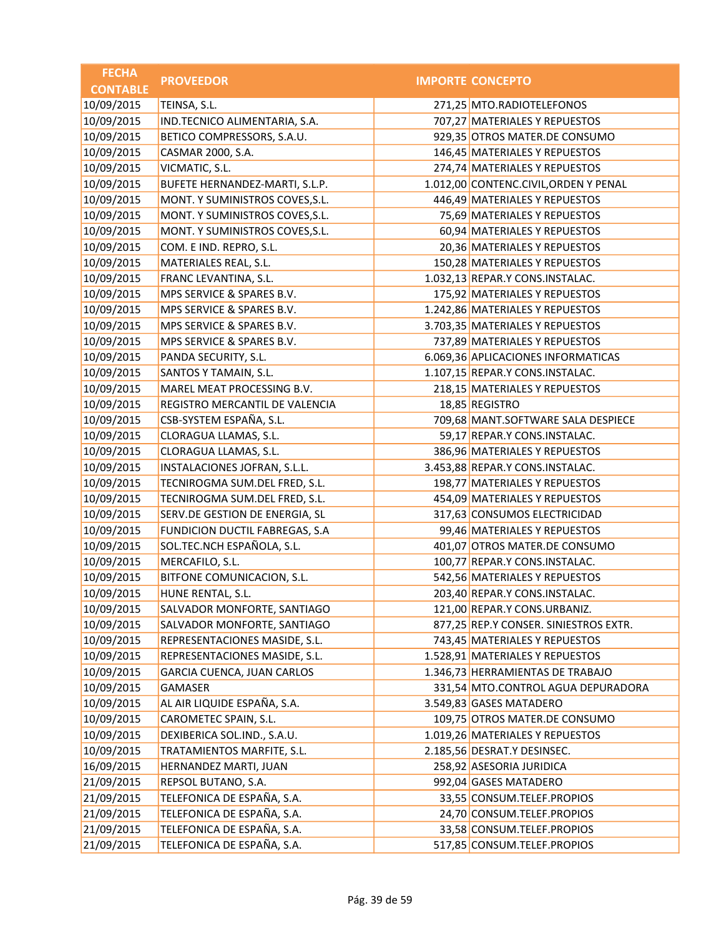| <b>FECHA</b>    | <b>PROVEEDOR</b>                | <b>IMPORTE CONCEPTO</b>               |
|-----------------|---------------------------------|---------------------------------------|
| <b>CONTABLE</b> |                                 |                                       |
| 10/09/2015      | TEINSA, S.L.                    | 271,25 MTO.RADIOTELEFONOS             |
| 10/09/2015      | IND.TECNICO ALIMENTARIA, S.A.   | 707,27 MATERIALES Y REPUESTOS         |
| 10/09/2015      | BETICO COMPRESSORS, S.A.U.      | 929,35 OTROS MATER.DE CONSUMO         |
| 10/09/2015      | CASMAR 2000, S.A.               | 146,45 MATERIALES Y REPUESTOS         |
| 10/09/2015      | VICMATIC, S.L.                  | 274,74 MATERIALES Y REPUESTOS         |
| 10/09/2015      | BUFETE HERNANDEZ-MARTI, S.L.P.  | 1.012,00 CONTENC.CIVIL, ORDEN Y PENAL |
| 10/09/2015      | MONT. Y SUMINISTROS COVES, S.L. | 446,49 MATERIALES Y REPUESTOS         |
| 10/09/2015      | MONT. Y SUMINISTROS COVES, S.L. | 75,69 MATERIALES Y REPUESTOS          |
| 10/09/2015      | MONT. Y SUMINISTROS COVES, S.L. | 60,94 MATERIALES Y REPUESTOS          |
| 10/09/2015      | COM. E IND. REPRO, S.L.         | 20,36 MATERIALES Y REPUESTOS          |
| 10/09/2015      | MATERIALES REAL, S.L.           | 150,28 MATERIALES Y REPUESTOS         |
| 10/09/2015      | FRANC LEVANTINA, S.L.           | 1.032,13 REPAR.Y CONS.INSTALAC.       |
| 10/09/2015      | MPS SERVICE & SPARES B.V.       | 175,92 MATERIALES Y REPUESTOS         |
| 10/09/2015      | MPS SERVICE & SPARES B.V.       | 1.242,86 MATERIALES Y REPUESTOS       |
| 10/09/2015      | MPS SERVICE & SPARES B.V.       | 3.703,35 MATERIALES Y REPUESTOS       |
| 10/09/2015      | MPS SERVICE & SPARES B.V.       | 737,89 MATERIALES Y REPUESTOS         |
| 10/09/2015      | PANDA SECURITY, S.L.            | 6.069,36 APLICACIONES INFORMATICAS    |
| 10/09/2015      | SANTOS Y TAMAIN, S.L.           | 1.107,15 REPAR.Y CONS.INSTALAC.       |
| 10/09/2015      | MAREL MEAT PROCESSING B.V.      | 218,15 MATERIALES Y REPUESTOS         |
| 10/09/2015      | REGISTRO MERCANTIL DE VALENCIA  | 18,85 REGISTRO                        |
| 10/09/2015      | CSB-SYSTEM ESPAÑA, S.L.         | 709,68 MANT.SOFTWARE SALA DESPIECE    |
| 10/09/2015      | CLORAGUA LLAMAS, S.L.           | 59,17 REPAR.Y CONS.INSTALAC.          |
| 10/09/2015      | CLORAGUA LLAMAS, S.L.           | 386,96 MATERIALES Y REPUESTOS         |
| 10/09/2015      | INSTALACIONES JOFRAN, S.L.L.    | 3.453,88 REPAR.Y CONS.INSTALAC.       |
| 10/09/2015      | TECNIROGMA SUM.DEL FRED, S.L.   | 198,77 MATERIALES Y REPUESTOS         |
| 10/09/2015      | TECNIROGMA SUM.DEL FRED, S.L.   | 454,09 MATERIALES Y REPUESTOS         |
| 10/09/2015      | SERV.DE GESTION DE ENERGIA, SL  | 317,63 CONSUMOS ELECTRICIDAD          |
| 10/09/2015      | FUNDICION DUCTIL FABREGAS, S.A  | 99,46 MATERIALES Y REPUESTOS          |
| 10/09/2015      | SOL.TEC.NCH ESPAÑOLA, S.L.      | 401,07 OTROS MATER.DE CONSUMO         |
| 10/09/2015      | MERCAFILO, S.L.                 | 100,77 REPAR.Y CONS.INSTALAC.         |
| 10/09/2015      | BITFONE COMUNICACION, S.L.      | 542,56 MATERIALES Y REPUESTOS         |
| 10/09/2015      | HUNE RENTAL, S.L.               | 203,40 REPAR.Y CONS.INSTALAC.         |
| 10/09/2015      | SALVADOR MONFORTE, SANTIAGO     | 121,00 REPAR.Y CONS.URBANIZ.          |
| 10/09/2015      | SALVADOR MONFORTE, SANTIAGO     | 877,25 REP.Y CONSER. SINIESTROS EXTR. |
| 10/09/2015      | REPRESENTACIONES MASIDE, S.L.   | 743,45 MATERIALES Y REPUESTOS         |
| 10/09/2015      | REPRESENTACIONES MASIDE, S.L.   | 1.528,91 MATERIALES Y REPUESTOS       |
| 10/09/2015      | GARCIA CUENCA, JUAN CARLOS      | 1.346,73 HERRAMIENTAS DE TRABAJO      |
| 10/09/2015      | GAMASER                         | 331,54 MTO.CONTROL AGUA DEPURADORA    |
| 10/09/2015      | AL AIR LIQUIDE ESPAÑA, S.A.     | 3.549,83 GASES MATADERO               |
| 10/09/2015      | CAROMETEC SPAIN, S.L.           | 109,75 OTROS MATER.DE CONSUMO         |
| 10/09/2015      | DEXIBERICA SOL.IND., S.A.U.     | 1.019,26 MATERIALES Y REPUESTOS       |
| 10/09/2015      | TRATAMIENTOS MARFITE, S.L.      | 2.185,56 DESRAT.Y DESINSEC.           |
| 16/09/2015      | HERNANDEZ MARTI, JUAN           | 258,92 ASESORIA JURIDICA              |
| 21/09/2015      | REPSOL BUTANO, S.A.             | 992,04 GASES MATADERO                 |
| 21/09/2015      | TELEFONICA DE ESPAÑA, S.A.      | 33,55 CONSUM.TELEF.PROPIOS            |
| 21/09/2015      | TELEFONICA DE ESPAÑA, S.A.      | 24,70 CONSUM.TELEF.PROPIOS            |
| 21/09/2015      | TELEFONICA DE ESPAÑA, S.A.      | 33,58 CONSUM.TELEF.PROPIOS            |
| 21/09/2015      | TELEFONICA DE ESPAÑA, S.A.      | 517,85 CONSUM.TELEF.PROPIOS           |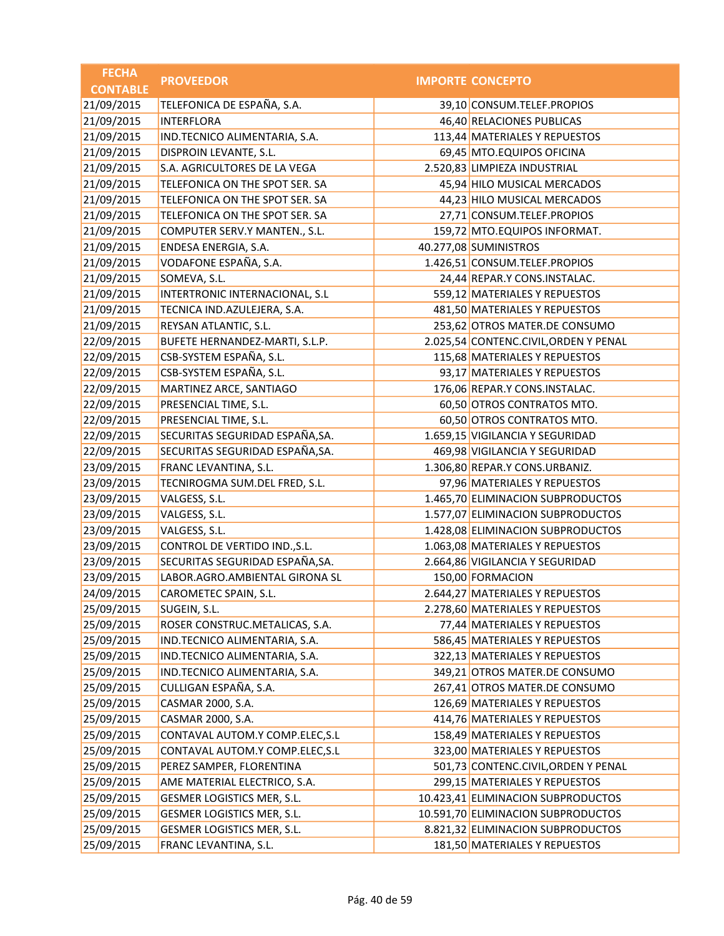| <b>FECHA</b>    | <b>PROVEEDOR</b>                | <b>IMPORTE CONCEPTO</b>               |
|-----------------|---------------------------------|---------------------------------------|
| <b>CONTABLE</b> |                                 |                                       |
| 21/09/2015      | TELEFONICA DE ESPAÑA, S.A.      | 39,10 CONSUM.TELEF.PROPIOS            |
| 21/09/2015      | <b>INTERFLORA</b>               | 46,40 RELACIONES PUBLICAS             |
| 21/09/2015      | IND.TECNICO ALIMENTARIA, S.A.   | 113,44 MATERIALES Y REPUESTOS         |
| 21/09/2015      | DISPROIN LEVANTE, S.L.          | 69,45 MTO.EQUIPOS OFICINA             |
| 21/09/2015      | S.A. AGRICULTORES DE LA VEGA    | 2.520,83 LIMPIEZA INDUSTRIAL          |
| 21/09/2015      | TELEFONICA ON THE SPOT SER. SA  | 45,94 HILO MUSICAL MERCADOS           |
| 21/09/2015      | TELEFONICA ON THE SPOT SER. SA  | 44,23 HILO MUSICAL MERCADOS           |
| 21/09/2015      | TELEFONICA ON THE SPOT SER. SA  | 27,71 CONSUM.TELEF.PROPIOS            |
| 21/09/2015      | COMPUTER SERV.Y MANTEN., S.L.   | 159,72 MTO.EQUIPOS INFORMAT.          |
| 21/09/2015      | ENDESA ENERGIA, S.A.            | 40.277,08 SUMINISTROS                 |
| 21/09/2015      | VODAFONE ESPAÑA, S.A.           | 1.426,51 CONSUM.TELEF.PROPIOS         |
| 21/09/2015      | SOMEVA, S.L.                    | 24,44 REPAR.Y CONS.INSTALAC.          |
| 21/09/2015      | INTERTRONIC INTERNACIONAL, S.L  | 559,12 MATERIALES Y REPUESTOS         |
| 21/09/2015      | TECNICA IND.AZULEJERA, S.A.     | 481,50 MATERIALES Y REPUESTOS         |
| 21/09/2015      | REYSAN ATLANTIC, S.L.           | 253,62 OTROS MATER.DE CONSUMO         |
| 22/09/2015      | BUFETE HERNANDEZ-MARTI, S.L.P.  | 2.025,54 CONTENC.CIVIL, ORDEN Y PENAL |
| 22/09/2015      | CSB-SYSTEM ESPAÑA, S.L.         | 115,68 MATERIALES Y REPUESTOS         |
| 22/09/2015      | CSB-SYSTEM ESPAÑA, S.L.         | 93,17 MATERIALES Y REPUESTOS          |
| 22/09/2015      | MARTINEZ ARCE, SANTIAGO         | 176,06 REPAR.Y CONS.INSTALAC.         |
| 22/09/2015      | PRESENCIAL TIME, S.L.           | 60,50 OTROS CONTRATOS MTO.            |
| 22/09/2015      | PRESENCIAL TIME, S.L.           | 60,50 OTROS CONTRATOS MTO.            |
| 22/09/2015      | SECURITAS SEGURIDAD ESPAÑA, SA. | 1.659,15 VIGILANCIA Y SEGURIDAD       |
| 22/09/2015      | SECURITAS SEGURIDAD ESPAÑA, SA. | 469,98 VIGILANCIA Y SEGURIDAD         |
| 23/09/2015      | FRANC LEVANTINA, S.L.           | 1.306,80 REPAR.Y CONS.URBANIZ.        |
| 23/09/2015      | TECNIROGMA SUM.DEL FRED, S.L.   | 97,96 MATERIALES Y REPUESTOS          |
| 23/09/2015      | VALGESS, S.L.                   | 1.465,70 ELIMINACION SUBPRODUCTOS     |
| 23/09/2015      | VALGESS, S.L.                   | 1.577,07 ELIMINACION SUBPRODUCTOS     |
| 23/09/2015      | VALGESS, S.L.                   | 1.428,08 ELIMINACION SUBPRODUCTOS     |
| 23/09/2015      | CONTROL DE VERTIDO IND., S.L.   | 1.063,08 MATERIALES Y REPUESTOS       |
| 23/09/2015      | SECURITAS SEGURIDAD ESPAÑA, SA. | 2.664,86 VIGILANCIA Y SEGURIDAD       |
| 23/09/2015      | LABOR.AGRO.AMBIENTAL GIRONA SL  | 150,00 FORMACION                      |
| 24/09/2015      | CAROMETEC SPAIN, S.L.           | 2.644,27 MATERIALES Y REPUESTOS       |
| 25/09/2015      | SUGEIN, S.L.                    | 2.278,60 MATERIALES Y REPUESTOS       |
| 25/09/2015      | ROSER CONSTRUC.METALICAS, S.A.  | 77,44 MATERIALES Y REPUESTOS          |
| 25/09/2015      | IND.TECNICO ALIMENTARIA, S.A.   | 586,45 MATERIALES Y REPUESTOS         |
| 25/09/2015      | IND.TECNICO ALIMENTARIA, S.A.   | 322,13 MATERIALES Y REPUESTOS         |
| 25/09/2015      | IND.TECNICO ALIMENTARIA, S.A.   | 349,21 OTROS MATER.DE CONSUMO         |
| 25/09/2015      | CULLIGAN ESPAÑA, S.A.           | 267,41 OTROS MATER.DE CONSUMO         |
| 25/09/2015      | CASMAR 2000, S.A.               | 126,69 MATERIALES Y REPUESTOS         |
| 25/09/2015      | CASMAR 2000, S.A.               | 414,76 MATERIALES Y REPUESTOS         |
| 25/09/2015      | CONTAVAL AUTOM.Y COMP.ELEC, S.L | 158,49 MATERIALES Y REPUESTOS         |
| 25/09/2015      | CONTAVAL AUTOM.Y COMP.ELEC, S.L | 323,00 MATERIALES Y REPUESTOS         |
| 25/09/2015      | PEREZ SAMPER, FLORENTINA        | 501,73 CONTENC.CIVIL, ORDEN Y PENAL   |
| 25/09/2015      | AME MATERIAL ELECTRICO, S.A.    | 299,15 MATERIALES Y REPUESTOS         |
| 25/09/2015      | GESMER LOGISTICS MER, S.L.      | 10.423,41 ELIMINACION SUBPRODUCTOS    |
| 25/09/2015      | GESMER LOGISTICS MER, S.L.      | 10.591,70 ELIMINACION SUBPRODUCTOS    |
| 25/09/2015      | GESMER LOGISTICS MER, S.L.      | 8.821,32 ELIMINACION SUBPRODUCTOS     |
| 25/09/2015      | FRANC LEVANTINA, S.L.           | 181,50 MATERIALES Y REPUESTOS         |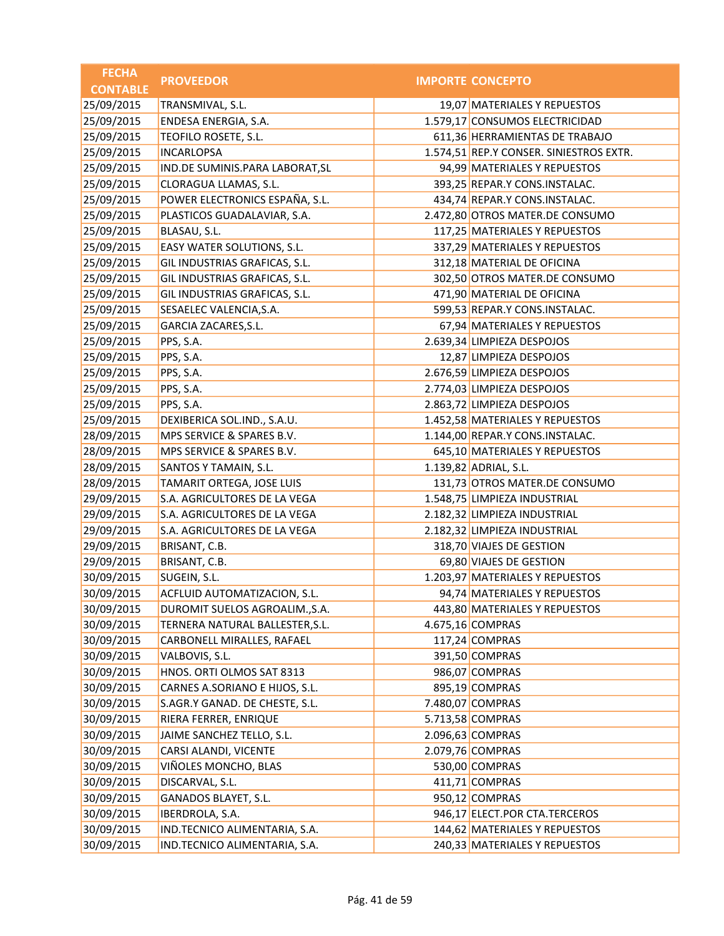| <b>FECHA</b>    | <b>PROVEEDOR</b>                | <b>IMPORTE CONCEPTO</b>                 |
|-----------------|---------------------------------|-----------------------------------------|
| <b>CONTABLE</b> |                                 |                                         |
| 25/09/2015      | TRANSMIVAL, S.L.                | 19,07 MATERIALES Y REPUESTOS            |
| 25/09/2015      | ENDESA ENERGIA, S.A.            | 1.579,17 CONSUMOS ELECTRICIDAD          |
| 25/09/2015      | TEOFILO ROSETE, S.L.            | 611,36 HERRAMIENTAS DE TRABAJO          |
| 25/09/2015      | <b>INCARLOPSA</b>               | 1.574,51 REP.Y CONSER. SINIESTROS EXTR. |
| 25/09/2015      | IND.DE SUMINIS.PARA LABORAT, SL | 94,99 MATERIALES Y REPUESTOS            |
| 25/09/2015      | CLORAGUA LLAMAS, S.L.           | 393,25 REPAR.Y CONS.INSTALAC.           |
| 25/09/2015      | POWER ELECTRONICS ESPAÑA, S.L.  | 434,74 REPAR.Y CONS.INSTALAC.           |
| 25/09/2015      | PLASTICOS GUADALAVIAR, S.A.     | 2.472,80 OTROS MATER.DE CONSUMO         |
| 25/09/2015      | BLASAU, S.L.                    | 117,25 MATERIALES Y REPUESTOS           |
| 25/09/2015      | EASY WATER SOLUTIONS, S.L.      | 337,29 MATERIALES Y REPUESTOS           |
| 25/09/2015      | GIL INDUSTRIAS GRAFICAS, S.L.   | 312,18 MATERIAL DE OFICINA              |
| 25/09/2015      | GIL INDUSTRIAS GRAFICAS, S.L.   | 302,50 OTROS MATER.DE CONSUMO           |
| 25/09/2015      | GIL INDUSTRIAS GRAFICAS, S.L.   | 471,90 MATERIAL DE OFICINA              |
| 25/09/2015      | SESAELEC VALENCIA, S.A.         | 599,53 REPAR.Y CONS.INSTALAC.           |
| 25/09/2015      | GARCIA ZACARES, S.L.            | 67,94 MATERIALES Y REPUESTOS            |
| 25/09/2015      | PPS, S.A.                       | 2.639,34 LIMPIEZA DESPOJOS              |
| 25/09/2015      | PPS, S.A.                       | 12,87 LIMPIEZA DESPOJOS                 |
| 25/09/2015      | PPS, S.A.                       | 2.676,59 LIMPIEZA DESPOJOS              |
| 25/09/2015      | PPS, S.A.                       | 2.774,03 LIMPIEZA DESPOJOS              |
| 25/09/2015      | PPS, S.A.                       | 2.863,72 LIMPIEZA DESPOJOS              |
| 25/09/2015      | DEXIBERICA SOL.IND., S.A.U.     | 1.452,58 MATERIALES Y REPUESTOS         |
| 28/09/2015      | MPS SERVICE & SPARES B.V.       | 1.144,00 REPAR.Y CONS.INSTALAC.         |
| 28/09/2015      | MPS SERVICE & SPARES B.V.       | 645,10 MATERIALES Y REPUESTOS           |
| 28/09/2015      | SANTOS Y TAMAIN, S.L.           | 1.139,82 ADRIAL, S.L.                   |
| 28/09/2015      | TAMARIT ORTEGA, JOSE LUIS       | 131,73 OTROS MATER.DE CONSUMO           |
| 29/09/2015      | S.A. AGRICULTORES DE LA VEGA    | 1.548,75 LIMPIEZA INDUSTRIAL            |
| 29/09/2015      | S.A. AGRICULTORES DE LA VEGA    | 2.182,32 LIMPIEZA INDUSTRIAL            |
| 29/09/2015      | S.A. AGRICULTORES DE LA VEGA    | 2.182,32 LIMPIEZA INDUSTRIAL            |
| 29/09/2015      | BRISANT, C.B.                   | 318,70 VIAJES DE GESTION                |
| 29/09/2015      | BRISANT, C.B.                   | 69,80 VIAJES DE GESTION                 |
| 30/09/2015      | SUGEIN, S.L.                    | 1.203,97 MATERIALES Y REPUESTOS         |
| 30/09/2015      | ACFLUID AUTOMATIZACION, S.L.    | 94,74 MATERIALES Y REPUESTOS            |
| 30/09/2015      | DUROMIT SUELOS AGROALIM., S.A.  | 443,80 MATERIALES Y REPUESTOS           |
| 30/09/2015      | TERNERA NATURAL BALLESTER, S.L. | 4.675,16 COMPRAS                        |
| 30/09/2015      | CARBONELL MIRALLES, RAFAEL      | 117,24 COMPRAS                          |
| 30/09/2015      | VALBOVIS, S.L.                  | 391,50 COMPRAS                          |
| 30/09/2015      | HNOS. ORTI OLMOS SAT 8313       | 986,07 COMPRAS                          |
| 30/09/2015      | CARNES A.SORIANO E HIJOS, S.L.  | 895,19 COMPRAS                          |
| 30/09/2015      | S.AGR.Y GANAD. DE CHESTE, S.L.  | 7.480,07 COMPRAS                        |
| 30/09/2015      | RIERA FERRER, ENRIQUE           | 5.713,58 COMPRAS                        |
| 30/09/2015      | JAIME SANCHEZ TELLO, S.L.       | 2.096,63 COMPRAS                        |
| 30/09/2015      | CARSI ALANDI, VICENTE           | 2.079,76 COMPRAS                        |
| 30/09/2015      | VIÑOLES MONCHO, BLAS            | 530,00 COMPRAS                          |
| 30/09/2015      | DISCARVAL, S.L.                 | 411,71 COMPRAS                          |
| 30/09/2015      | GANADOS BLAYET, S.L.            | 950,12 COMPRAS                          |
| 30/09/2015      | <b>IBERDROLA, S.A.</b>          | 946,17 ELECT.POR CTA.TERCEROS           |
| 30/09/2015      | IND.TECNICO ALIMENTARIA, S.A.   | 144,62 MATERIALES Y REPUESTOS           |
| 30/09/2015      | IND.TECNICO ALIMENTARIA, S.A.   | 240,33 MATERIALES Y REPUESTOS           |
|                 |                                 |                                         |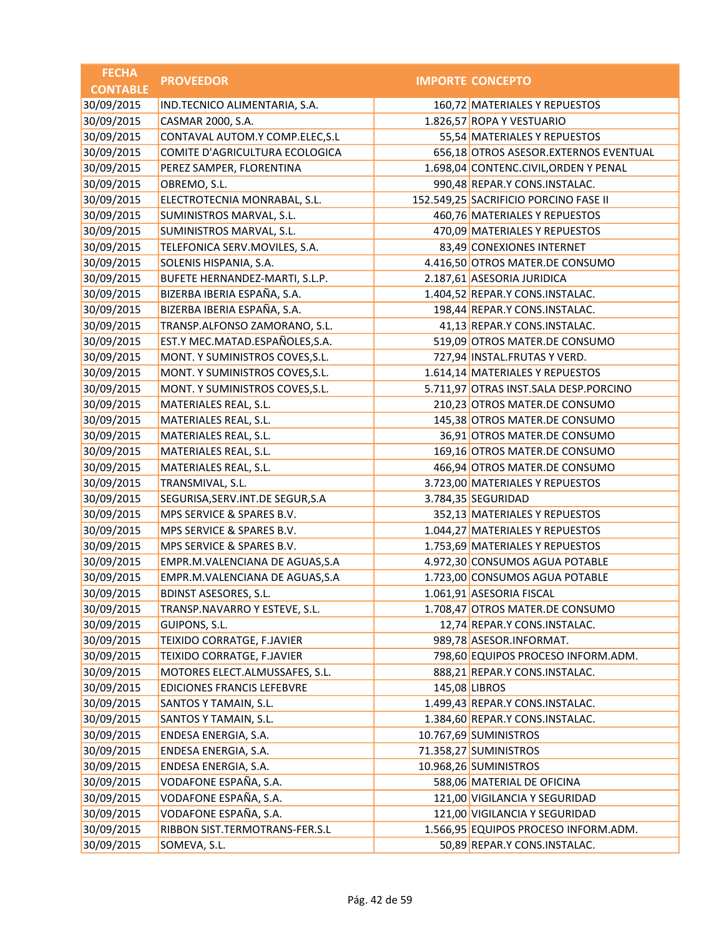| <b>FECHA</b>    | <b>PROVEEDOR</b>                  | <b>IMPORTE CONCEPTO</b>               |
|-----------------|-----------------------------------|---------------------------------------|
| <b>CONTABLE</b> |                                   |                                       |
| 30/09/2015      | IND.TECNICO ALIMENTARIA, S.A.     | 160,72 MATERIALES Y REPUESTOS         |
| 30/09/2015      | CASMAR 2000, S.A.                 | 1.826,57 ROPA Y VESTUARIO             |
| 30/09/2015      | CONTAVAL AUTOM.Y COMP.ELEC, S.L   | 55,54 MATERIALES Y REPUESTOS          |
| 30/09/2015      | COMITE D'AGRICULTURA ECOLOGICA    | 656,18 OTROS ASESOR.EXTERNOS EVENTUAL |
| 30/09/2015      | PEREZ SAMPER, FLORENTINA          | 1.698,04 CONTENC.CIVIL, ORDEN Y PENAL |
| 30/09/2015      | OBREMO, S.L.                      | 990,48 REPAR.Y CONS.INSTALAC.         |
| 30/09/2015      | ELECTROTECNIA MONRABAL, S.L.      | 152.549,25 SACRIFICIO PORCINO FASE II |
| 30/09/2015      | SUMINISTROS MARVAL, S.L.          | 460,76 MATERIALES Y REPUESTOS         |
| 30/09/2015      | SUMINISTROS MARVAL, S.L.          | 470,09 MATERIALES Y REPUESTOS         |
| 30/09/2015      | TELEFONICA SERV.MOVILES, S.A.     | 83,49 CONEXIONES INTERNET             |
| 30/09/2015      | SOLENIS HISPANIA, S.A.            | 4.416,50 OTROS MATER.DE CONSUMO       |
| 30/09/2015      | BUFETE HERNANDEZ-MARTI, S.L.P.    | 2.187,61 ASESORIA JURIDICA            |
| 30/09/2015      | BIZERBA IBERIA ESPAÑA, S.A.       | 1.404,52 REPAR.Y CONS.INSTALAC.       |
| 30/09/2015      | BIZERBA IBERIA ESPAÑA, S.A.       | 198,44 REPAR.Y CONS.INSTALAC.         |
| 30/09/2015      | TRANSP.ALFONSO ZAMORANO, S.L.     | 41,13 REPAR.Y CONS.INSTALAC.          |
| 30/09/2015      | EST.Y MEC.MATAD.ESPAÑOLES,S.A.    | 519,09 OTROS MATER.DE CONSUMO         |
| 30/09/2015      | MONT. Y SUMINISTROS COVES, S.L.   | 727,94 INSTAL.FRUTAS Y VERD.          |
| 30/09/2015      | MONT. Y SUMINISTROS COVES, S.L.   | 1.614,14 MATERIALES Y REPUESTOS       |
| 30/09/2015      | MONT. Y SUMINISTROS COVES, S.L.   | 5.711,97 OTRAS INST.SALA DESP.PORCINO |
| 30/09/2015      | MATERIALES REAL, S.L.             | 210,23 OTROS MATER.DE CONSUMO         |
| 30/09/2015      | MATERIALES REAL, S.L.             | 145,38 OTROS MATER.DE CONSUMO         |
| 30/09/2015      | MATERIALES REAL, S.L.             | 36,91 OTROS MATER.DE CONSUMO          |
| 30/09/2015      | MATERIALES REAL, S.L.             | 169,16 OTROS MATER.DE CONSUMO         |
| 30/09/2015      | MATERIALES REAL, S.L.             | 466,94 OTROS MATER.DE CONSUMO         |
| 30/09/2015      | TRANSMIVAL, S.L.                  | 3.723,00 MATERIALES Y REPUESTOS       |
| 30/09/2015      | SEGURISA, SERV.INT. DE SEGUR, S.A | 3.784,35 SEGURIDAD                    |
| 30/09/2015      | MPS SERVICE & SPARES B.V.         | 352,13 MATERIALES Y REPUESTOS         |
| 30/09/2015      | MPS SERVICE & SPARES B.V.         | 1.044,27 MATERIALES Y REPUESTOS       |
| 30/09/2015      | MPS SERVICE & SPARES B.V.         | 1.753,69 MATERIALES Y REPUESTOS       |
| 30/09/2015      | EMPR.M.VALENCIANA DE AGUAS, S.A   | 4.972,30 CONSUMOS AGUA POTABLE        |
| 30/09/2015      | EMPR.M.VALENCIANA DE AGUAS, S.A   | 1.723,00 CONSUMOS AGUA POTABLE        |
| 30/09/2015      | <b>BDINST ASESORES, S.L.</b>      | 1.061,91 ASESORIA FISCAL              |
| 30/09/2015      | TRANSP.NAVARRO Y ESTEVE, S.L.     | 1.708,47 OTROS MATER.DE CONSUMO       |
| 30/09/2015      | GUIPONS, S.L.                     | 12,74 REPAR.Y CONS.INSTALAC.          |
| 30/09/2015      | TEIXIDO CORRATGE, F.JAVIER        | 989,78 ASESOR.INFORMAT.               |
| 30/09/2015      | TEIXIDO CORRATGE, F.JAVIER        | 798,60 EQUIPOS PROCESO INFORM.ADM.    |
| 30/09/2015      | MOTORES ELECT.ALMUSSAFES, S.L.    | 888,21 REPAR.Y CONS.INSTALAC.         |
| 30/09/2015      | <b>EDICIONES FRANCIS LEFEBVRE</b> | 145,08 LIBROS                         |
| 30/09/2015      | SANTOS Y TAMAIN, S.L.             | 1.499,43 REPAR.Y CONS.INSTALAC.       |
| 30/09/2015      | SANTOS Y TAMAIN, S.L.             | 1.384,60 REPAR.Y CONS.INSTALAC.       |
| 30/09/2015      | ENDESA ENERGIA, S.A.              | 10.767,69 SUMINISTROS                 |
| 30/09/2015      | ENDESA ENERGIA, S.A.              | 71.358,27 SUMINISTROS                 |
| 30/09/2015      | ENDESA ENERGIA, S.A.              | 10.968,26 SUMINISTROS                 |
| 30/09/2015      | VODAFONE ESPAÑA, S.A.             | 588,06 MATERIAL DE OFICINA            |
| 30/09/2015      | VODAFONE ESPAÑA, S.A.             | 121,00 VIGILANCIA Y SEGURIDAD         |
| 30/09/2015      | VODAFONE ESPAÑA, S.A.             | 121,00 VIGILANCIA Y SEGURIDAD         |
| 30/09/2015      | RIBBON SIST.TERMOTRANS-FER.S.L    | 1.566,95 EQUIPOS PROCESO INFORM.ADM.  |
| 30/09/2015      | SOMEVA, S.L.                      | 50,89 REPAR.Y CONS.INSTALAC.          |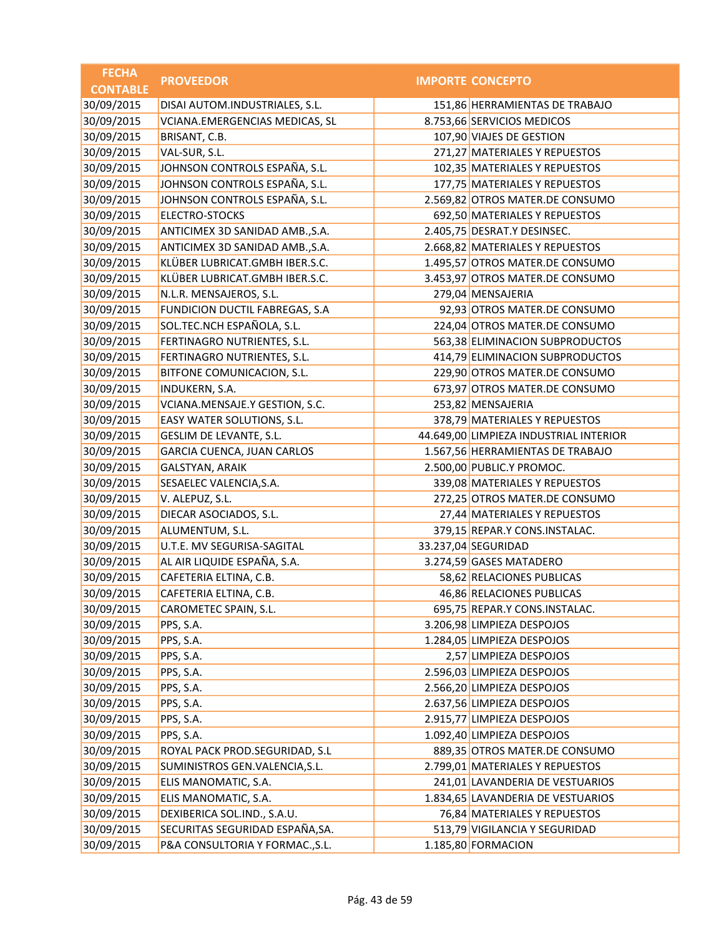| <b>FECHA</b>    | <b>PROVEEDOR</b>                | <b>IMPORTE CONCEPTO</b>                |
|-----------------|---------------------------------|----------------------------------------|
| <b>CONTABLE</b> |                                 |                                        |
| 30/09/2015      | DISAI AUTOM.INDUSTRIALES, S.L.  | 151,86 HERRAMIENTAS DE TRABAJO         |
| 30/09/2015      | VCIANA.EMERGENCIAS MEDICAS, SL  | 8.753,66 SERVICIOS MEDICOS             |
| 30/09/2015      | BRISANT, C.B.                   | 107,90 VIAJES DE GESTION               |
| 30/09/2015      | VAL-SUR, S.L.                   | 271,27 MATERIALES Y REPUESTOS          |
| 30/09/2015      | JOHNSON CONTROLS ESPAÑA, S.L.   | 102,35 MATERIALES Y REPUESTOS          |
| 30/09/2015      | JOHNSON CONTROLS ESPAÑA, S.L.   | 177,75 MATERIALES Y REPUESTOS          |
| 30/09/2015      | JOHNSON CONTROLS ESPAÑA, S.L.   | 2.569,82 OTROS MATER.DE CONSUMO        |
| 30/09/2015      | <b>ELECTRO-STOCKS</b>           | 692,50 MATERIALES Y REPUESTOS          |
| 30/09/2015      | ANTICIMEX 3D SANIDAD AMB., S.A. | 2.405,75 DESRAT.Y DESINSEC.            |
| 30/09/2015      | ANTICIMEX 3D SANIDAD AMB., S.A. | 2.668,82 MATERIALES Y REPUESTOS        |
| 30/09/2015      | KLÜBER LUBRICAT.GMBH IBER.S.C.  | 1.495,57 OTROS MATER.DE CONSUMO        |
| 30/09/2015      | KLÜBER LUBRICAT.GMBH IBER.S.C.  | 3.453,97 OTROS MATER.DE CONSUMO        |
| 30/09/2015      | N.L.R. MENSAJEROS, S.L.         | 279,04 MENSAJERIA                      |
| 30/09/2015      | FUNDICION DUCTIL FABREGAS, S.A  | 92,93 OTROS MATER.DE CONSUMO           |
| 30/09/2015      | SOL.TEC.NCH ESPAÑOLA, S.L.      | 224,04 OTROS MATER.DE CONSUMO          |
| 30/09/2015      | FERTINAGRO NUTRIENTES, S.L.     | 563,38 ELIMINACION SUBPRODUCTOS        |
| 30/09/2015      | FERTINAGRO NUTRIENTES, S.L.     | 414,79 ELIMINACION SUBPRODUCTOS        |
| 30/09/2015      | BITFONE COMUNICACION, S.L.      | 229,90 OTROS MATER.DE CONSUMO          |
| 30/09/2015      | INDUKERN, S.A.                  | 673,97 OTROS MATER.DE CONSUMO          |
| 30/09/2015      | VCIANA.MENSAJE.Y GESTION, S.C.  | 253,82 MENSAJERIA                      |
| 30/09/2015      | EASY WATER SOLUTIONS, S.L.      | 378,79 MATERIALES Y REPUESTOS          |
| 30/09/2015      | GESLIM DE LEVANTE, S.L.         | 44.649,00 LIMPIEZA INDUSTRIAL INTERIOR |
| 30/09/2015      | GARCIA CUENCA, JUAN CARLOS      | 1.567,56 HERRAMIENTAS DE TRABAJO       |
| 30/09/2015      | <b>GALSTYAN, ARAIK</b>          | 2.500,00 PUBLIC.Y PROMOC.              |
| 30/09/2015      | SESAELEC VALENCIA, S.A.         | 339,08 MATERIALES Y REPUESTOS          |
| 30/09/2015      | V. ALEPUZ, S.L.                 | 272,25 OTROS MATER.DE CONSUMO          |
| 30/09/2015      | DIECAR ASOCIADOS, S.L.          | 27,44 MATERIALES Y REPUESTOS           |
| 30/09/2015      | ALUMENTUM, S.L.                 | 379,15 REPAR.Y CONS.INSTALAC.          |
| 30/09/2015      | U.T.E. MV SEGURISA-SAGITAL      | 33.237,04 SEGURIDAD                    |
| 30/09/2015      | AL AIR LIQUIDE ESPAÑA, S.A.     | 3.274,59 GASES MATADERO                |
| 30/09/2015      | CAFETERIA ELTINA, C.B.          | 58,62 RELACIONES PUBLICAS              |
| 30/09/2015      | CAFETERIA ELTINA, C.B.          | 46,86 RELACIONES PUBLICAS              |
| 30/09/2015      | CAROMETEC SPAIN, S.L.           | 695,75 REPAR.Y CONS.INSTALAC.          |
| 30/09/2015      | PPS, S.A.                       | 3.206,98 LIMPIEZA DESPOJOS             |
| 30/09/2015      | PPS, S.A.                       | 1.284,05 LIMPIEZA DESPOJOS             |
| 30/09/2015      | PPS, S.A.                       | 2,57 LIMPIEZA DESPOJOS                 |
| 30/09/2015      | PPS, S.A.                       | 2.596,03 LIMPIEZA DESPOJOS             |
| 30/09/2015      | PPS, S.A.                       | 2.566,20 LIMPIEZA DESPOJOS             |
| 30/09/2015      | PPS, S.A.                       | 2.637,56 LIMPIEZA DESPOJOS             |
| 30/09/2015      | PPS, S.A.                       | 2.915,77 LIMPIEZA DESPOJOS             |
| 30/09/2015      | PPS, S.A.                       | 1.092,40 LIMPIEZA DESPOJOS             |
| 30/09/2015      | ROYAL PACK PROD.SEGURIDAD, S.L  | 889,35 OTROS MATER.DE CONSUMO          |
| 30/09/2015      | SUMINISTROS GEN.VALENCIA, S.L.  | 2.799,01 MATERIALES Y REPUESTOS        |
| 30/09/2015      | ELIS MANOMATIC, S.A.            | 241,01 LAVANDERIA DE VESTUARIOS        |
| 30/09/2015      | ELIS MANOMATIC, S.A.            | 1.834,65 LAVANDERIA DE VESTUARIOS      |
| 30/09/2015      | DEXIBERICA SOL.IND., S.A.U.     | 76,84 MATERIALES Y REPUESTOS           |
| 30/09/2015      | SECURITAS SEGURIDAD ESPAÑA, SA. | 513,79 VIGILANCIA Y SEGURIDAD          |
| 30/09/2015      | P&A CONSULTORIA Y FORMAC., S.L. | 1.185,80 FORMACION                     |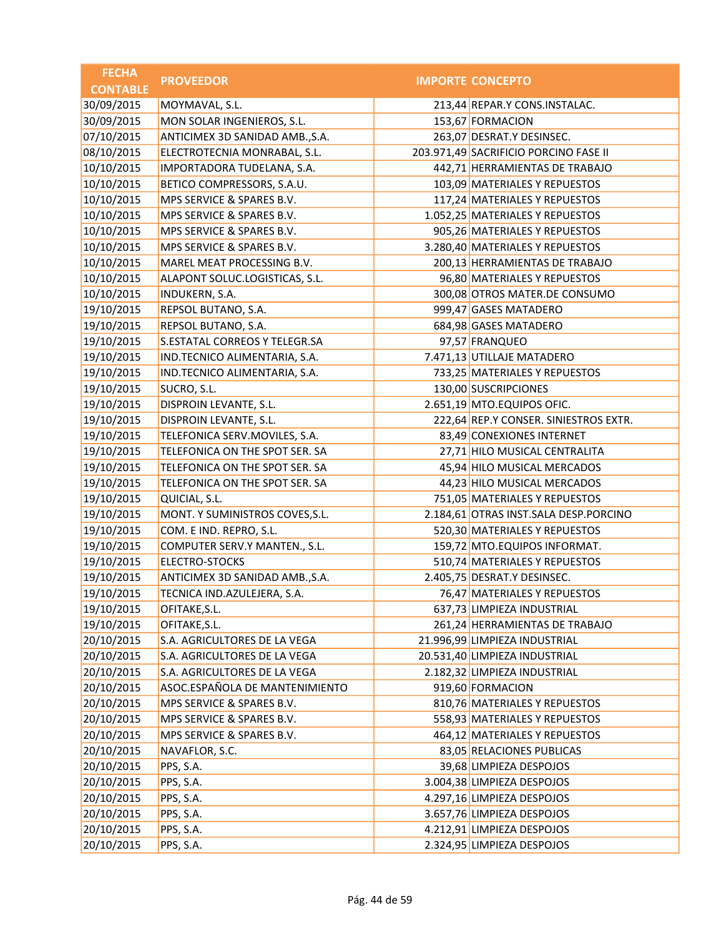| <b>FECHA</b>    | <b>PROVEEDOR</b>                | <b>IMPORTE CONCEPTO</b>               |
|-----------------|---------------------------------|---------------------------------------|
| <b>CONTABLE</b> |                                 |                                       |
| 30/09/2015      | MOYMAVAL, S.L.                  | 213,44 REPAR.Y CONS.INSTALAC.         |
| 30/09/2015      | MON SOLAR INGENIEROS, S.L.      | 153,67 FORMACION                      |
| 07/10/2015      | ANTICIMEX 3D SANIDAD AMB., S.A. | 263,07 DESRAT.Y DESINSEC.             |
| 08/10/2015      | ELECTROTECNIA MONRABAL, S.L.    | 203.971,49 SACRIFICIO PORCINO FASE II |
| 10/10/2015      | IMPORTADORA TUDELANA, S.A.      | 442,71 HERRAMIENTAS DE TRABAJO        |
| 10/10/2015      | BETICO COMPRESSORS, S.A.U.      | 103,09 MATERIALES Y REPUESTOS         |
| 10/10/2015      | MPS SERVICE & SPARES B.V.       | 117,24 MATERIALES Y REPUESTOS         |
| 10/10/2015      | MPS SERVICE & SPARES B.V.       | 1.052,25 MATERIALES Y REPUESTOS       |
| 10/10/2015      | MPS SERVICE & SPARES B.V.       | 905,26 MATERIALES Y REPUESTOS         |
| 10/10/2015      | MPS SERVICE & SPARES B.V.       | 3.280,40 MATERIALES Y REPUESTOS       |
| 10/10/2015      | MAREL MEAT PROCESSING B.V.      | 200,13 HERRAMIENTAS DE TRABAJO        |
| 10/10/2015      | ALAPONT SOLUC.LOGISTICAS, S.L.  | 96,80 MATERIALES Y REPUESTOS          |
| 10/10/2015      | INDUKERN, S.A.                  | 300,08 OTROS MATER.DE CONSUMO         |
| 19/10/2015      | REPSOL BUTANO, S.A.             | 999,47 GASES MATADERO                 |
| 19/10/2015      | REPSOL BUTANO, S.A.             | 684,98 GASES MATADERO                 |
| 19/10/2015      | S.ESTATAL CORREOS Y TELEGR.SA   | 97,57 FRANQUEO                        |
| 19/10/2015      | IND.TECNICO ALIMENTARIA, S.A.   | 7.471,13 UTILLAJE MATADERO            |
| 19/10/2015      | IND.TECNICO ALIMENTARIA, S.A.   | 733,25 MATERIALES Y REPUESTOS         |
| 19/10/2015      | SUCRO, S.L.                     | 130,00 SUSCRIPCIONES                  |
| 19/10/2015      | DISPROIN LEVANTE, S.L.          | 2.651,19 MTO.EQUIPOS OFIC.            |
| 19/10/2015      | DISPROIN LEVANTE, S.L.          | 222,64 REP.Y CONSER. SINIESTROS EXTR. |
| 19/10/2015      | TELEFONICA SERV.MOVILES, S.A.   | 83,49 CONEXIONES INTERNET             |
| 19/10/2015      | TELEFONICA ON THE SPOT SER. SA  | 27,71 HILO MUSICAL CENTRALITA         |
| 19/10/2015      | TELEFONICA ON THE SPOT SER. SA  | 45,94 HILO MUSICAL MERCADOS           |
| 19/10/2015      | TELEFONICA ON THE SPOT SER. SA  | 44,23 HILO MUSICAL MERCADOS           |
| 19/10/2015      | QUICIAL, S.L.                   | 751,05 MATERIALES Y REPUESTOS         |
| 19/10/2015      | MONT. Y SUMINISTROS COVES, S.L. | 2.184,61 OTRAS INST.SALA DESP.PORCINO |
| 19/10/2015      | COM. E IND. REPRO, S.L.         | 520,30 MATERIALES Y REPUESTOS         |
| 19/10/2015      | COMPUTER SERV.Y MANTEN., S.L.   | 159,72 MTO.EQUIPOS INFORMAT.          |
| 19/10/2015      | <b>ELECTRO-STOCKS</b>           | 510,74 MATERIALES Y REPUESTOS         |
| 19/10/2015      | ANTICIMEX 3D SANIDAD AMB., S.A. | 2.405,75 DESRAT.Y DESINSEC.           |
| 19/10/2015      | TECNICA IND.AZULEJERA, S.A.     | 76,47 MATERIALES Y REPUESTOS          |
| 19/10/2015      | OFITAKE, S.L.                   | 637,73 LIMPIEZA INDUSTRIAL            |
| 19/10/2015      | OFITAKE, S.L.                   | 261,24 HERRAMIENTAS DE TRABAJO        |
| 20/10/2015      | S.A. AGRICULTORES DE LA VEGA    | 21.996,99 LIMPIEZA INDUSTRIAL         |
| 20/10/2015      | S.A. AGRICULTORES DE LA VEGA    | 20.531,40 LIMPIEZA INDUSTRIAL         |
| 20/10/2015      | S.A. AGRICULTORES DE LA VEGA    | 2.182,32 LIMPIEZA INDUSTRIAL          |
| 20/10/2015      | ASOC.ESPAÑOLA DE MANTENIMIENTO  | 919,60 FORMACION                      |
| 20/10/2015      | MPS SERVICE & SPARES B.V.       | 810,76 MATERIALES Y REPUESTOS         |
| 20/10/2015      | MPS SERVICE & SPARES B.V.       | 558,93 MATERIALES Y REPUESTOS         |
| 20/10/2015      | MPS SERVICE & SPARES B.V.       | 464,12 MATERIALES Y REPUESTOS         |
| 20/10/2015      | NAVAFLOR, S.C.                  | 83,05 RELACIONES PUBLICAS             |
| 20/10/2015      | PPS, S.A.                       | 39,68 LIMPIEZA DESPOJOS               |
| 20/10/2015      | PPS, S.A.                       | 3.004,38 LIMPIEZA DESPOJOS            |
| 20/10/2015      | PPS, S.A.                       | 4.297,16 LIMPIEZA DESPOJOS            |
| 20/10/2015      | PPS, S.A.                       | 3.657,76 LIMPIEZA DESPOJOS            |
| 20/10/2015      | PPS, S.A.                       | 4.212,91 LIMPIEZA DESPOJOS            |
| 20/10/2015      | PPS, S.A.                       | 2.324,95 LIMPIEZA DESPOJOS            |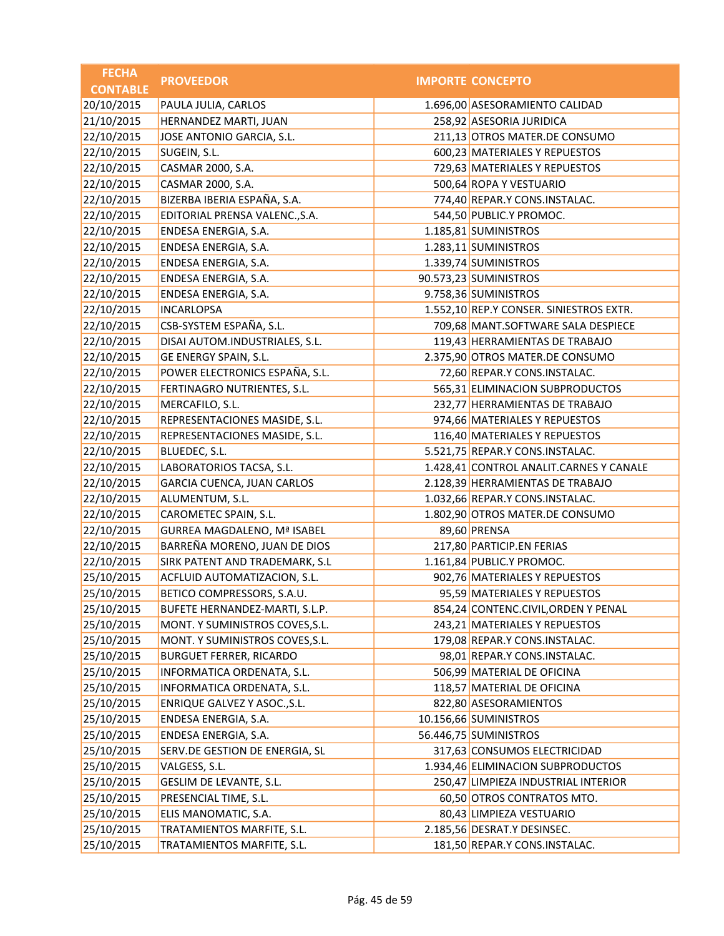| <b>FECHA</b>    | <b>PROVEEDOR</b>                   | <b>IMPORTE CONCEPTO</b>                 |
|-----------------|------------------------------------|-----------------------------------------|
| <b>CONTABLE</b> |                                    |                                         |
| 20/10/2015      | PAULA JULIA, CARLOS                | 1.696,00 ASESORAMIENTO CALIDAD          |
| 21/10/2015      | HERNANDEZ MARTI, JUAN              | 258,92 ASESORIA JURIDICA                |
| 22/10/2015      | JOSE ANTONIO GARCIA, S.L.          | 211,13 OTROS MATER.DE CONSUMO           |
| 22/10/2015      | SUGEIN, S.L.                       | 600,23 MATERIALES Y REPUESTOS           |
| 22/10/2015      | CASMAR 2000, S.A.                  | 729,63 MATERIALES Y REPUESTOS           |
| 22/10/2015      | CASMAR 2000, S.A.                  | 500,64 ROPA Y VESTUARIO                 |
| 22/10/2015      | BIZERBA IBERIA ESPAÑA, S.A.        | 774,40 REPAR.Y CONS.INSTALAC.           |
| 22/10/2015      | EDITORIAL PRENSA VALENC., S.A.     | 544,50 PUBLIC.Y PROMOC.                 |
| 22/10/2015      | ENDESA ENERGIA, S.A.               | 1.185,81 SUMINISTROS                    |
| 22/10/2015      | ENDESA ENERGIA, S.A.               | 1.283,11 SUMINISTROS                    |
| 22/10/2015      | ENDESA ENERGIA, S.A.               | 1.339,74 SUMINISTROS                    |
| 22/10/2015      | ENDESA ENERGIA, S.A.               | 90.573,23 SUMINISTROS                   |
| 22/10/2015      | ENDESA ENERGIA, S.A.               | 9.758,36 SUMINISTROS                    |
| 22/10/2015      | <b>INCARLOPSA</b>                  | 1.552,10 REP.Y CONSER. SINIESTROS EXTR. |
| 22/10/2015      | CSB-SYSTEM ESPAÑA, S.L.            | 709,68 MANT.SOFTWARE SALA DESPIECE      |
| 22/10/2015      | DISAI AUTOM.INDUSTRIALES, S.L.     | 119,43 HERRAMIENTAS DE TRABAJO          |
| 22/10/2015      | GE ENERGY SPAIN, S.L.              | 2.375,90 OTROS MATER.DE CONSUMO         |
| 22/10/2015      | POWER ELECTRONICS ESPAÑA, S.L.     | 72,60 REPAR.Y CONS.INSTALAC.            |
| 22/10/2015      | FERTINAGRO NUTRIENTES, S.L.        | 565,31 ELIMINACION SUBPRODUCTOS         |
| 22/10/2015      | MERCAFILO, S.L.                    | 232,77 HERRAMIENTAS DE TRABAJO          |
| 22/10/2015      | REPRESENTACIONES MASIDE, S.L.      | 974,66 MATERIALES Y REPUESTOS           |
| 22/10/2015      | REPRESENTACIONES MASIDE, S.L.      | 116,40 MATERIALES Y REPUESTOS           |
| 22/10/2015      | BLUEDEC, S.L.                      | 5.521,75 REPAR.Y CONS.INSTALAC.         |
| 22/10/2015      | LABORATORIOS TACSA, S.L.           | 1.428,41 CONTROL ANALIT.CARNES Y CANALE |
| 22/10/2015      | GARCIA CUENCA, JUAN CARLOS         | 2.128,39 HERRAMIENTAS DE TRABAJO        |
| 22/10/2015      | ALUMENTUM, S.L.                    | 1.032,66 REPAR.Y CONS.INSTALAC.         |
| 22/10/2015      | CAROMETEC SPAIN, S.L.              | 1.802,90 OTROS MATER.DE CONSUMO         |
| 22/10/2015      | <b>GURREA MAGDALENO, Mª ISABEL</b> | 89,60 PRENSA                            |
| 22/10/2015      | BARREÑA MORENO, JUAN DE DIOS       | 217,80 PARTICIP.EN FERIAS               |
| 22/10/2015      | SIRK PATENT AND TRADEMARK, S.L     | 1.161,84 PUBLIC.Y PROMOC.               |
| 25/10/2015      | ACFLUID AUTOMATIZACION, S.L.       | 902,76 MATERIALES Y REPUESTOS           |
| 25/10/2015      | BETICO COMPRESSORS, S.A.U.         | 95,59 MATERIALES Y REPUESTOS            |
| 25/10/2015      | BUFETE HERNANDEZ-MARTI, S.L.P.     | 854,24 CONTENC.CIVIL, ORDEN Y PENAL     |
| 25/10/2015      | MONT. Y SUMINISTROS COVES, S.L.    | 243,21 MATERIALES Y REPUESTOS           |
| 25/10/2015      | MONT. Y SUMINISTROS COVES, S.L.    | 179,08 REPAR.Y CONS.INSTALAC.           |
| 25/10/2015      | <b>BURGUET FERRER, RICARDO</b>     | 98,01 REPAR.Y CONS.INSTALAC.            |
| 25/10/2015      | INFORMATICA ORDENATA, S.L.         | 506,99 MATERIAL DE OFICINA              |
| 25/10/2015      | INFORMATICA ORDENATA, S.L.         | 118,57 MATERIAL DE OFICINA              |
| 25/10/2015      | ENRIQUE GALVEZ Y ASOC., S.L.       | 822,80 ASESORAMIENTOS                   |
| 25/10/2015      | ENDESA ENERGIA, S.A.               | 10.156,66 SUMINISTROS                   |
| 25/10/2015      | ENDESA ENERGIA, S.A.               | 56.446,75 SUMINISTROS                   |
| 25/10/2015      | SERV.DE GESTION DE ENERGIA, SL     | 317,63 CONSUMOS ELECTRICIDAD            |
| 25/10/2015      | VALGESS, S.L.                      | 1.934,46 ELIMINACION SUBPRODUCTOS       |
| 25/10/2015      | GESLIM DE LEVANTE, S.L.            | 250,47 LIMPIEZA INDUSTRIAL INTERIOR     |
| 25/10/2015      | PRESENCIAL TIME, S.L.              | 60,50 OTROS CONTRATOS MTO.              |
| 25/10/2015      | ELIS MANOMATIC, S.A.               | 80,43 LIMPIEZA VESTUARIO                |
| 25/10/2015      | TRATAMIENTOS MARFITE, S.L.         | 2.185,56 DESRAT.Y DESINSEC.             |
| 25/10/2015      | TRATAMIENTOS MARFITE, S.L.         | 181,50 REPAR.Y CONS.INSTALAC.           |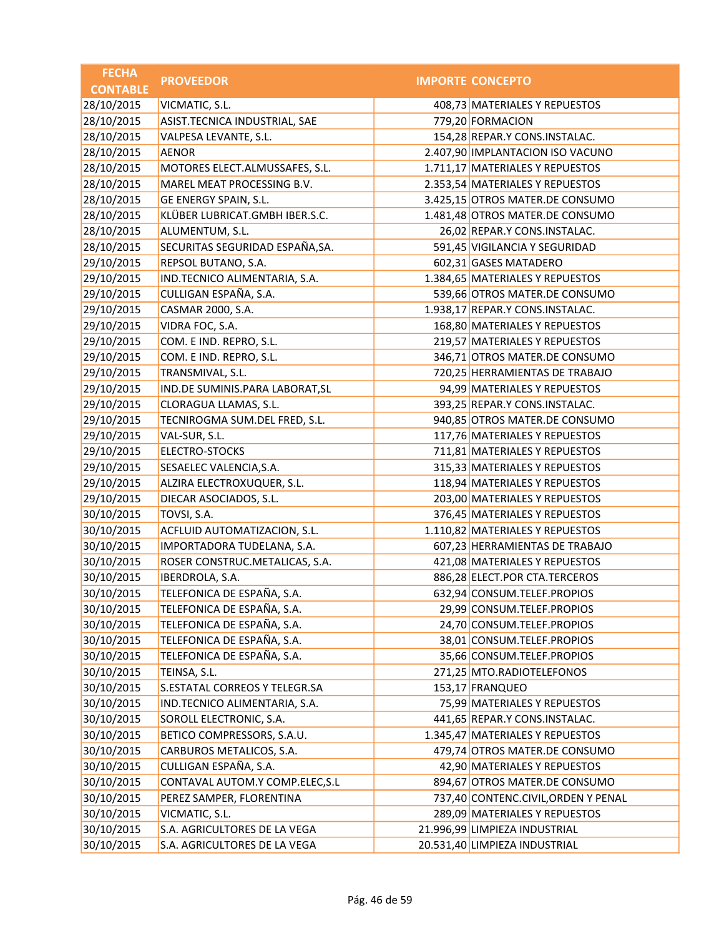| <b>FECHA</b>    | <b>PROVEEDOR</b>                | <b>IMPORTE CONCEPTO</b>             |
|-----------------|---------------------------------|-------------------------------------|
| <b>CONTABLE</b> |                                 |                                     |
| 28/10/2015      | VICMATIC, S.L.                  | 408,73 MATERIALES Y REPUESTOS       |
| 28/10/2015      | ASIST.TECNICA INDUSTRIAL, SAE   | 779,20 FORMACION                    |
| 28/10/2015      | VALPESA LEVANTE, S.L.           | 154,28 REPAR.Y CONS.INSTALAC.       |
| 28/10/2015      | <b>AENOR</b>                    | 2.407,90 IMPLANTACION ISO VACUNO    |
| 28/10/2015      | MOTORES ELECT.ALMUSSAFES, S.L.  | 1.711,17 MATERIALES Y REPUESTOS     |
| 28/10/2015      | MAREL MEAT PROCESSING B.V.      | 2.353,54 MATERIALES Y REPUESTOS     |
| 28/10/2015      | GE ENERGY SPAIN, S.L.           | 3.425,15 OTROS MATER.DE CONSUMO     |
| 28/10/2015      | KLÜBER LUBRICAT.GMBH IBER.S.C.  | 1.481,48 OTROS MATER.DE CONSUMO     |
| 28/10/2015      | ALUMENTUM, S.L.                 | 26,02 REPAR.Y CONS.INSTALAC.        |
| 28/10/2015      | SECURITAS SEGURIDAD ESPAÑA, SA. | 591,45 VIGILANCIA Y SEGURIDAD       |
| 29/10/2015      | REPSOL BUTANO, S.A.             | 602,31 GASES MATADERO               |
| 29/10/2015      | IND.TECNICO ALIMENTARIA, S.A.   | 1.384,65 MATERIALES Y REPUESTOS     |
| 29/10/2015      | CULLIGAN ESPAÑA, S.A.           | 539,66 OTROS MATER.DE CONSUMO       |
| 29/10/2015      | CASMAR 2000, S.A.               | 1.938,17 REPAR.Y CONS.INSTALAC.     |
| 29/10/2015      | VIDRA FOC, S.A.                 | 168,80 MATERIALES Y REPUESTOS       |
| 29/10/2015      | COM. E IND. REPRO, S.L.         | 219,57 MATERIALES Y REPUESTOS       |
| 29/10/2015      | COM. E IND. REPRO, S.L.         | 346,71 OTROS MATER.DE CONSUMO       |
| 29/10/2015      | TRANSMIVAL, S.L.                | 720,25 HERRAMIENTAS DE TRABAJO      |
| 29/10/2015      | IND.DE SUMINIS.PARA LABORAT, SL | 94,99 MATERIALES Y REPUESTOS        |
| 29/10/2015      | CLORAGUA LLAMAS, S.L.           | 393,25 REPAR.Y CONS.INSTALAC.       |
| 29/10/2015      | TECNIROGMA SUM.DEL FRED, S.L.   | 940,85 OTROS MATER.DE CONSUMO       |
| 29/10/2015      | VAL-SUR, S.L.                   | 117,76 MATERIALES Y REPUESTOS       |
| 29/10/2015      | ELECTRO-STOCKS                  | 711,81 MATERIALES Y REPUESTOS       |
| 29/10/2015      | SESAELEC VALENCIA, S.A.         | 315,33 MATERIALES Y REPUESTOS       |
| 29/10/2015      | ALZIRA ELECTROXUQUER, S.L.      | 118,94 MATERIALES Y REPUESTOS       |
| 29/10/2015      | DIECAR ASOCIADOS, S.L.          | 203,00 MATERIALES Y REPUESTOS       |
| 30/10/2015      | TOVSI, S.A.                     | 376,45 MATERIALES Y REPUESTOS       |
| 30/10/2015      | ACFLUID AUTOMATIZACION, S.L.    | 1.110,82 MATERIALES Y REPUESTOS     |
| 30/10/2015      | IMPORTADORA TUDELANA, S.A.      | 607,23 HERRAMIENTAS DE TRABAJO      |
| 30/10/2015      | ROSER CONSTRUC.METALICAS, S.A.  | 421,08 MATERIALES Y REPUESTOS       |
| 30/10/2015      | IBERDROLA, S.A.                 | 886,28 ELECT.POR CTA.TERCEROS       |
| 30/10/2015      | TELEFONICA DE ESPAÑA, S.A.      | 632,94 CONSUM.TELEF.PROPIOS         |
| 30/10/2015      | TELEFONICA DE ESPAÑA, S.A.      | 29,99 CONSUM.TELEF.PROPIOS          |
| 30/10/2015      | TELEFONICA DE ESPAÑA, S.A.      | 24,70 CONSUM.TELEF.PROPIOS          |
| 30/10/2015      | TELEFONICA DE ESPAÑA, S.A.      | 38,01 CONSUM.TELEF.PROPIOS          |
| 30/10/2015      | TELEFONICA DE ESPAÑA, S.A.      | 35,66 CONSUM.TELEF.PROPIOS          |
| 30/10/2015      | TEINSA, S.L.                    | 271,25 MTO.RADIOTELEFONOS           |
| 30/10/2015      | S.ESTATAL CORREOS Y TELEGR.SA   | 153,17 FRANQUEO                     |
| 30/10/2015      | IND.TECNICO ALIMENTARIA, S.A.   | 75,99 MATERIALES Y REPUESTOS        |
| 30/10/2015      | SOROLL ELECTRONIC, S.A.         | 441,65 REPAR.Y CONS.INSTALAC.       |
| 30/10/2015      | BETICO COMPRESSORS, S.A.U.      | 1.345,47 MATERIALES Y REPUESTOS     |
| 30/10/2015      | CARBUROS METALICOS, S.A.        | 479,74 OTROS MATER.DE CONSUMO       |
| 30/10/2015      | CULLIGAN ESPAÑA, S.A.           | 42,90 MATERIALES Y REPUESTOS        |
| 30/10/2015      | CONTAVAL AUTOM.Y COMP.ELEC, S.L | 894,67 OTROS MATER.DE CONSUMO       |
| 30/10/2015      | PEREZ SAMPER, FLORENTINA        | 737,40 CONTENC.CIVIL, ORDEN Y PENAL |
| 30/10/2015      | VICMATIC, S.L.                  | 289,09 MATERIALES Y REPUESTOS       |
| 30/10/2015      | S.A. AGRICULTORES DE LA VEGA    | 21.996,99 LIMPIEZA INDUSTRIAL       |
| 30/10/2015      | S.A. AGRICULTORES DE LA VEGA    | 20.531,40 LIMPIEZA INDUSTRIAL       |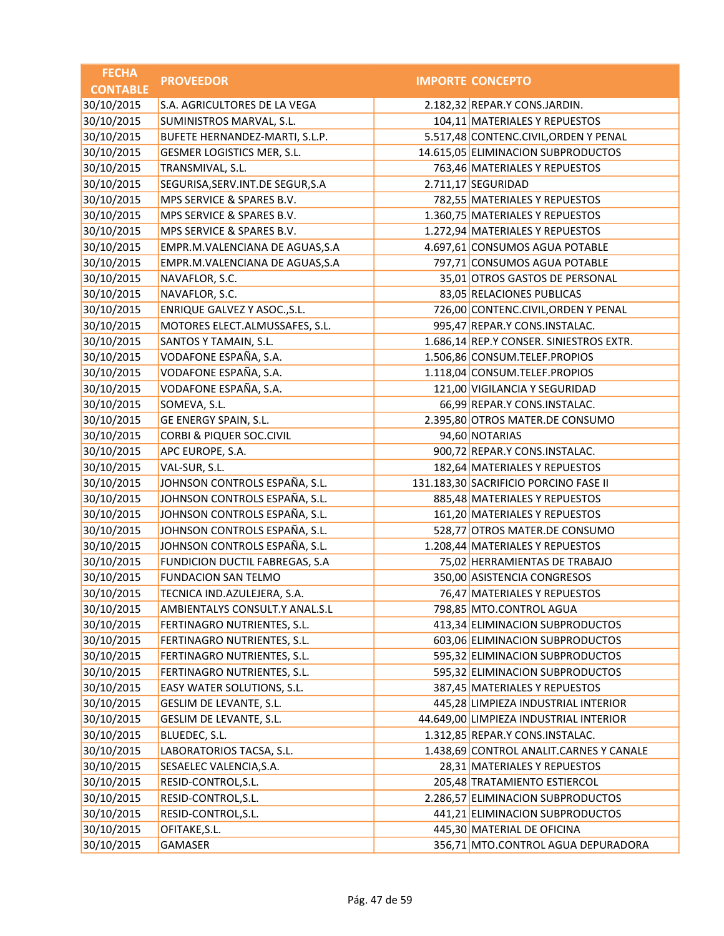| <b>FECHA</b>    | <b>PROVEEDOR</b>                    | <b>IMPORTE CONCEPTO</b>                 |
|-----------------|-------------------------------------|-----------------------------------------|
| <b>CONTABLE</b> |                                     |                                         |
| 30/10/2015      | S.A. AGRICULTORES DE LA VEGA        | 2.182,32 REPAR.Y CONS.JARDIN.           |
| 30/10/2015      | SUMINISTROS MARVAL, S.L.            | 104,11 MATERIALES Y REPUESTOS           |
| 30/10/2015      | BUFETE HERNANDEZ-MARTI, S.L.P.      | 5.517,48 CONTENC.CIVIL, ORDEN Y PENAL   |
| 30/10/2015      | GESMER LOGISTICS MER, S.L.          | 14.615,05 ELIMINACION SUBPRODUCTOS      |
| 30/10/2015      | TRANSMIVAL, S.L.                    | 763,46 MATERIALES Y REPUESTOS           |
| 30/10/2015      | SEGURISA, SERV. INT. DE SEGUR, S.A  | 2.711,17 SEGURIDAD                      |
| 30/10/2015      | MPS SERVICE & SPARES B.V.           | 782,55 MATERIALES Y REPUESTOS           |
| 30/10/2015      | MPS SERVICE & SPARES B.V.           | 1.360,75 MATERIALES Y REPUESTOS         |
| 30/10/2015      | MPS SERVICE & SPARES B.V.           | 1.272,94 MATERIALES Y REPUESTOS         |
| 30/10/2015      | EMPR.M.VALENCIANA DE AGUAS, S.A     | 4.697,61 CONSUMOS AGUA POTABLE          |
| 30/10/2015      | EMPR.M.VALENCIANA DE AGUAS, S.A     | 797,71 CONSUMOS AGUA POTABLE            |
| 30/10/2015      | NAVAFLOR, S.C.                      | 35,01 OTROS GASTOS DE PERSONAL          |
| 30/10/2015      | NAVAFLOR, S.C.                      | 83,05 RELACIONES PUBLICAS               |
| 30/10/2015      | ENRIQUE GALVEZ Y ASOC., S.L.        | 726,00 CONTENC.CIVIL, ORDEN Y PENAL     |
| 30/10/2015      | MOTORES ELECT.ALMUSSAFES, S.L.      | 995,47 REPAR.Y CONS.INSTALAC.           |
| 30/10/2015      | SANTOS Y TAMAIN, S.L.               | 1.686,14 REP.Y CONSER. SINIESTROS EXTR. |
| 30/10/2015      | VODAFONE ESPAÑA, S.A.               | 1.506,86 CONSUM.TELEF.PROPIOS           |
| 30/10/2015      | VODAFONE ESPAÑA, S.A.               | 1.118,04 CONSUM.TELEF.PROPIOS           |
| 30/10/2015      | VODAFONE ESPAÑA, S.A.               | 121,00 VIGILANCIA Y SEGURIDAD           |
| 30/10/2015      | SOMEVA, S.L.                        | 66,99 REPAR.Y CONS.INSTALAC.            |
| 30/10/2015      | GE ENERGY SPAIN, S.L.               | 2.395,80 OTROS MATER.DE CONSUMO         |
| 30/10/2015      | <b>CORBI &amp; PIQUER SOC.CIVIL</b> | 94,60 NOTARIAS                          |
| 30/10/2015      | APC EUROPE, S.A.                    | 900,72 REPAR.Y CONS.INSTALAC.           |
| 30/10/2015      | VAL-SUR, S.L.                       | 182,64 MATERIALES Y REPUESTOS           |
| 30/10/2015      | JOHNSON CONTROLS ESPAÑA, S.L.       | 131.183,30 SACRIFICIO PORCINO FASE II   |
| 30/10/2015      | JOHNSON CONTROLS ESPAÑA, S.L.       | 885,48 MATERIALES Y REPUESTOS           |
| 30/10/2015      | JOHNSON CONTROLS ESPAÑA, S.L.       | 161,20 MATERIALES Y REPUESTOS           |
| 30/10/2015      | JOHNSON CONTROLS ESPAÑA, S.L.       | 528,77 OTROS MATER.DE CONSUMO           |
| 30/10/2015      | JOHNSON CONTROLS ESPAÑA, S.L.       | 1.208,44 MATERIALES Y REPUESTOS         |
| 30/10/2015      | FUNDICION DUCTIL FABREGAS, S.A      | 75,02 HERRAMIENTAS DE TRABAJO           |
| 30/10/2015      | <b>FUNDACION SAN TELMO</b>          | 350,00 ASISTENCIA CONGRESOS             |
| 30/10/2015      | TECNICA IND.AZULEJERA, S.A.         | 76,47 MATERIALES Y REPUESTOS            |
| 30/10/2015      | AMBIENTALYS CONSULT.Y ANAL.S.L      | 798,85 MTO.CONTROL AGUA                 |
| 30/10/2015      | FERTINAGRO NUTRIENTES, S.L.         | 413,34 ELIMINACION SUBPRODUCTOS         |
| 30/10/2015      | FERTINAGRO NUTRIENTES, S.L.         | 603,06 ELIMINACION SUBPRODUCTOS         |
| 30/10/2015      | FERTINAGRO NUTRIENTES, S.L.         | 595,32 ELIMINACION SUBPRODUCTOS         |
| 30/10/2015      | FERTINAGRO NUTRIENTES, S.L.         | 595,32 ELIMINACION SUBPRODUCTOS         |
| 30/10/2015      | EASY WATER SOLUTIONS, S.L.          | 387,45 MATERIALES Y REPUESTOS           |
| 30/10/2015      | GESLIM DE LEVANTE, S.L.             | 445,28 LIMPIEZA INDUSTRIAL INTERIOR     |
| 30/10/2015      | GESLIM DE LEVANTE, S.L.             | 44.649,00 LIMPIEZA INDUSTRIAL INTERIOR  |
| 30/10/2015      | BLUEDEC, S.L.                       | 1.312,85 REPAR.Y CONS.INSTALAC.         |
| 30/10/2015      | LABORATORIOS TACSA, S.L.            | 1.438,69 CONTROL ANALIT.CARNES Y CANALE |
| 30/10/2015      | SESAELEC VALENCIA, S.A.             | 28,31 MATERIALES Y REPUESTOS            |
| 30/10/2015      | RESID-CONTROL, S.L.                 | 205,48 TRATAMIENTO ESTIERCOL            |
| 30/10/2015      | RESID-CONTROL, S.L.                 | 2.286,57 ELIMINACION SUBPRODUCTOS       |
| 30/10/2015      | RESID-CONTROL, S.L.                 | 441,21 ELIMINACION SUBPRODUCTOS         |
| 30/10/2015      | OFITAKE, S.L.                       | 445,30 MATERIAL DE OFICINA              |
| 30/10/2015      | GAMASER                             | 356,71 MTO.CONTROL AGUA DEPURADORA      |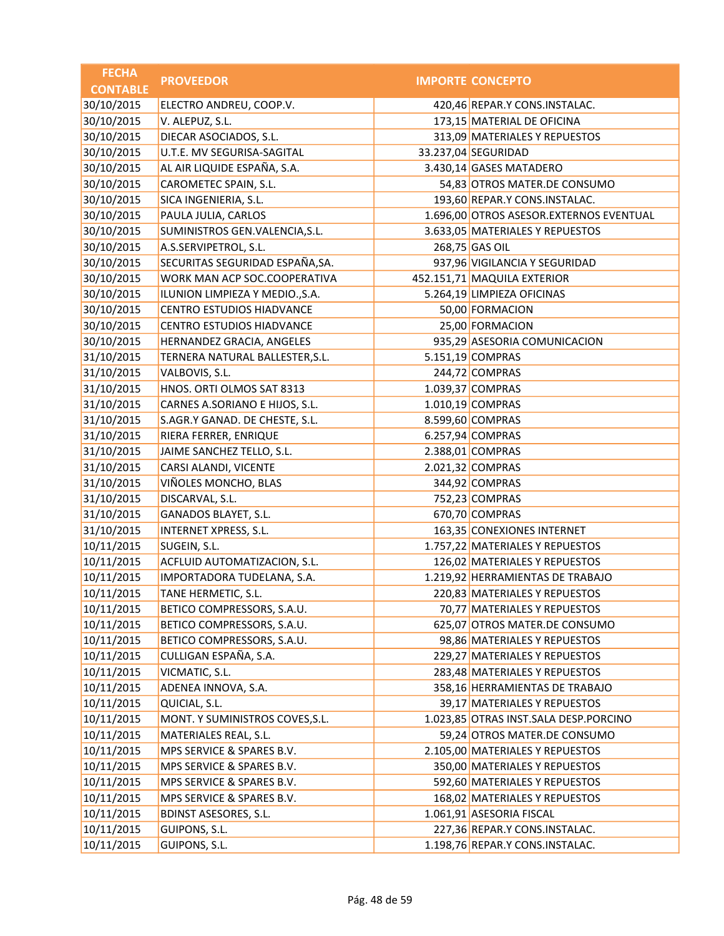| <b>FECHA</b>    | <b>PROVEEDOR</b>                 | <b>IMPORTE CONCEPTO</b>                 |
|-----------------|----------------------------------|-----------------------------------------|
| <b>CONTABLE</b> |                                  |                                         |
| 30/10/2015      | ELECTRO ANDREU, COOP.V.          | 420,46 REPAR.Y CONS.INSTALAC.           |
| 30/10/2015      | V. ALEPUZ, S.L.                  | 173,15 MATERIAL DE OFICINA              |
| 30/10/2015      | DIECAR ASOCIADOS, S.L.           | 313,09 MATERIALES Y REPUESTOS           |
| 30/10/2015      | U.T.E. MV SEGURISA-SAGITAL       | 33.237,04 SEGURIDAD                     |
| 30/10/2015      | AL AIR LIQUIDE ESPAÑA, S.A.      | 3.430,14 GASES MATADERO                 |
| 30/10/2015      | CAROMETEC SPAIN, S.L.            | 54,83 OTROS MATER.DE CONSUMO            |
| 30/10/2015      | SICA INGENIERIA, S.L.            | 193,60 REPAR.Y CONS.INSTALAC.           |
| 30/10/2015      | PAULA JULIA, CARLOS              | 1.696,00 OTROS ASESOR.EXTERNOS EVENTUAL |
| 30/10/2015      | SUMINISTROS GEN.VALENCIA, S.L.   | 3.633,05 MATERIALES Y REPUESTOS         |
| 30/10/2015      | A.S.SERVIPETROL, S.L.            | 268,75 GAS OIL                          |
| 30/10/2015      | SECURITAS SEGURIDAD ESPAÑA, SA.  | 937,96 VIGILANCIA Y SEGURIDAD           |
| 30/10/2015      | WORK MAN ACP SOC.COOPERATIVA     | 452.151,71 MAQUILA EXTERIOR             |
| 30/10/2015      | ILUNION LIMPIEZA Y MEDIO., S.A.  | 5.264,19 LIMPIEZA OFICINAS              |
| 30/10/2015      | CENTRO ESTUDIOS HIADVANCE        | 50,00 FORMACION                         |
| 30/10/2015      | <b>CENTRO ESTUDIOS HIADVANCE</b> | 25,00 FORMACION                         |
| 30/10/2015      | HERNANDEZ GRACIA, ANGELES        | 935,29 ASESORIA COMUNICACION            |
| 31/10/2015      | TERNERA NATURAL BALLESTER, S.L.  | 5.151,19 COMPRAS                        |
| 31/10/2015      | VALBOVIS, S.L.                   | 244,72 COMPRAS                          |
| 31/10/2015      | HNOS. ORTI OLMOS SAT 8313        | 1.039,37 COMPRAS                        |
| 31/10/2015      | CARNES A.SORIANO E HIJOS, S.L.   | 1.010,19 COMPRAS                        |
| 31/10/2015      | S.AGR.Y GANAD. DE CHESTE, S.L.   | 8.599,60 COMPRAS                        |
| 31/10/2015      | RIERA FERRER, ENRIQUE            | 6.257,94 COMPRAS                        |
| 31/10/2015      | JAIME SANCHEZ TELLO, S.L.        | 2.388,01 COMPRAS                        |
| 31/10/2015      | CARSI ALANDI, VICENTE            | 2.021,32 COMPRAS                        |
| 31/10/2015      | VIÑOLES MONCHO, BLAS             | 344,92 COMPRAS                          |
| 31/10/2015      | DISCARVAL, S.L.                  | 752,23 COMPRAS                          |
| 31/10/2015      | GANADOS BLAYET, S.L.             | 670,70 COMPRAS                          |
| 31/10/2015      | INTERNET XPRESS, S.L.            | 163,35 CONEXIONES INTERNET              |
| 10/11/2015      | SUGEIN, S.L.                     | 1.757,22 MATERIALES Y REPUESTOS         |
| 10/11/2015      | ACFLUID AUTOMATIZACION, S.L.     | 126,02 MATERIALES Y REPUESTOS           |
| 10/11/2015      | IMPORTADORA TUDELANA, S.A.       | 1.219,92 HERRAMIENTAS DE TRABAJO        |
| 10/11/2015      | TANE HERMETIC, S.L.              | 220,83 MATERIALES Y REPUESTOS           |
| 10/11/2015      | BETICO COMPRESSORS, S.A.U.       | 70,77 MATERIALES Y REPUESTOS            |
| 10/11/2015      | BETICO COMPRESSORS, S.A.U.       | 625,07 OTROS MATER.DE CONSUMO           |
| 10/11/2015      | BETICO COMPRESSORS, S.A.U.       | 98,86 MATERIALES Y REPUESTOS            |
| 10/11/2015      | CULLIGAN ESPAÑA, S.A.            | 229,27 MATERIALES Y REPUESTOS           |
| 10/11/2015      | VICMATIC, S.L.                   | 283,48 MATERIALES Y REPUESTOS           |
| 10/11/2015      | ADENEA INNOVA, S.A.              | 358,16 HERRAMIENTAS DE TRABAJO          |
| 10/11/2015      | QUICIAL, S.L.                    | 39,17 MATERIALES Y REPUESTOS            |
| 10/11/2015      | MONT. Y SUMINISTROS COVES, S.L.  | 1.023,85 OTRAS INST.SALA DESP.PORCINO   |
| 10/11/2015      | MATERIALES REAL, S.L.            | 59,24 OTROS MATER.DE CONSUMO            |
| 10/11/2015      | MPS SERVICE & SPARES B.V.        | 2.105,00 MATERIALES Y REPUESTOS         |
| 10/11/2015      | MPS SERVICE & SPARES B.V.        | 350,00 MATERIALES Y REPUESTOS           |
| 10/11/2015      | MPS SERVICE & SPARES B.V.        | 592,60 MATERIALES Y REPUESTOS           |
| 10/11/2015      | MPS SERVICE & SPARES B.V.        | 168,02 MATERIALES Y REPUESTOS           |
| 10/11/2015      | <b>BDINST ASESORES, S.L.</b>     | 1.061,91 ASESORIA FISCAL                |
| 10/11/2015      | GUIPONS, S.L.                    | 227,36 REPAR.Y CONS.INSTALAC.           |
| 10/11/2015      | GUIPONS, S.L.                    | 1.198,76 REPAR.Y CONS.INSTALAC.         |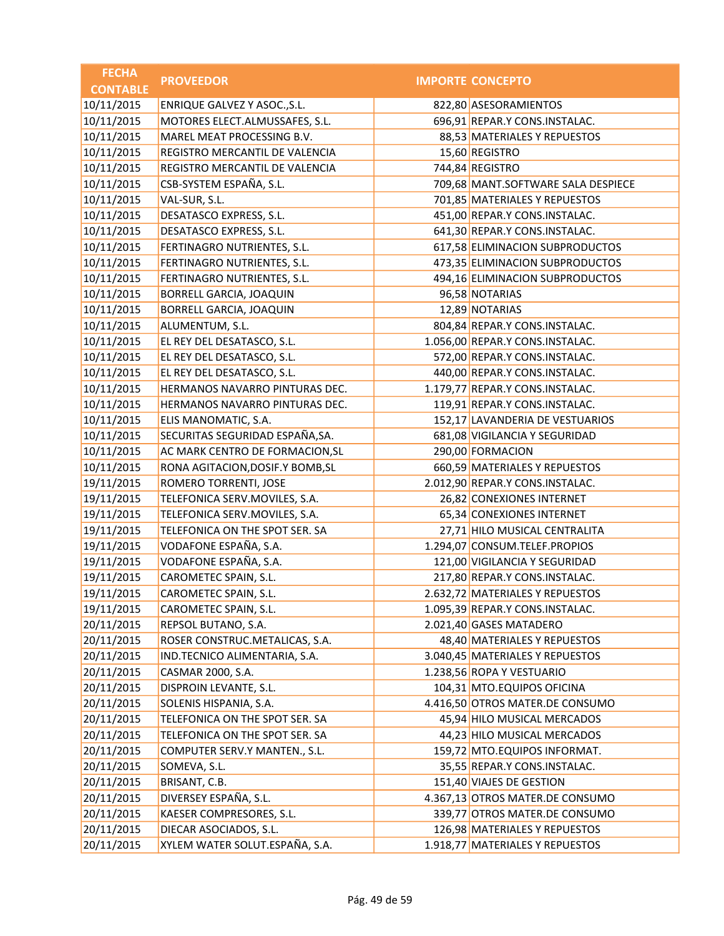| <b>FECHA</b>    | <b>PROVEEDOR</b>                 | <b>IMPORTE CONCEPTO</b>            |
|-----------------|----------------------------------|------------------------------------|
| <b>CONTABLE</b> |                                  |                                    |
| 10/11/2015      | ENRIQUE GALVEZ Y ASOC., S.L.     | 822,80 ASESORAMIENTOS              |
| 10/11/2015      | MOTORES ELECT.ALMUSSAFES, S.L.   | 696,91 REPAR.Y CONS.INSTALAC.      |
| 10/11/2015      | MAREL MEAT PROCESSING B.V.       | 88,53 MATERIALES Y REPUESTOS       |
| 10/11/2015      | REGISTRO MERCANTIL DE VALENCIA   | 15,60 REGISTRO                     |
| 10/11/2015      | REGISTRO MERCANTIL DE VALENCIA   | 744,84 REGISTRO                    |
| 10/11/2015      | CSB-SYSTEM ESPAÑA, S.L.          | 709,68 MANT.SOFTWARE SALA DESPIECE |
| 10/11/2015      | VAL-SUR, S.L.                    | 701,85 MATERIALES Y REPUESTOS      |
| 10/11/2015      | DESATASCO EXPRESS, S.L.          | 451,00 REPAR.Y CONS.INSTALAC.      |
| 10/11/2015      | DESATASCO EXPRESS, S.L.          | 641,30 REPAR.Y CONS.INSTALAC.      |
| 10/11/2015      | FERTINAGRO NUTRIENTES, S.L.      | 617,58 ELIMINACION SUBPRODUCTOS    |
| 10/11/2015      | FERTINAGRO NUTRIENTES, S.L.      | 473,35 ELIMINACION SUBPRODUCTOS    |
| 10/11/2015      | FERTINAGRO NUTRIENTES, S.L.      | 494,16 ELIMINACION SUBPRODUCTOS    |
| 10/11/2015      | BORRELL GARCIA, JOAQUIN          | 96,58 NOTARIAS                     |
| 10/11/2015      | <b>BORRELL GARCIA, JOAQUIN</b>   | 12,89 NOTARIAS                     |
| 10/11/2015      | ALUMENTUM, S.L.                  | 804,84 REPAR.Y CONS.INSTALAC.      |
| 10/11/2015      | EL REY DEL DESATASCO, S.L.       | 1.056,00 REPAR.Y CONS.INSTALAC.    |
| 10/11/2015      | EL REY DEL DESATASCO, S.L.       | 572,00 REPAR.Y CONS.INSTALAC.      |
| 10/11/2015      | EL REY DEL DESATASCO, S.L.       | 440,00 REPAR.Y CONS.INSTALAC.      |
| 10/11/2015      | HERMANOS NAVARRO PINTURAS DEC.   | 1.179,77 REPAR.Y CONS.INSTALAC.    |
| 10/11/2015      | HERMANOS NAVARRO PINTURAS DEC.   | 119,91 REPAR.Y CONS.INSTALAC.      |
| 10/11/2015      | ELIS MANOMATIC, S.A.             | 152,17 LAVANDERIA DE VESTUARIOS    |
| 10/11/2015      | SECURITAS SEGURIDAD ESPAÑA, SA.  | 681,08 VIGILANCIA Y SEGURIDAD      |
| 10/11/2015      | AC MARK CENTRO DE FORMACION, SL  | 290,00 FORMACION                   |
| 10/11/2015      | RONA AGITACION, DOSIF.Y BOMB, SL | 660,59 MATERIALES Y REPUESTOS      |
| 19/11/2015      | ROMERO TORRENTI, JOSE            | 2.012,90 REPAR.Y CONS.INSTALAC.    |
| 19/11/2015      | TELEFONICA SERV.MOVILES, S.A.    | 26,82 CONEXIONES INTERNET          |
| 19/11/2015      | TELEFONICA SERV.MOVILES, S.A.    | 65,34 CONEXIONES INTERNET          |
| 19/11/2015      | TELEFONICA ON THE SPOT SER. SA   | 27,71 HILO MUSICAL CENTRALITA      |
| 19/11/2015      | VODAFONE ESPAÑA, S.A.            | 1.294,07 CONSUM.TELEF.PROPIOS      |
| 19/11/2015      | VODAFONE ESPAÑA, S.A.            | 121,00 VIGILANCIA Y SEGURIDAD      |
| 19/11/2015      | CAROMETEC SPAIN, S.L.            | 217,80 REPAR.Y CONS.INSTALAC.      |
| 19/11/2015      | CAROMETEC SPAIN, S.L.            | 2.632,72 MATERIALES Y REPUESTOS    |
| 19/11/2015      | CAROMETEC SPAIN, S.L.            | 1.095,39 REPAR.Y CONS.INSTALAC.    |
| 20/11/2015      | REPSOL BUTANO, S.A.              | 2.021,40 GASES MATADERO            |
| 20/11/2015      | ROSER CONSTRUC.METALICAS, S.A.   | 48,40 MATERIALES Y REPUESTOS       |
| 20/11/2015      | IND.TECNICO ALIMENTARIA, S.A.    | 3.040,45 MATERIALES Y REPUESTOS    |
| 20/11/2015      | CASMAR 2000, S.A.                | 1.238,56 ROPA Y VESTUARIO          |
| 20/11/2015      | DISPROIN LEVANTE, S.L.           | 104,31 MTO.EQUIPOS OFICINA         |
| 20/11/2015      | SOLENIS HISPANIA, S.A.           | 4.416,50 OTROS MATER.DE CONSUMO    |
| 20/11/2015      | TELEFONICA ON THE SPOT SER. SA   | 45,94 HILO MUSICAL MERCADOS        |
| 20/11/2015      | TELEFONICA ON THE SPOT SER. SA   | 44,23 HILO MUSICAL MERCADOS        |
| 20/11/2015      | COMPUTER SERV.Y MANTEN., S.L.    | 159,72 MTO.EQUIPOS INFORMAT.       |
| 20/11/2015      | SOMEVA, S.L.                     | 35,55 REPAR.Y CONS.INSTALAC.       |
| 20/11/2015      | BRISANT, C.B.                    | 151,40 VIAJES DE GESTION           |
| 20/11/2015      | DIVERSEY ESPAÑA, S.L.            | 4.367,13 OTROS MATER.DE CONSUMO    |
| 20/11/2015      | KAESER COMPRESORES, S.L.         | 339,77 OTROS MATER.DE CONSUMO      |
| 20/11/2015      | DIECAR ASOCIADOS, S.L.           | 126,98 MATERIALES Y REPUESTOS      |
| 20/11/2015      | XYLEM WATER SOLUT.ESPAÑA, S.A.   | 1.918,77 MATERIALES Y REPUESTOS    |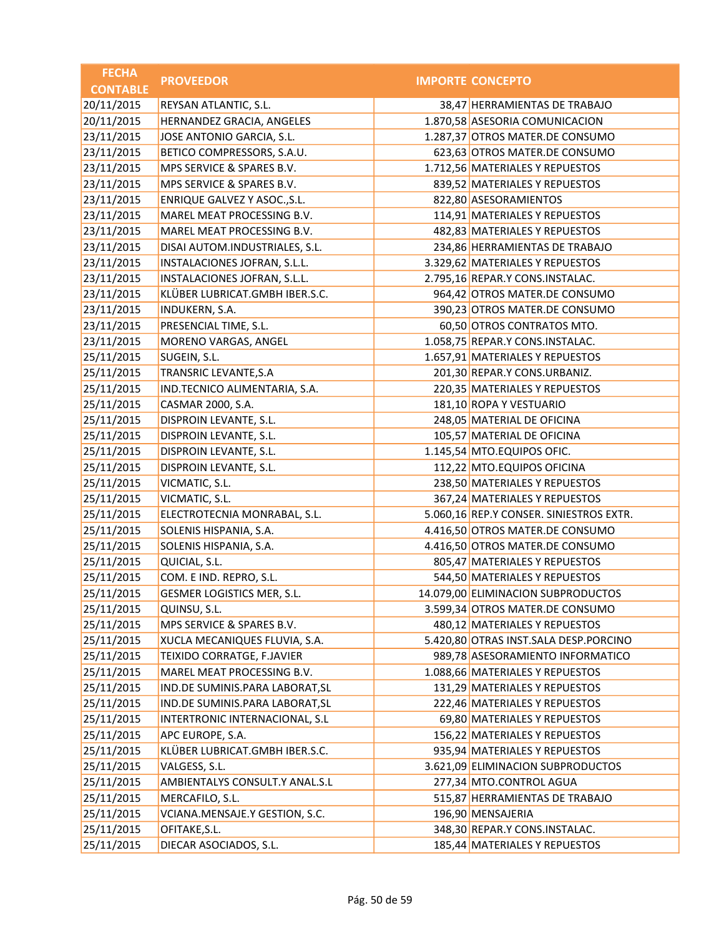| <b>FECHA</b>    | <b>PROVEEDOR</b>                | <b>IMPORTE CONCEPTO</b>                 |
|-----------------|---------------------------------|-----------------------------------------|
| <b>CONTABLE</b> |                                 |                                         |
| 20/11/2015      | REYSAN ATLANTIC, S.L.           | 38,47 HERRAMIENTAS DE TRABAJO           |
| 20/11/2015      | HERNANDEZ GRACIA, ANGELES       | 1.870,58 ASESORIA COMUNICACION          |
| 23/11/2015      | JOSE ANTONIO GARCIA, S.L.       | 1.287,37 OTROS MATER.DE CONSUMO         |
| 23/11/2015      | BETICO COMPRESSORS, S.A.U.      | 623,63 OTROS MATER.DE CONSUMO           |
| 23/11/2015      | MPS SERVICE & SPARES B.V.       | 1.712,56 MATERIALES Y REPUESTOS         |
| 23/11/2015      | MPS SERVICE & SPARES B.V.       | 839,52 MATERIALES Y REPUESTOS           |
| 23/11/2015      | ENRIQUE GALVEZ Y ASOC., S.L.    | 822,80 ASESORAMIENTOS                   |
| 23/11/2015      | MAREL MEAT PROCESSING B.V.      | 114,91 MATERIALES Y REPUESTOS           |
| 23/11/2015      | MAREL MEAT PROCESSING B.V.      | 482,83 MATERIALES Y REPUESTOS           |
| 23/11/2015      | DISAI AUTOM.INDUSTRIALES, S.L.  | 234,86 HERRAMIENTAS DE TRABAJO          |
| 23/11/2015      | INSTALACIONES JOFRAN, S.L.L.    | 3.329,62 MATERIALES Y REPUESTOS         |
| 23/11/2015      | INSTALACIONES JOFRAN, S.L.L.    | 2.795,16 REPAR.Y CONS.INSTALAC.         |
| 23/11/2015      | KLÜBER LUBRICAT.GMBH IBER.S.C.  | 964,42 OTROS MATER.DE CONSUMO           |
| 23/11/2015      | <b>INDUKERN, S.A.</b>           | 390,23 OTROS MATER.DE CONSUMO           |
| 23/11/2015      | PRESENCIAL TIME, S.L.           | 60,50 OTROS CONTRATOS MTO.              |
| 23/11/2015      | MORENO VARGAS, ANGEL            | 1.058,75 REPAR.Y CONS.INSTALAC.         |
| 25/11/2015      | SUGEIN, S.L.                    | 1.657,91 MATERIALES Y REPUESTOS         |
| 25/11/2015      | TRANSRIC LEVANTE, S.A           | 201,30 REPAR.Y CONS.URBANIZ.            |
| 25/11/2015      | IND.TECNICO ALIMENTARIA, S.A.   | 220,35 MATERIALES Y REPUESTOS           |
| 25/11/2015      | CASMAR 2000, S.A.               | 181,10 ROPA Y VESTUARIO                 |
| 25/11/2015      | DISPROIN LEVANTE, S.L.          | 248,05 MATERIAL DE OFICINA              |
| 25/11/2015      | DISPROIN LEVANTE, S.L.          | 105,57 MATERIAL DE OFICINA              |
| 25/11/2015      | DISPROIN LEVANTE, S.L.          | 1.145,54 MTO.EQUIPOS OFIC.              |
| 25/11/2015      | DISPROIN LEVANTE, S.L.          | 112,22 MTO.EQUIPOS OFICINA              |
| 25/11/2015      | VICMATIC, S.L.                  | 238,50 MATERIALES Y REPUESTOS           |
| 25/11/2015      | VICMATIC, S.L.                  | 367,24 MATERIALES Y REPUESTOS           |
| 25/11/2015      | ELECTROTECNIA MONRABAL, S.L.    | 5.060,16 REP.Y CONSER. SINIESTROS EXTR. |
| 25/11/2015      | SOLENIS HISPANIA, S.A.          | 4.416,50 OTROS MATER.DE CONSUMO         |
| 25/11/2015      | SOLENIS HISPANIA, S.A.          | 4.416,50 OTROS MATER.DE CONSUMO         |
| 25/11/2015      | QUICIAL, S.L.                   | 805,47 MATERIALES Y REPUESTOS           |
| 25/11/2015      | COM. E IND. REPRO, S.L.         | 544,50 MATERIALES Y REPUESTOS           |
| 25/11/2015      | GESMER LOGISTICS MER, S.L.      | 14.079,00 ELIMINACION SUBPRODUCTOS      |
| 25/11/2015      | QUINSU, S.L.                    | 3.599,34 OTROS MATER.DE CONSUMO         |
| 25/11/2015      | MPS SERVICE & SPARES B.V.       | 480,12 MATERIALES Y REPUESTOS           |
| 25/11/2015      | XUCLA MECANIQUES FLUVIA, S.A.   | 5.420,80 OTRAS INST.SALA DESP.PORCINO   |
| 25/11/2015      | TEIXIDO CORRATGE, F.JAVIER      | 989,78 ASESORAMIENTO INFORMATICO        |
| 25/11/2015      | MAREL MEAT PROCESSING B.V.      | 1.088,66 MATERIALES Y REPUESTOS         |
| 25/11/2015      | IND.DE SUMINIS.PARA LABORAT, SL | 131,29 MATERIALES Y REPUESTOS           |
| 25/11/2015      | IND.DE SUMINIS.PARA LABORAT, SL | 222,46 MATERIALES Y REPUESTOS           |
| 25/11/2015      | INTERTRONIC INTERNACIONAL, S.L  | 69,80 MATERIALES Y REPUESTOS            |
| 25/11/2015      | APC EUROPE, S.A.                | 156,22 MATERIALES Y REPUESTOS           |
| 25/11/2015      | KLÜBER LUBRICAT.GMBH IBER.S.C.  | 935,94 MATERIALES Y REPUESTOS           |
| 25/11/2015      | VALGESS, S.L.                   | 3.621,09 ELIMINACION SUBPRODUCTOS       |
| 25/11/2015      | AMBIENTALYS CONSULT.Y ANAL.S.L  | 277,34 MTO.CONTROL AGUA                 |
| 25/11/2015      | MERCAFILO, S.L.                 | 515,87 HERRAMIENTAS DE TRABAJO          |
| 25/11/2015      | VCIANA.MENSAJE.Y GESTION, S.C.  | 196,90 MENSAJERIA                       |
| 25/11/2015      | OFITAKE, S.L.                   | 348,30 REPAR.Y CONS.INSTALAC.           |
| 25/11/2015      | DIECAR ASOCIADOS, S.L.          | 185,44 MATERIALES Y REPUESTOS           |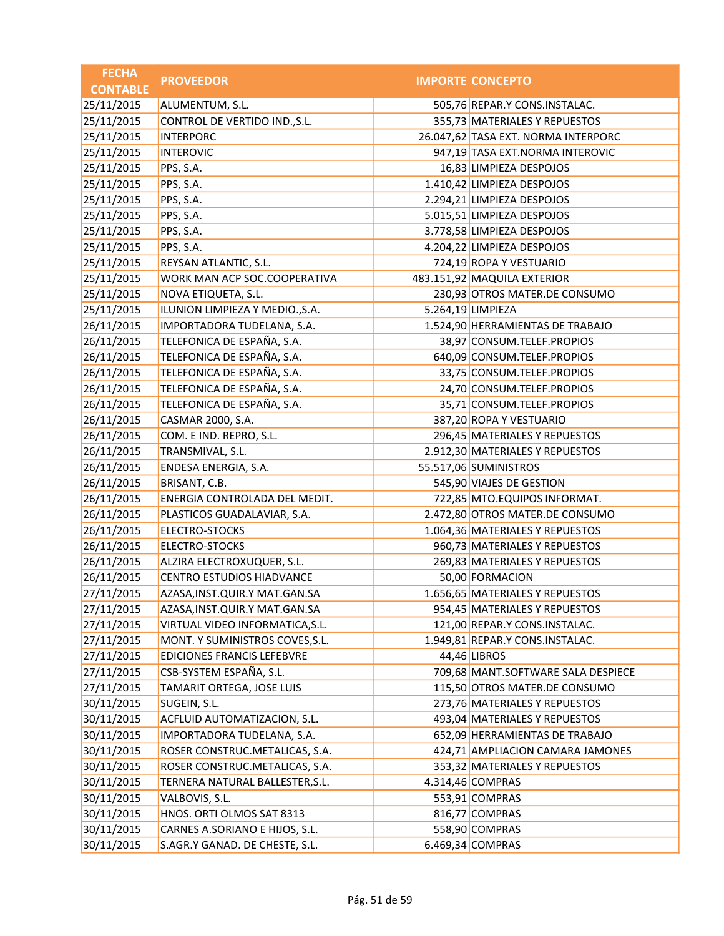| <b>FECHA</b>    | <b>PROVEEDOR</b>                  | <b>IMPORTE CONCEPTO</b>             |
|-----------------|-----------------------------------|-------------------------------------|
| <b>CONTABLE</b> |                                   |                                     |
| 25/11/2015      | ALUMENTUM, S.L.                   | 505,76 REPAR.Y CONS.INSTALAC.       |
| 25/11/2015      | CONTROL DE VERTIDO IND., S.L.     | 355,73 MATERIALES Y REPUESTOS       |
| 25/11/2015      | <b>INTERPORC</b>                  | 26.047,62 TASA EXT. NORMA INTERPORC |
| 25/11/2015      | <b>INTEROVIC</b>                  | 947,19 TASA EXT.NORMA INTEROVIC     |
| 25/11/2015      | PPS, S.A.                         | 16,83 LIMPIEZA DESPOJOS             |
| 25/11/2015      | PPS, S.A.                         | 1.410,42 LIMPIEZA DESPOJOS          |
| 25/11/2015      | PPS, S.A.                         | 2.294,21 LIMPIEZA DESPOJOS          |
| 25/11/2015      | PPS, S.A.                         | 5.015,51 LIMPIEZA DESPOJOS          |
| 25/11/2015      | PPS, S.A.                         | 3.778,58 LIMPIEZA DESPOJOS          |
| 25/11/2015      | PPS, S.A.                         | 4.204,22 LIMPIEZA DESPOJOS          |
| 25/11/2015      | REYSAN ATLANTIC, S.L.             | 724,19 ROPA Y VESTUARIO             |
| 25/11/2015      | WORK MAN ACP SOC.COOPERATIVA      | 483.151,92 MAQUILA EXTERIOR         |
| 25/11/2015      | NOVA ETIQUETA, S.L.               | 230,93 OTROS MATER.DE CONSUMO       |
| 25/11/2015      | ILUNION LIMPIEZA Y MEDIO., S.A.   | 5.264,19 LIMPIEZA                   |
| 26/11/2015      | IMPORTADORA TUDELANA, S.A.        | 1.524,90 HERRAMIENTAS DE TRABAJO    |
| 26/11/2015      | TELEFONICA DE ESPAÑA, S.A.        | 38,97 CONSUM.TELEF.PROPIOS          |
| 26/11/2015      | TELEFONICA DE ESPAÑA, S.A.        | 640,09 CONSUM.TELEF.PROPIOS         |
| 26/11/2015      | TELEFONICA DE ESPAÑA, S.A.        | 33,75 CONSUM.TELEF.PROPIOS          |
| 26/11/2015      | TELEFONICA DE ESPAÑA, S.A.        | 24,70 CONSUM.TELEF.PROPIOS          |
| 26/11/2015      | TELEFONICA DE ESPAÑA, S.A.        | 35,71 CONSUM.TELEF.PROPIOS          |
| 26/11/2015      | CASMAR 2000, S.A.                 | 387,20 ROPA Y VESTUARIO             |
| 26/11/2015      | COM. E IND. REPRO, S.L.           | 296,45 MATERIALES Y REPUESTOS       |
| 26/11/2015      | TRANSMIVAL, S.L.                  | 2.912,30 MATERIALES Y REPUESTOS     |
| 26/11/2015      | ENDESA ENERGIA, S.A.              | 55.517,06 SUMINISTROS               |
| 26/11/2015      | BRISANT, C.B.                     | 545,90 VIAJES DE GESTION            |
| 26/11/2015      | ENERGIA CONTROLADA DEL MEDIT.     | 722,85 MTO.EQUIPOS INFORMAT.        |
| 26/11/2015      | PLASTICOS GUADALAVIAR, S.A.       | 2.472,80 OTROS MATER.DE CONSUMO     |
| 26/11/2015      | ELECTRO-STOCKS                    | 1.064,36 MATERIALES Y REPUESTOS     |
| 26/11/2015      | ELECTRO-STOCKS                    | 960,73 MATERIALES Y REPUESTOS       |
| 26/11/2015      | ALZIRA ELECTROXUQUER, S.L.        | 269,83 MATERIALES Y REPUESTOS       |
| 26/11/2015      | CENTRO ESTUDIOS HIADVANCE         | 50,00 FORMACION                     |
| 27/11/2015      | AZASA, INST. QUIR. Y MAT. GAN. SA | 1.656,65 MATERIALES Y REPUESTOS     |
| 27/11/2015      | AZASA, INST. QUIR. Y MAT. GAN. SA | 954,45 MATERIALES Y REPUESTOS       |
| 27/11/2015      | VIRTUAL VIDEO INFORMATICA, S.L.   | 121,00 REPAR.Y CONS.INSTALAC.       |
| 27/11/2015      | MONT. Y SUMINISTROS COVES, S.L.   | 1.949,81 REPAR.Y CONS.INSTALAC.     |
| 27/11/2015      | EDICIONES FRANCIS LEFEBVRE        | 44,46 LIBROS                        |
| 27/11/2015      | CSB-SYSTEM ESPAÑA, S.L.           | 709,68 MANT.SOFTWARE SALA DESPIECE  |
| 27/11/2015      | TAMARIT ORTEGA, JOSE LUIS         | 115,50 OTROS MATER.DE CONSUMO       |
| 30/11/2015      | SUGEIN, S.L.                      | 273,76 MATERIALES Y REPUESTOS       |
| 30/11/2015      | ACFLUID AUTOMATIZACION, S.L.      | 493,04 MATERIALES Y REPUESTOS       |
| 30/11/2015      | IMPORTADORA TUDELANA, S.A.        | 652,09 HERRAMIENTAS DE TRABAJO      |
| 30/11/2015      | ROSER CONSTRUC.METALICAS, S.A.    | 424,71 AMPLIACION CAMARA JAMONES    |
| 30/11/2015      | ROSER CONSTRUC.METALICAS, S.A.    | 353,32 MATERIALES Y REPUESTOS       |
| 30/11/2015      | TERNERA NATURAL BALLESTER, S.L.   | 4.314,46 COMPRAS                    |
| 30/11/2015      | VALBOVIS, S.L.                    | 553,91 COMPRAS                      |
| 30/11/2015      | HNOS. ORTI OLMOS SAT 8313         | 816,77 COMPRAS                      |
| 30/11/2015      | CARNES A.SORIANO E HIJOS, S.L.    | 558,90 COMPRAS                      |
| 30/11/2015      | S.AGR.Y GANAD. DE CHESTE, S.L.    | 6.469,34 COMPRAS                    |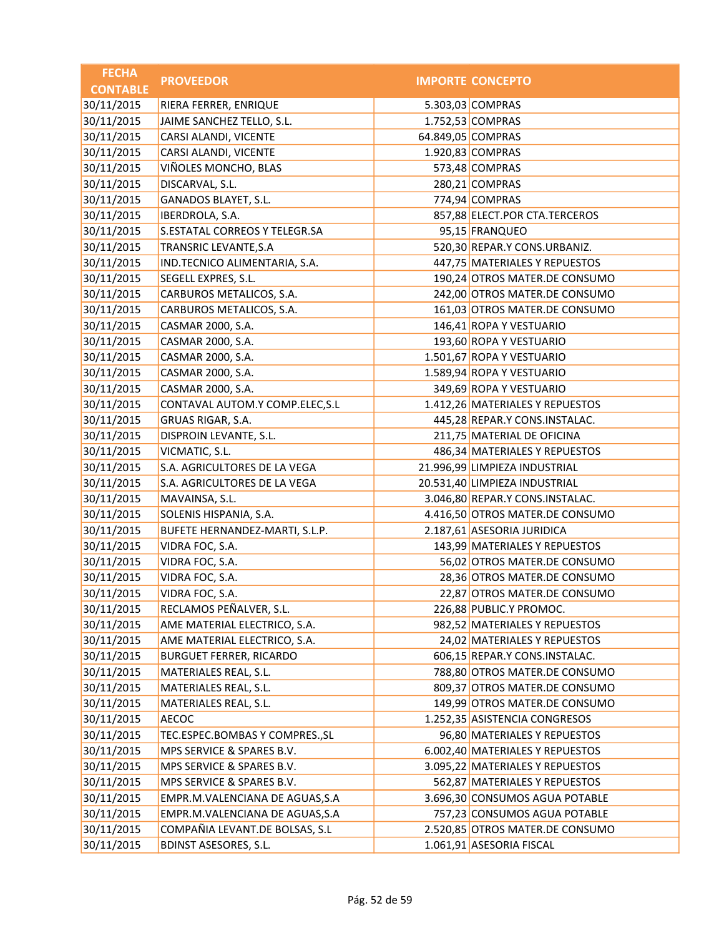| <b>FECHA</b>    | <b>PROVEEDOR</b>                | <b>IMPORTE CONCEPTO</b>         |
|-----------------|---------------------------------|---------------------------------|
| <b>CONTABLE</b> |                                 |                                 |
| 30/11/2015      | RIERA FERRER, ENRIQUE           | 5.303,03 COMPRAS                |
| 30/11/2015      | JAIME SANCHEZ TELLO, S.L.       | 1.752,53 COMPRAS                |
| 30/11/2015      | CARSI ALANDI, VICENTE           | 64.849,05 COMPRAS               |
| 30/11/2015      | CARSI ALANDI, VICENTE           | 1.920,83 COMPRAS                |
| 30/11/2015      | VIÑOLES MONCHO, BLAS            | 573,48 COMPRAS                  |
| 30/11/2015      | DISCARVAL, S.L.                 | 280,21 COMPRAS                  |
| 30/11/2015      | GANADOS BLAYET, S.L.            | 774,94 COMPRAS                  |
| 30/11/2015      | IBERDROLA, S.A.                 | 857,88 ELECT.POR CTA.TERCEROS   |
| 30/11/2015      | S.ESTATAL CORREOS Y TELEGR.SA   | 95,15 FRANQUEO                  |
| 30/11/2015      | TRANSRIC LEVANTE, S.A           | 520,30 REPAR.Y CONS.URBANIZ.    |
| 30/11/2015      | IND.TECNICO ALIMENTARIA, S.A.   | 447,75 MATERIALES Y REPUESTOS   |
| 30/11/2015      | SEGELL EXPRES, S.L.             | 190,24 OTROS MATER.DE CONSUMO   |
| 30/11/2015      | CARBUROS METALICOS, S.A.        | 242,00 OTROS MATER.DE CONSUMO   |
| 30/11/2015      | CARBUROS METALICOS, S.A.        | 161,03 OTROS MATER.DE CONSUMO   |
| 30/11/2015      | CASMAR 2000, S.A.               | 146,41 ROPA Y VESTUARIO         |
| 30/11/2015      | CASMAR 2000, S.A.               | 193,60 ROPA Y VESTUARIO         |
| 30/11/2015      | CASMAR 2000, S.A.               | 1.501,67 ROPA Y VESTUARIO       |
| 30/11/2015      | CASMAR 2000, S.A.               | 1.589,94 ROPA Y VESTUARIO       |
| 30/11/2015      | CASMAR 2000, S.A.               | 349,69 ROPA Y VESTUARIO         |
| 30/11/2015      | CONTAVAL AUTOM.Y COMP.ELEC, S.L | 1.412,26 MATERIALES Y REPUESTOS |
| 30/11/2015      | GRUAS RIGAR, S.A.               | 445,28 REPAR.Y CONS.INSTALAC.   |
| 30/11/2015      | DISPROIN LEVANTE, S.L.          | 211,75 MATERIAL DE OFICINA      |
| 30/11/2015      | VICMATIC, S.L.                  | 486,34 MATERIALES Y REPUESTOS   |
| 30/11/2015      | S.A. AGRICULTORES DE LA VEGA    | 21.996,99 LIMPIEZA INDUSTRIAL   |
| 30/11/2015      | S.A. AGRICULTORES DE LA VEGA    | 20.531,40 LIMPIEZA INDUSTRIAL   |
| 30/11/2015      | MAVAINSA, S.L.                  | 3.046,80 REPAR.Y CONS.INSTALAC. |
| 30/11/2015      | SOLENIS HISPANIA, S.A.          | 4.416,50 OTROS MATER.DE CONSUMO |
| 30/11/2015      | BUFETE HERNANDEZ-MARTI, S.L.P.  | 2.187,61 ASESORIA JURIDICA      |
| 30/11/2015      | VIDRA FOC, S.A.                 | 143,99 MATERIALES Y REPUESTOS   |
| 30/11/2015      | VIDRA FOC, S.A.                 | 56,02 OTROS MATER.DE CONSUMO    |
| 30/11/2015      | VIDRA FOC, S.A.                 | 28,36 OTROS MATER.DE CONSUMO    |
| 30/11/2015      | VIDRA FOC, S.A.                 | 22,87 OTROS MATER.DE CONSUMO    |
| 30/11/2015      | RECLAMOS PEÑALVER, S.L.         | 226,88 PUBLIC.Y PROMOC.         |
| 30/11/2015      | AME MATERIAL ELECTRICO, S.A.    | 982,52 MATERIALES Y REPUESTOS   |
| 30/11/2015      | AME MATERIAL ELECTRICO, S.A.    | 24,02 MATERIALES Y REPUESTOS    |
| 30/11/2015      | <b>BURGUET FERRER, RICARDO</b>  | 606,15 REPAR.Y CONS.INSTALAC.   |
| 30/11/2015      | MATERIALES REAL, S.L.           | 788,80 OTROS MATER.DE CONSUMO   |
| 30/11/2015      | MATERIALES REAL, S.L.           | 809,37 OTROS MATER.DE CONSUMO   |
| 30/11/2015      | MATERIALES REAL, S.L.           | 149,99 OTROS MATER.DE CONSUMO   |
| 30/11/2015      | AECOC                           | 1.252,35 ASISTENCIA CONGRESOS   |
| 30/11/2015      | TEC.ESPEC.BOMBAS Y COMPRES., SL | 96,80 MATERIALES Y REPUESTOS    |
| 30/11/2015      | MPS SERVICE & SPARES B.V.       | 6.002,40 MATERIALES Y REPUESTOS |
| 30/11/2015      | MPS SERVICE & SPARES B.V.       | 3.095,22 MATERIALES Y REPUESTOS |
| 30/11/2015      | MPS SERVICE & SPARES B.V.       | 562,87 MATERIALES Y REPUESTOS   |
| 30/11/2015      | EMPR.M.VALENCIANA DE AGUAS, S.A | 3.696,30 CONSUMOS AGUA POTABLE  |
| 30/11/2015      | EMPR.M.VALENCIANA DE AGUAS, S.A | 757,23 CONSUMOS AGUA POTABLE    |
| 30/11/2015      | COMPAÑIA LEVANT.DE BOLSAS, S.L  | 2.520,85 OTROS MATER.DE CONSUMO |
| 30/11/2015      | <b>BDINST ASESORES, S.L.</b>    | 1.061,91 ASESORIA FISCAL        |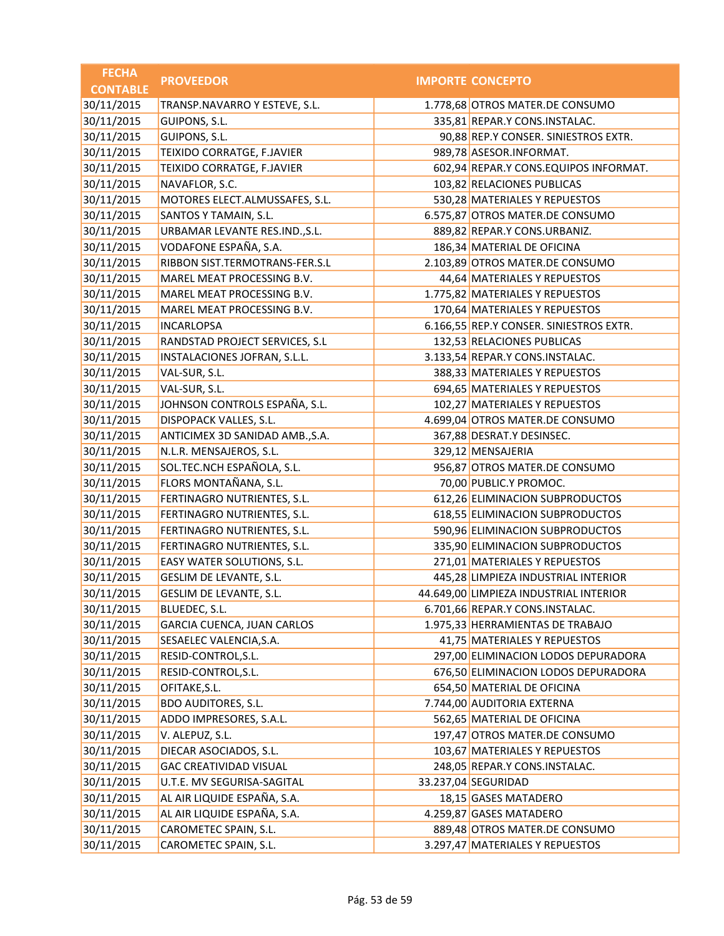| <b>FECHA</b>    | <b>PROVEEDOR</b>                  | <b>IMPORTE CONCEPTO</b>                 |
|-----------------|-----------------------------------|-----------------------------------------|
| <b>CONTABLE</b> |                                   |                                         |
| 30/11/2015      | TRANSP.NAVARRO Y ESTEVE, S.L.     | 1.778,68 OTROS MATER.DE CONSUMO         |
| 30/11/2015      | GUIPONS, S.L.                     | 335,81 REPAR.Y CONS.INSTALAC.           |
| 30/11/2015      | GUIPONS, S.L.                     | 90,88 REP.Y CONSER. SINIESTROS EXTR.    |
| 30/11/2015      | TEIXIDO CORRATGE, F.JAVIER        | 989,78 ASESOR.INFORMAT.                 |
| 30/11/2015      | TEIXIDO CORRATGE, F.JAVIER        | 602,94 REPAR.Y CONS.EQUIPOS INFORMAT.   |
| 30/11/2015      | NAVAFLOR, S.C.                    | 103,82 RELACIONES PUBLICAS              |
| 30/11/2015      | MOTORES ELECT.ALMUSSAFES, S.L.    | 530,28 MATERIALES Y REPUESTOS           |
| 30/11/2015      | SANTOS Y TAMAIN, S.L.             | 6.575,87 OTROS MATER.DE CONSUMO         |
| 30/11/2015      | URBAMAR LEVANTE RES.IND., S.L.    | 889,82 REPAR.Y CONS.URBANIZ.            |
| 30/11/2015      | VODAFONE ESPAÑA, S.A.             | 186,34 MATERIAL DE OFICINA              |
| 30/11/2015      | RIBBON SIST.TERMOTRANS-FER.S.L    | 2.103,89 OTROS MATER.DE CONSUMO         |
| 30/11/2015      | MAREL MEAT PROCESSING B.V.        | 44,64 MATERIALES Y REPUESTOS            |
| 30/11/2015      | MAREL MEAT PROCESSING B.V.        | 1.775,82 MATERIALES Y REPUESTOS         |
| 30/11/2015      | MAREL MEAT PROCESSING B.V.        | 170,64 MATERIALES Y REPUESTOS           |
| 30/11/2015      | <b>INCARLOPSA</b>                 | 6.166,55 REP.Y CONSER. SINIESTROS EXTR. |
| 30/11/2015      | RANDSTAD PROJECT SERVICES, S.L    | 132,53 RELACIONES PUBLICAS              |
| 30/11/2015      | INSTALACIONES JOFRAN, S.L.L.      | 3.133,54 REPAR.Y CONS.INSTALAC.         |
| 30/11/2015      | VAL-SUR, S.L.                     | 388,33 MATERIALES Y REPUESTOS           |
| 30/11/2015      | VAL-SUR, S.L.                     | 694,65 MATERIALES Y REPUESTOS           |
| 30/11/2015      | JOHNSON CONTROLS ESPAÑA, S.L.     | 102,27 MATERIALES Y REPUESTOS           |
| 30/11/2015      | DISPOPACK VALLES, S.L.            | 4.699,04 OTROS MATER.DE CONSUMO         |
| 30/11/2015      | ANTICIMEX 3D SANIDAD AMB., S.A.   | 367,88 DESRAT.Y DESINSEC.               |
| 30/11/2015      | N.L.R. MENSAJEROS, S.L.           | 329,12 MENSAJERIA                       |
| 30/11/2015      | SOL.TEC.NCH ESPAÑOLA, S.L.        | 956,87 OTROS MATER.DE CONSUMO           |
| 30/11/2015      | FLORS MONTAÑANA, S.L.             | 70,00 PUBLIC.Y PROMOC.                  |
| 30/11/2015      | FERTINAGRO NUTRIENTES, S.L.       | 612,26 ELIMINACION SUBPRODUCTOS         |
| 30/11/2015      | FERTINAGRO NUTRIENTES, S.L.       | 618,55 ELIMINACION SUBPRODUCTOS         |
| 30/11/2015      | FERTINAGRO NUTRIENTES, S.L.       | 590,96 ELIMINACION SUBPRODUCTOS         |
| 30/11/2015      | FERTINAGRO NUTRIENTES, S.L.       | 335,90 ELIMINACION SUBPRODUCTOS         |
| 30/11/2015      | EASY WATER SOLUTIONS, S.L.        | 271,01 MATERIALES Y REPUESTOS           |
| 30/11/2015      | GESLIM DE LEVANTE, S.L.           | 445,28 LIMPIEZA INDUSTRIAL INTERIOR     |
| 30/11/2015      | GESLIM DE LEVANTE, S.L.           | 44.649,00 LIMPIEZA INDUSTRIAL INTERIOR  |
| 30/11/2015      | BLUEDEC, S.L.                     | 6.701,66 REPAR.Y CONS.INSTALAC.         |
| 30/11/2015      | <b>GARCIA CUENCA, JUAN CARLOS</b> | 1.975,33 HERRAMIENTAS DE TRABAJO        |
| 30/11/2015      | SESAELEC VALENCIA, S.A.           | 41,75 MATERIALES Y REPUESTOS            |
| 30/11/2015      | RESID-CONTROL, S.L.               | 297,00 ELIMINACION LODOS DEPURADORA     |
| 30/11/2015      | RESID-CONTROL, S.L.               | 676,50 ELIMINACION LODOS DEPURADORA     |
| 30/11/2015      | OFITAKE, S.L.                     | 654,50 MATERIAL DE OFICINA              |
| 30/11/2015      | <b>BDO AUDITORES, S.L.</b>        | 7.744,00 AUDITORIA EXTERNA              |
| 30/11/2015      | ADDO IMPRESORES, S.A.L.           | 562,65 MATERIAL DE OFICINA              |
| 30/11/2015      | V. ALEPUZ, S.L.                   | 197,47 OTROS MATER.DE CONSUMO           |
| 30/11/2015      | DIECAR ASOCIADOS, S.L.            | 103,67 MATERIALES Y REPUESTOS           |
| 30/11/2015      | <b>GAC CREATIVIDAD VISUAL</b>     | 248,05 REPAR.Y CONS.INSTALAC.           |
| 30/11/2015      | U.T.E. MV SEGURISA-SAGITAL        | 33.237,04 SEGURIDAD                     |
| 30/11/2015      | AL AIR LIQUIDE ESPAÑA, S.A.       | 18,15 GASES MATADERO                    |
| 30/11/2015      | AL AIR LIQUIDE ESPAÑA, S.A.       | 4.259,87 GASES MATADERO                 |
| 30/11/2015      | CAROMETEC SPAIN, S.L.             | 889,48 OTROS MATER.DE CONSUMO           |
| 30/11/2015      | CAROMETEC SPAIN, S.L.             | 3.297,47 MATERIALES Y REPUESTOS         |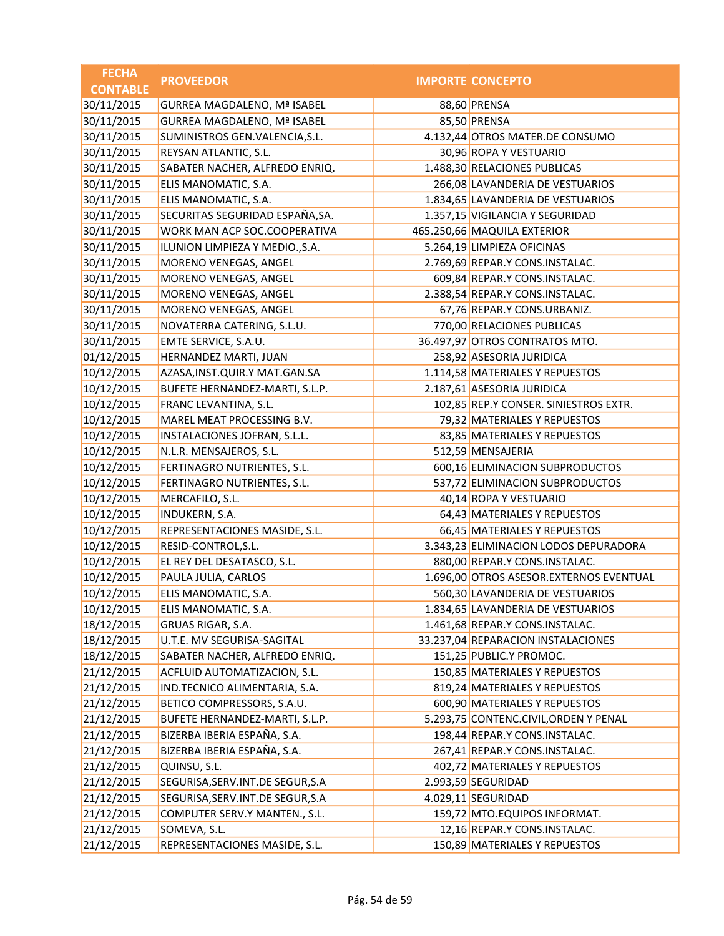| <b>FECHA</b>    | <b>PROVEEDOR</b>                   | <b>IMPORTE CONCEPTO</b>                 |
|-----------------|------------------------------------|-----------------------------------------|
| <b>CONTABLE</b> |                                    |                                         |
| 30/11/2015      | <b>GURREA MAGDALENO, Mª ISABEL</b> | 88,60 PRENSA                            |
| 30/11/2015      | <b>GURREA MAGDALENO, Mª ISABEL</b> | 85,50 PRENSA                            |
| 30/11/2015      | SUMINISTROS GEN.VALENCIA, S.L.     | 4.132,44 OTROS MATER.DE CONSUMO         |
| 30/11/2015      | REYSAN ATLANTIC, S.L.              | 30,96 ROPA Y VESTUARIO                  |
| 30/11/2015      | SABATER NACHER, ALFREDO ENRIQ.     | 1.488,30 RELACIONES PUBLICAS            |
| 30/11/2015      | ELIS MANOMATIC, S.A.               | 266,08 LAVANDERIA DE VESTUARIOS         |
| 30/11/2015      | ELIS MANOMATIC, S.A.               | 1.834,65 LAVANDERIA DE VESTUARIOS       |
| 30/11/2015      | SECURITAS SEGURIDAD ESPAÑA, SA.    | 1.357,15 VIGILANCIA Y SEGURIDAD         |
| 30/11/2015      | WORK MAN ACP SOC.COOPERATIVA       | 465.250,66 MAQUILA EXTERIOR             |
| 30/11/2015      | ILUNION LIMPIEZA Y MEDIO., S.A.    | 5.264,19 LIMPIEZA OFICINAS              |
| 30/11/2015      | MORENO VENEGAS, ANGEL              | 2.769,69 REPAR.Y CONS.INSTALAC.         |
| 30/11/2015      | MORENO VENEGAS, ANGEL              | 609,84 REPAR.Y CONS.INSTALAC.           |
| 30/11/2015      | MORENO VENEGAS, ANGEL              | 2.388,54 REPAR.Y CONS.INSTALAC.         |
| 30/11/2015      | MORENO VENEGAS, ANGEL              | 67,76 REPAR.Y CONS.URBANIZ.             |
| 30/11/2015      | NOVATERRA CATERING, S.L.U.         | 770,00 RELACIONES PUBLICAS              |
| 30/11/2015      | EMTE SERVICE, S.A.U.               | 36.497,97 OTROS CONTRATOS MTO.          |
| 01/12/2015      | HERNANDEZ MARTI, JUAN              | 258,92 ASESORIA JURIDICA                |
| 10/12/2015      | AZASA, INST. QUIR. Y MAT. GAN. SA  | 1.114,58 MATERIALES Y REPUESTOS         |
| 10/12/2015      | BUFETE HERNANDEZ-MARTI, S.L.P.     | 2.187,61 ASESORIA JURIDICA              |
| 10/12/2015      | FRANC LEVANTINA, S.L.              | 102,85 REP.Y CONSER. SINIESTROS EXTR.   |
| 10/12/2015      | MAREL MEAT PROCESSING B.V.         | 79,32 MATERIALES Y REPUESTOS            |
| 10/12/2015      | INSTALACIONES JOFRAN, S.L.L.       | 83,85 MATERIALES Y REPUESTOS            |
| 10/12/2015      | N.L.R. MENSAJEROS, S.L.            | 512,59 MENSAJERIA                       |
| 10/12/2015      | FERTINAGRO NUTRIENTES, S.L.        | 600,16 ELIMINACION SUBPRODUCTOS         |
| 10/12/2015      | FERTINAGRO NUTRIENTES, S.L.        | 537,72 ELIMINACION SUBPRODUCTOS         |
| 10/12/2015      | MERCAFILO, S.L.                    | 40,14 ROPA Y VESTUARIO                  |
| 10/12/2015      | INDUKERN, S.A.                     | 64,43 MATERIALES Y REPUESTOS            |
| 10/12/2015      | REPRESENTACIONES MASIDE, S.L.      | 66,45 MATERIALES Y REPUESTOS            |
| 10/12/2015      | RESID-CONTROL, S.L.                | 3.343,23 ELIMINACION LODOS DEPURADORA   |
| 10/12/2015      | EL REY DEL DESATASCO, S.L.         | 880,00 REPAR.Y CONS.INSTALAC.           |
| 10/12/2015      | PAULA JULIA, CARLOS                | 1.696,00 OTROS ASESOR.EXTERNOS EVENTUAL |
| 10/12/2015      | ELIS MANOMATIC, S.A.               | 560,30 LAVANDERIA DE VESTUARIOS         |
| 10/12/2015      | ELIS MANOMATIC, S.A.               | 1.834,65 LAVANDERIA DE VESTUARIOS       |
| 18/12/2015      | GRUAS RIGAR, S.A.                  | 1.461,68 REPAR.Y CONS.INSTALAC.         |
| 18/12/2015      | U.T.E. MV SEGURISA-SAGITAL         | 33.237,04 REPARACION INSTALACIONES      |
| 18/12/2015      | SABATER NACHER, ALFREDO ENRIQ.     | 151,25 PUBLIC.Y PROMOC.                 |
| 21/12/2015      | ACFLUID AUTOMATIZACION, S.L.       | 150,85 MATERIALES Y REPUESTOS           |
| 21/12/2015      | IND.TECNICO ALIMENTARIA, S.A.      | 819,24 MATERIALES Y REPUESTOS           |
| 21/12/2015      | BETICO COMPRESSORS, S.A.U.         | 600,90 MATERIALES Y REPUESTOS           |
| 21/12/2015      | BUFETE HERNANDEZ-MARTI, S.L.P.     | 5.293,75 CONTENC.CIVIL, ORDEN Y PENAL   |
| 21/12/2015      | BIZERBA IBERIA ESPAÑA, S.A.        | 198,44 REPAR.Y CONS.INSTALAC.           |
| 21/12/2015      | BIZERBA IBERIA ESPAÑA, S.A.        | 267,41 REPAR.Y CONS.INSTALAC.           |
| 21/12/2015      | QUINSU, S.L.                       | 402,72 MATERIALES Y REPUESTOS           |
| 21/12/2015      | SEGURISA, SERV.INT. DE SEGUR, S.A  | 2.993,59 SEGURIDAD                      |
| 21/12/2015      | SEGURISA, SERV. INT. DE SEGUR, S.A | 4.029,11 SEGURIDAD                      |
| 21/12/2015      | COMPUTER SERV.Y MANTEN., S.L.      | 159,72 MTO.EQUIPOS INFORMAT.            |
| 21/12/2015      | SOMEVA, S.L.                       | 12,16 REPAR.Y CONS.INSTALAC.            |
| 21/12/2015      | REPRESENTACIONES MASIDE, S.L.      | 150,89 MATERIALES Y REPUESTOS           |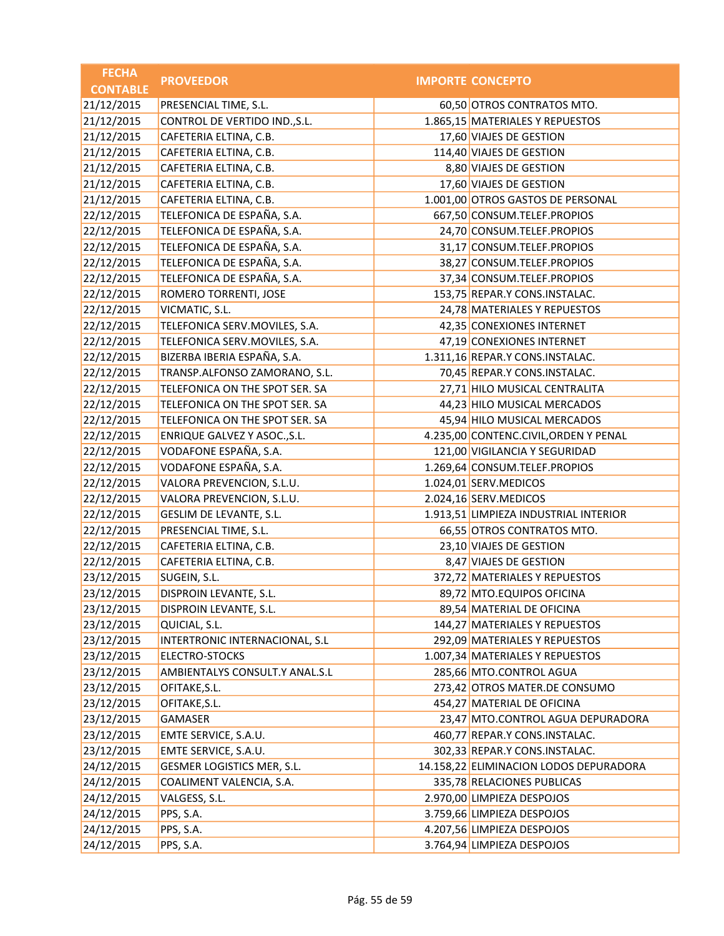| <b>FECHA</b>    | <b>PROVEEDOR</b>               | <b>IMPORTE CONCEPTO</b>                |
|-----------------|--------------------------------|----------------------------------------|
| <b>CONTABLE</b> |                                |                                        |
| 21/12/2015      | PRESENCIAL TIME, S.L.          | 60,50 OTROS CONTRATOS MTO.             |
| 21/12/2015      | CONTROL DE VERTIDO IND., S.L.  | 1.865,15 MATERIALES Y REPUESTOS        |
| 21/12/2015      | CAFETERIA ELTINA, C.B.         | 17,60 VIAJES DE GESTION                |
| 21/12/2015      | CAFETERIA ELTINA, C.B.         | 114,40 VIAJES DE GESTION               |
| 21/12/2015      | CAFETERIA ELTINA, C.B.         | 8,80 VIAJES DE GESTION                 |
| 21/12/2015      | CAFETERIA ELTINA, C.B.         | 17,60 VIAJES DE GESTION                |
| 21/12/2015      | CAFETERIA ELTINA, C.B.         | 1.001,00 OTROS GASTOS DE PERSONAL      |
| 22/12/2015      | TELEFONICA DE ESPAÑA, S.A.     | 667,50 CONSUM.TELEF.PROPIOS            |
| 22/12/2015      | TELEFONICA DE ESPAÑA, S.A.     | 24,70 CONSUM.TELEF.PROPIOS             |
| 22/12/2015      | TELEFONICA DE ESPAÑA, S.A.     | 31,17 CONSUM.TELEF.PROPIOS             |
| 22/12/2015      | TELEFONICA DE ESPAÑA, S.A.     | 38,27 CONSUM.TELEF.PROPIOS             |
| 22/12/2015      | TELEFONICA DE ESPAÑA, S.A.     | 37,34 CONSUM.TELEF.PROPIOS             |
| 22/12/2015      | ROMERO TORRENTI, JOSE          | 153,75 REPAR.Y CONS.INSTALAC.          |
| 22/12/2015      | VICMATIC, S.L.                 | 24,78 MATERIALES Y REPUESTOS           |
| 22/12/2015      | TELEFONICA SERV.MOVILES, S.A.  | 42,35 CONEXIONES INTERNET              |
| 22/12/2015      | TELEFONICA SERV.MOVILES, S.A.  | 47,19 CONEXIONES INTERNET              |
| 22/12/2015      | BIZERBA IBERIA ESPAÑA, S.A.    | 1.311,16 REPAR.Y CONS.INSTALAC.        |
| 22/12/2015      | TRANSP.ALFONSO ZAMORANO, S.L.  | 70,45 REPAR.Y CONS.INSTALAC.           |
| 22/12/2015      | TELEFONICA ON THE SPOT SER. SA | 27,71 HILO MUSICAL CENTRALITA          |
| 22/12/2015      | TELEFONICA ON THE SPOT SER. SA | 44,23 HILO MUSICAL MERCADOS            |
| 22/12/2015      | TELEFONICA ON THE SPOT SER. SA | 45,94 HILO MUSICAL MERCADOS            |
| 22/12/2015      | ENRIQUE GALVEZ Y ASOC., S.L.   | 4.235,00 CONTENC.CIVIL, ORDEN Y PENAL  |
| 22/12/2015      | VODAFONE ESPAÑA, S.A.          | 121,00 VIGILANCIA Y SEGURIDAD          |
| 22/12/2015      | VODAFONE ESPAÑA, S.A.          | 1.269,64 CONSUM.TELEF.PROPIOS          |
| 22/12/2015      | VALORA PREVENCION, S.L.U.      | 1.024,01 SERV.MEDICOS                  |
| 22/12/2015      | VALORA PREVENCION, S.L.U.      | 2.024,16 SERV.MEDICOS                  |
| 22/12/2015      | GESLIM DE LEVANTE, S.L.        | 1.913,51 LIMPIEZA INDUSTRIAL INTERIOR  |
| 22/12/2015      | PRESENCIAL TIME, S.L.          | 66,55 OTROS CONTRATOS MTO.             |
| 22/12/2015      | CAFETERIA ELTINA, C.B.         | 23,10 VIAJES DE GESTION                |
| 22/12/2015      | CAFETERIA ELTINA, C.B.         | 8,47 VIAJES DE GESTION                 |
| 23/12/2015      | SUGEIN, S.L.                   | 372,72 MATERIALES Y REPUESTOS          |
| 23/12/2015      | DISPROIN LEVANTE, S.L.         | 89,72 MTO.EQUIPOS OFICINA              |
| 23/12/2015      | DISPROIN LEVANTE, S.L.         | 89,54 MATERIAL DE OFICINA              |
| 23/12/2015      | QUICIAL, S.L.                  | 144,27 MATERIALES Y REPUESTOS          |
| 23/12/2015      | INTERTRONIC INTERNACIONAL, S.L | 292,09 MATERIALES Y REPUESTOS          |
| 23/12/2015      | ELECTRO-STOCKS                 | 1.007,34 MATERIALES Y REPUESTOS        |
| 23/12/2015      | AMBIENTALYS CONSULT.Y ANAL.S.L | 285,66 MTO.CONTROL AGUA                |
| 23/12/2015      | OFITAKE, S.L.                  | 273,42 OTROS MATER.DE CONSUMO          |
| 23/12/2015      | OFITAKE, S.L.                  | 454,27 MATERIAL DE OFICINA             |
| 23/12/2015      | GAMASER                        | 23,47 MTO.CONTROL AGUA DEPURADORA      |
| 23/12/2015      | EMTE SERVICE, S.A.U.           | 460,77 REPAR.Y CONS.INSTALAC.          |
| 23/12/2015      | EMTE SERVICE, S.A.U.           | 302,33 REPAR.Y CONS.INSTALAC.          |
| 24/12/2015      | GESMER LOGISTICS MER, S.L.     | 14.158,22 ELIMINACION LODOS DEPURADORA |
| 24/12/2015      | COALIMENT VALENCIA, S.A.       | 335,78 RELACIONES PUBLICAS             |
| 24/12/2015      | VALGESS, S.L.                  | 2.970,00 LIMPIEZA DESPOJOS             |
| 24/12/2015      | PPS, S.A.                      | 3.759,66 LIMPIEZA DESPOJOS             |
| 24/12/2015      | PPS, S.A.                      | 4.207,56 LIMPIEZA DESPOJOS             |
| 24/12/2015      | PPS, S.A.                      | 3.764,94 LIMPIEZA DESPOJOS             |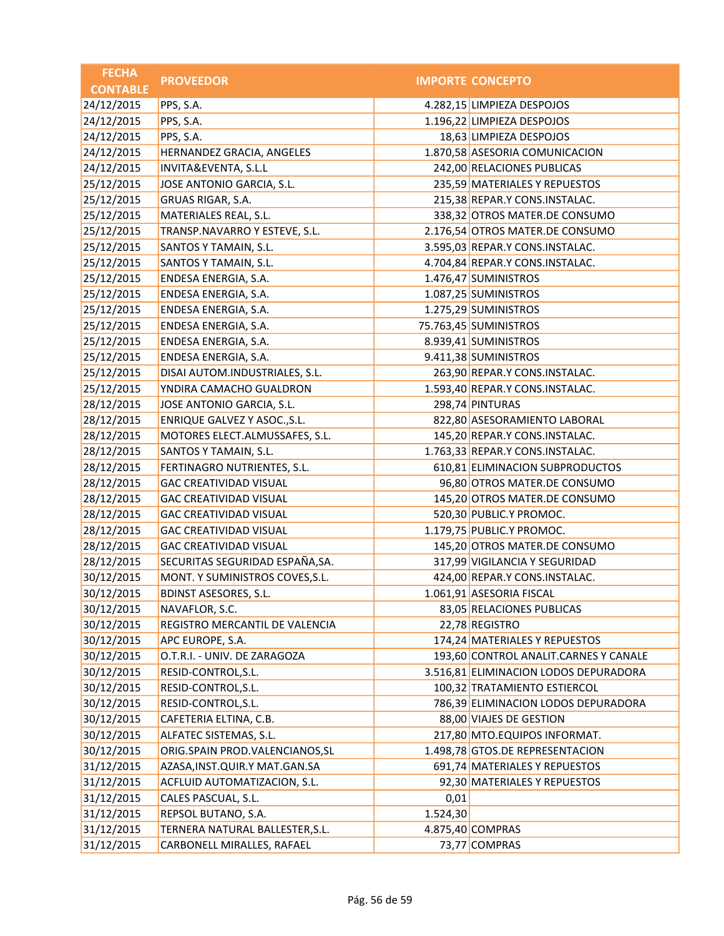| <b>FECHA</b>    | <b>PROVEEDOR</b>                  |          | <b>IMPORTE CONCEPTO</b>               |
|-----------------|-----------------------------------|----------|---------------------------------------|
| <b>CONTABLE</b> |                                   |          |                                       |
| 24/12/2015      | PPS, S.A.                         |          | 4.282,15 LIMPIEZA DESPOJOS            |
| 24/12/2015      | PPS, S.A.                         |          | 1.196,22 LIMPIEZA DESPOJOS            |
| 24/12/2015      | PPS, S.A.                         |          | 18,63 LIMPIEZA DESPOJOS               |
| 24/12/2015      | HERNANDEZ GRACIA, ANGELES         |          | 1.870,58 ASESORIA COMUNICACION        |
| 24/12/2015      | INVITA&EVENTA, S.L.L              |          | 242,00 RELACIONES PUBLICAS            |
| 25/12/2015      | JOSE ANTONIO GARCIA, S.L.         |          | 235,59 MATERIALES Y REPUESTOS         |
| 25/12/2015      | GRUAS RIGAR, S.A.                 |          | 215,38 REPAR.Y CONS.INSTALAC.         |
| 25/12/2015      | MATERIALES REAL, S.L.             |          | 338,32 OTROS MATER.DE CONSUMO         |
| 25/12/2015      | TRANSP.NAVARRO Y ESTEVE, S.L.     |          | 2.176,54 OTROS MATER.DE CONSUMO       |
| 25/12/2015      | SANTOS Y TAMAIN, S.L.             |          | 3.595,03 REPAR.Y CONS.INSTALAC.       |
| 25/12/2015      | SANTOS Y TAMAIN, S.L.             |          | 4.704,84 REPAR.Y CONS.INSTALAC.       |
| 25/12/2015      | ENDESA ENERGIA, S.A.              |          | 1.476,47 SUMINISTROS                  |
| 25/12/2015      | ENDESA ENERGIA, S.A.              |          | 1.087,25 SUMINISTROS                  |
| 25/12/2015      | ENDESA ENERGIA, S.A.              |          | 1.275,29 SUMINISTROS                  |
| 25/12/2015      | ENDESA ENERGIA, S.A.              |          | 75.763,45 SUMINISTROS                 |
| 25/12/2015      | ENDESA ENERGIA, S.A.              |          | 8.939,41 SUMINISTROS                  |
| 25/12/2015      | ENDESA ENERGIA, S.A.              |          | 9.411,38 SUMINISTROS                  |
| 25/12/2015      | DISAI AUTOM.INDUSTRIALES, S.L.    |          | 263,90 REPAR.Y CONS.INSTALAC.         |
| 25/12/2015      | YNDIRA CAMACHO GUALDRON           |          | 1.593,40 REPAR.Y CONS.INSTALAC.       |
| 28/12/2015      | JOSE ANTONIO GARCIA, S.L.         |          | 298,74 PINTURAS                       |
| 28/12/2015      | ENRIQUE GALVEZ Y ASOC., S.L.      |          | 822,80 ASESORAMIENTO LABORAL          |
| 28/12/2015      | MOTORES ELECT.ALMUSSAFES, S.L.    |          | 145,20 REPAR.Y CONS.INSTALAC.         |
| 28/12/2015      | SANTOS Y TAMAIN, S.L.             |          | 1.763,33 REPAR.Y CONS.INSTALAC.       |
| 28/12/2015      | FERTINAGRO NUTRIENTES, S.L.       |          | 610,81 ELIMINACION SUBPRODUCTOS       |
| 28/12/2015      | <b>GAC CREATIVIDAD VISUAL</b>     |          | 96,80 OTROS MATER.DE CONSUMO          |
| 28/12/2015      | <b>GAC CREATIVIDAD VISUAL</b>     |          | 145,20 OTROS MATER.DE CONSUMO         |
| 28/12/2015      | <b>GAC CREATIVIDAD VISUAL</b>     |          | 520,30 PUBLIC.Y PROMOC.               |
| 28/12/2015      | <b>GAC CREATIVIDAD VISUAL</b>     |          | 1.179,75 PUBLIC.Y PROMOC.             |
| 28/12/2015      | <b>GAC CREATIVIDAD VISUAL</b>     |          | 145,20 OTROS MATER.DE CONSUMO         |
| 28/12/2015      | SECURITAS SEGURIDAD ESPAÑA, SA.   |          | 317,99 VIGILANCIA Y SEGURIDAD         |
| 30/12/2015      | MONT. Y SUMINISTROS COVES, S.L.   |          | 424,00 REPAR.Y CONS.INSTALAC.         |
| 30/12/2015      | BDINST ASESORES, S.L.             |          | 1.061,91 ASESORIA FISCAL              |
| 30/12/2015      | NAVAFLOR, S.C.                    |          | 83,05 RELACIONES PUBLICAS             |
| 30/12/2015      | REGISTRO MERCANTIL DE VALENCIA    |          | 22,78 REGISTRO                        |
| 30/12/2015      | APC EUROPE, S.A.                  |          | 174,24 MATERIALES Y REPUESTOS         |
| 30/12/2015      | O.T.R.I. - UNIV. DE ZARAGOZA      |          | 193,60 CONTROL ANALIT.CARNES Y CANALE |
| 30/12/2015      | RESID-CONTROL, S.L.               |          | 3.516,81 ELIMINACION LODOS DEPURADORA |
| 30/12/2015      | RESID-CONTROL, S.L.               |          | 100,32 TRATAMIENTO ESTIERCOL          |
| 30/12/2015      | RESID-CONTROL, S.L.               |          | 786,39 ELIMINACION LODOS DEPURADORA   |
| 30/12/2015      | CAFETERIA ELTINA, C.B.            |          | 88,00 VIAJES DE GESTION               |
| 30/12/2015      | ALFATEC SISTEMAS, S.L.            |          | 217,80 MTO.EQUIPOS INFORMAT.          |
| 30/12/2015      | ORIG.SPAIN PROD.VALENCIANOS, SL   |          | 1.498,78 GTOS.DE REPRESENTACION       |
| 31/12/2015      | AZASA, INST. QUIR. Y MAT. GAN. SA |          | 691,74 MATERIALES Y REPUESTOS         |
| 31/12/2015      | ACFLUID AUTOMATIZACION, S.L.      |          | 92,30 MATERIALES Y REPUESTOS          |
| 31/12/2015      | CALES PASCUAL, S.L.               | 0,01     |                                       |
| 31/12/2015      | REPSOL BUTANO, S.A.               | 1.524,30 |                                       |
| 31/12/2015      | TERNERA NATURAL BALLESTER, S.L.   |          | 4.875,40 COMPRAS                      |
| 31/12/2015      | CARBONELL MIRALLES, RAFAEL        |          | 73,77 COMPRAS                         |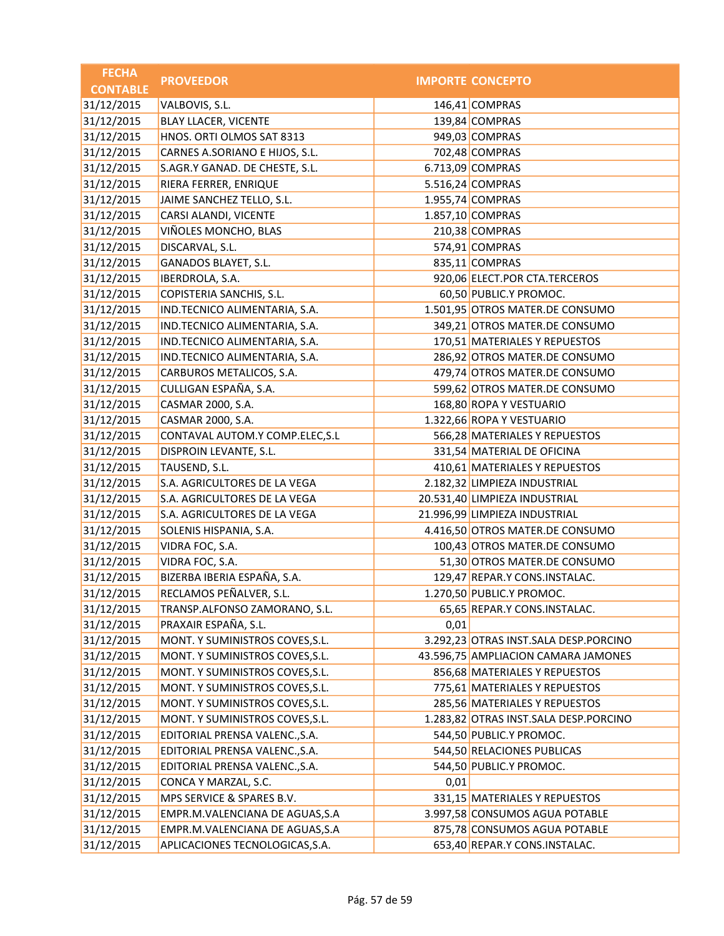| <b>FECHA</b>    | <b>PROVEEDOR</b>                |      | <b>IMPORTE CONCEPTO</b>               |
|-----------------|---------------------------------|------|---------------------------------------|
| <b>CONTABLE</b> |                                 |      |                                       |
| 31/12/2015      | VALBOVIS, S.L.                  |      | 146,41 COMPRAS                        |
| 31/12/2015      | <b>BLAY LLACER, VICENTE</b>     |      | 139,84 COMPRAS                        |
| 31/12/2015      | HNOS. ORTI OLMOS SAT 8313       |      | 949,03 COMPRAS                        |
| 31/12/2015      | CARNES A.SORIANO E HIJOS, S.L.  |      | 702,48 COMPRAS                        |
| 31/12/2015      | S.AGR.Y GANAD. DE CHESTE, S.L.  |      | 6.713,09 COMPRAS                      |
| 31/12/2015      | RIERA FERRER, ENRIQUE           |      | 5.516,24 COMPRAS                      |
| 31/12/2015      | JAIME SANCHEZ TELLO, S.L.       |      | 1.955,74 COMPRAS                      |
| 31/12/2015      | CARSI ALANDI, VICENTE           |      | 1.857,10 COMPRAS                      |
| 31/12/2015      | VIÑOLES MONCHO, BLAS            |      | 210,38 COMPRAS                        |
| 31/12/2015      | DISCARVAL, S.L.                 |      | 574,91 COMPRAS                        |
| 31/12/2015      | GANADOS BLAYET, S.L.            |      | 835,11 COMPRAS                        |
| 31/12/2015      | IBERDROLA, S.A.                 |      | 920,06 ELECT.POR CTA.TERCEROS         |
| 31/12/2015      | COPISTERIA SANCHIS, S.L.        |      | 60,50 PUBLIC.Y PROMOC.                |
| 31/12/2015      | IND.TECNICO ALIMENTARIA, S.A.   |      | 1.501,95 OTROS MATER.DE CONSUMO       |
| 31/12/2015      | IND.TECNICO ALIMENTARIA, S.A.   |      | 349,21 OTROS MATER.DE CONSUMO         |
| 31/12/2015      | IND.TECNICO ALIMENTARIA, S.A.   |      | 170,51 MATERIALES Y REPUESTOS         |
| 31/12/2015      | IND.TECNICO ALIMENTARIA, S.A.   |      | 286,92 OTROS MATER.DE CONSUMO         |
| 31/12/2015      | CARBUROS METALICOS, S.A.        |      | 479,74 OTROS MATER.DE CONSUMO         |
| 31/12/2015      | CULLIGAN ESPAÑA, S.A.           |      | 599,62 OTROS MATER.DE CONSUMO         |
| 31/12/2015      | CASMAR 2000, S.A.               |      | 168,80 ROPA Y VESTUARIO               |
| 31/12/2015      | CASMAR 2000, S.A.               |      | 1.322,66 ROPA Y VESTUARIO             |
| 31/12/2015      | CONTAVAL AUTOM.Y COMP.ELEC, S.L |      | 566,28 MATERIALES Y REPUESTOS         |
| 31/12/2015      | DISPROIN LEVANTE, S.L.          |      | 331,54 MATERIAL DE OFICINA            |
| 31/12/2015      | TAUSEND, S.L.                   |      | 410,61 MATERIALES Y REPUESTOS         |
| 31/12/2015      | S.A. AGRICULTORES DE LA VEGA    |      | 2.182,32 LIMPIEZA INDUSTRIAL          |
| 31/12/2015      | S.A. AGRICULTORES DE LA VEGA    |      | 20.531,40 LIMPIEZA INDUSTRIAL         |
| 31/12/2015      | S.A. AGRICULTORES DE LA VEGA    |      | 21.996,99 LIMPIEZA INDUSTRIAL         |
| 31/12/2015      | SOLENIS HISPANIA, S.A.          |      | 4.416,50 OTROS MATER.DE CONSUMO       |
| 31/12/2015      | VIDRA FOC, S.A.                 |      | 100,43 OTROS MATER.DE CONSUMO         |
| 31/12/2015      | VIDRA FOC, S.A.                 |      | 51,30 OTROS MATER.DE CONSUMO          |
| 31/12/2015      | BIZERBA IBERIA ESPAÑA, S.A.     |      | 129,47 REPAR.Y CONS.INSTALAC.         |
| 31/12/2015      | RECLAMOS PEÑALVER, S.L.         |      | 1.270,50 PUBLIC.Y PROMOC.             |
| 31/12/2015      | TRANSP.ALFONSO ZAMORANO, S.L.   |      | 65,65 REPAR.Y CONS.INSTALAC.          |
| 31/12/2015      | PRAXAIR ESPAÑA, S.L.            | 0,01 |                                       |
| 31/12/2015      | MONT. Y SUMINISTROS COVES, S.L. |      | 3.292,23 OTRAS INST.SALA DESP.PORCINO |
| 31/12/2015      | MONT. Y SUMINISTROS COVES, S.L. |      | 43.596,75 AMPLIACION CAMARA JAMONES   |
| 31/12/2015      | MONT. Y SUMINISTROS COVES, S.L. |      | 856,68 MATERIALES Y REPUESTOS         |
| 31/12/2015      | MONT. Y SUMINISTROS COVES, S.L. |      | 775,61 MATERIALES Y REPUESTOS         |
| 31/12/2015      | MONT. Y SUMINISTROS COVES, S.L. |      | 285,56 MATERIALES Y REPUESTOS         |
| 31/12/2015      | MONT. Y SUMINISTROS COVES, S.L. |      | 1.283,82 OTRAS INST.SALA DESP.PORCINO |
| 31/12/2015      | EDITORIAL PRENSA VALENC., S.A.  |      | 544,50 PUBLIC.Y PROMOC.               |
| 31/12/2015      | EDITORIAL PRENSA VALENC., S.A.  |      | 544,50 RELACIONES PUBLICAS            |
| 31/12/2015      | EDITORIAL PRENSA VALENC., S.A.  |      | 544,50 PUBLIC.Y PROMOC.               |
| 31/12/2015      | CONCA Y MARZAL, S.C.            | 0,01 |                                       |
| 31/12/2015      | MPS SERVICE & SPARES B.V.       |      | 331,15 MATERIALES Y REPUESTOS         |
| 31/12/2015      | EMPR.M.VALENCIANA DE AGUAS, S.A |      | 3.997,58 CONSUMOS AGUA POTABLE        |
| 31/12/2015      | EMPR.M.VALENCIANA DE AGUAS, S.A |      | 875,78 CONSUMOS AGUA POTABLE          |
| 31/12/2015      | APLICACIONES TECNOLOGICAS, S.A. |      | 653,40 REPAR.Y CONS.INSTALAC.         |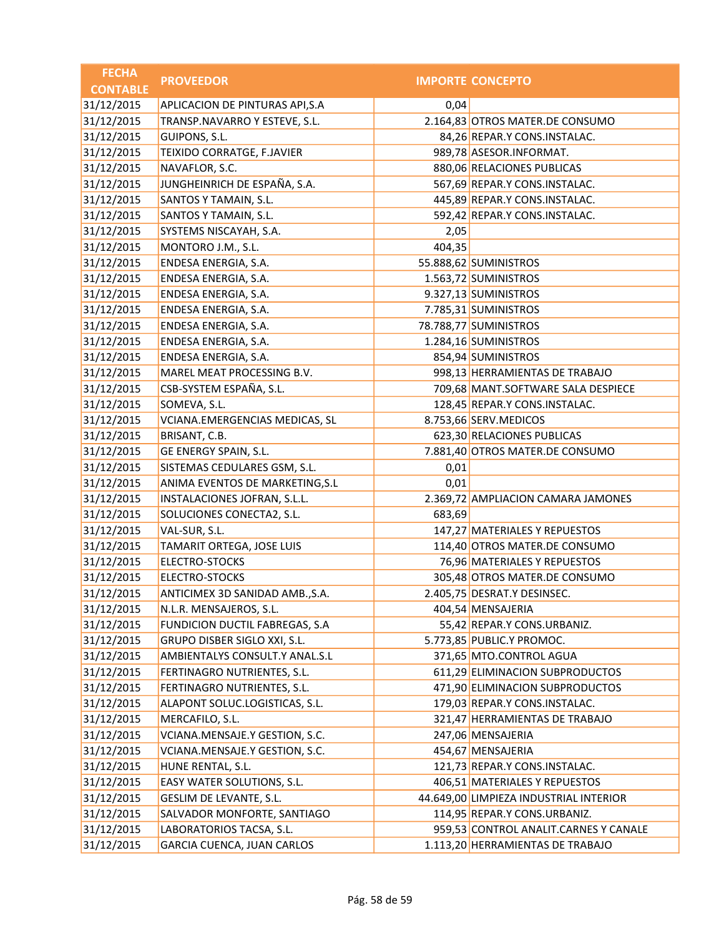| <b>FECHA</b>    | <b>PROVEEDOR</b>                |        | <b>IMPORTE CONCEPTO</b>                |
|-----------------|---------------------------------|--------|----------------------------------------|
| <b>CONTABLE</b> |                                 |        |                                        |
| 31/12/2015      | APLICACION DE PINTURAS API, S.A | 0,04   |                                        |
| 31/12/2015      | TRANSP.NAVARRO Y ESTEVE, S.L.   |        | 2.164,83 OTROS MATER.DE CONSUMO        |
| 31/12/2015      | GUIPONS, S.L.                   |        | 84,26 REPAR.Y CONS.INSTALAC.           |
| 31/12/2015      | TEIXIDO CORRATGE, F.JAVIER      |        | 989,78 ASESOR.INFORMAT.                |
| 31/12/2015      | NAVAFLOR, S.C.                  |        | 880,06 RELACIONES PUBLICAS             |
| 31/12/2015      | JUNGHEINRICH DE ESPAÑA, S.A.    |        | 567,69 REPAR.Y CONS.INSTALAC.          |
| 31/12/2015      | SANTOS Y TAMAIN, S.L.           |        | 445,89 REPAR.Y CONS.INSTALAC.          |
| 31/12/2015      | SANTOS Y TAMAIN, S.L.           |        | 592,42 REPAR.Y CONS.INSTALAC.          |
| 31/12/2015      | SYSTEMS NISCAYAH, S.A.          | 2,05   |                                        |
| 31/12/2015      | MONTORO J.M., S.L.              | 404,35 |                                        |
| 31/12/2015      | ENDESA ENERGIA, S.A.            |        | 55.888,62 SUMINISTROS                  |
| 31/12/2015      | ENDESA ENERGIA, S.A.            |        | 1.563,72 SUMINISTROS                   |
| 31/12/2015      | ENDESA ENERGIA, S.A.            |        | 9.327,13 SUMINISTROS                   |
| 31/12/2015      | ENDESA ENERGIA, S.A.            |        | 7.785,31 SUMINISTROS                   |
| 31/12/2015      | ENDESA ENERGIA, S.A.            |        | 78.788,77 SUMINISTROS                  |
| 31/12/2015      | ENDESA ENERGIA, S.A.            |        | 1.284,16 SUMINISTROS                   |
| 31/12/2015      | ENDESA ENERGIA, S.A.            |        | 854,94 SUMINISTROS                     |
| 31/12/2015      | MAREL MEAT PROCESSING B.V.      |        | 998,13 HERRAMIENTAS DE TRABAJO         |
| 31/12/2015      | CSB-SYSTEM ESPAÑA, S.L.         |        | 709,68 MANT.SOFTWARE SALA DESPIECE     |
| 31/12/2015      | SOMEVA, S.L.                    |        | 128,45 REPAR.Y CONS.INSTALAC.          |
| 31/12/2015      | VCIANA.EMERGENCIAS MEDICAS, SL  |        | 8.753,66 SERV.MEDICOS                  |
| 31/12/2015      | BRISANT, C.B.                   |        | 623,30 RELACIONES PUBLICAS             |
| 31/12/2015      | GE ENERGY SPAIN, S.L.           |        | 7.881,40 OTROS MATER.DE CONSUMO        |
| 31/12/2015      | SISTEMAS CEDULARES GSM, S.L.    | 0,01   |                                        |
| 31/12/2015      | ANIMA EVENTOS DE MARKETING, S.L | 0,01   |                                        |
| 31/12/2015      | INSTALACIONES JOFRAN, S.L.L.    |        | 2.369,72 AMPLIACION CAMARA JAMONES     |
| 31/12/2015      | SOLUCIONES CONECTA2, S.L.       | 683,69 |                                        |
| 31/12/2015      | VAL-SUR, S.L.                   |        | 147,27 MATERIALES Y REPUESTOS          |
| 31/12/2015      | TAMARIT ORTEGA, JOSE LUIS       |        | 114,40 OTROS MATER.DE CONSUMO          |
| 31/12/2015      | ELECTRO-STOCKS                  |        | 76,96 MATERIALES Y REPUESTOS           |
| 31/12/2015      | ELECTRO-STOCKS                  |        | 305,48 OTROS MATER.DE CONSUMO          |
| 31/12/2015      | ANTICIMEX 3D SANIDAD AMB., S.A. |        | 2.405,75 DESRAT.Y DESINSEC.            |
| 31/12/2015      | N.L.R. MENSAJEROS, S.L.         |        | 404,54 MENSAJERIA                      |
| 31/12/2015      | FUNDICION DUCTIL FABREGAS, S.A  |        | 55,42 REPAR.Y CONS.URBANIZ.            |
| 31/12/2015      | GRUPO DISBER SIGLO XXI, S.L.    |        | 5.773,85 PUBLIC.Y PROMOC.              |
| 31/12/2015      | AMBIENTALYS CONSULT.Y ANAL.S.L  |        | 371,65 MTO.CONTROL AGUA                |
| 31/12/2015      | FERTINAGRO NUTRIENTES, S.L.     |        | 611,29 ELIMINACION SUBPRODUCTOS        |
| 31/12/2015      | FERTINAGRO NUTRIENTES, S.L.     |        | 471,90 ELIMINACION SUBPRODUCTOS        |
| 31/12/2015      | ALAPONT SOLUC.LOGISTICAS, S.L.  |        | 179,03 REPAR.Y CONS.INSTALAC.          |
| 31/12/2015      | MERCAFILO, S.L.                 |        | 321,47 HERRAMIENTAS DE TRABAJO         |
| 31/12/2015      | VCIANA.MENSAJE.Y GESTION, S.C.  |        | 247,06 MENSAJERIA                      |
| 31/12/2015      | VCIANA.MENSAJE.Y GESTION, S.C.  |        | 454,67 MENSAJERIA                      |
| 31/12/2015      | HUNE RENTAL, S.L.               |        | 121,73 REPAR.Y CONS.INSTALAC.          |
| 31/12/2015      | EASY WATER SOLUTIONS, S.L.      |        | 406,51 MATERIALES Y REPUESTOS          |
| 31/12/2015      | GESLIM DE LEVANTE, S.L.         |        | 44.649,00 LIMPIEZA INDUSTRIAL INTERIOR |
| 31/12/2015      | SALVADOR MONFORTE, SANTIAGO     |        | 114,95 REPAR.Y CONS.URBANIZ.           |
| 31/12/2015      | LABORATORIOS TACSA, S.L.        |        | 959,53 CONTROL ANALIT.CARNES Y CANALE  |
| 31/12/2015      | GARCIA CUENCA, JUAN CARLOS      |        | 1.113,20 HERRAMIENTAS DE TRABAJO       |